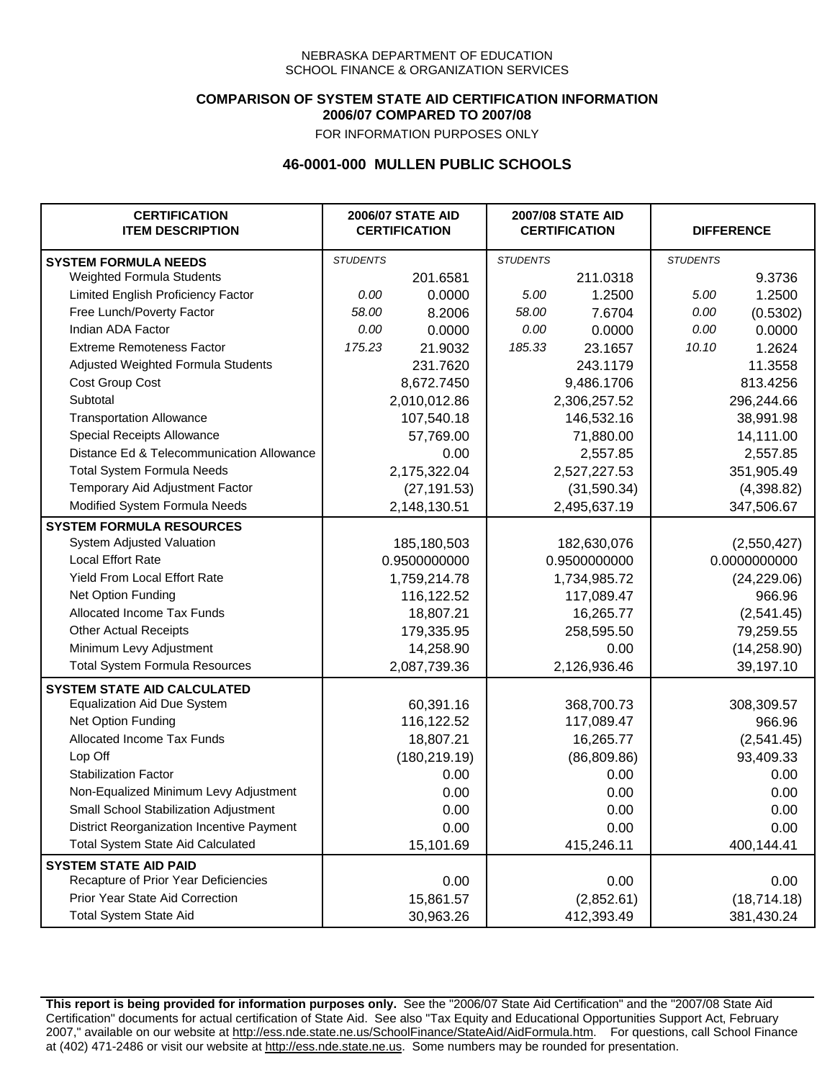### **COMPARISON OF SYSTEM STATE AID CERTIFICATION INFORMATION 2006/07 COMPARED TO 2007/08**

FOR INFORMATION PURPOSES ONLY

## **46-0001-000 MULLEN PUBLIC SCHOOLS**

| <b>CERTIFICATION</b><br><b>ITEM DESCRIPTION</b> |                 | <b>2006/07 STATE AID</b><br><b>CERTIFICATION</b> | <b>2007/08 STATE AID</b><br><b>CERTIFICATION</b> |              | <b>DIFFERENCE</b> |              |
|-------------------------------------------------|-----------------|--------------------------------------------------|--------------------------------------------------|--------------|-------------------|--------------|
| <b>SYSTEM FORMULA NEEDS</b>                     | <b>STUDENTS</b> |                                                  | <b>STUDENTS</b>                                  |              | <b>STUDENTS</b>   |              |
| Weighted Formula Students                       |                 | 201.6581                                         |                                                  | 211.0318     |                   | 9.3736       |
| Limited English Proficiency Factor              | 0.00            | 0.0000                                           | 5.00                                             | 1.2500       | 5.00              | 1.2500       |
| Free Lunch/Poverty Factor                       | 58.00           | 8.2006                                           | 58.00                                            | 7.6704       | 0.00              | (0.5302)     |
| Indian ADA Factor                               | 0.00            | 0.0000                                           | 0.00                                             | 0.0000       | 0.00              | 0.0000       |
| <b>Extreme Remoteness Factor</b>                | 175.23          | 21.9032                                          | 185.33                                           | 23.1657      | 10.10             | 1.2624       |
| Adjusted Weighted Formula Students              |                 | 231.7620                                         |                                                  | 243.1179     |                   | 11.3558      |
| Cost Group Cost                                 |                 | 8,672.7450                                       |                                                  | 9,486.1706   |                   | 813.4256     |
| Subtotal                                        |                 | 2,010,012.86                                     |                                                  | 2,306,257.52 |                   | 296,244.66   |
| <b>Transportation Allowance</b>                 |                 | 107,540.18                                       |                                                  | 146,532.16   |                   | 38,991.98    |
| Special Receipts Allowance                      |                 | 57,769.00                                        |                                                  | 71,880.00    |                   | 14,111.00    |
| Distance Ed & Telecommunication Allowance       |                 | 0.00                                             |                                                  | 2,557.85     |                   | 2,557.85     |
| <b>Total System Formula Needs</b>               |                 | 2,175,322.04                                     |                                                  | 2,527,227.53 |                   | 351,905.49   |
| Temporary Aid Adjustment Factor                 |                 | (27, 191.53)                                     |                                                  | (31,590.34)  |                   | (4,398.82)   |
| Modified System Formula Needs                   |                 | 2,148,130.51                                     |                                                  | 2,495,637.19 |                   | 347,506.67   |
| <b>SYSTEM FORMULA RESOURCES</b>                 |                 |                                                  |                                                  |              |                   |              |
| System Adjusted Valuation                       |                 | 185,180,503                                      |                                                  | 182,630,076  |                   | (2,550,427)  |
| <b>Local Effort Rate</b>                        |                 | 0.9500000000                                     |                                                  | 0.9500000000 |                   | 0.0000000000 |
| Yield From Local Effort Rate                    |                 | 1,759,214.78                                     |                                                  | 1,734,985.72 |                   | (24, 229.06) |
| Net Option Funding                              |                 | 116,122.52                                       |                                                  | 117,089.47   |                   | 966.96       |
| Allocated Income Tax Funds                      |                 | 18,807.21                                        |                                                  | 16,265.77    |                   | (2,541.45)   |
| <b>Other Actual Receipts</b>                    |                 | 179,335.95                                       | 258,595.50                                       |              | 79,259.55         |              |
| Minimum Levy Adjustment                         |                 | 14,258.90                                        |                                                  | 0.00         |                   | (14, 258.90) |
| <b>Total System Formula Resources</b>           |                 | 2,087,739.36                                     |                                                  | 2,126,936.46 |                   | 39,197.10    |
| <b>SYSTEM STATE AID CALCULATED</b>              |                 |                                                  |                                                  |              |                   |              |
| <b>Equalization Aid Due System</b>              |                 | 60,391.16                                        |                                                  | 368,700.73   |                   | 308,309.57   |
| Net Option Funding                              |                 | 116,122.52                                       |                                                  | 117,089.47   |                   | 966.96       |
| Allocated Income Tax Funds                      |                 | 18,807.21                                        |                                                  | 16,265.77    |                   | (2,541.45)   |
| Lop Off                                         |                 | (180, 219.19)                                    |                                                  | (86, 809.86) |                   | 93,409.33    |
| <b>Stabilization Factor</b>                     |                 | 0.00                                             |                                                  | 0.00         |                   | 0.00         |
| Non-Equalized Minimum Levy Adjustment           |                 | 0.00                                             |                                                  | 0.00         |                   | 0.00         |
| Small School Stabilization Adjustment           |                 | 0.00                                             |                                                  | 0.00         |                   | 0.00         |
| District Reorganization Incentive Payment       |                 | 0.00                                             |                                                  | 0.00         |                   | 0.00         |
| <b>Total System State Aid Calculated</b>        |                 | 15,101.69                                        |                                                  | 415,246.11   |                   | 400,144.41   |
| <b>SYSTEM STATE AID PAID</b>                    |                 |                                                  |                                                  |              |                   |              |
| Recapture of Prior Year Deficiencies            |                 | 0.00                                             |                                                  | 0.00         |                   | 0.00         |
| Prior Year State Aid Correction                 |                 | 15,861.57                                        |                                                  | (2,852.61)   |                   | (18, 714.18) |
| <b>Total System State Aid</b>                   |                 | 30,963.26                                        |                                                  | 412,393.49   |                   | 381,430.24   |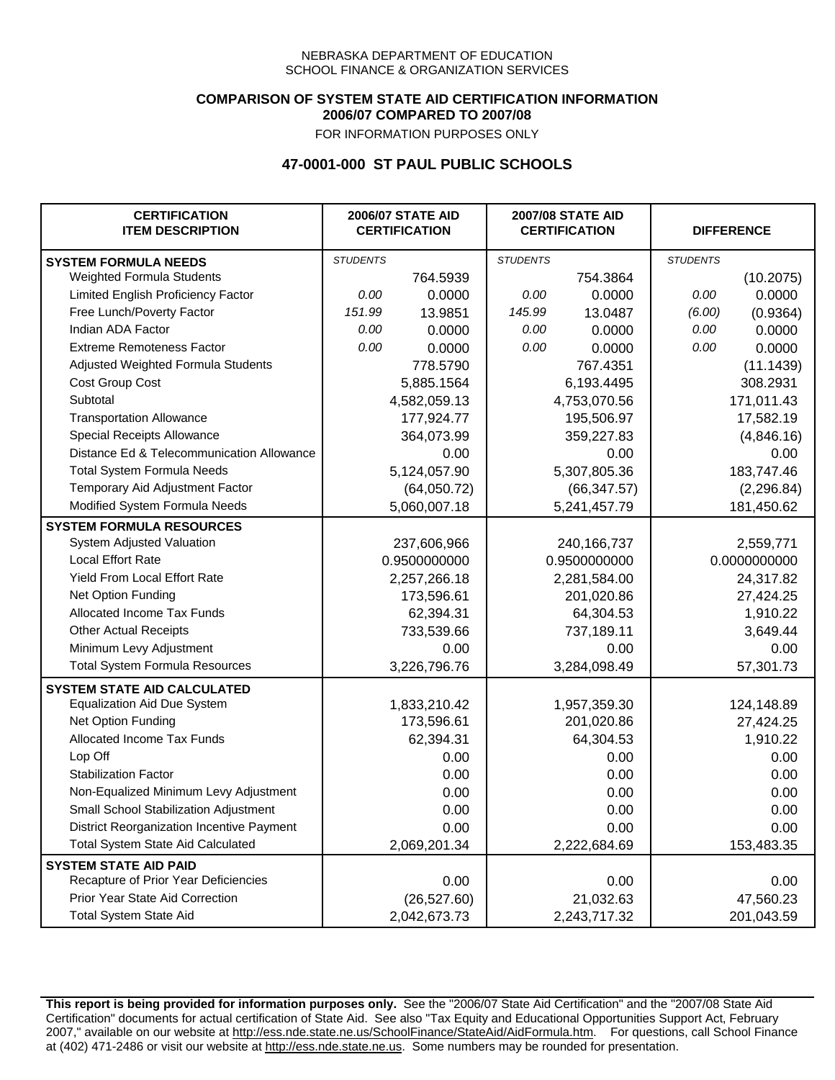### **COMPARISON OF SYSTEM STATE AID CERTIFICATION INFORMATION 2006/07 COMPARED TO 2007/08**

FOR INFORMATION PURPOSES ONLY

## **47-0001-000 ST PAUL PUBLIC SCHOOLS**

| <b>CERTIFICATION</b><br><b>ITEM DESCRIPTION</b> |                 | <b>2006/07 STATE AID</b><br><b>CERTIFICATION</b> | <b>2007/08 STATE AID</b><br><b>CERTIFICATION</b> |              | <b>DIFFERENCE</b> |              |
|-------------------------------------------------|-----------------|--------------------------------------------------|--------------------------------------------------|--------------|-------------------|--------------|
| <b>SYSTEM FORMULA NEEDS</b>                     | <b>STUDENTS</b> |                                                  | <b>STUDENTS</b>                                  |              | <b>STUDENTS</b>   |              |
| Weighted Formula Students                       |                 | 764.5939                                         |                                                  | 754.3864     |                   | (10.2075)    |
| Limited English Proficiency Factor              | 0.00            | 0.0000                                           | 0.00                                             | 0.0000       | 0.00              | 0.0000       |
| Free Lunch/Poverty Factor                       | 151.99          | 13.9851                                          | 145.99                                           | 13.0487      | (6.00)            | (0.9364)     |
| Indian ADA Factor                               | 0.00            | 0.0000                                           | 0.00                                             | 0.0000       | 0.00              | 0.0000       |
| <b>Extreme Remoteness Factor</b>                | 0.00            | 0.0000                                           | 0.00                                             | 0.0000       | 0.00              | 0.0000       |
| Adjusted Weighted Formula Students              |                 | 778.5790                                         |                                                  | 767.4351     |                   | (11.1439)    |
| Cost Group Cost                                 |                 | 5,885.1564                                       |                                                  | 6,193.4495   |                   | 308.2931     |
| Subtotal                                        |                 | 4,582,059.13                                     |                                                  | 4,753,070.56 |                   | 171,011.43   |
| <b>Transportation Allowance</b>                 |                 | 177,924.77                                       |                                                  | 195,506.97   |                   | 17,582.19    |
| Special Receipts Allowance                      |                 | 364,073.99                                       |                                                  | 359,227.83   |                   | (4,846.16)   |
| Distance Ed & Telecommunication Allowance       |                 | 0.00                                             |                                                  | 0.00         |                   | 0.00         |
| <b>Total System Formula Needs</b>               |                 | 5,124,057.90                                     |                                                  | 5,307,805.36 |                   | 183,747.46   |
| Temporary Aid Adjustment Factor                 |                 | (64,050.72)                                      |                                                  | (66, 347.57) |                   | (2, 296.84)  |
| Modified System Formula Needs                   |                 | 5,060,007.18                                     |                                                  | 5,241,457.79 |                   | 181,450.62   |
| <b>SYSTEM FORMULA RESOURCES</b>                 |                 |                                                  |                                                  |              |                   |              |
| System Adjusted Valuation                       |                 | 237,606,966                                      |                                                  | 240,166,737  |                   | 2,559,771    |
| <b>Local Effort Rate</b>                        |                 | 0.9500000000                                     |                                                  | 0.9500000000 |                   | 0.0000000000 |
| Yield From Local Effort Rate                    |                 | 2,257,266.18                                     |                                                  | 2,281,584.00 |                   | 24,317.82    |
| Net Option Funding                              |                 | 173,596.61                                       |                                                  | 201,020.86   |                   | 27,424.25    |
| Allocated Income Tax Funds                      |                 | 62,394.31                                        |                                                  | 64,304.53    |                   | 1,910.22     |
| <b>Other Actual Receipts</b>                    |                 | 733,539.66                                       | 737,189.11                                       |              | 3,649.44          |              |
| Minimum Levy Adjustment                         |                 | 0.00                                             |                                                  | 0.00         |                   | 0.00         |
| <b>Total System Formula Resources</b>           |                 | 3,226,796.76                                     |                                                  | 3,284,098.49 |                   | 57,301.73    |
| <b>SYSTEM STATE AID CALCULATED</b>              |                 |                                                  |                                                  |              |                   |              |
| <b>Equalization Aid Due System</b>              |                 | 1,833,210.42                                     |                                                  | 1,957,359.30 |                   | 124,148.89   |
| Net Option Funding                              |                 | 173,596.61                                       |                                                  | 201,020.86   |                   | 27,424.25    |
| Allocated Income Tax Funds                      |                 | 62,394.31                                        |                                                  | 64,304.53    |                   | 1,910.22     |
| Lop Off                                         |                 | 0.00                                             |                                                  | 0.00         |                   | 0.00         |
| <b>Stabilization Factor</b>                     |                 | 0.00                                             |                                                  | 0.00         |                   | 0.00         |
| Non-Equalized Minimum Levy Adjustment           |                 | 0.00                                             |                                                  | 0.00         |                   | 0.00         |
| Small School Stabilization Adjustment           |                 | 0.00                                             |                                                  | 0.00         |                   | 0.00         |
| District Reorganization Incentive Payment       |                 | 0.00                                             |                                                  | 0.00         |                   | 0.00         |
| <b>Total System State Aid Calculated</b>        |                 | 2,069,201.34                                     |                                                  | 2,222,684.69 |                   | 153,483.35   |
| <b>SYSTEM STATE AID PAID</b>                    |                 |                                                  |                                                  |              |                   |              |
| Recapture of Prior Year Deficiencies            |                 | 0.00                                             |                                                  | 0.00         |                   | 0.00         |
| Prior Year State Aid Correction                 |                 | (26, 527.60)                                     |                                                  | 21,032.63    |                   | 47,560.23    |
| <b>Total System State Aid</b>                   |                 | 2,042,673.73                                     |                                                  | 2,243,717.32 |                   | 201,043.59   |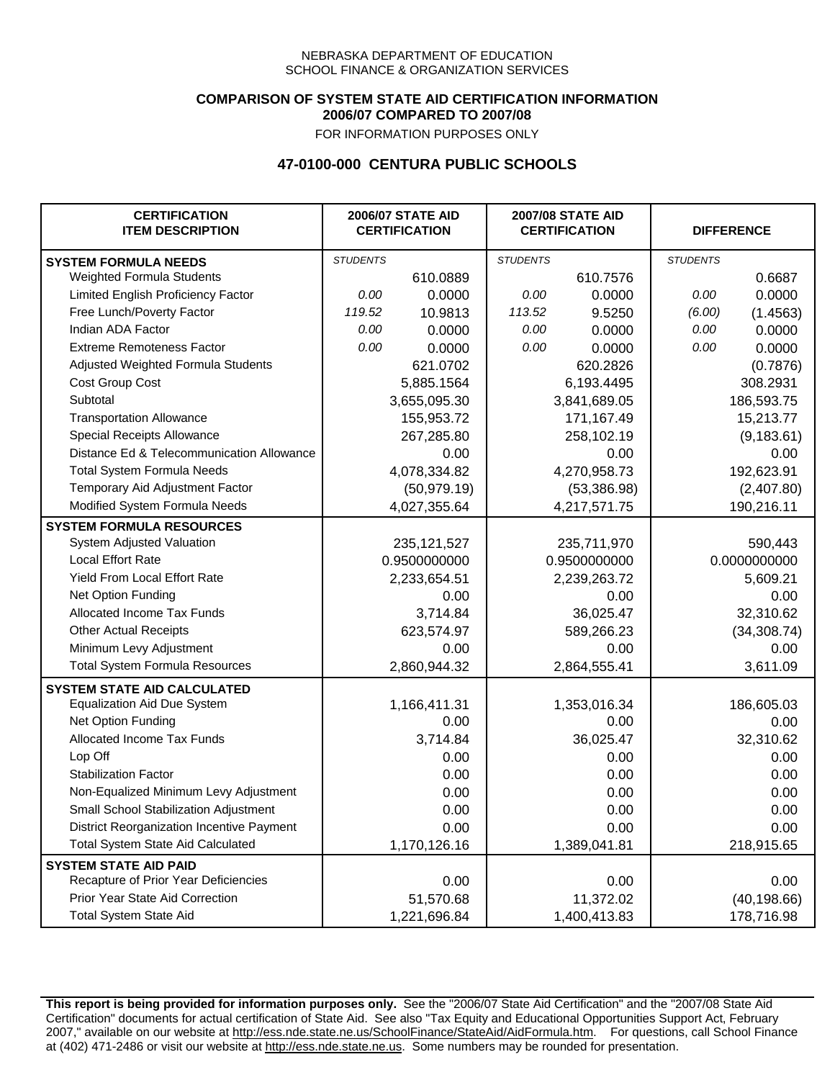### **COMPARISON OF SYSTEM STATE AID CERTIFICATION INFORMATION 2006/07 COMPARED TO 2007/08**

FOR INFORMATION PURPOSES ONLY

## **47-0100-000 CENTURA PUBLIC SCHOOLS**

| <b>CERTIFICATION</b><br><b>ITEM DESCRIPTION</b> |                 | <b>2006/07 STATE AID</b><br><b>CERTIFICATION</b> | <b>2007/08 STATE AID</b><br><b>CERTIFICATION</b> |              | <b>DIFFERENCE</b> |              |  |
|-------------------------------------------------|-----------------|--------------------------------------------------|--------------------------------------------------|--------------|-------------------|--------------|--|
| <b>SYSTEM FORMULA NEEDS</b>                     | <b>STUDENTS</b> |                                                  | <b>STUDENTS</b>                                  |              | <b>STUDENTS</b>   |              |  |
| <b>Weighted Formula Students</b>                |                 | 610.0889                                         |                                                  | 610.7576     |                   | 0.6687       |  |
| Limited English Proficiency Factor              | 0.00            | 0.0000                                           | 0.00                                             | 0.0000       | 0.00              | 0.0000       |  |
| Free Lunch/Poverty Factor                       | 119.52          | 10.9813                                          | 113.52                                           | 9.5250       | (6.00)            | (1.4563)     |  |
| Indian ADA Factor                               | 0.00            | 0.0000                                           | 0.00                                             | 0.0000       | 0.00              | 0.0000       |  |
| <b>Extreme Remoteness Factor</b>                | 0.00            | 0.0000                                           | 0.00                                             | 0.0000       | 0.00              | 0.0000       |  |
| Adjusted Weighted Formula Students              |                 | 621.0702                                         |                                                  | 620.2826     |                   | (0.7876)     |  |
| Cost Group Cost                                 |                 | 5,885.1564                                       |                                                  | 6,193.4495   |                   | 308.2931     |  |
| Subtotal                                        |                 | 3,655,095.30                                     |                                                  | 3,841,689.05 |                   | 186,593.75   |  |
| <b>Transportation Allowance</b>                 |                 | 155,953.72                                       |                                                  | 171,167.49   |                   | 15,213.77    |  |
| Special Receipts Allowance                      |                 | 267,285.80                                       |                                                  | 258,102.19   |                   | (9, 183.61)  |  |
| Distance Ed & Telecommunication Allowance       |                 | 0.00                                             |                                                  | 0.00         |                   | 0.00         |  |
| <b>Total System Formula Needs</b>               |                 | 4,078,334.82                                     |                                                  | 4,270,958.73 |                   | 192,623.91   |  |
| Temporary Aid Adjustment Factor                 |                 | (50, 979.19)                                     | (53, 386.98)                                     |              | (2,407.80)        |              |  |
| Modified System Formula Needs                   |                 | 4,027,355.64                                     |                                                  | 4,217,571.75 |                   | 190,216.11   |  |
| <b>SYSTEM FORMULA RESOURCES</b>                 |                 |                                                  |                                                  |              |                   |              |  |
| System Adjusted Valuation                       |                 | 235, 121, 527                                    |                                                  | 235,711,970  |                   | 590,443      |  |
| <b>Local Effort Rate</b>                        |                 | 0.9500000000                                     | 0.9500000000                                     |              | 0.0000000000      |              |  |
| Yield From Local Effort Rate                    |                 | 2,233,654.51                                     | 2,239,263.72                                     |              | 5,609.21          |              |  |
| Net Option Funding                              |                 | 0.00                                             | 0.00                                             |              | 0.00              |              |  |
| Allocated Income Tax Funds                      |                 | 3,714.84                                         | 36,025.47                                        |              | 32,310.62         |              |  |
| <b>Other Actual Receipts</b>                    |                 | 623,574.97                                       | 589,266.23                                       |              | (34, 308.74)      |              |  |
| Minimum Levy Adjustment                         |                 | 0.00                                             |                                                  | 0.00         |                   | 0.00         |  |
| <b>Total System Formula Resources</b>           |                 | 2,860,944.32                                     |                                                  | 2,864,555.41 |                   | 3,611.09     |  |
| <b>SYSTEM STATE AID CALCULATED</b>              |                 |                                                  |                                                  |              |                   |              |  |
| <b>Equalization Aid Due System</b>              |                 | 1,166,411.31                                     |                                                  | 1,353,016.34 |                   | 186,605.03   |  |
| Net Option Funding                              |                 | 0.00                                             |                                                  | 0.00         |                   | 0.00         |  |
| Allocated Income Tax Funds                      |                 | 3,714.84                                         |                                                  | 36,025.47    |                   | 32,310.62    |  |
| Lop Off                                         |                 | 0.00                                             |                                                  | 0.00         |                   | 0.00         |  |
| <b>Stabilization Factor</b>                     |                 | 0.00                                             |                                                  | 0.00         |                   | 0.00         |  |
| Non-Equalized Minimum Levy Adjustment           |                 | 0.00                                             |                                                  | 0.00         |                   | 0.00         |  |
| Small School Stabilization Adjustment           |                 | 0.00                                             |                                                  | 0.00         |                   | 0.00         |  |
| District Reorganization Incentive Payment       |                 | 0.00                                             |                                                  | 0.00         |                   | 0.00         |  |
| <b>Total System State Aid Calculated</b>        |                 | 1,170,126.16                                     |                                                  | 1,389,041.81 |                   | 218,915.65   |  |
| <b>SYSTEM STATE AID PAID</b>                    |                 |                                                  |                                                  |              |                   |              |  |
| Recapture of Prior Year Deficiencies            |                 | 0.00                                             |                                                  | 0.00         |                   | 0.00         |  |
| Prior Year State Aid Correction                 |                 | 51,570.68                                        |                                                  | 11,372.02    |                   | (40, 198.66) |  |
| <b>Total System State Aid</b>                   |                 | 1,221,696.84                                     |                                                  | 1,400,413.83 |                   | 178,716.98   |  |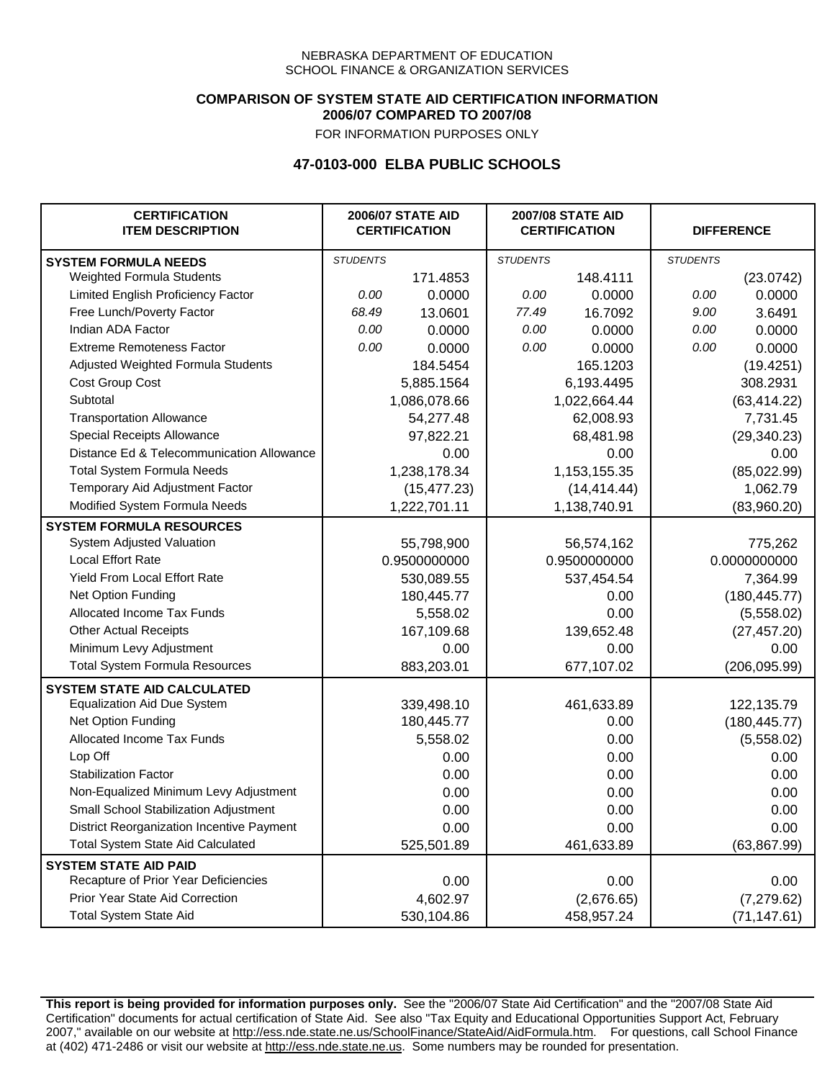### **COMPARISON OF SYSTEM STATE AID CERTIFICATION INFORMATION 2006/07 COMPARED TO 2007/08**

FOR INFORMATION PURPOSES ONLY

## **47-0103-000 ELBA PUBLIC SCHOOLS**

| <b>CERTIFICATION</b><br><b>ITEM DESCRIPTION</b> |                 | <b>2006/07 STATE AID</b><br><b>CERTIFICATION</b> | <b>2007/08 STATE AID</b><br><b>CERTIFICATION</b> |              | <b>DIFFERENCE</b> |               |
|-------------------------------------------------|-----------------|--------------------------------------------------|--------------------------------------------------|--------------|-------------------|---------------|
| <b>SYSTEM FORMULA NEEDS</b>                     | <b>STUDENTS</b> |                                                  | <b>STUDENTS</b>                                  |              | <b>STUDENTS</b>   |               |
| Weighted Formula Students                       |                 | 171.4853                                         |                                                  | 148.4111     |                   | (23.0742)     |
| Limited English Proficiency Factor              | 0.00            | 0.0000                                           | 0.00                                             | 0.0000       | 0.00              | 0.0000        |
| Free Lunch/Poverty Factor                       | 68.49           | 13.0601                                          | 77.49                                            | 16.7092      | 9.00              | 3.6491        |
| Indian ADA Factor                               | 0.00            | 0.0000                                           | 0.00                                             | 0.0000       | 0.00              | 0.0000        |
| <b>Extreme Remoteness Factor</b>                | 0.00            | 0.0000                                           | 0.00                                             | 0.0000       | 0.00              | 0.0000        |
| Adjusted Weighted Formula Students              |                 | 184.5454                                         |                                                  | 165.1203     |                   | (19.4251)     |
| Cost Group Cost                                 |                 | 5,885.1564                                       |                                                  | 6,193.4495   |                   | 308.2931      |
| Subtotal                                        |                 | 1,086,078.66                                     |                                                  | 1,022,664.44 |                   | (63, 414.22)  |
| <b>Transportation Allowance</b>                 |                 | 54,277.48                                        |                                                  | 62,008.93    |                   | 7,731.45      |
| Special Receipts Allowance                      |                 | 97,822.21                                        |                                                  | 68,481.98    |                   | (29, 340.23)  |
| Distance Ed & Telecommunication Allowance       |                 | 0.00                                             |                                                  | 0.00         |                   | 0.00          |
| <b>Total System Formula Needs</b>               |                 | 1,238,178.34                                     |                                                  | 1,153,155.35 |                   | (85,022.99)   |
| Temporary Aid Adjustment Factor                 |                 | (15, 477.23)                                     | (14, 414.44)                                     |              | 1,062.79          |               |
| Modified System Formula Needs                   |                 | 1,222,701.11                                     |                                                  | 1,138,740.91 |                   | (83,960.20)   |
| <b>SYSTEM FORMULA RESOURCES</b>                 |                 |                                                  |                                                  |              |                   |               |
| System Adjusted Valuation                       |                 | 55,798,900                                       |                                                  | 56,574,162   |                   | 775,262       |
| <b>Local Effort Rate</b>                        |                 | 0.9500000000                                     |                                                  | 0.9500000000 |                   | 0.0000000000  |
| Yield From Local Effort Rate                    |                 | 530,089.55                                       | 537,454.54                                       |              | 7,364.99          |               |
| Net Option Funding                              |                 | 180,445.77                                       | 0.00                                             |              | (180, 445.77)     |               |
| Allocated Income Tax Funds                      |                 | 5,558.02                                         | 0.00                                             |              | (5,558.02)        |               |
| <b>Other Actual Receipts</b>                    |                 | 167,109.68                                       | 139,652.48                                       |              | (27, 457.20)      |               |
| Minimum Levy Adjustment                         |                 | 0.00                                             |                                                  | 0.00         |                   | 0.00          |
| <b>Total System Formula Resources</b>           |                 | 883,203.01                                       |                                                  | 677,107.02   |                   | (206, 095.99) |
| <b>SYSTEM STATE AID CALCULATED</b>              |                 |                                                  |                                                  |              |                   |               |
| <b>Equalization Aid Due System</b>              |                 | 339,498.10                                       |                                                  | 461,633.89   |                   | 122,135.79    |
| Net Option Funding                              |                 | 180,445.77                                       |                                                  | 0.00         |                   | (180, 445.77) |
| Allocated Income Tax Funds                      |                 | 5,558.02                                         |                                                  | 0.00         |                   | (5,558.02)    |
| Lop Off                                         |                 | 0.00                                             |                                                  | 0.00         |                   | 0.00          |
| <b>Stabilization Factor</b>                     |                 | 0.00                                             |                                                  | 0.00         |                   | 0.00          |
| Non-Equalized Minimum Levy Adjustment           |                 | 0.00                                             |                                                  | 0.00         |                   | 0.00          |
| <b>Small School Stabilization Adjustment</b>    |                 | 0.00                                             |                                                  | 0.00         |                   | 0.00          |
| District Reorganization Incentive Payment       |                 | 0.00                                             |                                                  | 0.00         |                   | 0.00          |
| Total System State Aid Calculated               |                 | 525,501.89                                       |                                                  | 461,633.89   |                   | (63, 867.99)  |
| <b>SYSTEM STATE AID PAID</b>                    |                 |                                                  |                                                  |              |                   |               |
| Recapture of Prior Year Deficiencies            |                 | 0.00                                             |                                                  | 0.00         |                   | 0.00          |
| Prior Year State Aid Correction                 |                 | 4,602.97                                         |                                                  | (2,676.65)   |                   | (7, 279.62)   |
| <b>Total System State Aid</b>                   |                 | 530,104.86                                       |                                                  | 458,957.24   |                   | (71, 147.61)  |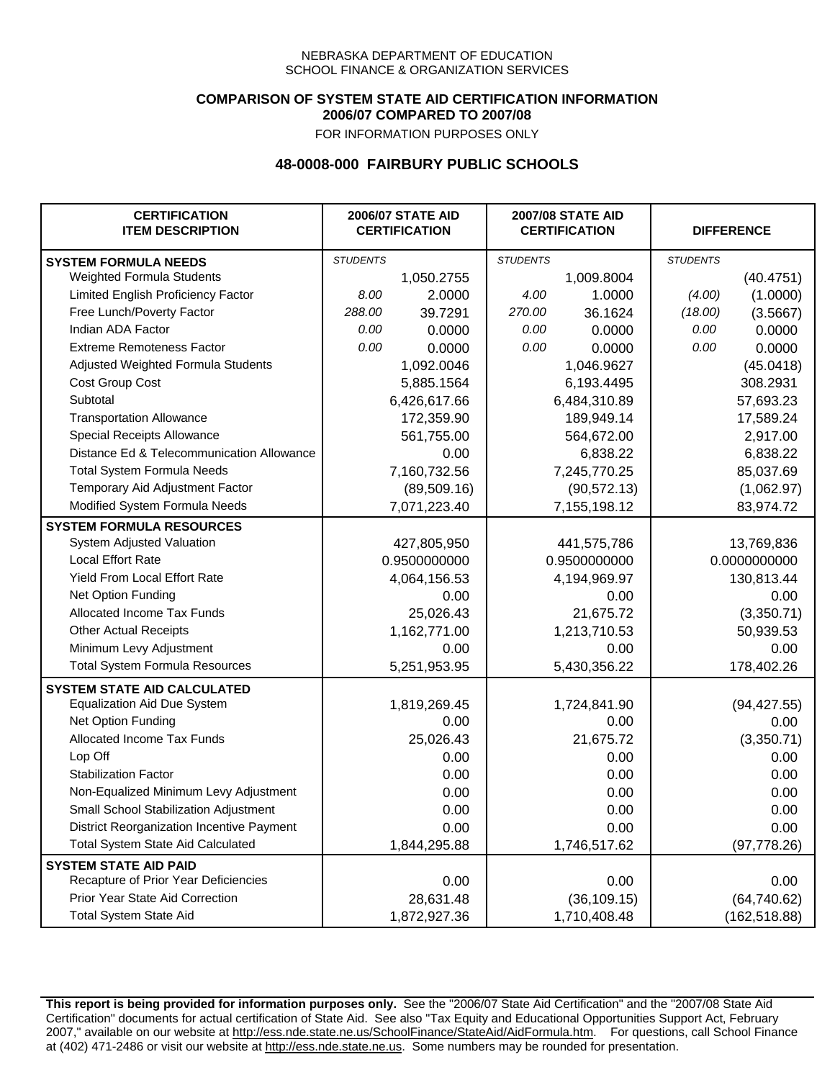### **COMPARISON OF SYSTEM STATE AID CERTIFICATION INFORMATION 2006/07 COMPARED TO 2007/08**

FOR INFORMATION PURPOSES ONLY

## **48-0008-000 FAIRBURY PUBLIC SCHOOLS**

| <b>CERTIFICATION</b><br><b>ITEM DESCRIPTION</b> |                 | <b>2006/07 STATE AID</b><br><b>CERTIFICATION</b> | <b>2007/08 STATE AID</b><br><b>CERTIFICATION</b> |              |                 | <b>DIFFERENCE</b> |
|-------------------------------------------------|-----------------|--------------------------------------------------|--------------------------------------------------|--------------|-----------------|-------------------|
| <b>SYSTEM FORMULA NEEDS</b>                     | <b>STUDENTS</b> |                                                  | <b>STUDENTS</b>                                  |              | <b>STUDENTS</b> |                   |
| Weighted Formula Students                       |                 | 1,050.2755                                       |                                                  | 1,009.8004   |                 | (40.4751)         |
| Limited English Proficiency Factor              | 8.00            | 2.0000                                           | 4.00                                             | 1.0000       | (4.00)          | (1.0000)          |
| Free Lunch/Poverty Factor                       | 288.00          | 39.7291                                          | 270.00                                           | 36.1624      | (18.00)         | (3.5667)          |
| Indian ADA Factor                               | 0.00            | 0.0000                                           | 0.00                                             | 0.0000       | 0.00            | 0.0000            |
| <b>Extreme Remoteness Factor</b>                | 0.00            | 0.0000                                           | 0.00                                             | 0.0000       | 0.00            | 0.0000            |
| Adjusted Weighted Formula Students              |                 | 1,092.0046                                       |                                                  | 1,046.9627   |                 | (45.0418)         |
| <b>Cost Group Cost</b>                          |                 | 5,885.1564                                       |                                                  | 6,193.4495   |                 | 308.2931          |
| Subtotal                                        |                 | 6,426,617.66                                     |                                                  | 6,484,310.89 |                 | 57,693.23         |
| <b>Transportation Allowance</b>                 |                 | 172,359.90                                       |                                                  | 189,949.14   |                 | 17,589.24         |
| Special Receipts Allowance                      |                 | 561,755.00                                       |                                                  | 564,672.00   |                 | 2,917.00          |
| Distance Ed & Telecommunication Allowance       |                 | 0.00                                             |                                                  | 6,838.22     |                 | 6,838.22          |
| <b>Total System Formula Needs</b>               |                 | 7,160,732.56                                     |                                                  | 7,245,770.25 |                 | 85,037.69         |
| Temporary Aid Adjustment Factor                 |                 | (89, 509.16)                                     | (90, 572.13)                                     |              | (1,062.97)      |                   |
| Modified System Formula Needs                   |                 | 7,071,223.40                                     |                                                  | 7,155,198.12 |                 | 83,974.72         |
| <b>SYSTEM FORMULA RESOURCES</b>                 |                 |                                                  |                                                  |              |                 |                   |
| System Adjusted Valuation                       |                 | 427,805,950                                      |                                                  | 441,575,786  |                 | 13,769,836        |
| <b>Local Effort Rate</b>                        |                 | 0.9500000000                                     |                                                  | 0.9500000000 | 0.0000000000    |                   |
| Yield From Local Effort Rate                    |                 | 4,064,156.53                                     | 4,194,969.97                                     |              | 130,813.44      |                   |
| Net Option Funding                              |                 | 0.00                                             | 0.00                                             |              | 0.00            |                   |
| Allocated Income Tax Funds                      |                 | 25,026.43                                        | 21,675.72                                        |              | (3,350.71)      |                   |
| <b>Other Actual Receipts</b>                    |                 | 1,162,771.00                                     | 1,213,710.53                                     |              | 50,939.53       |                   |
| Minimum Levy Adjustment                         |                 | 0.00                                             |                                                  | 0.00         |                 | 0.00              |
| <b>Total System Formula Resources</b>           |                 | 5,251,953.95                                     |                                                  | 5,430,356.22 |                 | 178,402.26        |
| <b>SYSTEM STATE AID CALCULATED</b>              |                 |                                                  |                                                  |              |                 |                   |
| <b>Equalization Aid Due System</b>              |                 | 1,819,269.45                                     |                                                  | 1,724,841.90 |                 | (94, 427.55)      |
| Net Option Funding                              |                 | 0.00                                             |                                                  | 0.00         |                 | 0.00              |
| Allocated Income Tax Funds                      |                 | 25,026.43                                        |                                                  | 21,675.72    |                 | (3,350.71)        |
| Lop Off                                         |                 | 0.00                                             |                                                  | 0.00         |                 | 0.00              |
| <b>Stabilization Factor</b>                     |                 | 0.00                                             |                                                  | 0.00         |                 | 0.00              |
| Non-Equalized Minimum Levy Adjustment           |                 | 0.00                                             |                                                  | 0.00         |                 | 0.00              |
| Small School Stabilization Adjustment           |                 | 0.00                                             |                                                  | 0.00         |                 | 0.00              |
| District Reorganization Incentive Payment       |                 | 0.00                                             |                                                  | 0.00         |                 | 0.00              |
| Total System State Aid Calculated               |                 | 1,844,295.88                                     |                                                  | 1,746,517.62 |                 | (97, 778.26)      |
| <b>SYSTEM STATE AID PAID</b>                    |                 |                                                  |                                                  |              |                 |                   |
| Recapture of Prior Year Deficiencies            |                 | 0.00                                             |                                                  | 0.00         |                 | 0.00              |
| Prior Year State Aid Correction                 |                 | 28,631.48                                        |                                                  | (36, 109.15) |                 | (64, 740.62)      |
| <b>Total System State Aid</b>                   |                 | 1,872,927.36                                     |                                                  | 1,710,408.48 |                 | (162, 518.88)     |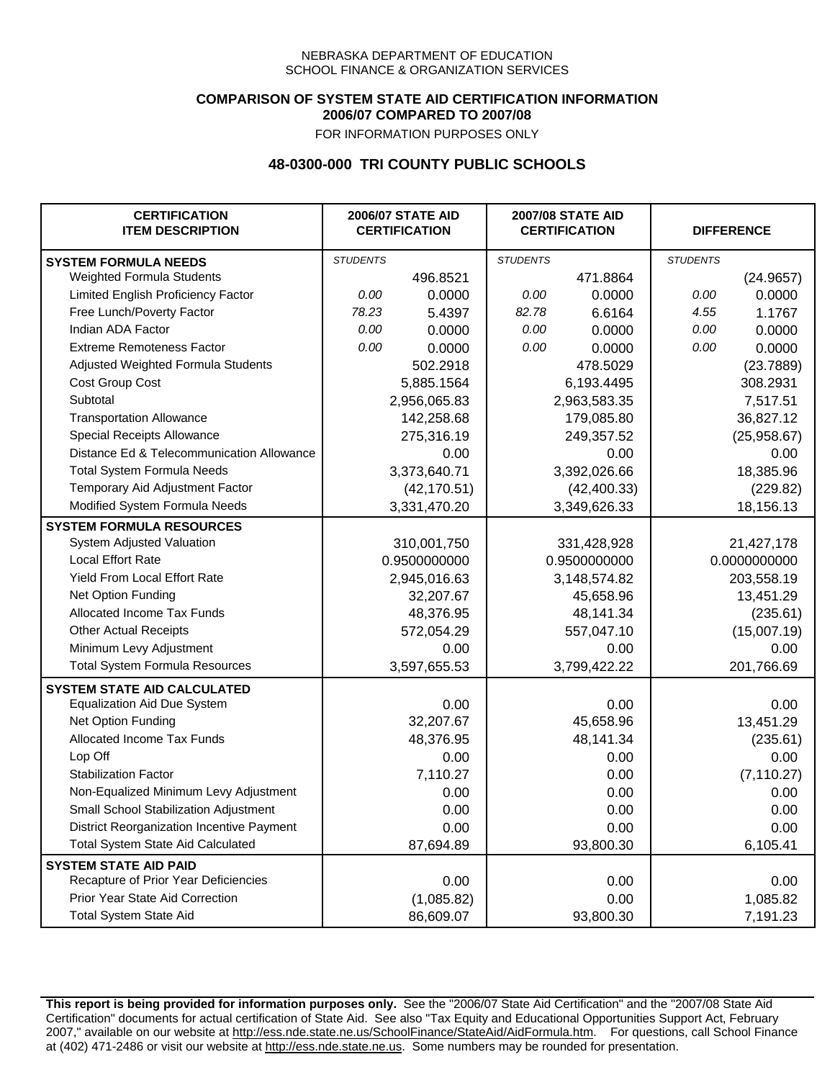### **COMPARISON OF SYSTEM STATE AID CERTIFICATION INFORMATION 2006/07 COMPARED TO 2007/08**

FOR INFORMATION PURPOSES ONLY

# **48-0300-000 TRI COUNTY PUBLIC SCHOOLS**

| <b>CERTIFICATION</b><br><b>ITEM DESCRIPTION</b> |                 | <b>2006/07 STATE AID</b><br><b>CERTIFICATION</b> | <b>2007/08 STATE AID</b><br><b>CERTIFICATION</b> |              | <b>DIFFERENCE</b> |              |
|-------------------------------------------------|-----------------|--------------------------------------------------|--------------------------------------------------|--------------|-------------------|--------------|
| <b>SYSTEM FORMULA NEEDS</b>                     | <b>STUDENTS</b> |                                                  | <b>STUDENTS</b>                                  |              | <b>STUDENTS</b>   |              |
| <b>Weighted Formula Students</b>                |                 | 496.8521                                         |                                                  | 471.8864     |                   | (24.9657)    |
| Limited English Proficiency Factor              | 0.00            | 0.0000                                           | 0.00                                             | 0.0000       | 0.00              | 0.0000       |
| Free Lunch/Poverty Factor                       | 78.23           | 5.4397                                           | 82.78                                            | 6.6164       | 4.55              | 1.1767       |
| Indian ADA Factor                               | 0.00            | 0.0000                                           | 0.00                                             | 0.0000       | 0.00              | 0.0000       |
| <b>Extreme Remoteness Factor</b>                | 0.00            | 0.0000                                           | 0.00                                             | 0.0000       | 0.00              | 0.0000       |
| Adjusted Weighted Formula Students              |                 | 502.2918                                         |                                                  | 478.5029     |                   | (23.7889)    |
| Cost Group Cost                                 |                 | 5,885.1564                                       |                                                  | 6,193.4495   |                   | 308.2931     |
| Subtotal                                        |                 | 2,956,065.83                                     |                                                  | 2,963,583.35 |                   | 7,517.51     |
| <b>Transportation Allowance</b>                 |                 | 142,258.68                                       |                                                  | 179,085.80   |                   | 36,827.12    |
| Special Receipts Allowance                      |                 | 275,316.19                                       |                                                  | 249,357.52   |                   | (25,958.67)  |
| Distance Ed & Telecommunication Allowance       |                 | 0.00                                             |                                                  | 0.00         |                   | 0.00         |
| <b>Total System Formula Needs</b>               |                 | 3,373,640.71                                     |                                                  | 3,392,026.66 |                   | 18,385.96    |
| Temporary Aid Adjustment Factor                 |                 | (42, 170.51)                                     |                                                  | (42, 400.33) |                   | (229.82)     |
| Modified System Formula Needs                   |                 | 3,331,470.20                                     |                                                  | 3,349,626.33 |                   | 18,156.13    |
| <b>SYSTEM FORMULA RESOURCES</b>                 |                 |                                                  |                                                  |              |                   |              |
| System Adjusted Valuation                       |                 | 310,001,750                                      |                                                  | 331,428,928  |                   | 21,427,178   |
| <b>Local Effort Rate</b>                        |                 | 0.9500000000                                     |                                                  | 0.9500000000 |                   | 0.0000000000 |
| Yield From Local Effort Rate                    |                 | 2,945,016.63                                     |                                                  | 3,148,574.82 |                   | 203,558.19   |
| Net Option Funding                              |                 | 32,207.67                                        |                                                  | 45,658.96    |                   | 13,451.29    |
| Allocated Income Tax Funds                      |                 | 48,376.95                                        |                                                  | 48,141.34    |                   | (235.61)     |
| <b>Other Actual Receipts</b>                    |                 | 572,054.29                                       | 557,047.10                                       |              | (15,007.19)       |              |
| Minimum Levy Adjustment                         |                 | 0.00                                             | 0.00                                             |              |                   | 0.00         |
| <b>Total System Formula Resources</b>           |                 | 3,597,655.53                                     |                                                  | 3,799,422.22 |                   | 201,766.69   |
| <b>SYSTEM STATE AID CALCULATED</b>              |                 |                                                  |                                                  |              |                   |              |
| <b>Equalization Aid Due System</b>              |                 | 0.00                                             |                                                  | 0.00         |                   | 0.00         |
| Net Option Funding                              |                 | 32,207.67                                        |                                                  | 45,658.96    |                   | 13,451.29    |
| Allocated Income Tax Funds                      |                 | 48,376.95                                        |                                                  | 48,141.34    |                   | (235.61)     |
| Lop Off                                         |                 | 0.00                                             |                                                  | 0.00         |                   | 0.00         |
| <b>Stabilization Factor</b>                     |                 | 7,110.27                                         |                                                  | 0.00         |                   | (7, 110.27)  |
| Non-Equalized Minimum Levy Adjustment           |                 | 0.00                                             |                                                  | 0.00         |                   | 0.00         |
| Small School Stabilization Adjustment           |                 | 0.00                                             |                                                  | 0.00         |                   | 0.00         |
| District Reorganization Incentive Payment       |                 | 0.00                                             |                                                  | 0.00         |                   | 0.00         |
| <b>Total System State Aid Calculated</b>        |                 | 87,694.89                                        |                                                  | 93,800.30    |                   | 6,105.41     |
| <b>SYSTEM STATE AID PAID</b>                    |                 |                                                  |                                                  |              |                   |              |
| Recapture of Prior Year Deficiencies            |                 | 0.00                                             |                                                  | 0.00         |                   | 0.00         |
| Prior Year State Aid Correction                 |                 | (1,085.82)                                       |                                                  | 0.00         |                   | 1,085.82     |
| <b>Total System State Aid</b>                   |                 | 86,609.07                                        |                                                  | 93,800.30    |                   | 7,191.23     |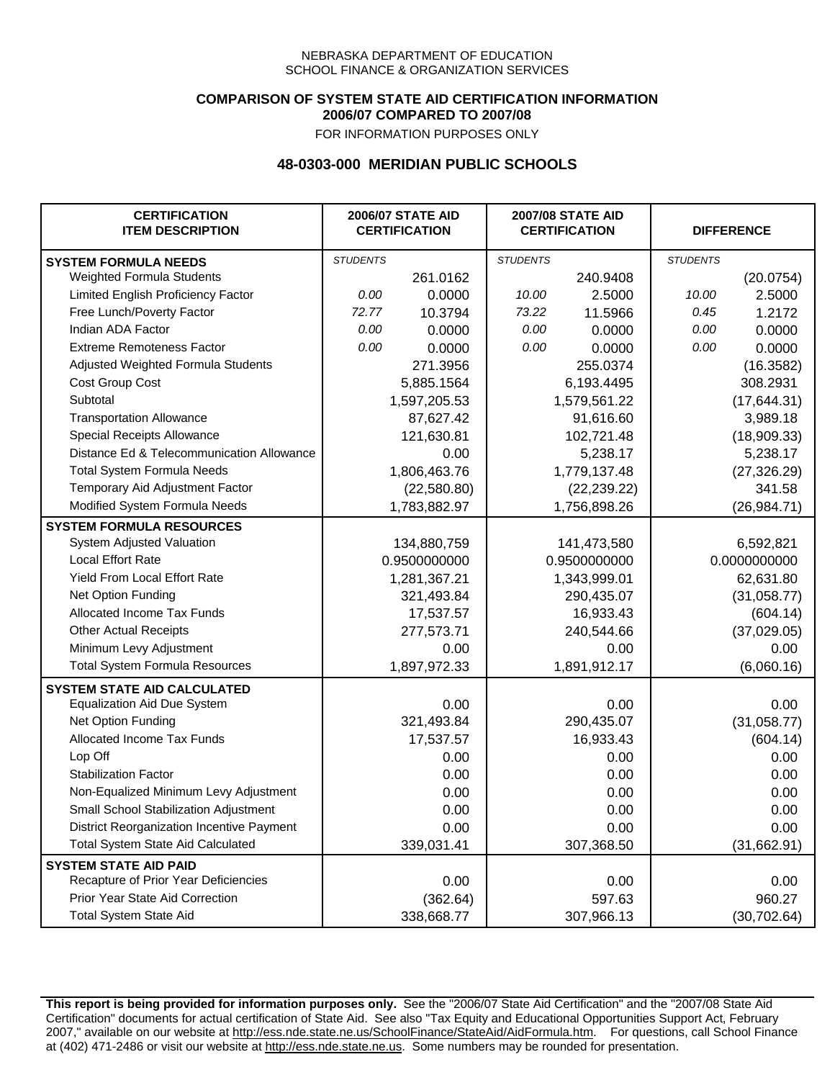### **COMPARISON OF SYSTEM STATE AID CERTIFICATION INFORMATION 2006/07 COMPARED TO 2007/08**

FOR INFORMATION PURPOSES ONLY

## **48-0303-000 MERIDIAN PUBLIC SCHOOLS**

| <b>CERTIFICATION</b><br><b>ITEM DESCRIPTION</b> |                 | <b>2006/07 STATE AID</b><br><b>CERTIFICATION</b> | <b>2007/08 STATE AID</b><br><b>CERTIFICATION</b> |              | <b>DIFFERENCE</b> |              |
|-------------------------------------------------|-----------------|--------------------------------------------------|--------------------------------------------------|--------------|-------------------|--------------|
| <b>SYSTEM FORMULA NEEDS</b>                     | <b>STUDENTS</b> |                                                  | <b>STUDENTS</b>                                  |              | <b>STUDENTS</b>   |              |
| Weighted Formula Students                       |                 | 261.0162                                         |                                                  | 240.9408     |                   | (20.0754)    |
| Limited English Proficiency Factor              | 0.00            | 0.0000                                           | 10.00                                            | 2.5000       | 10.00             | 2.5000       |
| Free Lunch/Poverty Factor                       | 72.77           | 10.3794                                          | 73.22                                            | 11.5966      | 0.45              | 1.2172       |
| Indian ADA Factor                               | 0.00            | 0.0000                                           | 0.00                                             | 0.0000       | 0.00              | 0.0000       |
| <b>Extreme Remoteness Factor</b>                | 0.00            | 0.0000                                           | 0.00                                             | 0.0000       | 0.00              | 0.0000       |
| Adjusted Weighted Formula Students              |                 | 271.3956                                         |                                                  | 255.0374     |                   | (16.3582)    |
| Cost Group Cost                                 |                 | 5,885.1564                                       |                                                  | 6,193.4495   |                   | 308.2931     |
| Subtotal                                        |                 | 1,597,205.53                                     |                                                  | 1,579,561.22 |                   | (17, 644.31) |
| <b>Transportation Allowance</b>                 |                 | 87,627.42                                        |                                                  | 91,616.60    |                   | 3,989.18     |
| Special Receipts Allowance                      |                 | 121,630.81                                       |                                                  | 102,721.48   |                   | (18,909.33)  |
| Distance Ed & Telecommunication Allowance       |                 | 0.00                                             |                                                  | 5,238.17     |                   | 5,238.17     |
| <b>Total System Formula Needs</b>               |                 | 1,806,463.76                                     |                                                  | 1,779,137.48 | (27, 326.29)      |              |
| Temporary Aid Adjustment Factor                 |                 | (22,580.80)                                      | (22, 239.22)                                     |              | 341.58            |              |
| Modified System Formula Needs                   |                 | 1,783,882.97                                     |                                                  | 1,756,898.26 |                   | (26, 984.71) |
| <b>SYSTEM FORMULA RESOURCES</b>                 |                 |                                                  |                                                  |              |                   |              |
| System Adjusted Valuation                       |                 | 134,880,759                                      |                                                  | 141,473,580  |                   | 6,592,821    |
| <b>Local Effort Rate</b>                        |                 | 0.9500000000                                     |                                                  | 0.9500000000 |                   | 0.0000000000 |
| <b>Yield From Local Effort Rate</b>             |                 | 1,281,367.21                                     |                                                  | 1,343,999.01 |                   | 62,631.80    |
| Net Option Funding                              |                 | 321,493.84                                       |                                                  | 290,435.07   |                   | (31,058.77)  |
| Allocated Income Tax Funds                      |                 | 17,537.57                                        |                                                  | 16,933.43    |                   | (604.14)     |
| <b>Other Actual Receipts</b>                    |                 | 277,573.71                                       | 240,544.66                                       |              | (37,029.05)       |              |
| Minimum Levy Adjustment                         |                 | 0.00                                             | 0.00                                             |              | 0.00              |              |
| <b>Total System Formula Resources</b>           |                 | 1,897,972.33                                     |                                                  | 1,891,912.17 |                   | (6,060.16)   |
| <b>SYSTEM STATE AID CALCULATED</b>              |                 |                                                  |                                                  |              |                   |              |
| <b>Equalization Aid Due System</b>              |                 | 0.00                                             |                                                  | 0.00         |                   | 0.00         |
| Net Option Funding                              |                 | 321,493.84                                       |                                                  | 290,435.07   |                   | (31,058.77)  |
| Allocated Income Tax Funds                      |                 | 17,537.57                                        |                                                  | 16,933.43    |                   | (604.14)     |
| Lop Off                                         |                 | 0.00                                             |                                                  | 0.00         |                   | 0.00         |
| <b>Stabilization Factor</b>                     |                 | 0.00                                             |                                                  | 0.00         |                   | 0.00         |
| Non-Equalized Minimum Levy Adjustment           |                 | 0.00                                             |                                                  | 0.00         |                   | 0.00         |
| Small School Stabilization Adjustment           |                 | 0.00                                             |                                                  | 0.00         |                   | 0.00         |
| District Reorganization Incentive Payment       |                 | 0.00                                             |                                                  | 0.00         |                   | 0.00         |
| <b>Total System State Aid Calculated</b>        |                 | 339,031.41                                       |                                                  | 307,368.50   |                   | (31,662.91)  |
| <b>SYSTEM STATE AID PAID</b>                    |                 |                                                  |                                                  |              |                   |              |
| Recapture of Prior Year Deficiencies            |                 | 0.00                                             |                                                  | 0.00         |                   | 0.00         |
| Prior Year State Aid Correction                 |                 | (362.64)                                         |                                                  | 597.63       |                   | 960.27       |
| <b>Total System State Aid</b>                   |                 | 338,668.77                                       |                                                  | 307,966.13   |                   | (30, 702.64) |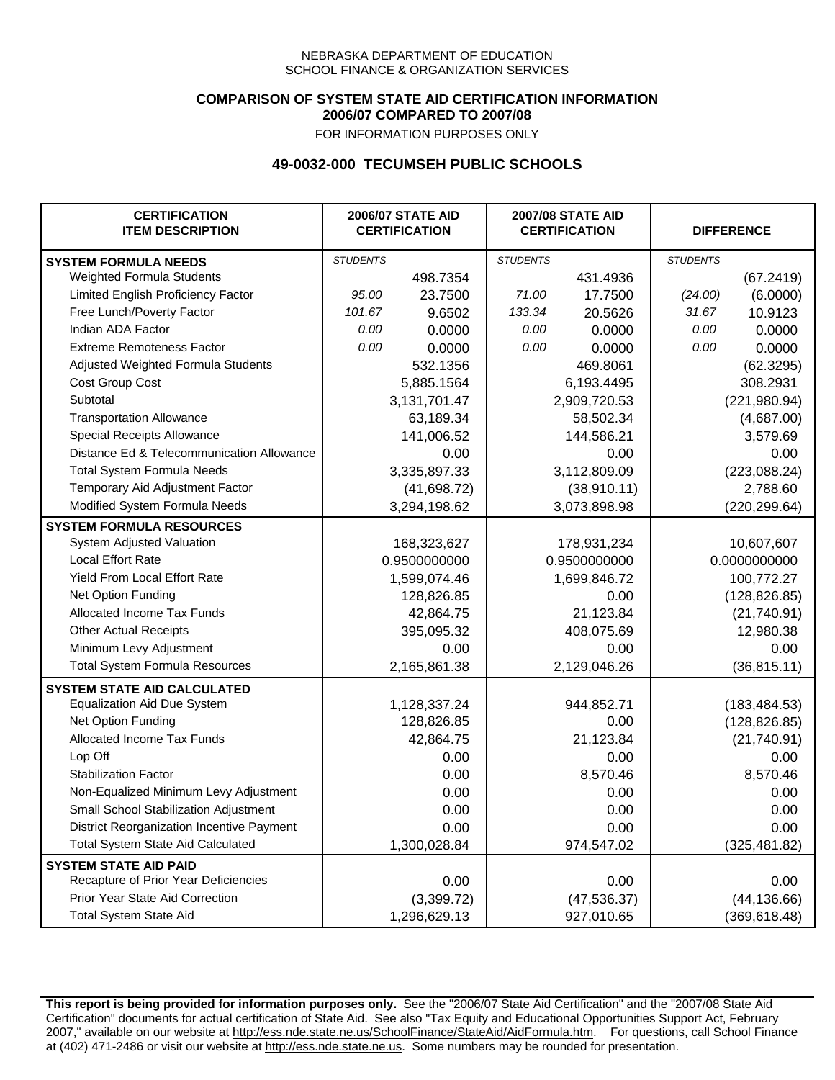### **COMPARISON OF SYSTEM STATE AID CERTIFICATION INFORMATION 2006/07 COMPARED TO 2007/08**

FOR INFORMATION PURPOSES ONLY

## **49-0032-000 TECUMSEH PUBLIC SCHOOLS**

| <b>CERTIFICATION</b><br><b>ITEM DESCRIPTION</b> |                 | <b>2006/07 STATE AID</b><br><b>CERTIFICATION</b> | <b>2007/08 STATE AID</b><br><b>CERTIFICATION</b> |              | <b>DIFFERENCE</b> |               |
|-------------------------------------------------|-----------------|--------------------------------------------------|--------------------------------------------------|--------------|-------------------|---------------|
| <b>SYSTEM FORMULA NEEDS</b>                     | <b>STUDENTS</b> |                                                  | <b>STUDENTS</b>                                  |              | <b>STUDENTS</b>   |               |
| Weighted Formula Students                       |                 | 498.7354                                         |                                                  | 431.4936     |                   | (67.2419)     |
| Limited English Proficiency Factor              | 95.00           | 23.7500                                          | 71.00                                            | 17.7500      | (24.00)           | (6.0000)      |
| Free Lunch/Poverty Factor                       | 101.67          | 9.6502                                           | 133.34                                           | 20.5626      | 31.67             | 10.9123       |
| Indian ADA Factor                               | 0.00            | 0.0000                                           | 0.00                                             | 0.0000       | 0.00              | 0.0000        |
| <b>Extreme Remoteness Factor</b>                | 0.00            | 0.0000                                           | 0.00                                             | 0.0000       | 0.00              | 0.0000        |
| Adjusted Weighted Formula Students              |                 | 532.1356                                         |                                                  | 469.8061     |                   | (62.3295)     |
| Cost Group Cost                                 |                 | 5,885.1564                                       |                                                  | 6,193.4495   |                   | 308.2931      |
| Subtotal                                        |                 | 3,131,701.47                                     |                                                  | 2,909,720.53 |                   | (221, 980.94) |
| <b>Transportation Allowance</b>                 |                 | 63,189.34                                        |                                                  | 58,502.34    |                   | (4,687.00)    |
| Special Receipts Allowance                      |                 | 141,006.52                                       |                                                  | 144,586.21   |                   | 3,579.69      |
| Distance Ed & Telecommunication Allowance       |                 | 0.00                                             |                                                  | 0.00         |                   | 0.00          |
| <b>Total System Formula Needs</b>               |                 | 3,335,897.33                                     |                                                  | 3,112,809.09 |                   | (223,088.24)  |
| Temporary Aid Adjustment Factor                 |                 | (41,698.72)                                      | (38,910.11)                                      |              | 2,788.60          |               |
| Modified System Formula Needs                   |                 | 3,294,198.62                                     |                                                  | 3,073,898.98 |                   | (220, 299.64) |
| <b>SYSTEM FORMULA RESOURCES</b>                 |                 |                                                  |                                                  |              |                   |               |
| System Adjusted Valuation                       |                 | 168,323,627                                      |                                                  | 178,931,234  |                   | 10,607,607    |
| <b>Local Effort Rate</b>                        |                 | 0.9500000000                                     |                                                  | 0.9500000000 |                   | 0.0000000000  |
| Yield From Local Effort Rate                    |                 | 1,599,074.46                                     | 1,699,846.72                                     |              |                   | 100,772.27    |
| Net Option Funding                              |                 | 128,826.85                                       | 0.00                                             |              | (128, 826.85)     |               |
| Allocated Income Tax Funds                      |                 | 42,864.75                                        | 21,123.84                                        |              | (21,740.91)       |               |
| <b>Other Actual Receipts</b>                    |                 | 395,095.32                                       | 408,075.69                                       |              | 12,980.38         |               |
| Minimum Levy Adjustment                         |                 | 0.00                                             |                                                  | 0.00         |                   | 0.00          |
| <b>Total System Formula Resources</b>           |                 | 2,165,861.38                                     |                                                  | 2,129,046.26 |                   | (36, 815.11)  |
| <b>SYSTEM STATE AID CALCULATED</b>              |                 |                                                  |                                                  |              |                   |               |
| <b>Equalization Aid Due System</b>              |                 | 1,128,337.24                                     |                                                  | 944,852.71   |                   | (183, 484.53) |
| Net Option Funding                              |                 | 128,826.85                                       |                                                  | 0.00         |                   | (128, 826.85) |
| Allocated Income Tax Funds                      |                 | 42,864.75                                        |                                                  | 21,123.84    |                   | (21,740.91)   |
| Lop Off                                         |                 | 0.00                                             |                                                  | 0.00         |                   | 0.00          |
| <b>Stabilization Factor</b>                     |                 | 0.00                                             |                                                  | 8,570.46     |                   | 8,570.46      |
| Non-Equalized Minimum Levy Adjustment           |                 | 0.00                                             |                                                  | 0.00         |                   | 0.00          |
| Small School Stabilization Adjustment           |                 | 0.00                                             |                                                  | 0.00         |                   | 0.00          |
| District Reorganization Incentive Payment       |                 | 0.00                                             |                                                  | 0.00         |                   | 0.00          |
| <b>Total System State Aid Calculated</b>        |                 | 1,300,028.84                                     |                                                  | 974,547.02   |                   | (325, 481.82) |
| <b>SYSTEM STATE AID PAID</b>                    |                 |                                                  |                                                  |              |                   |               |
| Recapture of Prior Year Deficiencies            |                 | 0.00                                             |                                                  | 0.00         |                   | 0.00          |
| Prior Year State Aid Correction                 |                 | (3,399.72)                                       |                                                  | (47, 536.37) |                   | (44, 136.66)  |
| <b>Total System State Aid</b>                   |                 | 1,296,629.13                                     |                                                  | 927,010.65   |                   | (369, 618.48) |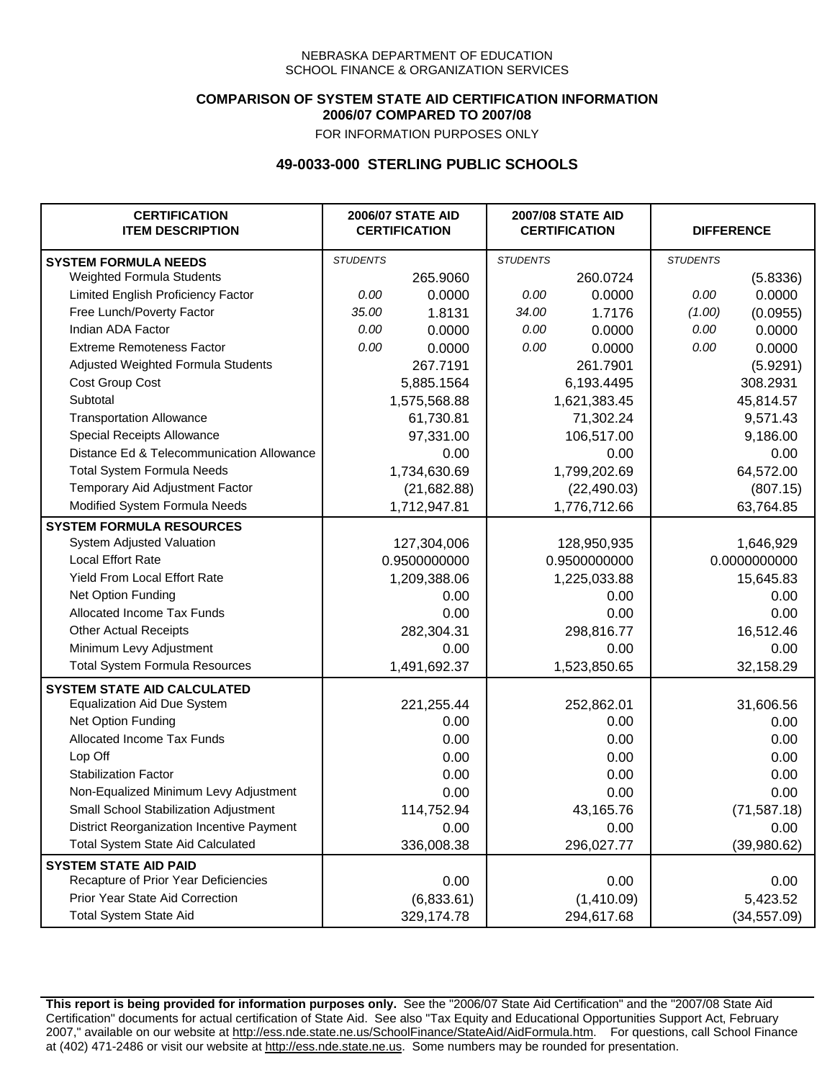### **COMPARISON OF SYSTEM STATE AID CERTIFICATION INFORMATION 2006/07 COMPARED TO 2007/08**

FOR INFORMATION PURPOSES ONLY

## **49-0033-000 STERLING PUBLIC SCHOOLS**

| <b>CERTIFICATION</b><br><b>ITEM DESCRIPTION</b> |                 | <b>2006/07 STATE AID</b><br><b>CERTIFICATION</b> | <b>2007/08 STATE AID</b><br><b>CERTIFICATION</b> |              | <b>DIFFERENCE</b> |              |
|-------------------------------------------------|-----------------|--------------------------------------------------|--------------------------------------------------|--------------|-------------------|--------------|
| <b>SYSTEM FORMULA NEEDS</b>                     | <b>STUDENTS</b> |                                                  | <b>STUDENTS</b>                                  |              | <b>STUDENTS</b>   |              |
| Weighted Formula Students                       |                 | 265.9060                                         |                                                  | 260.0724     |                   | (5.8336)     |
| Limited English Proficiency Factor              | 0.00            | 0.0000                                           | 0.00                                             | 0.0000       | 0.00              | 0.0000       |
| Free Lunch/Poverty Factor                       | 35.00           | 1.8131                                           | 34.00                                            | 1.7176       | (1.00)            | (0.0955)     |
| Indian ADA Factor                               | 0.00            | 0.0000                                           | 0.00                                             | 0.0000       | 0.00              | 0.0000       |
| <b>Extreme Remoteness Factor</b>                | 0.00            | 0.0000                                           | 0.00                                             | 0.0000       | 0.00              | 0.0000       |
| Adjusted Weighted Formula Students              |                 | 267.7191                                         |                                                  | 261.7901     |                   | (5.9291)     |
| Cost Group Cost                                 |                 | 5,885.1564                                       |                                                  | 6,193.4495   |                   | 308.2931     |
| Subtotal                                        |                 | 1,575,568.88                                     |                                                  | 1,621,383.45 |                   | 45,814.57    |
| <b>Transportation Allowance</b>                 |                 | 61,730.81                                        |                                                  | 71,302.24    |                   | 9,571.43     |
| Special Receipts Allowance                      |                 | 97,331.00                                        |                                                  | 106,517.00   |                   | 9,186.00     |
| Distance Ed & Telecommunication Allowance       |                 | 0.00                                             |                                                  | 0.00         |                   | 0.00         |
| <b>Total System Formula Needs</b>               |                 | 1,734,630.69                                     |                                                  | 1,799,202.69 |                   | 64,572.00    |
| Temporary Aid Adjustment Factor                 |                 | (21,682.88)                                      |                                                  | (22, 490.03) |                   | (807.15)     |
| Modified System Formula Needs                   |                 | 1,712,947.81                                     |                                                  | 1,776,712.66 |                   | 63,764.85    |
| <b>SYSTEM FORMULA RESOURCES</b>                 |                 |                                                  |                                                  |              |                   |              |
| System Adjusted Valuation                       |                 | 127,304,006                                      |                                                  | 128,950,935  |                   | 1,646,929    |
| <b>Local Effort Rate</b>                        |                 | 0.9500000000                                     |                                                  | 0.9500000000 |                   | 0.0000000000 |
| Yield From Local Effort Rate                    |                 | 1,209,388.06                                     |                                                  | 1,225,033.88 |                   | 15,645.83    |
| Net Option Funding                              |                 | 0.00                                             |                                                  | 0.00         |                   | 0.00         |
| Allocated Income Tax Funds                      |                 | 0.00                                             |                                                  | 0.00         |                   | 0.00         |
| <b>Other Actual Receipts</b>                    |                 | 282,304.31                                       |                                                  | 298,816.77   |                   | 16,512.46    |
| Minimum Levy Adjustment                         |                 | 0.00                                             |                                                  | 0.00         |                   | 0.00         |
| <b>Total System Formula Resources</b>           |                 | 1,491,692.37                                     |                                                  | 1,523,850.65 |                   | 32,158.29    |
| <b>SYSTEM STATE AID CALCULATED</b>              |                 |                                                  |                                                  |              |                   |              |
| <b>Equalization Aid Due System</b>              |                 | 221,255.44                                       |                                                  | 252,862.01   |                   | 31,606.56    |
| Net Option Funding                              |                 | 0.00                                             |                                                  | 0.00         |                   | 0.00         |
| Allocated Income Tax Funds                      |                 | 0.00                                             |                                                  | 0.00         |                   | 0.00         |
| Lop Off                                         |                 | 0.00                                             |                                                  | 0.00         |                   | 0.00         |
| <b>Stabilization Factor</b>                     |                 | 0.00                                             |                                                  | 0.00         |                   | 0.00         |
| Non-Equalized Minimum Levy Adjustment           |                 | 0.00                                             |                                                  | 0.00         |                   | 0.00         |
| Small School Stabilization Adjustment           |                 | 114,752.94                                       |                                                  | 43,165.76    |                   | (71, 587.18) |
| District Reorganization Incentive Payment       |                 | 0.00                                             |                                                  | 0.00         |                   | 0.00         |
| <b>Total System State Aid Calculated</b>        |                 | 336,008.38                                       |                                                  | 296,027.77   |                   | (39,980.62)  |
| <b>SYSTEM STATE AID PAID</b>                    |                 |                                                  |                                                  |              |                   |              |
| Recapture of Prior Year Deficiencies            |                 | 0.00                                             |                                                  | 0.00         |                   | 0.00         |
| Prior Year State Aid Correction                 |                 | (6,833.61)                                       |                                                  | (1,410.09)   |                   | 5,423.52     |
| <b>Total System State Aid</b>                   |                 | 329,174.78                                       |                                                  | 294,617.68   |                   | (34, 557.09) |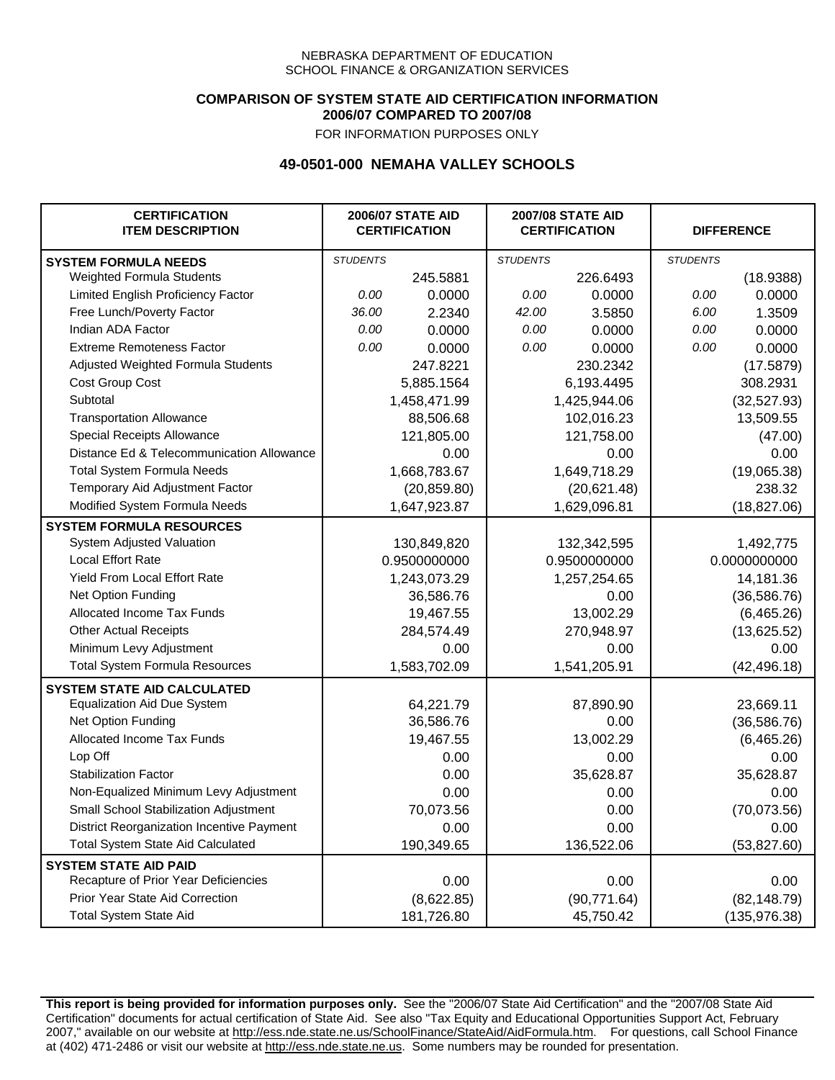### **COMPARISON OF SYSTEM STATE AID CERTIFICATION INFORMATION 2006/07 COMPARED TO 2007/08**

FOR INFORMATION PURPOSES ONLY

## **49-0501-000 NEMAHA VALLEY SCHOOLS**

| <b>CERTIFICATION</b><br><b>ITEM DESCRIPTION</b> |                 | <b>2006/07 STATE AID</b><br><b>CERTIFICATION</b> | <b>2007/08 STATE AID</b><br><b>CERTIFICATION</b> |              | <b>DIFFERENCE</b> |               |
|-------------------------------------------------|-----------------|--------------------------------------------------|--------------------------------------------------|--------------|-------------------|---------------|
| <b>SYSTEM FORMULA NEEDS</b>                     | <b>STUDENTS</b> |                                                  | <b>STUDENTS</b>                                  |              | <b>STUDENTS</b>   |               |
| Weighted Formula Students                       |                 | 245.5881                                         |                                                  | 226.6493     |                   | (18.9388)     |
| Limited English Proficiency Factor              | 0.00            | 0.0000                                           | 0.00                                             | 0.0000       | 0.00              | 0.0000        |
| Free Lunch/Poverty Factor                       | 36.00           | 2.2340                                           | 42.00                                            | 3.5850       | 6.00              | 1.3509        |
| Indian ADA Factor                               | 0.00            | 0.0000                                           | 0.00                                             | 0.0000       | 0.00              | 0.0000        |
| <b>Extreme Remoteness Factor</b>                | 0.00            | 0.0000                                           | 0.00                                             | 0.0000       | 0.00              | 0.0000        |
| Adjusted Weighted Formula Students              |                 | 247.8221                                         |                                                  | 230.2342     |                   | (17.5879)     |
| Cost Group Cost                                 |                 | 5,885.1564                                       |                                                  | 6,193.4495   |                   | 308.2931      |
| Subtotal                                        |                 | 1,458,471.99                                     |                                                  | 1,425,944.06 |                   | (32, 527.93)  |
| <b>Transportation Allowance</b>                 |                 | 88,506.68                                        |                                                  | 102,016.23   |                   | 13,509.55     |
| Special Receipts Allowance                      |                 | 121,805.00                                       |                                                  | 121,758.00   |                   | (47.00)       |
| Distance Ed & Telecommunication Allowance       |                 | 0.00                                             |                                                  | 0.00         |                   | 0.00          |
| <b>Total System Formula Needs</b>               |                 | 1,668,783.67                                     |                                                  | 1,649,718.29 |                   | (19,065.38)   |
| Temporary Aid Adjustment Factor                 |                 | (20, 859.80)                                     |                                                  | (20,621.48)  | 238.32            |               |
| Modified System Formula Needs                   |                 | 1,647,923.87                                     |                                                  | 1,629,096.81 |                   | (18, 827.06)  |
| <b>SYSTEM FORMULA RESOURCES</b>                 |                 |                                                  |                                                  |              |                   |               |
| System Adjusted Valuation                       |                 | 130,849,820                                      |                                                  | 132,342,595  |                   | 1,492,775     |
| <b>Local Effort Rate</b>                        |                 | 0.9500000000                                     |                                                  | 0.9500000000 |                   | 0.0000000000  |
| <b>Yield From Local Effort Rate</b>             |                 | 1,243,073.29                                     |                                                  | 1,257,254.65 |                   | 14,181.36     |
| Net Option Funding                              |                 | 36,586.76                                        |                                                  | 0.00         |                   | (36, 586.76)  |
| Allocated Income Tax Funds                      |                 | 19,467.55                                        |                                                  | 13,002.29    |                   | (6,465.26)    |
| <b>Other Actual Receipts</b>                    |                 | 284,574.49                                       | 270,948.97                                       |              | (13,625.52)       |               |
| Minimum Levy Adjustment                         |                 | 0.00                                             |                                                  | 0.00         |                   | 0.00          |
| <b>Total System Formula Resources</b>           |                 | 1,583,702.09                                     |                                                  | 1,541,205.91 |                   | (42, 496.18)  |
| <b>SYSTEM STATE AID CALCULATED</b>              |                 |                                                  |                                                  |              |                   |               |
| <b>Equalization Aid Due System</b>              |                 | 64,221.79                                        |                                                  | 87,890.90    |                   | 23,669.11     |
| Net Option Funding                              |                 | 36,586.76                                        |                                                  | 0.00         |                   | (36, 586.76)  |
| Allocated Income Tax Funds                      |                 | 19,467.55                                        |                                                  | 13,002.29    |                   | (6,465.26)    |
| Lop Off                                         |                 | 0.00                                             |                                                  | 0.00         |                   | 0.00          |
| <b>Stabilization Factor</b>                     |                 | 0.00                                             |                                                  | 35,628.87    |                   | 35,628.87     |
| Non-Equalized Minimum Levy Adjustment           |                 | 0.00                                             |                                                  | 0.00         |                   | 0.00          |
| Small School Stabilization Adjustment           |                 | 70,073.56                                        |                                                  | 0.00         |                   | (70,073.56)   |
| District Reorganization Incentive Payment       |                 | 0.00                                             |                                                  | 0.00         |                   | 0.00          |
| <b>Total System State Aid Calculated</b>        |                 | 190,349.65                                       |                                                  | 136,522.06   |                   | (53,827.60)   |
| <b>SYSTEM STATE AID PAID</b>                    |                 |                                                  |                                                  |              |                   |               |
| Recapture of Prior Year Deficiencies            |                 | 0.00                                             |                                                  | 0.00         |                   | 0.00          |
| Prior Year State Aid Correction                 |                 | (8,622.85)                                       |                                                  | (90, 771.64) |                   | (82, 148.79)  |
| <b>Total System State Aid</b>                   |                 | 181,726.80                                       |                                                  | 45,750.42    |                   | (135, 976.38) |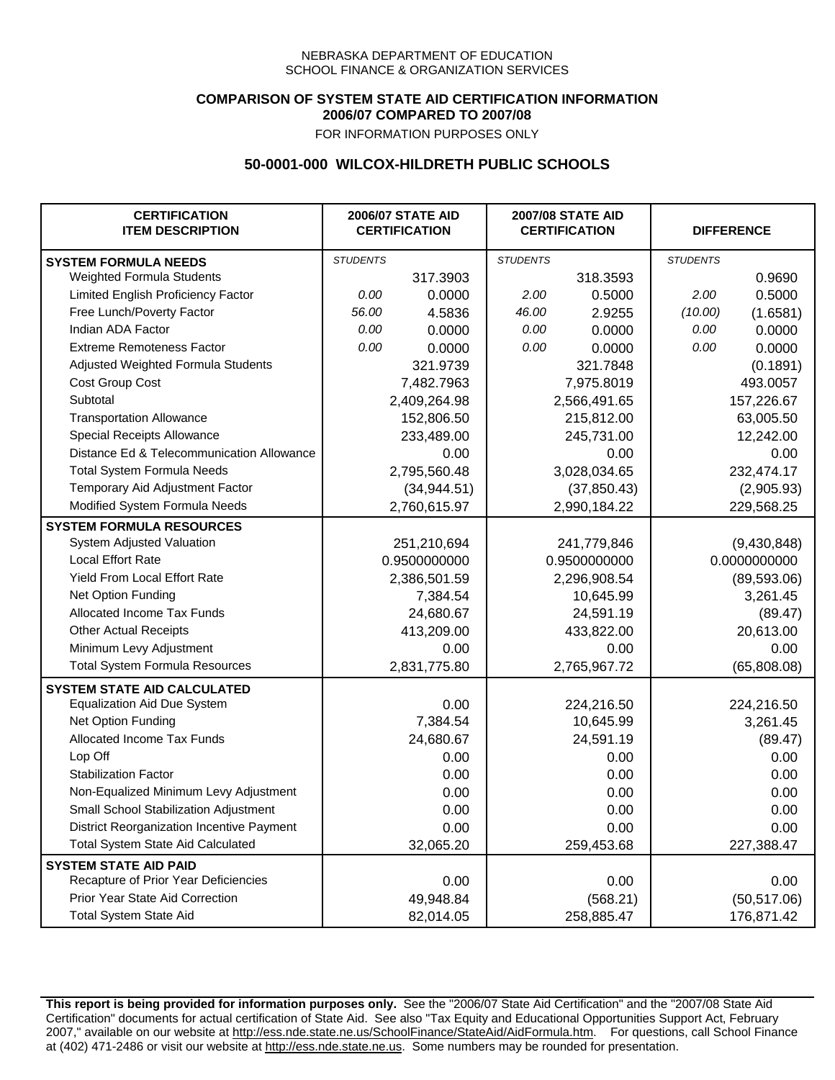### **COMPARISON OF SYSTEM STATE AID CERTIFICATION INFORMATION 2006/07 COMPARED TO 2007/08**

FOR INFORMATION PURPOSES ONLY

## **50-0001-000 WILCOX-HILDRETH PUBLIC SCHOOLS**

| <b>CERTIFICATION</b><br><b>ITEM DESCRIPTION</b> | <b>2006/07 STATE AID</b><br><b>CERTIFICATION</b> |              | <b>2007/08 STATE AID</b><br><b>CERTIFICATION</b> |              |                 | <b>DIFFERENCE</b> |  |
|-------------------------------------------------|--------------------------------------------------|--------------|--------------------------------------------------|--------------|-----------------|-------------------|--|
| <b>SYSTEM FORMULA NEEDS</b>                     | <b>STUDENTS</b>                                  |              | <b>STUDENTS</b>                                  |              | <b>STUDENTS</b> |                   |  |
| Weighted Formula Students                       |                                                  | 317.3903     |                                                  | 318.3593     |                 | 0.9690            |  |
| Limited English Proficiency Factor              | 0.00                                             | 0.0000       | 2.00                                             | 0.5000       | 2.00            | 0.5000            |  |
| Free Lunch/Poverty Factor                       | 56.00                                            | 4.5836       | 46.00                                            | 2.9255       | (10.00)         | (1.6581)          |  |
| Indian ADA Factor                               | 0.00                                             | 0.0000       | 0.00                                             | 0.0000       | 0.00            | 0.0000            |  |
| <b>Extreme Remoteness Factor</b>                | 0.00                                             | 0.0000       | 0.00                                             | 0.0000       | 0.00            | 0.0000            |  |
| Adjusted Weighted Formula Students              |                                                  | 321.9739     |                                                  | 321.7848     |                 | (0.1891)          |  |
| Cost Group Cost                                 |                                                  | 7,482.7963   |                                                  | 7,975.8019   |                 | 493.0057          |  |
| Subtotal                                        |                                                  | 2,409,264.98 |                                                  | 2,566,491.65 |                 | 157,226.67        |  |
| <b>Transportation Allowance</b>                 |                                                  | 152,806.50   |                                                  | 215,812.00   |                 | 63,005.50         |  |
| Special Receipts Allowance                      |                                                  | 233,489.00   |                                                  | 245,731.00   |                 | 12,242.00         |  |
| Distance Ed & Telecommunication Allowance       |                                                  | 0.00         |                                                  | 0.00         |                 | 0.00              |  |
| <b>Total System Formula Needs</b>               |                                                  | 2,795,560.48 |                                                  | 3,028,034.65 |                 | 232,474.17        |  |
| Temporary Aid Adjustment Factor                 |                                                  | (34, 944.51) |                                                  | (37, 850.43) |                 | (2,905.93)        |  |
| Modified System Formula Needs                   |                                                  | 2,760,615.97 |                                                  | 2,990,184.22 |                 | 229,568.25        |  |
| <b>SYSTEM FORMULA RESOURCES</b>                 |                                                  |              |                                                  |              |                 |                   |  |
| System Adjusted Valuation                       |                                                  | 251,210,694  |                                                  | 241,779,846  |                 | (9,430,848)       |  |
| <b>Local Effort Rate</b>                        |                                                  | 0.9500000000 |                                                  | 0.9500000000 |                 | 0.0000000000      |  |
| Yield From Local Effort Rate                    |                                                  | 2,386,501.59 |                                                  | 2,296,908.54 |                 | (89, 593.06)      |  |
| Net Option Funding                              |                                                  | 7,384.54     |                                                  | 10,645.99    |                 | 3,261.45          |  |
| Allocated Income Tax Funds                      |                                                  | 24,680.67    |                                                  | 24,591.19    |                 | (89.47)           |  |
| <b>Other Actual Receipts</b>                    |                                                  | 413,209.00   | 433,822.00                                       |              | 20,613.00       |                   |  |
| Minimum Levy Adjustment                         |                                                  | 0.00         |                                                  | 0.00         |                 | 0.00              |  |
| <b>Total System Formula Resources</b>           |                                                  | 2,831,775.80 |                                                  | 2,765,967.72 |                 | (65,808.08)       |  |
| <b>SYSTEM STATE AID CALCULATED</b>              |                                                  |              |                                                  |              |                 |                   |  |
| <b>Equalization Aid Due System</b>              |                                                  | 0.00         |                                                  | 224,216.50   |                 | 224,216.50        |  |
| Net Option Funding                              |                                                  | 7,384.54     |                                                  | 10,645.99    |                 | 3,261.45          |  |
| Allocated Income Tax Funds                      |                                                  | 24,680.67    |                                                  | 24,591.19    |                 | (89.47)           |  |
| Lop Off                                         |                                                  | 0.00         |                                                  | 0.00         |                 | 0.00              |  |
| <b>Stabilization Factor</b>                     |                                                  | 0.00         |                                                  | 0.00         |                 | 0.00              |  |
| Non-Equalized Minimum Levy Adjustment           |                                                  | 0.00         |                                                  | 0.00         |                 | 0.00              |  |
| Small School Stabilization Adjustment           |                                                  | 0.00         |                                                  | 0.00         |                 | 0.00              |  |
| District Reorganization Incentive Payment       |                                                  | 0.00         |                                                  | 0.00         |                 | 0.00              |  |
| Total System State Aid Calculated               |                                                  | 32,065.20    |                                                  | 259,453.68   |                 | 227,388.47        |  |
| <b>SYSTEM STATE AID PAID</b>                    |                                                  |              |                                                  |              |                 |                   |  |
| Recapture of Prior Year Deficiencies            |                                                  | 0.00         |                                                  | 0.00         |                 | 0.00              |  |
| Prior Year State Aid Correction                 |                                                  | 49,948.84    |                                                  | (568.21)     |                 | (50, 517.06)      |  |
| <b>Total System State Aid</b>                   |                                                  | 82,014.05    |                                                  | 258,885.47   |                 | 176,871.42        |  |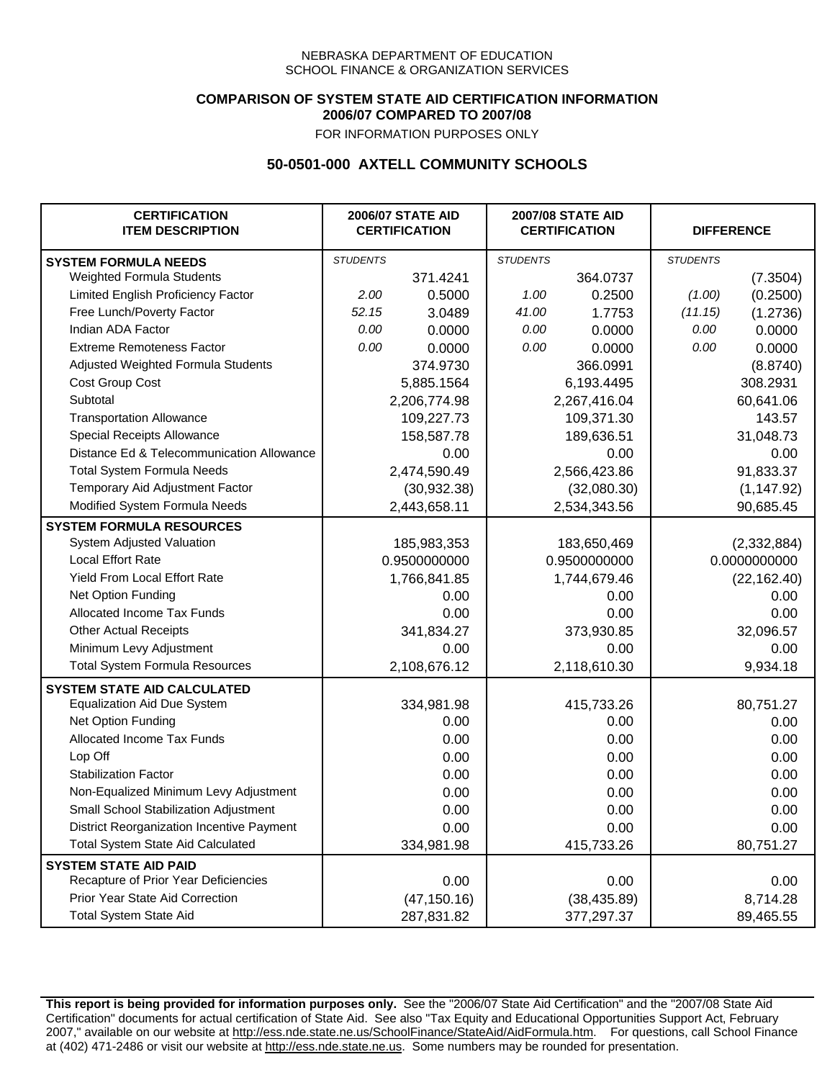### **COMPARISON OF SYSTEM STATE AID CERTIFICATION INFORMATION 2006/07 COMPARED TO 2007/08**

FOR INFORMATION PURPOSES ONLY

# **50-0501-000 AXTELL COMMUNITY SCHOOLS**

| <b>CERTIFICATION</b><br><b>ITEM DESCRIPTION</b> |                 | <b>2006/07 STATE AID</b><br><b>CERTIFICATION</b> | <b>2007/08 STATE AID</b><br><b>CERTIFICATION</b> |              | <b>DIFFERENCE</b> |              |
|-------------------------------------------------|-----------------|--------------------------------------------------|--------------------------------------------------|--------------|-------------------|--------------|
| <b>SYSTEM FORMULA NEEDS</b>                     | <b>STUDENTS</b> |                                                  | <b>STUDENTS</b>                                  |              | <b>STUDENTS</b>   |              |
| Weighted Formula Students                       |                 | 371.4241                                         |                                                  | 364.0737     |                   | (7.3504)     |
| Limited English Proficiency Factor              | 2.00            | 0.5000                                           | 1.00                                             | 0.2500       | (1.00)            | (0.2500)     |
| Free Lunch/Poverty Factor                       | 52.15           | 3.0489                                           | 41.00                                            | 1.7753       | (11.15)           | (1.2736)     |
| Indian ADA Factor                               | 0.00            | 0.0000                                           | 0.00                                             | 0.0000       | 0.00              | 0.0000       |
| <b>Extreme Remoteness Factor</b>                | 0.00            | 0.0000                                           | 0.00                                             | 0.0000       | 0.00              | 0.0000       |
| Adjusted Weighted Formula Students              |                 | 374.9730                                         |                                                  | 366.0991     |                   | (8.8740)     |
| Cost Group Cost                                 |                 | 5,885.1564                                       |                                                  | 6,193.4495   |                   | 308.2931     |
| Subtotal                                        |                 | 2,206,774.98                                     |                                                  | 2,267,416.04 |                   | 60,641.06    |
| <b>Transportation Allowance</b>                 |                 | 109,227.73                                       |                                                  | 109,371.30   |                   | 143.57       |
| Special Receipts Allowance                      |                 | 158,587.78                                       |                                                  | 189,636.51   |                   | 31,048.73    |
| Distance Ed & Telecommunication Allowance       |                 | 0.00                                             |                                                  | 0.00         |                   | 0.00         |
| <b>Total System Formula Needs</b>               |                 | 2,474,590.49                                     |                                                  | 2,566,423.86 |                   | 91,833.37    |
| Temporary Aid Adjustment Factor                 |                 | (30, 932.38)                                     |                                                  | (32,080.30)  |                   | (1, 147.92)  |
| Modified System Formula Needs                   |                 | 2,443,658.11                                     |                                                  | 2,534,343.56 |                   | 90,685.45    |
| <b>SYSTEM FORMULA RESOURCES</b>                 |                 |                                                  |                                                  |              |                   |              |
| System Adjusted Valuation                       |                 | 185,983,353                                      |                                                  | 183,650,469  |                   | (2,332,884)  |
| <b>Local Effort Rate</b>                        |                 | 0.9500000000                                     | 0.9500000000                                     |              | 0.0000000000      |              |
| Yield From Local Effort Rate                    |                 | 1,766,841.85                                     | 1,744,679.46                                     |              |                   | (22, 162.40) |
| Net Option Funding                              |                 | 0.00                                             | 0.00                                             |              | 0.00              |              |
| Allocated Income Tax Funds                      |                 | 0.00                                             | 0.00                                             |              | 0.00              |              |
| <b>Other Actual Receipts</b>                    |                 | 341,834.27                                       | 373,930.85                                       |              | 32,096.57         |              |
| Minimum Levy Adjustment                         |                 | 0.00                                             |                                                  | 0.00         |                   | 0.00         |
| <b>Total System Formula Resources</b>           |                 | 2,108,676.12                                     |                                                  | 2,118,610.30 |                   | 9,934.18     |
| <b>SYSTEM STATE AID CALCULATED</b>              |                 |                                                  |                                                  |              |                   |              |
| <b>Equalization Aid Due System</b>              |                 | 334,981.98                                       |                                                  | 415,733.26   |                   | 80,751.27    |
| Net Option Funding                              |                 | 0.00                                             |                                                  | 0.00         |                   | 0.00         |
| Allocated Income Tax Funds                      |                 | 0.00                                             |                                                  | 0.00         |                   | 0.00         |
| Lop Off                                         |                 | 0.00                                             |                                                  | 0.00         |                   | 0.00         |
| <b>Stabilization Factor</b>                     |                 | 0.00                                             |                                                  | 0.00         |                   | 0.00         |
| Non-Equalized Minimum Levy Adjustment           |                 | 0.00                                             |                                                  | 0.00         |                   | 0.00         |
| Small School Stabilization Adjustment           |                 | 0.00                                             |                                                  | 0.00         |                   | 0.00         |
| District Reorganization Incentive Payment       |                 | 0.00                                             |                                                  | 0.00         |                   | 0.00         |
| <b>Total System State Aid Calculated</b>        |                 | 334,981.98                                       |                                                  | 415,733.26   |                   | 80,751.27    |
| <b>SYSTEM STATE AID PAID</b>                    |                 |                                                  |                                                  |              |                   |              |
| Recapture of Prior Year Deficiencies            |                 | 0.00                                             |                                                  | 0.00         |                   | 0.00         |
| Prior Year State Aid Correction                 |                 | (47, 150.16)                                     |                                                  | (38, 435.89) |                   | 8,714.28     |
| <b>Total System State Aid</b>                   |                 | 287,831.82                                       |                                                  | 377,297.37   |                   | 89,465.55    |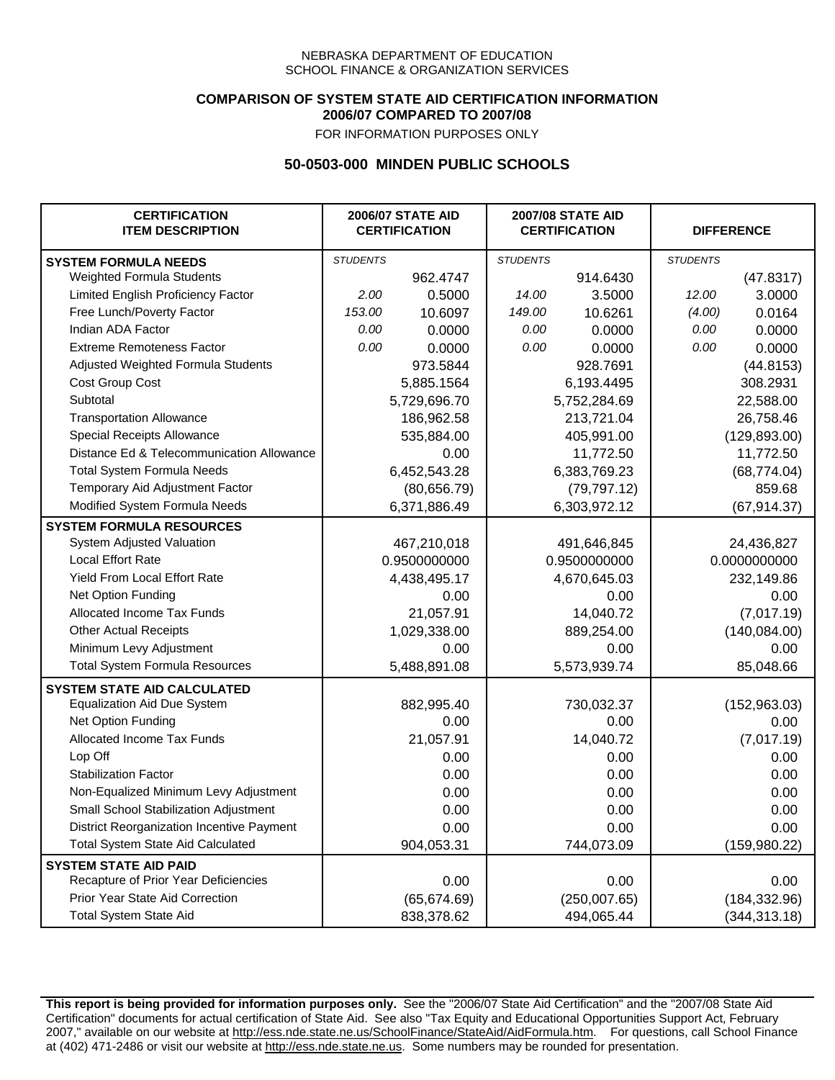### **COMPARISON OF SYSTEM STATE AID CERTIFICATION INFORMATION 2006/07 COMPARED TO 2007/08**

FOR INFORMATION PURPOSES ONLY

## **50-0503-000 MINDEN PUBLIC SCHOOLS**

| <b>CERTIFICATION</b><br><b>ITEM DESCRIPTION</b> |                 | <b>2006/07 STATE AID</b><br><b>CERTIFICATION</b> | <b>2007/08 STATE AID</b><br><b>CERTIFICATION</b> |              |                 | <b>DIFFERENCE</b> |
|-------------------------------------------------|-----------------|--------------------------------------------------|--------------------------------------------------|--------------|-----------------|-------------------|
| <b>SYSTEM FORMULA NEEDS</b>                     | <b>STUDENTS</b> |                                                  | <b>STUDENTS</b>                                  |              | <b>STUDENTS</b> |                   |
| Weighted Formula Students                       |                 | 962.4747                                         |                                                  | 914.6430     |                 | (47.8317)         |
| Limited English Proficiency Factor              | 2.00            | 0.5000                                           | 14.00                                            | 3.5000       | 12.00           | 3.0000            |
| Free Lunch/Poverty Factor                       | 153.00          | 10.6097                                          | 149.00                                           | 10.6261      | (4.00)          | 0.0164            |
| Indian ADA Factor                               | 0.00            | 0.0000                                           | 0.00                                             | 0.0000       | 0.00            | 0.0000            |
| <b>Extreme Remoteness Factor</b>                | 0.00            | 0.0000                                           | 0.00                                             | 0.0000       | 0.00            | 0.0000            |
| Adjusted Weighted Formula Students              |                 | 973.5844                                         |                                                  | 928.7691     |                 | (44.8153)         |
| Cost Group Cost                                 |                 | 5,885.1564                                       |                                                  | 6,193.4495   |                 | 308.2931          |
| Subtotal                                        |                 | 5,729,696.70                                     |                                                  | 5,752,284.69 |                 | 22,588.00         |
| <b>Transportation Allowance</b>                 |                 | 186,962.58                                       |                                                  | 213,721.04   |                 | 26,758.46         |
| Special Receipts Allowance                      |                 | 535,884.00                                       |                                                  | 405,991.00   |                 | (129, 893.00)     |
| Distance Ed & Telecommunication Allowance       |                 | 0.00                                             |                                                  | 11,772.50    |                 | 11,772.50         |
| <b>Total System Formula Needs</b>               |                 | 6,452,543.28                                     |                                                  | 6,383,769.23 |                 | (68, 774.04)      |
| Temporary Aid Adjustment Factor                 |                 | (80, 656.79)                                     |                                                  | (79, 797.12) |                 | 859.68            |
| Modified System Formula Needs                   | 6,371,886.49    |                                                  | 6,303,972.12                                     |              | (67, 914.37)    |                   |
| <b>SYSTEM FORMULA RESOURCES</b>                 |                 |                                                  |                                                  |              |                 |                   |
| System Adjusted Valuation                       |                 | 467,210,018                                      |                                                  | 491,646,845  |                 | 24,436,827        |
| <b>Local Effort Rate</b>                        |                 | 0.9500000000                                     |                                                  | 0.9500000000 | 0.0000000000    |                   |
| Yield From Local Effort Rate                    |                 | 4,438,495.17                                     | 4,670,645.03                                     |              | 232,149.86      |                   |
| Net Option Funding                              |                 | 0.00                                             | 0.00                                             |              |                 | 0.00              |
| Allocated Income Tax Funds                      |                 | 21,057.91                                        | 14,040.72                                        |              | (7,017.19)      |                   |
| <b>Other Actual Receipts</b>                    |                 | 1,029,338.00                                     | 889,254.00                                       |              | (140, 084.00)   |                   |
| Minimum Levy Adjustment                         |                 | 0.00                                             |                                                  | 0.00         |                 | 0.00              |
| <b>Total System Formula Resources</b>           |                 | 5,488,891.08                                     |                                                  | 5,573,939.74 |                 | 85,048.66         |
| <b>SYSTEM STATE AID CALCULATED</b>              |                 |                                                  |                                                  |              |                 |                   |
| <b>Equalization Aid Due System</b>              |                 | 882,995.40                                       |                                                  | 730,032.37   |                 | (152, 963.03)     |
| Net Option Funding                              |                 | 0.00                                             |                                                  | 0.00         |                 | 0.00              |
| Allocated Income Tax Funds                      |                 | 21,057.91                                        |                                                  | 14,040.72    |                 | (7,017.19)        |
| Lop Off                                         |                 | 0.00                                             |                                                  | 0.00         |                 | 0.00              |
| <b>Stabilization Factor</b>                     |                 | 0.00                                             |                                                  | 0.00         |                 | 0.00              |
| Non-Equalized Minimum Levy Adjustment           |                 | 0.00                                             |                                                  | 0.00         |                 | 0.00              |
| <b>Small School Stabilization Adjustment</b>    |                 | 0.00                                             |                                                  | 0.00         |                 | 0.00              |
| District Reorganization Incentive Payment       |                 | 0.00                                             |                                                  | 0.00         |                 | 0.00              |
| Total System State Aid Calculated               |                 | 904,053.31                                       |                                                  | 744,073.09   |                 | (159, 980.22)     |
| <b>SYSTEM STATE AID PAID</b>                    |                 |                                                  |                                                  |              |                 |                   |
| Recapture of Prior Year Deficiencies            |                 | 0.00                                             |                                                  | 0.00         |                 | 0.00              |
| Prior Year State Aid Correction                 |                 | (65, 674.69)                                     |                                                  | (250,007.65) |                 | (184, 332.96)     |
| <b>Total System State Aid</b>                   |                 | 838,378.62                                       |                                                  | 494,065.44   |                 | (344, 313.18)     |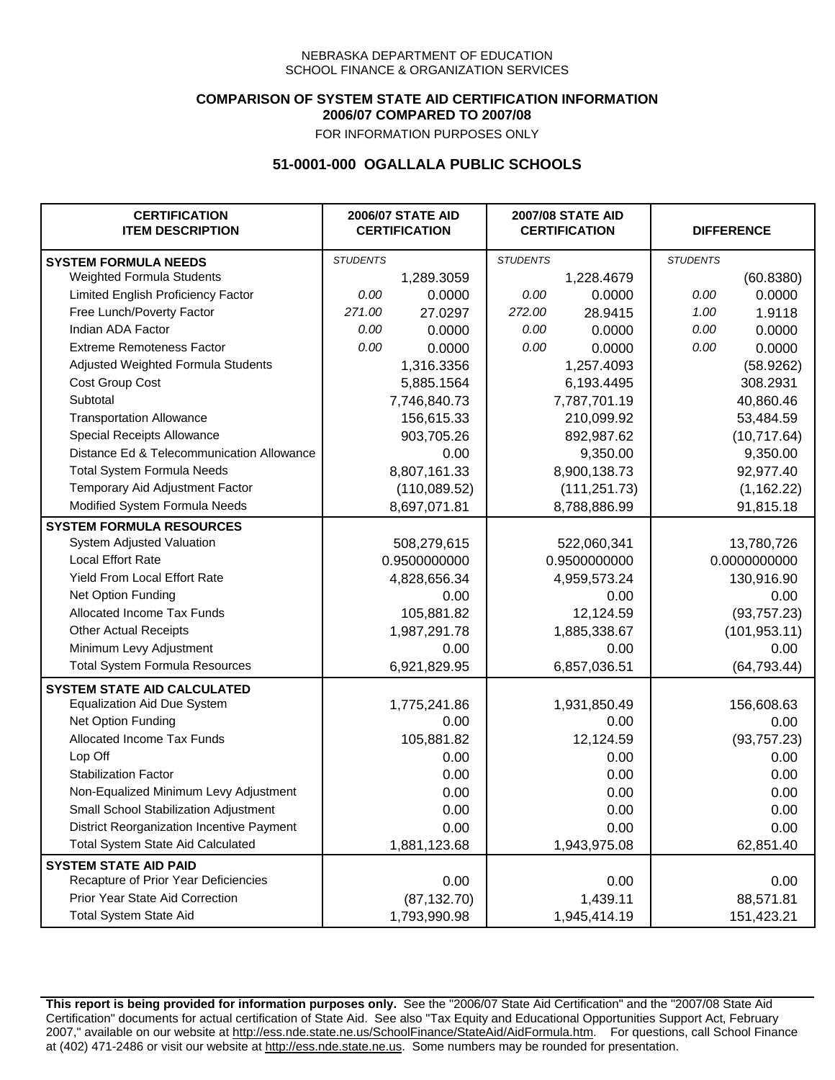### **COMPARISON OF SYSTEM STATE AID CERTIFICATION INFORMATION 2006/07 COMPARED TO 2007/08**

FOR INFORMATION PURPOSES ONLY

## **51-0001-000 OGALLALA PUBLIC SCHOOLS**

| <b>CERTIFICATION</b><br><b>ITEM DESCRIPTION</b> |                 | <b>2006/07 STATE AID</b><br><b>CERTIFICATION</b> | <b>2007/08 STATE AID</b><br><b>CERTIFICATION</b> |              | <b>DIFFERENCE</b> |              |
|-------------------------------------------------|-----------------|--------------------------------------------------|--------------------------------------------------|--------------|-------------------|--------------|
| <b>SYSTEM FORMULA NEEDS</b>                     | <b>STUDENTS</b> |                                                  | <b>STUDENTS</b>                                  |              | <b>STUDENTS</b>   |              |
| Weighted Formula Students                       |                 | 1,289.3059                                       |                                                  | 1,228.4679   |                   | (60.8380)    |
| Limited English Proficiency Factor              | 0.00            | 0.0000                                           | 0.00                                             | 0.0000       | 0.00              | 0.0000       |
| Free Lunch/Poverty Factor                       | 271.00          | 27.0297                                          | 272.00                                           | 28.9415      | 1.00              | 1.9118       |
| Indian ADA Factor                               | 0.00            | 0.0000                                           | 0.00                                             | 0.0000       | 0.00              | 0.0000       |
| <b>Extreme Remoteness Factor</b>                | 0.00            | 0.0000                                           | 0.00                                             | 0.0000       | 0.00              | 0.0000       |
| Adjusted Weighted Formula Students              |                 | 1,316.3356                                       |                                                  | 1,257.4093   |                   | (58.9262)    |
| Cost Group Cost                                 |                 | 5,885.1564                                       |                                                  | 6,193.4495   |                   | 308.2931     |
| Subtotal                                        |                 | 7,746,840.73                                     |                                                  | 7,787,701.19 |                   | 40,860.46    |
| <b>Transportation Allowance</b>                 |                 | 156,615.33                                       |                                                  | 210,099.92   |                   | 53,484.59    |
| Special Receipts Allowance                      |                 | 903,705.26                                       |                                                  | 892,987.62   |                   | (10,717.64)  |
| Distance Ed & Telecommunication Allowance       |                 | 0.00                                             |                                                  | 9,350.00     |                   | 9,350.00     |
| <b>Total System Formula Needs</b>               |                 | 8,807,161.33                                     |                                                  | 8,900,138.73 | 92,977.40         |              |
| Temporary Aid Adjustment Factor                 |                 | (110,089.52)                                     | (111, 251.73)                                    |              | (1, 162.22)       |              |
| Modified System Formula Needs                   |                 | 8,697,071.81                                     |                                                  | 8,788,886.99 |                   | 91,815.18    |
| <b>SYSTEM FORMULA RESOURCES</b>                 |                 |                                                  |                                                  |              |                   |              |
| System Adjusted Valuation                       |                 | 508,279,615                                      |                                                  | 522,060,341  |                   | 13,780,726   |
| <b>Local Effort Rate</b>                        |                 | 0.9500000000                                     |                                                  | 0.9500000000 | 0.0000000000      |              |
| Yield From Local Effort Rate                    |                 | 4,828,656.34                                     | 4,959,573.24                                     |              | 130,916.90        |              |
| Net Option Funding                              |                 | 0.00                                             | 0.00                                             |              | 0.00              |              |
| Allocated Income Tax Funds                      |                 | 105,881.82                                       | 12,124.59                                        |              | (93, 757.23)      |              |
| <b>Other Actual Receipts</b>                    |                 | 1,987,291.78                                     | 1,885,338.67                                     |              | (101, 953.11)     |              |
| Minimum Levy Adjustment                         |                 | 0.00                                             |                                                  | 0.00         |                   | 0.00         |
| <b>Total System Formula Resources</b>           |                 | 6,921,829.95                                     |                                                  | 6,857,036.51 |                   | (64, 793.44) |
| <b>SYSTEM STATE AID CALCULATED</b>              |                 |                                                  |                                                  |              |                   |              |
| <b>Equalization Aid Due System</b>              |                 | 1,775,241.86                                     |                                                  | 1,931,850.49 |                   | 156,608.63   |
| Net Option Funding                              |                 | 0.00                                             |                                                  | 0.00         |                   | 0.00         |
| <b>Allocated Income Tax Funds</b>               |                 | 105,881.82                                       |                                                  | 12,124.59    |                   | (93, 757.23) |
| Lop Off                                         |                 | 0.00                                             |                                                  | 0.00         |                   | 0.00         |
| <b>Stabilization Factor</b>                     |                 | 0.00                                             |                                                  | 0.00         |                   | 0.00         |
| Non-Equalized Minimum Levy Adjustment           |                 | 0.00                                             |                                                  | 0.00         |                   | 0.00         |
| Small School Stabilization Adjustment           |                 | 0.00                                             |                                                  | 0.00         |                   | 0.00         |
| District Reorganization Incentive Payment       |                 | 0.00                                             |                                                  | 0.00         |                   | 0.00         |
| <b>Total System State Aid Calculated</b>        |                 | 1,881,123.68                                     |                                                  | 1,943,975.08 |                   | 62,851.40    |
| <b>SYSTEM STATE AID PAID</b>                    |                 |                                                  |                                                  |              |                   |              |
| Recapture of Prior Year Deficiencies            |                 | 0.00                                             |                                                  | 0.00         |                   | 0.00         |
| Prior Year State Aid Correction                 |                 | (87, 132.70)                                     |                                                  | 1,439.11     |                   | 88,571.81    |
| <b>Total System State Aid</b>                   |                 | 1,793,990.98                                     |                                                  | 1,945,414.19 |                   | 151,423.21   |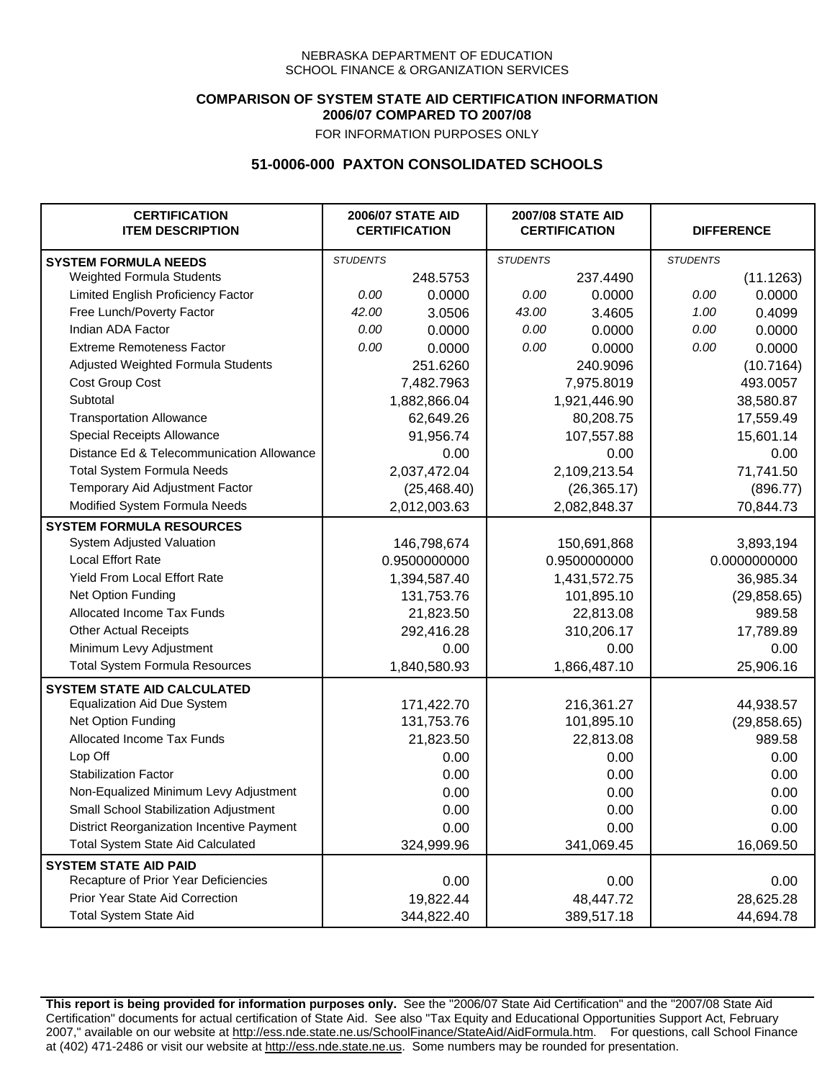### **COMPARISON OF SYSTEM STATE AID CERTIFICATION INFORMATION 2006/07 COMPARED TO 2007/08**

FOR INFORMATION PURPOSES ONLY

## **51-0006-000 PAXTON CONSOLIDATED SCHOOLS**

| <b>CERTIFICATION</b><br><b>ITEM DESCRIPTION</b> |                 | <b>2006/07 STATE AID</b><br><b>CERTIFICATION</b> | <b>2007/08 STATE AID</b><br><b>CERTIFICATION</b> |              | <b>DIFFERENCE</b> |              |  |
|-------------------------------------------------|-----------------|--------------------------------------------------|--------------------------------------------------|--------------|-------------------|--------------|--|
| <b>SYSTEM FORMULA NEEDS</b>                     | <b>STUDENTS</b> |                                                  | <b>STUDENTS</b>                                  |              | <b>STUDENTS</b>   |              |  |
| Weighted Formula Students                       |                 | 248.5753                                         |                                                  | 237.4490     |                   | (11.1263)    |  |
| Limited English Proficiency Factor              | 0.00            | 0.0000                                           | 0.00                                             | 0.0000       | 0.00              | 0.0000       |  |
| Free Lunch/Poverty Factor                       | 42.00           | 3.0506                                           | 43.00                                            | 3.4605       | 1.00              | 0.4099       |  |
| Indian ADA Factor                               | 0.00            | 0.0000                                           | 0.00                                             | 0.0000       | 0.00              | 0.0000       |  |
| <b>Extreme Remoteness Factor</b>                | 0.00            | 0.0000                                           | 0.00                                             | 0.0000       | 0.00              | 0.0000       |  |
| Adjusted Weighted Formula Students              |                 | 251.6260                                         |                                                  | 240.9096     |                   | (10.7164)    |  |
| Cost Group Cost                                 |                 | 7,482.7963                                       |                                                  | 7,975.8019   |                   | 493.0057     |  |
| Subtotal                                        |                 | 1,882,866.04                                     |                                                  | 1,921,446.90 |                   | 38,580.87    |  |
| <b>Transportation Allowance</b>                 |                 | 62,649.26                                        |                                                  | 80,208.75    |                   | 17,559.49    |  |
| Special Receipts Allowance                      |                 | 91,956.74                                        |                                                  | 107,557.88   |                   | 15,601.14    |  |
| Distance Ed & Telecommunication Allowance       |                 | 0.00                                             |                                                  | 0.00         |                   | 0.00         |  |
| <b>Total System Formula Needs</b>               |                 | 2,037,472.04                                     |                                                  | 2,109,213.54 |                   | 71,741.50    |  |
| Temporary Aid Adjustment Factor                 |                 | (25, 468.40)                                     |                                                  | (26, 365.17) |                   | (896.77)     |  |
| Modified System Formula Needs                   |                 | 2,012,003.63                                     |                                                  | 2,082,848.37 |                   | 70,844.73    |  |
| <b>SYSTEM FORMULA RESOURCES</b>                 |                 |                                                  |                                                  |              |                   |              |  |
| System Adjusted Valuation                       |                 | 146,798,674                                      |                                                  | 150,691,868  |                   | 3,893,194    |  |
| <b>Local Effort Rate</b>                        |                 | 0.9500000000                                     |                                                  | 0.9500000000 |                   | 0.0000000000 |  |
| Yield From Local Effort Rate                    |                 | 1,394,587.40                                     |                                                  | 1,431,572.75 |                   | 36,985.34    |  |
| Net Option Funding                              |                 | 131,753.76                                       |                                                  | 101,895.10   |                   | (29, 858.65) |  |
| Allocated Income Tax Funds                      |                 | 21,823.50                                        |                                                  | 22,813.08    |                   | 989.58       |  |
| <b>Other Actual Receipts</b>                    |                 | 292,416.28                                       | 310,206.17                                       |              | 17,789.89         |              |  |
| Minimum Levy Adjustment                         |                 | 0.00                                             |                                                  | 0.00         |                   | 0.00         |  |
| <b>Total System Formula Resources</b>           |                 | 1,840,580.93                                     |                                                  | 1,866,487.10 |                   | 25,906.16    |  |
| <b>SYSTEM STATE AID CALCULATED</b>              |                 |                                                  |                                                  |              |                   |              |  |
| <b>Equalization Aid Due System</b>              |                 | 171,422.70                                       |                                                  | 216,361.27   |                   | 44,938.57    |  |
| Net Option Funding                              |                 | 131,753.76                                       |                                                  | 101,895.10   |                   | (29, 858.65) |  |
| Allocated Income Tax Funds                      |                 | 21,823.50                                        |                                                  | 22,813.08    |                   | 989.58       |  |
| Lop Off                                         |                 | 0.00                                             |                                                  | 0.00         |                   | 0.00         |  |
| <b>Stabilization Factor</b>                     |                 | 0.00                                             |                                                  | 0.00         |                   | 0.00         |  |
| Non-Equalized Minimum Levy Adjustment           |                 | 0.00                                             |                                                  | 0.00         |                   | 0.00         |  |
| Small School Stabilization Adjustment           |                 | 0.00                                             |                                                  | 0.00         |                   | 0.00         |  |
| District Reorganization Incentive Payment       |                 | 0.00                                             |                                                  | 0.00         |                   | 0.00         |  |
| <b>Total System State Aid Calculated</b>        |                 | 324,999.96                                       |                                                  | 341,069.45   |                   | 16,069.50    |  |
| <b>SYSTEM STATE AID PAID</b>                    |                 |                                                  |                                                  |              |                   |              |  |
| Recapture of Prior Year Deficiencies            |                 | 0.00                                             |                                                  | 0.00         |                   | 0.00         |  |
| Prior Year State Aid Correction                 |                 | 19,822.44                                        |                                                  | 48,447.72    |                   | 28,625.28    |  |
| <b>Total System State Aid</b>                   |                 | 344,822.40                                       |                                                  | 389,517.18   |                   | 44,694.78    |  |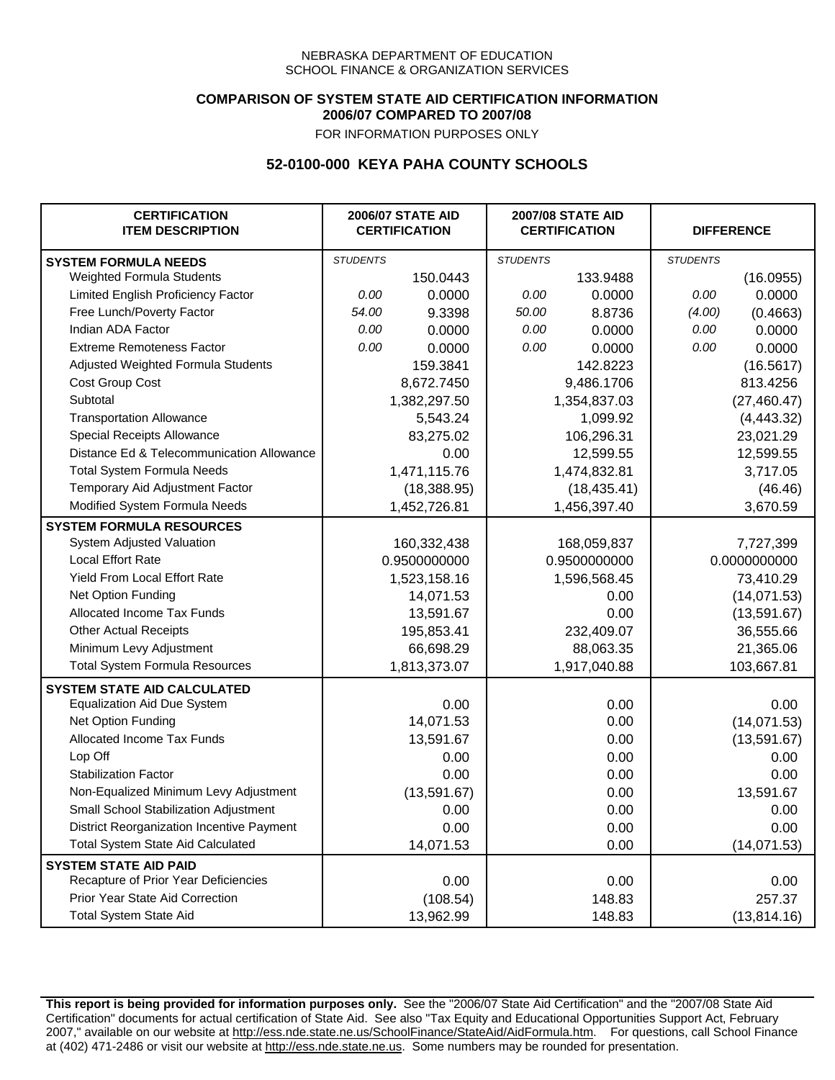### **COMPARISON OF SYSTEM STATE AID CERTIFICATION INFORMATION 2006/07 COMPARED TO 2007/08**

FOR INFORMATION PURPOSES ONLY

## **52-0100-000 KEYA PAHA COUNTY SCHOOLS**

| <b>CERTIFICATION</b><br><b>ITEM DESCRIPTION</b> |                 | <b>2006/07 STATE AID</b><br><b>CERTIFICATION</b> |                 | <b>2007/08 STATE AID</b><br><b>CERTIFICATION</b> |                 | <b>DIFFERENCE</b> |
|-------------------------------------------------|-----------------|--------------------------------------------------|-----------------|--------------------------------------------------|-----------------|-------------------|
| <b>SYSTEM FORMULA NEEDS</b>                     | <b>STUDENTS</b> |                                                  | <b>STUDENTS</b> |                                                  | <b>STUDENTS</b> |                   |
| Weighted Formula Students                       |                 | 150.0443                                         |                 | 133.9488                                         |                 | (16.0955)         |
| Limited English Proficiency Factor              | 0.00            | 0.0000                                           | 0.00            | 0.0000                                           | 0.00            | 0.0000            |
| Free Lunch/Poverty Factor                       | 54.00           | 9.3398                                           | 50.00           | 8.8736                                           | (4.00)          | (0.4663)          |
| Indian ADA Factor                               | 0.00            | 0.0000                                           | 0.00            | 0.0000                                           | 0.00            | 0.0000            |
| <b>Extreme Remoteness Factor</b>                | 0.00            | 0.0000                                           | 0.00            | 0.0000                                           | 0.00            | 0.0000            |
| Adjusted Weighted Formula Students              |                 | 159.3841                                         |                 | 142.8223                                         |                 | (16.5617)         |
| Cost Group Cost                                 |                 | 8,672.7450                                       |                 | 9,486.1706                                       |                 | 813.4256          |
| Subtotal                                        |                 | 1,382,297.50                                     |                 | 1,354,837.03                                     |                 | (27, 460.47)      |
| <b>Transportation Allowance</b>                 |                 | 5,543.24                                         |                 | 1,099.92                                         |                 | (4,443.32)        |
| Special Receipts Allowance                      |                 | 83,275.02                                        |                 | 106,296.31                                       |                 | 23,021.29         |
| Distance Ed & Telecommunication Allowance       |                 | 0.00                                             |                 | 12,599.55                                        |                 | 12,599.55         |
| <b>Total System Formula Needs</b>               |                 | 1,471,115.76                                     | 1,474,832.81    |                                                  | 3,717.05        |                   |
| Temporary Aid Adjustment Factor                 |                 | (18, 388.95)                                     | (18, 435.41)    |                                                  | (46.46)         |                   |
| Modified System Formula Needs                   |                 | 1,452,726.81                                     |                 | 1,456,397.40                                     |                 | 3,670.59          |
| <b>SYSTEM FORMULA RESOURCES</b>                 |                 |                                                  |                 |                                                  |                 |                   |
| System Adjusted Valuation                       |                 | 160,332,438                                      |                 | 168,059,837                                      |                 | 7,727,399         |
| <b>Local Effort Rate</b>                        |                 | 0.9500000000                                     | 0.9500000000    |                                                  | 0.0000000000    |                   |
| <b>Yield From Local Effort Rate</b>             |                 | 1,523,158.16                                     | 1,596,568.45    |                                                  | 73,410.29       |                   |
| Net Option Funding                              |                 | 14,071.53                                        | 0.00            |                                                  | (14,071.53)     |                   |
| Allocated Income Tax Funds                      |                 | 13,591.67                                        | 0.00            |                                                  | (13,591.67)     |                   |
| <b>Other Actual Receipts</b>                    |                 | 195,853.41                                       | 232,409.07      |                                                  | 36,555.66       |                   |
| Minimum Levy Adjustment                         |                 | 66,698.29                                        | 88,063.35       |                                                  |                 | 21,365.06         |
| <b>Total System Formula Resources</b>           |                 | 1,813,373.07                                     |                 | 1,917,040.88                                     |                 | 103,667.81        |
| <b>SYSTEM STATE AID CALCULATED</b>              |                 |                                                  |                 |                                                  |                 |                   |
| <b>Equalization Aid Due System</b>              |                 | 0.00                                             |                 | 0.00                                             |                 | 0.00              |
| Net Option Funding                              |                 | 14,071.53                                        |                 | 0.00                                             |                 | (14,071.53)       |
| Allocated Income Tax Funds                      |                 | 13,591.67                                        |                 | 0.00                                             |                 | (13,591.67)       |
| Lop Off                                         |                 | 0.00                                             |                 | 0.00                                             |                 | 0.00              |
| <b>Stabilization Factor</b>                     |                 | 0.00                                             |                 | 0.00                                             |                 | 0.00              |
| Non-Equalized Minimum Levy Adjustment           |                 | (13,591.67)                                      |                 | 0.00                                             |                 | 13,591.67         |
| Small School Stabilization Adjustment           |                 | 0.00                                             |                 | 0.00                                             |                 | 0.00              |
| District Reorganization Incentive Payment       |                 | 0.00                                             |                 | 0.00                                             |                 | 0.00              |
| Total System State Aid Calculated               |                 | 14,071.53                                        |                 | 0.00                                             |                 | (14,071.53)       |
| <b>SYSTEM STATE AID PAID</b>                    |                 |                                                  |                 |                                                  |                 |                   |
| Recapture of Prior Year Deficiencies            |                 | 0.00                                             |                 | 0.00                                             |                 | 0.00              |
| Prior Year State Aid Correction                 |                 | (108.54)                                         |                 | 148.83                                           |                 | 257.37            |
| <b>Total System State Aid</b>                   |                 | 13,962.99                                        |                 | 148.83                                           |                 | (13, 814.16)      |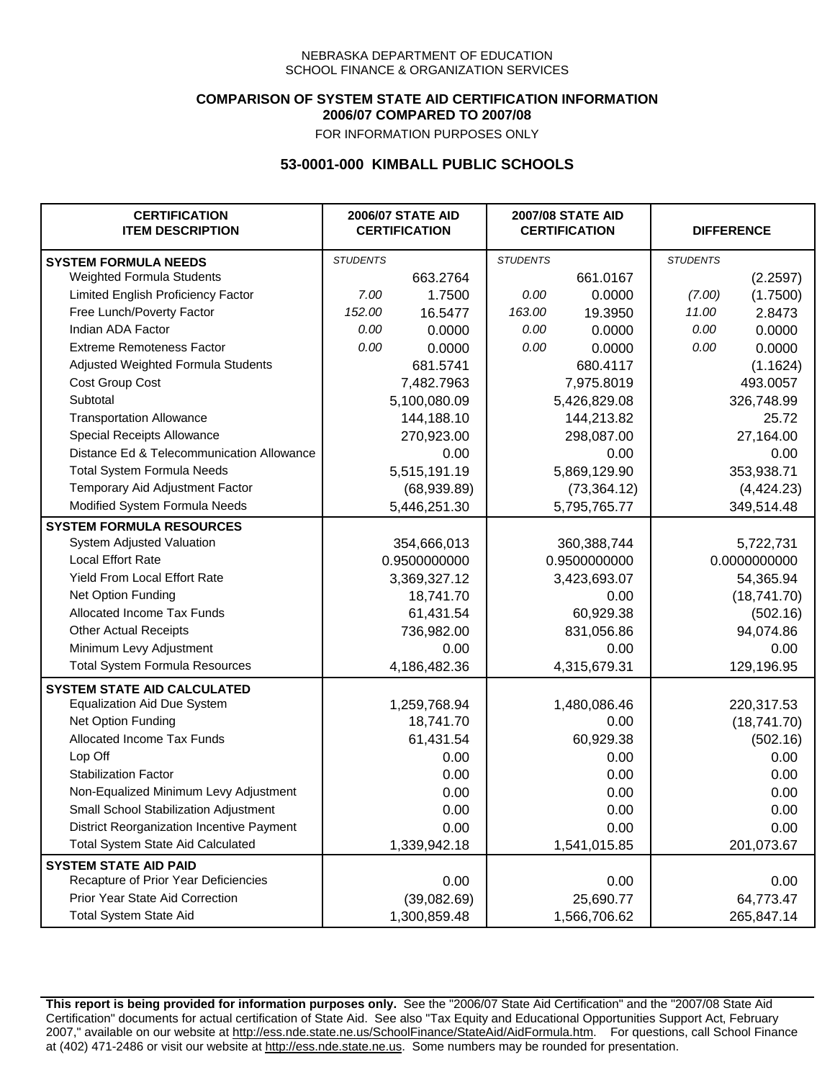### **COMPARISON OF SYSTEM STATE AID CERTIFICATION INFORMATION 2006/07 COMPARED TO 2007/08**

FOR INFORMATION PURPOSES ONLY

## **53-0001-000 KIMBALL PUBLIC SCHOOLS**

| <b>CERTIFICATION</b><br><b>ITEM DESCRIPTION</b> |                 | <b>2006/07 STATE AID</b><br><b>CERTIFICATION</b> |                 | <b>2007/08 STATE AID</b><br><b>CERTIFICATION</b> |                 | <b>DIFFERENCE</b> |  |
|-------------------------------------------------|-----------------|--------------------------------------------------|-----------------|--------------------------------------------------|-----------------|-------------------|--|
| <b>SYSTEM FORMULA NEEDS</b>                     | <b>STUDENTS</b> |                                                  | <b>STUDENTS</b> |                                                  | <b>STUDENTS</b> |                   |  |
| Weighted Formula Students                       |                 | 663.2764                                         |                 | 661.0167                                         |                 | (2.2597)          |  |
| Limited English Proficiency Factor              | 7.00            | 1.7500                                           | 0.00            | 0.0000                                           | (7.00)          | (1.7500)          |  |
| Free Lunch/Poverty Factor                       | 152.00          | 16.5477                                          | 163.00          | 19.3950                                          | 11.00           | 2.8473            |  |
| Indian ADA Factor                               | 0.00            | 0.0000                                           | 0.00            | 0.0000                                           | 0.00            | 0.0000            |  |
| <b>Extreme Remoteness Factor</b>                | 0.00            | 0.0000                                           | 0.00            | 0.0000                                           | 0.00            | 0.0000            |  |
| Adjusted Weighted Formula Students              |                 | 681.5741                                         |                 | 680.4117                                         |                 | (1.1624)          |  |
| Cost Group Cost                                 |                 | 7,482.7963                                       |                 | 7,975.8019                                       |                 | 493.0057          |  |
| Subtotal                                        |                 | 5,100,080.09                                     |                 | 5,426,829.08                                     |                 | 326,748.99        |  |
| <b>Transportation Allowance</b>                 |                 | 144,188.10                                       |                 | 144,213.82                                       |                 | 25.72             |  |
| Special Receipts Allowance                      |                 | 270,923.00                                       |                 | 298,087.00                                       |                 | 27,164.00         |  |
| Distance Ed & Telecommunication Allowance       |                 | 0.00                                             |                 | 0.00                                             |                 | 0.00              |  |
| <b>Total System Formula Needs</b>               |                 | 5,515,191.19                                     |                 | 5,869,129.90                                     | 353,938.71      |                   |  |
| Temporary Aid Adjustment Factor                 |                 | (68,939.89)                                      | (73, 364.12)    |                                                  | (4,424.23)      |                   |  |
| Modified System Formula Needs                   |                 | 5,446,251.30                                     |                 | 5,795,765.77                                     |                 | 349,514.48        |  |
| <b>SYSTEM FORMULA RESOURCES</b>                 |                 |                                                  |                 |                                                  |                 |                   |  |
| System Adjusted Valuation                       |                 | 354,666,013                                      |                 | 360,388,744                                      |                 | 5,722,731         |  |
| <b>Local Effort Rate</b>                        |                 | 0.9500000000                                     |                 | 0.9500000000                                     |                 | 0.0000000000      |  |
| Yield From Local Effort Rate                    |                 | 3,369,327.12                                     | 3,423,693.07    |                                                  | 54,365.94       |                   |  |
| Net Option Funding                              |                 | 18,741.70                                        | 0.00            |                                                  | (18,741.70)     |                   |  |
| Allocated Income Tax Funds                      |                 | 61,431.54                                        | 60,929.38       |                                                  | (502.16)        |                   |  |
| <b>Other Actual Receipts</b>                    |                 | 736,982.00                                       | 831,056.86      |                                                  | 94,074.86       |                   |  |
| Minimum Levy Adjustment                         |                 | 0.00                                             |                 | 0.00                                             |                 | 0.00              |  |
| <b>Total System Formula Resources</b>           |                 | 4,186,482.36                                     |                 | 4,315,679.31                                     |                 | 129,196.95        |  |
| <b>SYSTEM STATE AID CALCULATED</b>              |                 |                                                  |                 |                                                  |                 |                   |  |
| <b>Equalization Aid Due System</b>              |                 | 1,259,768.94                                     |                 | 1,480,086.46                                     |                 | 220,317.53        |  |
| Net Option Funding                              |                 | 18,741.70                                        |                 | 0.00                                             |                 | (18,741.70)       |  |
| Allocated Income Tax Funds                      |                 | 61,431.54                                        |                 | 60,929.38                                        |                 | (502.16)          |  |
| Lop Off                                         |                 | 0.00                                             |                 | 0.00                                             |                 | 0.00              |  |
| <b>Stabilization Factor</b>                     |                 | 0.00                                             |                 | 0.00                                             |                 | 0.00              |  |
| Non-Equalized Minimum Levy Adjustment           |                 | 0.00                                             |                 | 0.00                                             |                 | 0.00              |  |
| Small School Stabilization Adjustment           |                 | 0.00                                             |                 | 0.00                                             |                 | 0.00              |  |
| District Reorganization Incentive Payment       |                 | 0.00                                             |                 | 0.00                                             |                 | 0.00              |  |
| <b>Total System State Aid Calculated</b>        |                 | 1,339,942.18                                     |                 | 1,541,015.85                                     |                 | 201,073.67        |  |
| <b>SYSTEM STATE AID PAID</b>                    |                 |                                                  |                 |                                                  |                 |                   |  |
| Recapture of Prior Year Deficiencies            |                 | 0.00                                             |                 | 0.00                                             |                 | 0.00              |  |
| Prior Year State Aid Correction                 |                 | (39,082.69)                                      |                 | 25,690.77                                        |                 | 64,773.47         |  |
| Total System State Aid                          |                 | 1,300,859.48                                     |                 | 1,566,706.62                                     |                 | 265,847.14        |  |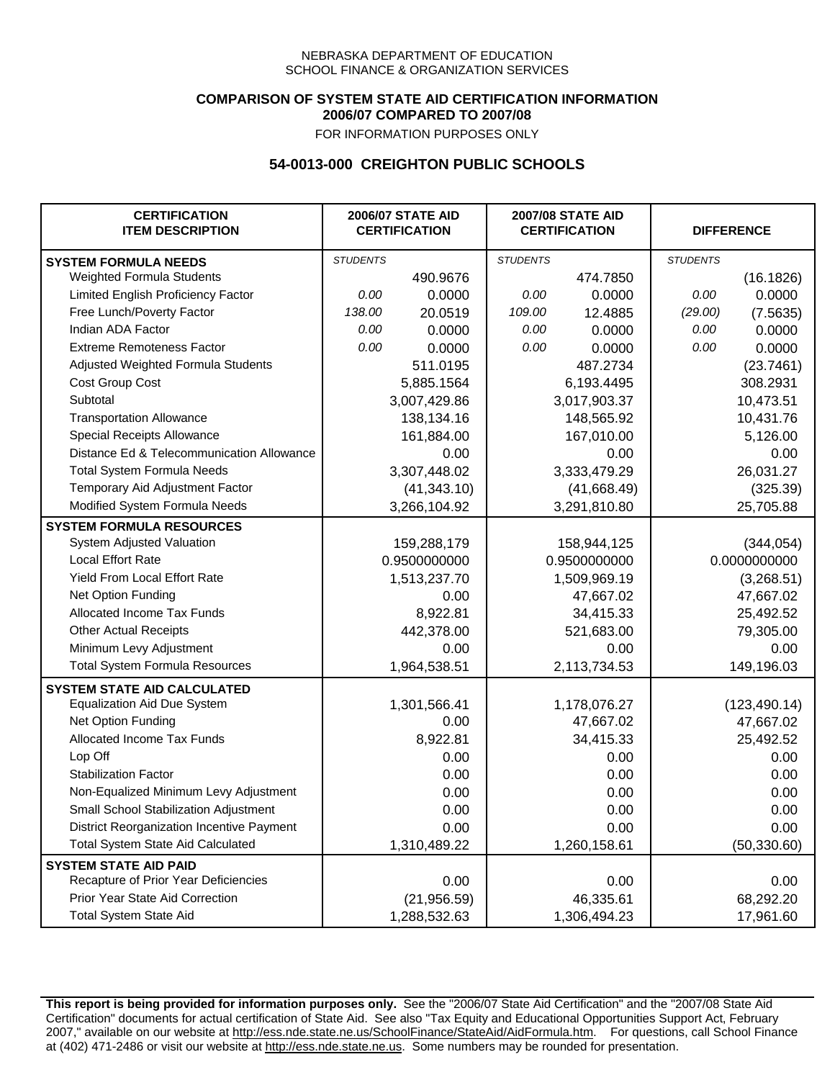### **COMPARISON OF SYSTEM STATE AID CERTIFICATION INFORMATION 2006/07 COMPARED TO 2007/08**

FOR INFORMATION PURPOSES ONLY

## **54-0013-000 CREIGHTON PUBLIC SCHOOLS**

| <b>CERTIFICATION</b><br><b>ITEM DESCRIPTION</b> |                 | <b>2006/07 STATE AID</b><br><b>CERTIFICATION</b> | <b>2007/08 STATE AID</b><br><b>CERTIFICATION</b> |              |                 | <b>DIFFERENCE</b> |
|-------------------------------------------------|-----------------|--------------------------------------------------|--------------------------------------------------|--------------|-----------------|-------------------|
| <b>SYSTEM FORMULA NEEDS</b>                     | <b>STUDENTS</b> |                                                  | <b>STUDENTS</b>                                  |              | <b>STUDENTS</b> |                   |
| Weighted Formula Students                       |                 | 490.9676                                         |                                                  | 474.7850     |                 | (16.1826)         |
| Limited English Proficiency Factor              | 0.00            | 0.0000                                           | 0.00                                             | 0.0000       | 0.00            | 0.0000            |
| Free Lunch/Poverty Factor                       | 138.00          | 20.0519                                          | 109.00                                           | 12.4885      | (29.00)         | (7.5635)          |
| Indian ADA Factor                               | 0.00            | 0.0000                                           | 0.00                                             | 0.0000       | 0.00            | 0.0000            |
| <b>Extreme Remoteness Factor</b>                | 0.00            | 0.0000                                           | 0.00                                             | 0.0000       | 0.00            | 0.0000            |
| Adjusted Weighted Formula Students              |                 | 511.0195                                         |                                                  | 487.2734     |                 | (23.7461)         |
| Cost Group Cost                                 |                 | 5,885.1564                                       |                                                  | 6,193.4495   |                 | 308.2931          |
| Subtotal                                        |                 | 3,007,429.86                                     |                                                  | 3,017,903.37 |                 | 10,473.51         |
| <b>Transportation Allowance</b>                 |                 | 138,134.16                                       |                                                  | 148,565.92   |                 | 10,431.76         |
| Special Receipts Allowance                      |                 | 161,884.00                                       |                                                  | 167,010.00   |                 | 5,126.00          |
| Distance Ed & Telecommunication Allowance       |                 | 0.00                                             |                                                  | 0.00         |                 | 0.00              |
| <b>Total System Formula Needs</b>               |                 | 3,307,448.02                                     |                                                  | 3,333,479.29 | 26,031.27       |                   |
| Temporary Aid Adjustment Factor                 |                 | (41, 343.10)                                     | (41,668.49)                                      |              | (325.39)        |                   |
| Modified System Formula Needs                   |                 | 3,266,104.92                                     |                                                  | 3,291,810.80 |                 | 25,705.88         |
| <b>SYSTEM FORMULA RESOURCES</b>                 |                 |                                                  |                                                  |              |                 |                   |
| System Adjusted Valuation                       |                 | 159,288,179                                      |                                                  | 158,944,125  |                 | (344, 054)        |
| <b>Local Effort Rate</b>                        |                 | 0.9500000000                                     |                                                  | 0.9500000000 |                 | 0.0000000000      |
| Yield From Local Effort Rate                    |                 | 1,513,237.70                                     |                                                  | 1,509,969.19 |                 | (3,268.51)        |
| Net Option Funding                              |                 | 0.00                                             | 47,667.02                                        |              | 47,667.02       |                   |
| Allocated Income Tax Funds                      |                 | 8,922.81                                         | 34,415.33                                        |              | 25,492.52       |                   |
| <b>Other Actual Receipts</b>                    |                 | 442,378.00                                       |                                                  | 521,683.00   | 79,305.00       |                   |
| Minimum Levy Adjustment                         |                 | 0.00                                             |                                                  | 0.00         |                 | 0.00              |
| <b>Total System Formula Resources</b>           |                 | 1,964,538.51                                     |                                                  | 2,113,734.53 |                 | 149,196.03        |
| <b>SYSTEM STATE AID CALCULATED</b>              |                 |                                                  |                                                  |              |                 |                   |
| <b>Equalization Aid Due System</b>              |                 | 1,301,566.41                                     |                                                  | 1,178,076.27 |                 | (123, 490.14)     |
| Net Option Funding                              |                 | 0.00                                             |                                                  | 47,667.02    |                 | 47,667.02         |
| <b>Allocated Income Tax Funds</b>               |                 | 8,922.81                                         |                                                  | 34,415.33    |                 | 25,492.52         |
| Lop Off                                         |                 | 0.00                                             |                                                  | 0.00         |                 | 0.00              |
| <b>Stabilization Factor</b>                     |                 | 0.00                                             |                                                  | 0.00         |                 | 0.00              |
| Non-Equalized Minimum Levy Adjustment           |                 | 0.00                                             |                                                  | 0.00         |                 | 0.00              |
| Small School Stabilization Adjustment           |                 | 0.00                                             |                                                  | 0.00         |                 | 0.00              |
| District Reorganization Incentive Payment       |                 | 0.00                                             |                                                  | 0.00         |                 | 0.00              |
| Total System State Aid Calculated               |                 | 1,310,489.22                                     |                                                  | 1,260,158.61 |                 | (50, 330.60)      |
| <b>SYSTEM STATE AID PAID</b>                    |                 |                                                  |                                                  |              |                 |                   |
| Recapture of Prior Year Deficiencies            |                 | 0.00                                             |                                                  | 0.00         |                 | 0.00              |
| Prior Year State Aid Correction                 |                 | (21, 956.59)                                     |                                                  | 46,335.61    |                 | 68,292.20         |
| <b>Total System State Aid</b>                   |                 | 1,288,532.63                                     |                                                  | 1,306,494.23 |                 | 17,961.60         |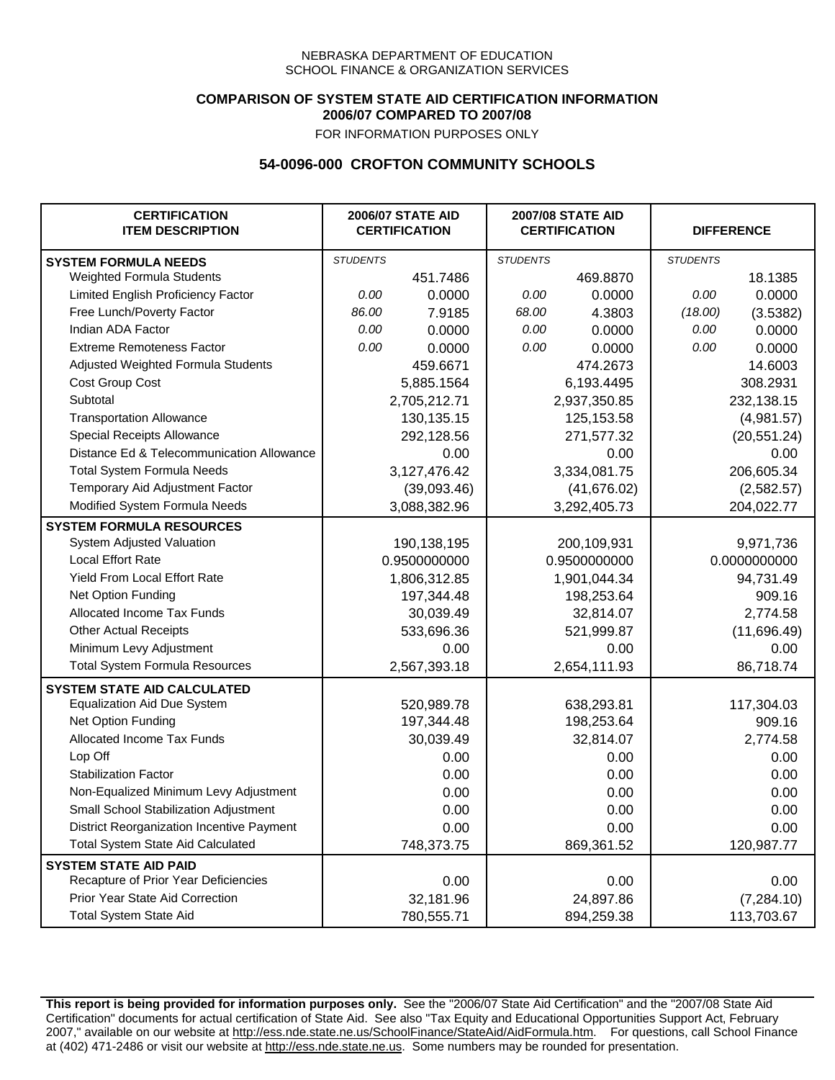### **COMPARISON OF SYSTEM STATE AID CERTIFICATION INFORMATION 2006/07 COMPARED TO 2007/08**

FOR INFORMATION PURPOSES ONLY

## **54-0096-000 CROFTON COMMUNITY SCHOOLS**

| <b>CERTIFICATION</b><br><b>ITEM DESCRIPTION</b> |                 | <b>2006/07 STATE AID</b><br><b>CERTIFICATION</b> | <b>2007/08 STATE AID</b><br><b>CERTIFICATION</b> |              | <b>DIFFERENCE</b> |              |  |
|-------------------------------------------------|-----------------|--------------------------------------------------|--------------------------------------------------|--------------|-------------------|--------------|--|
| <b>SYSTEM FORMULA NEEDS</b>                     | <b>STUDENTS</b> |                                                  | <b>STUDENTS</b>                                  |              | <b>STUDENTS</b>   |              |  |
| Weighted Formula Students                       |                 | 451.7486                                         |                                                  | 469.8870     |                   | 18.1385      |  |
| Limited English Proficiency Factor              | 0.00            | 0.0000                                           | 0.00                                             | 0.0000       | 0.00              | 0.0000       |  |
| Free Lunch/Poverty Factor                       | 86.00           | 7.9185                                           | 68.00                                            | 4.3803       | (18.00)           | (3.5382)     |  |
| Indian ADA Factor                               | 0.00            | 0.0000                                           | 0.00                                             | 0.0000       | 0.00              | 0.0000       |  |
| <b>Extreme Remoteness Factor</b>                | 0.00            | 0.0000                                           | 0.00                                             | 0.0000       | 0.00              | 0.0000       |  |
| Adjusted Weighted Formula Students              |                 | 459.6671                                         |                                                  | 474.2673     |                   | 14.6003      |  |
| Cost Group Cost                                 |                 | 5,885.1564                                       |                                                  | 6,193.4495   |                   | 308.2931     |  |
| Subtotal                                        |                 | 2,705,212.71                                     |                                                  | 2,937,350.85 |                   | 232,138.15   |  |
| <b>Transportation Allowance</b>                 |                 | 130,135.15                                       |                                                  | 125, 153.58  |                   | (4,981.57)   |  |
| Special Receipts Allowance                      |                 | 292,128.56                                       |                                                  | 271,577.32   |                   | (20, 551.24) |  |
| Distance Ed & Telecommunication Allowance       |                 | 0.00                                             |                                                  | 0.00         |                   | 0.00         |  |
| <b>Total System Formula Needs</b>               |                 | 3,127,476.42                                     |                                                  | 3,334,081.75 | 206,605.34        |              |  |
| Temporary Aid Adjustment Factor                 |                 | (39,093.46)                                      |                                                  | (41, 676.02) |                   | (2,582.57)   |  |
| Modified System Formula Needs                   |                 | 3,088,382.96                                     |                                                  | 3,292,405.73 |                   | 204,022.77   |  |
| <b>SYSTEM FORMULA RESOURCES</b>                 |                 |                                                  |                                                  |              |                   |              |  |
| System Adjusted Valuation                       |                 | 190,138,195                                      |                                                  | 200,109,931  |                   | 9,971,736    |  |
| <b>Local Effort Rate</b>                        |                 | 0.9500000000                                     |                                                  | 0.9500000000 |                   | 0.0000000000 |  |
| Yield From Local Effort Rate                    |                 | 1,806,312.85                                     | 1,901,044.34                                     |              | 94,731.49         |              |  |
| Net Option Funding                              |                 | 197,344.48                                       |                                                  | 198,253.64   |                   | 909.16       |  |
| Allocated Income Tax Funds                      |                 | 30,039.49                                        |                                                  | 32,814.07    |                   | 2,774.58     |  |
| <b>Other Actual Receipts</b>                    |                 | 533,696.36                                       | 521,999.87                                       |              | (11,696.49)       |              |  |
| Minimum Levy Adjustment                         |                 | 0.00                                             |                                                  | 0.00         |                   | 0.00         |  |
| <b>Total System Formula Resources</b>           |                 | 2,567,393.18                                     |                                                  | 2,654,111.93 |                   | 86,718.74    |  |
| <b>SYSTEM STATE AID CALCULATED</b>              |                 |                                                  |                                                  |              |                   |              |  |
| <b>Equalization Aid Due System</b>              |                 | 520,989.78                                       |                                                  | 638,293.81   |                   | 117,304.03   |  |
| Net Option Funding                              |                 | 197,344.48                                       |                                                  | 198,253.64   |                   | 909.16       |  |
| <b>Allocated Income Tax Funds</b>               |                 | 30,039.49                                        |                                                  | 32,814.07    |                   | 2,774.58     |  |
| Lop Off                                         |                 | 0.00                                             |                                                  | 0.00         |                   | 0.00         |  |
| <b>Stabilization Factor</b>                     |                 | 0.00                                             |                                                  | 0.00         |                   | 0.00         |  |
| Non-Equalized Minimum Levy Adjustment           |                 | 0.00                                             |                                                  | 0.00         |                   | 0.00         |  |
| Small School Stabilization Adjustment           |                 | 0.00                                             |                                                  | 0.00         |                   | 0.00         |  |
| District Reorganization Incentive Payment       |                 | 0.00                                             |                                                  | 0.00         |                   | 0.00         |  |
| Total System State Aid Calculated               |                 | 748,373.75                                       |                                                  | 869,361.52   |                   | 120,987.77   |  |
| <b>SYSTEM STATE AID PAID</b>                    |                 |                                                  |                                                  |              |                   |              |  |
| Recapture of Prior Year Deficiencies            |                 | 0.00                                             |                                                  | 0.00         |                   | 0.00         |  |
| Prior Year State Aid Correction                 |                 | 32,181.96                                        |                                                  | 24,897.86    |                   | (7, 284.10)  |  |
| <b>Total System State Aid</b>                   |                 | 780,555.71                                       |                                                  | 894,259.38   |                   | 113,703.67   |  |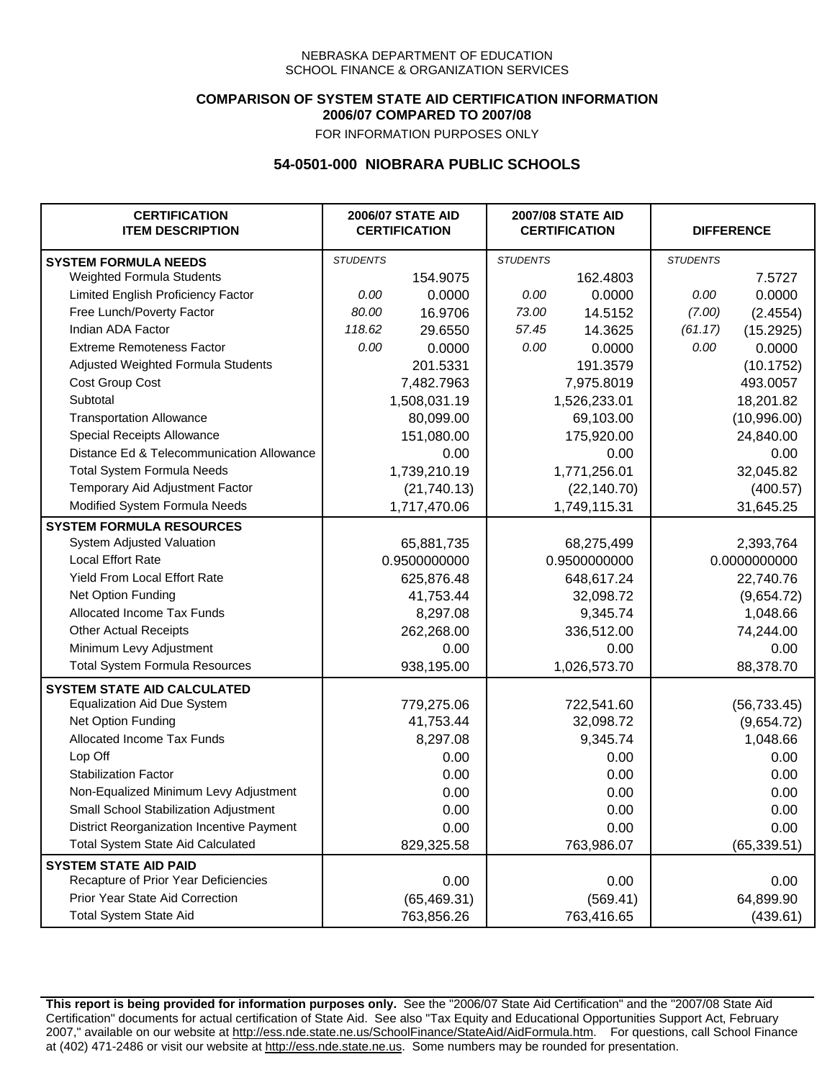### **COMPARISON OF SYSTEM STATE AID CERTIFICATION INFORMATION 2006/07 COMPARED TO 2007/08**

FOR INFORMATION PURPOSES ONLY

## **54-0501-000 NIOBRARA PUBLIC SCHOOLS**

| <b>CERTIFICATION</b><br><b>ITEM DESCRIPTION</b> |                 | <b>2006/07 STATE AID</b><br><b>CERTIFICATION</b> | <b>2007/08 STATE AID</b><br><b>CERTIFICATION</b> |              | <b>DIFFERENCE</b> |              |
|-------------------------------------------------|-----------------|--------------------------------------------------|--------------------------------------------------|--------------|-------------------|--------------|
| <b>SYSTEM FORMULA NEEDS</b>                     | <b>STUDENTS</b> |                                                  | <b>STUDENTS</b>                                  |              | <b>STUDENTS</b>   |              |
| Weighted Formula Students                       |                 | 154.9075                                         |                                                  | 162.4803     |                   | 7.5727       |
| Limited English Proficiency Factor              | 0.00            | 0.0000                                           | 0.00                                             | 0.0000       | 0.00              | 0.0000       |
| Free Lunch/Poverty Factor                       | 80.00           | 16.9706                                          | 73.00                                            | 14.5152      | (7.00)            | (2.4554)     |
| Indian ADA Factor                               | 118.62          | 29.6550                                          | 57.45                                            | 14.3625      | (61.17)           | (15.2925)    |
| <b>Extreme Remoteness Factor</b>                | 0.00            | 0.0000                                           | 0.00                                             | 0.0000       | 0.00              | 0.0000       |
| Adjusted Weighted Formula Students              |                 | 201.5331                                         |                                                  | 191.3579     |                   | (10.1752)    |
| Cost Group Cost                                 |                 | 7,482.7963                                       |                                                  | 7,975.8019   |                   | 493.0057     |
| Subtotal                                        |                 | 1,508,031.19                                     |                                                  | 1,526,233.01 |                   | 18,201.82    |
| <b>Transportation Allowance</b>                 |                 | 80,099.00                                        |                                                  | 69,103.00    |                   | (10,996.00)  |
| Special Receipts Allowance                      |                 | 151,080.00                                       |                                                  | 175,920.00   |                   | 24,840.00    |
| Distance Ed & Telecommunication Allowance       |                 | 0.00                                             |                                                  | 0.00         |                   | 0.00         |
| <b>Total System Formula Needs</b>               |                 | 1,739,210.19                                     |                                                  | 1,771,256.01 |                   | 32,045.82    |
| Temporary Aid Adjustment Factor                 |                 | (21,740.13)                                      |                                                  | (22, 140.70) | (400.57)          |              |
| Modified System Formula Needs                   |                 | 1,717,470.06                                     |                                                  | 1,749,115.31 |                   | 31,645.25    |
| <b>SYSTEM FORMULA RESOURCES</b>                 |                 |                                                  |                                                  |              |                   |              |
| System Adjusted Valuation                       |                 | 65,881,735                                       |                                                  | 68,275,499   |                   | 2,393,764    |
| <b>Local Effort Rate</b>                        |                 | 0.9500000000                                     |                                                  | 0.9500000000 | 0.0000000000      |              |
| Yield From Local Effort Rate                    |                 | 625,876.48                                       | 648,617.24                                       |              | 22,740.76         |              |
| Net Option Funding                              |                 | 41,753.44                                        | 32,098.72                                        |              | (9,654.72)        |              |
| Allocated Income Tax Funds                      |                 | 8,297.08                                         | 9,345.74                                         |              | 1,048.66          |              |
| <b>Other Actual Receipts</b>                    |                 | 262,268.00                                       | 336,512.00                                       |              | 74,244.00         |              |
| Minimum Levy Adjustment                         |                 | 0.00                                             | 0.00                                             |              |                   | 0.00         |
| <b>Total System Formula Resources</b>           |                 | 938,195.00                                       |                                                  | 1,026,573.70 |                   | 88,378.70    |
| <b>SYSTEM STATE AID CALCULATED</b>              |                 |                                                  |                                                  |              |                   |              |
| <b>Equalization Aid Due System</b>              |                 | 779,275.06                                       |                                                  | 722,541.60   |                   | (56, 733.45) |
| Net Option Funding                              |                 | 41,753.44                                        |                                                  | 32,098.72    |                   | (9,654.72)   |
| Allocated Income Tax Funds                      |                 | 8,297.08                                         |                                                  | 9,345.74     |                   | 1,048.66     |
| Lop Off                                         |                 | 0.00                                             |                                                  | 0.00         |                   | 0.00         |
| <b>Stabilization Factor</b>                     |                 | 0.00                                             |                                                  | 0.00         |                   | 0.00         |
| Non-Equalized Minimum Levy Adjustment           |                 | 0.00                                             |                                                  | 0.00         |                   | 0.00         |
| Small School Stabilization Adjustment           |                 | 0.00                                             |                                                  | 0.00         |                   | 0.00         |
| District Reorganization Incentive Payment       |                 | 0.00                                             |                                                  | 0.00         |                   | 0.00         |
| <b>Total System State Aid Calculated</b>        |                 | 829,325.58                                       |                                                  | 763,986.07   |                   | (65, 339.51) |
| <b>SYSTEM STATE AID PAID</b>                    |                 |                                                  |                                                  |              |                   |              |
| Recapture of Prior Year Deficiencies            |                 | 0.00                                             |                                                  | 0.00         |                   | 0.00         |
| Prior Year State Aid Correction                 |                 | (65, 469.31)                                     |                                                  | (569.41)     |                   | 64,899.90    |
| <b>Total System State Aid</b>                   |                 | 763,856.26                                       |                                                  | 763,416.65   |                   | (439.61)     |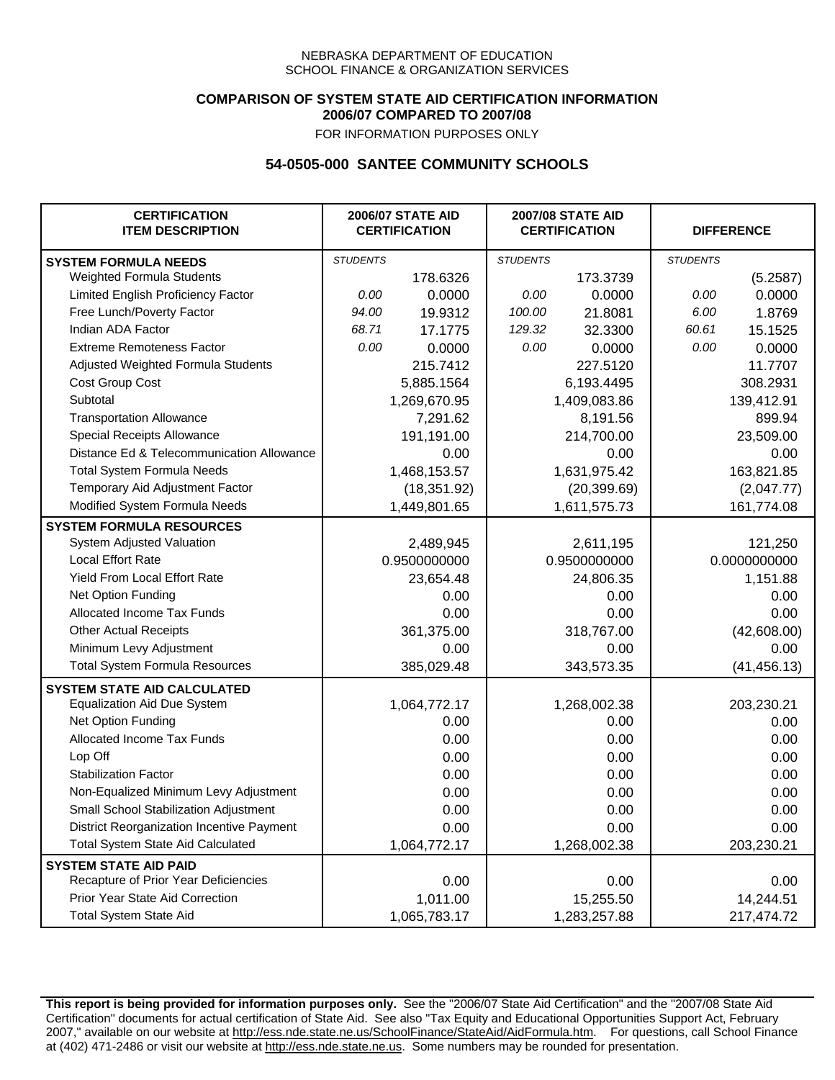### **COMPARISON OF SYSTEM STATE AID CERTIFICATION INFORMATION 2006/07 COMPARED TO 2007/08**

FOR INFORMATION PURPOSES ONLY

## **54-0505-000 SANTEE COMMUNITY SCHOOLS**

| <b>CERTIFICATION</b><br><b>ITEM DESCRIPTION</b> | <b>2006/07 STATE AID</b><br><b>CERTIFICATION</b> |              | <b>2007/08 STATE AID</b><br><b>CERTIFICATION</b> |              | <b>DIFFERENCE</b> |              |  |
|-------------------------------------------------|--------------------------------------------------|--------------|--------------------------------------------------|--------------|-------------------|--------------|--|
| <b>SYSTEM FORMULA NEEDS</b>                     | <b>STUDENTS</b>                                  |              | <b>STUDENTS</b>                                  |              | <b>STUDENTS</b>   |              |  |
| Weighted Formula Students                       |                                                  | 178.6326     |                                                  | 173.3739     |                   | (5.2587)     |  |
| Limited English Proficiency Factor              | 0.00                                             | 0.0000       | 0.00                                             | 0.0000       | 0.00              | 0.0000       |  |
| Free Lunch/Poverty Factor                       | 94.00                                            | 19.9312      | 100.00                                           | 21.8081      | 6.00              | 1.8769       |  |
| Indian ADA Factor                               | 68.71                                            | 17.1775      | 129.32                                           | 32.3300      | 60.61             | 15.1525      |  |
| <b>Extreme Remoteness Factor</b>                | 0.00                                             | 0.0000       | 0.00                                             | 0.0000       | 0.00              | 0.0000       |  |
| Adjusted Weighted Formula Students              |                                                  | 215.7412     |                                                  | 227.5120     |                   | 11.7707      |  |
| Cost Group Cost                                 |                                                  | 5,885.1564   |                                                  | 6,193.4495   |                   | 308.2931     |  |
| Subtotal                                        |                                                  | 1,269,670.95 |                                                  | 1,409,083.86 |                   | 139,412.91   |  |
| <b>Transportation Allowance</b>                 |                                                  | 7,291.62     |                                                  | 8,191.56     |                   | 899.94       |  |
| Special Receipts Allowance                      |                                                  | 191,191.00   |                                                  | 214,700.00   |                   | 23,509.00    |  |
| Distance Ed & Telecommunication Allowance       |                                                  | 0.00         |                                                  | 0.00         |                   | 0.00         |  |
| <b>Total System Formula Needs</b>               |                                                  | 1,468,153.57 | 1,631,975.42                                     |              | 163,821.85        |              |  |
| Temporary Aid Adjustment Factor                 |                                                  | (18, 351.92) |                                                  | (20, 399.69) |                   | (2,047.77)   |  |
| Modified System Formula Needs                   |                                                  | 1,449,801.65 |                                                  | 1,611,575.73 |                   | 161,774.08   |  |
| <b>SYSTEM FORMULA RESOURCES</b>                 |                                                  |              |                                                  |              |                   |              |  |
| System Adjusted Valuation                       |                                                  | 2,489,945    |                                                  | 2,611,195    |                   | 121,250      |  |
| <b>Local Effort Rate</b>                        |                                                  | 0.9500000000 |                                                  | 0.9500000000 |                   | 0.0000000000 |  |
| Yield From Local Effort Rate                    |                                                  | 23,654.48    | 24,806.35                                        |              | 1,151.88          |              |  |
| Net Option Funding                              |                                                  | 0.00         | 0.00                                             |              | 0.00              |              |  |
| Allocated Income Tax Funds                      |                                                  | 0.00         | 0.00                                             |              | 0.00              |              |  |
| <b>Other Actual Receipts</b>                    |                                                  | 361,375.00   | 318,767.00                                       |              | (42,608.00)       |              |  |
| Minimum Levy Adjustment                         |                                                  | 0.00         |                                                  | 0.00         |                   | 0.00         |  |
| <b>Total System Formula Resources</b>           |                                                  | 385,029.48   |                                                  | 343,573.35   |                   | (41, 456.13) |  |
| <b>SYSTEM STATE AID CALCULATED</b>              |                                                  |              |                                                  |              |                   |              |  |
| <b>Equalization Aid Due System</b>              |                                                  | 1,064,772.17 |                                                  | 1,268,002.38 |                   | 203,230.21   |  |
| Net Option Funding                              |                                                  | 0.00         |                                                  | 0.00         |                   | 0.00         |  |
| Allocated Income Tax Funds                      |                                                  | 0.00         |                                                  | 0.00         |                   | 0.00         |  |
| Lop Off                                         |                                                  | 0.00         |                                                  | 0.00         |                   | 0.00         |  |
| <b>Stabilization Factor</b>                     |                                                  | 0.00         |                                                  | 0.00         |                   | 0.00         |  |
| Non-Equalized Minimum Levy Adjustment           |                                                  | 0.00         |                                                  | 0.00         |                   | 0.00         |  |
| Small School Stabilization Adjustment           |                                                  | 0.00         |                                                  | 0.00         |                   | 0.00         |  |
| District Reorganization Incentive Payment       |                                                  | 0.00         |                                                  | 0.00         |                   | 0.00         |  |
| Total System State Aid Calculated               |                                                  | 1,064,772.17 |                                                  | 1,268,002.38 |                   | 203,230.21   |  |
| <b>SYSTEM STATE AID PAID</b>                    |                                                  |              |                                                  |              |                   |              |  |
| Recapture of Prior Year Deficiencies            |                                                  | 0.00         |                                                  | 0.00         |                   | 0.00         |  |
| Prior Year State Aid Correction                 |                                                  | 1,011.00     |                                                  | 15,255.50    |                   | 14,244.51    |  |
| <b>Total System State Aid</b>                   |                                                  | 1,065,783.17 |                                                  | 1,283,257.88 |                   | 217,474.72   |  |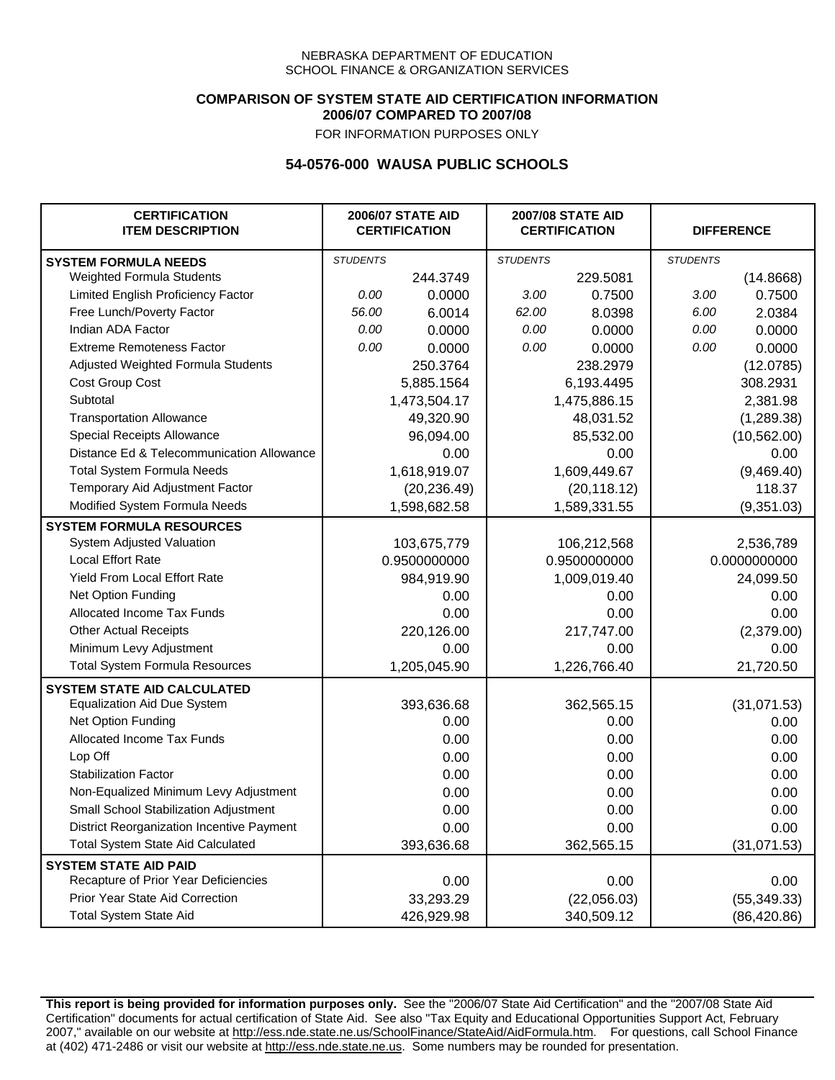### **COMPARISON OF SYSTEM STATE AID CERTIFICATION INFORMATION 2006/07 COMPARED TO 2007/08**

FOR INFORMATION PURPOSES ONLY

## **54-0576-000 WAUSA PUBLIC SCHOOLS**

| <b>CERTIFICATION</b><br><b>ITEM DESCRIPTION</b> |                 | <b>2006/07 STATE AID</b><br><b>CERTIFICATION</b> |                 | <b>2007/08 STATE AID</b><br><b>CERTIFICATION</b> |                 | <b>DIFFERENCE</b> |
|-------------------------------------------------|-----------------|--------------------------------------------------|-----------------|--------------------------------------------------|-----------------|-------------------|
| <b>SYSTEM FORMULA NEEDS</b>                     | <b>STUDENTS</b> |                                                  | <b>STUDENTS</b> |                                                  | <b>STUDENTS</b> |                   |
| Weighted Formula Students                       |                 | 244.3749                                         |                 | 229.5081                                         |                 | (14.8668)         |
| Limited English Proficiency Factor              | 0.00            | 0.0000                                           | 3.00            | 0.7500                                           | 3.00            | 0.7500            |
| Free Lunch/Poverty Factor                       | 56.00           | 6.0014                                           | 62.00           | 8.0398                                           | 6.00            | 2.0384            |
| Indian ADA Factor                               | 0.00            | 0.0000                                           | 0.00            | 0.0000                                           | 0.00            | 0.0000            |
| <b>Extreme Remoteness Factor</b>                | 0.00            | 0.0000                                           | 0.00            | 0.0000                                           | 0.00            | 0.0000            |
| Adjusted Weighted Formula Students              |                 | 250.3764                                         |                 | 238.2979                                         |                 | (12.0785)         |
| Cost Group Cost                                 |                 | 5,885.1564                                       |                 | 6,193.4495                                       |                 | 308.2931          |
| Subtotal                                        |                 | 1,473,504.17                                     |                 | 1,475,886.15                                     |                 | 2,381.98          |
| <b>Transportation Allowance</b>                 |                 | 49,320.90                                        |                 | 48,031.52                                        |                 | (1,289.38)        |
| Special Receipts Allowance                      |                 | 96,094.00                                        |                 | 85,532.00                                        |                 | (10, 562.00)      |
| Distance Ed & Telecommunication Allowance       |                 | 0.00                                             |                 | 0.00                                             |                 | 0.00              |
| <b>Total System Formula Needs</b>               |                 | 1,618,919.07                                     |                 | 1,609,449.67                                     |                 | (9,469.40)        |
| Temporary Aid Adjustment Factor                 |                 | (20, 236.49)                                     | (20, 118.12)    |                                                  | 118.37          |                   |
| Modified System Formula Needs                   |                 | 1,598,682.58                                     |                 | 1,589,331.55                                     |                 | (9,351.03)        |
| <b>SYSTEM FORMULA RESOURCES</b>                 |                 |                                                  |                 |                                                  |                 |                   |
| System Adjusted Valuation                       |                 | 103,675,779                                      |                 | 106,212,568                                      |                 | 2,536,789         |
| <b>Local Effort Rate</b>                        |                 | 0.9500000000                                     |                 | 0.9500000000                                     |                 | 0.0000000000      |
| Yield From Local Effort Rate                    |                 | 984,919.90                                       | 1,009,019.40    |                                                  | 24,099.50       |                   |
| Net Option Funding                              |                 | 0.00                                             | 0.00            |                                                  | 0.00            |                   |
| Allocated Income Tax Funds                      |                 | 0.00                                             | 0.00            |                                                  | 0.00            |                   |
| <b>Other Actual Receipts</b>                    |                 | 220,126.00                                       | 217,747.00      |                                                  | (2,379.00)      |                   |
| Minimum Levy Adjustment                         |                 | 0.00                                             |                 | 0.00                                             |                 | 0.00              |
| <b>Total System Formula Resources</b>           |                 | 1,205,045.90                                     |                 | 1,226,766.40                                     |                 | 21,720.50         |
| <b>SYSTEM STATE AID CALCULATED</b>              |                 |                                                  |                 |                                                  |                 |                   |
| <b>Equalization Aid Due System</b>              |                 | 393,636.68                                       |                 | 362,565.15                                       |                 | (31,071.53)       |
| Net Option Funding                              |                 | 0.00                                             |                 | 0.00                                             |                 | 0.00              |
| Allocated Income Tax Funds                      |                 | 0.00                                             |                 | 0.00                                             |                 | 0.00              |
| Lop Off                                         |                 | 0.00                                             |                 | 0.00                                             |                 | 0.00              |
| <b>Stabilization Factor</b>                     |                 | 0.00                                             |                 | 0.00                                             |                 | 0.00              |
| Non-Equalized Minimum Levy Adjustment           |                 | 0.00                                             |                 | 0.00                                             |                 | 0.00              |
| Small School Stabilization Adjustment           |                 | 0.00                                             |                 | 0.00                                             |                 | 0.00              |
| District Reorganization Incentive Payment       |                 | 0.00                                             |                 | 0.00                                             |                 | 0.00              |
| Total System State Aid Calculated               |                 | 393,636.68                                       |                 | 362,565.15                                       |                 | (31,071.53)       |
| <b>SYSTEM STATE AID PAID</b>                    |                 |                                                  |                 |                                                  |                 |                   |
| Recapture of Prior Year Deficiencies            |                 | 0.00                                             |                 | 0.00                                             |                 | 0.00              |
| Prior Year State Aid Correction                 |                 | 33,293.29                                        |                 | (22,056.03)                                      |                 | (55, 349.33)      |
| <b>Total System State Aid</b>                   |                 | 426,929.98                                       |                 | 340,509.12                                       |                 | (86, 420.86)      |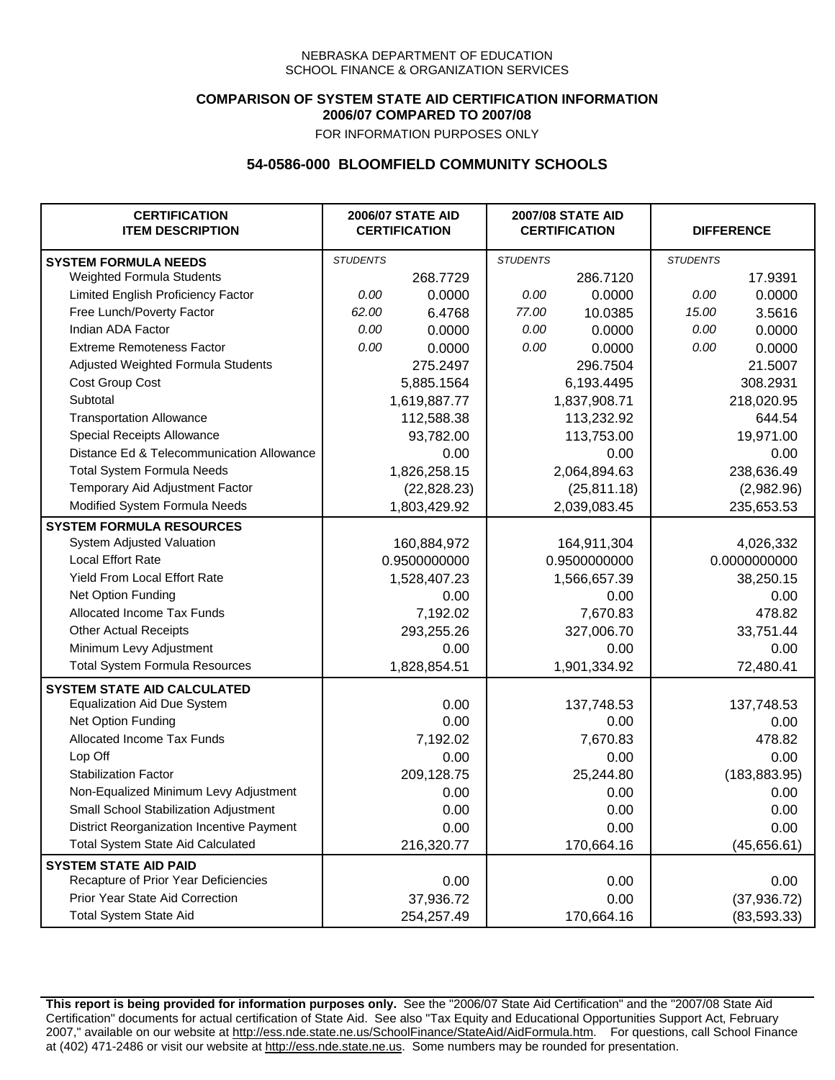### **COMPARISON OF SYSTEM STATE AID CERTIFICATION INFORMATION 2006/07 COMPARED TO 2007/08**

FOR INFORMATION PURPOSES ONLY

## **54-0586-000 BLOOMFIELD COMMUNITY SCHOOLS**

| <b>CERTIFICATION</b><br><b>ITEM DESCRIPTION</b> |                 | <b>2006/07 STATE AID</b><br><b>CERTIFICATION</b> | <b>2007/08 STATE AID</b><br><b>CERTIFICATION</b> |              | <b>DIFFERENCE</b> |               |
|-------------------------------------------------|-----------------|--------------------------------------------------|--------------------------------------------------|--------------|-------------------|---------------|
| <b>SYSTEM FORMULA NEEDS</b>                     | <b>STUDENTS</b> |                                                  | <b>STUDENTS</b>                                  |              | <b>STUDENTS</b>   |               |
| Weighted Formula Students                       |                 | 268.7729                                         |                                                  | 286.7120     |                   | 17.9391       |
| Limited English Proficiency Factor              | 0.00            | 0.0000                                           | 0.00                                             | 0.0000       | 0.00              | 0.0000        |
| Free Lunch/Poverty Factor                       | 62.00           | 6.4768                                           | 77.00                                            | 10.0385      | 15.00             | 3.5616        |
| Indian ADA Factor                               | 0.00            | 0.0000                                           | 0.00                                             | 0.0000       | 0.00              | 0.0000        |
| <b>Extreme Remoteness Factor</b>                | 0.00            | 0.0000                                           | 0.00                                             | 0.0000       | 0.00              | 0.0000        |
| Adjusted Weighted Formula Students              |                 | 275.2497                                         |                                                  | 296.7504     |                   | 21.5007       |
| Cost Group Cost                                 |                 | 5,885.1564                                       |                                                  | 6,193.4495   |                   | 308.2931      |
| Subtotal                                        |                 | 1,619,887.77                                     |                                                  | 1,837,908.71 |                   | 218,020.95    |
| <b>Transportation Allowance</b>                 |                 | 112,588.38                                       |                                                  | 113,232.92   |                   | 644.54        |
| Special Receipts Allowance                      |                 | 93,782.00                                        |                                                  | 113,753.00   |                   | 19,971.00     |
| Distance Ed & Telecommunication Allowance       |                 | 0.00                                             |                                                  | 0.00         |                   | 0.00          |
| <b>Total System Formula Needs</b>               |                 | 1,826,258.15                                     | 2,064,894.63                                     |              | 238,636.49        |               |
| Temporary Aid Adjustment Factor                 |                 | (22, 828.23)                                     | (25, 811.18)                                     |              | (2,982.96)        |               |
| Modified System Formula Needs                   |                 | 1,803,429.92                                     |                                                  | 2,039,083.45 |                   | 235,653.53    |
| <b>SYSTEM FORMULA RESOURCES</b>                 |                 |                                                  |                                                  |              |                   |               |
| System Adjusted Valuation                       |                 | 160,884,972                                      |                                                  | 164,911,304  |                   | 4,026,332     |
| <b>Local Effort Rate</b>                        |                 | 0.9500000000                                     |                                                  | 0.9500000000 |                   | 0.0000000000  |
| Yield From Local Effort Rate                    |                 | 1,528,407.23                                     | 1,566,657.39                                     |              | 38,250.15         |               |
| Net Option Funding                              |                 | 0.00                                             | 0.00                                             |              | 0.00              |               |
| Allocated Income Tax Funds                      |                 | 7,192.02                                         | 7,670.83                                         |              | 478.82            |               |
| <b>Other Actual Receipts</b>                    |                 | 293,255.26                                       |                                                  | 327,006.70   | 33,751.44         |               |
| Minimum Levy Adjustment                         |                 | 0.00                                             |                                                  | 0.00         |                   | 0.00          |
| <b>Total System Formula Resources</b>           |                 | 1,828,854.51                                     |                                                  | 1,901,334.92 |                   | 72,480.41     |
| <b>SYSTEM STATE AID CALCULATED</b>              |                 |                                                  |                                                  |              |                   |               |
| <b>Equalization Aid Due System</b>              |                 | 0.00                                             |                                                  | 137,748.53   |                   | 137,748.53    |
| Net Option Funding                              |                 | 0.00                                             |                                                  | 0.00         |                   | 0.00          |
| Allocated Income Tax Funds                      |                 | 7,192.02                                         |                                                  | 7,670.83     |                   | 478.82        |
| Lop Off                                         |                 | 0.00                                             |                                                  | 0.00         |                   | 0.00          |
| <b>Stabilization Factor</b>                     |                 | 209,128.75                                       |                                                  | 25,244.80    |                   | (183, 883.95) |
| Non-Equalized Minimum Levy Adjustment           |                 | 0.00                                             |                                                  | 0.00         |                   | 0.00          |
| Small School Stabilization Adjustment           |                 | 0.00                                             |                                                  | 0.00         |                   | 0.00          |
| District Reorganization Incentive Payment       |                 | 0.00                                             |                                                  | 0.00         |                   | 0.00          |
| <b>Total System State Aid Calculated</b>        |                 | 216,320.77                                       |                                                  | 170,664.16   |                   | (45,656.61)   |
| <b>SYSTEM STATE AID PAID</b>                    |                 |                                                  |                                                  |              |                   |               |
| Recapture of Prior Year Deficiencies            |                 | 0.00                                             |                                                  | 0.00         |                   | 0.00          |
| Prior Year State Aid Correction                 |                 | 37,936.72                                        |                                                  | 0.00         |                   | (37, 936.72)  |
| <b>Total System State Aid</b>                   |                 | 254,257.49                                       |                                                  | 170,664.16   |                   | (83, 593.33)  |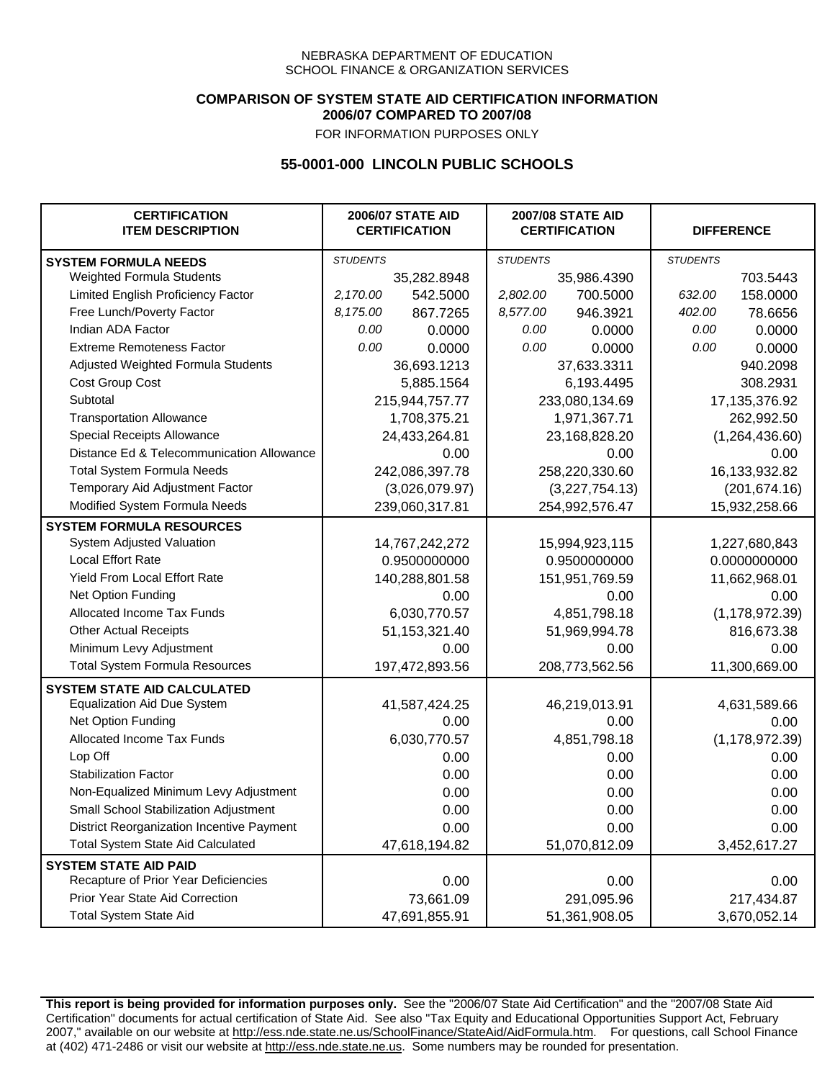### **COMPARISON OF SYSTEM STATE AID CERTIFICATION INFORMATION 2006/07 COMPARED TO 2007/08**

FOR INFORMATION PURPOSES ONLY

## **55-0001-000 LINCOLN PUBLIC SCHOOLS**

| <b>CERTIFICATION</b><br><b>ITEM DESCRIPTION</b> |                 | <b>2006/07 STATE AID</b><br><b>CERTIFICATION</b> |                 | <b>2007/08 STATE AID</b><br><b>CERTIFICATION</b> |                  | <b>DIFFERENCE</b> |  |
|-------------------------------------------------|-----------------|--------------------------------------------------|-----------------|--------------------------------------------------|------------------|-------------------|--|
| <b>SYSTEM FORMULA NEEDS</b>                     | <b>STUDENTS</b> |                                                  | <b>STUDENTS</b> |                                                  | <b>STUDENTS</b>  |                   |  |
| Weighted Formula Students                       |                 | 35,282.8948                                      |                 | 35,986.4390                                      |                  | 703.5443          |  |
| Limited English Proficiency Factor              | 2,170.00        | 542.5000                                         | 2,802.00        | 700.5000                                         | 632.00           | 158.0000          |  |
| Free Lunch/Poverty Factor                       | 8,175.00        | 867.7265                                         | 8,577.00        | 946.3921                                         | 402.00           | 78.6656           |  |
| Indian ADA Factor                               | 0.00            | 0.0000                                           | 0.00            | 0.0000                                           | 0.00             | 0.0000            |  |
| <b>Extreme Remoteness Factor</b>                | 0.00            | 0.0000                                           | 0.00            | 0.0000                                           | 0.00             | 0.0000            |  |
| Adjusted Weighted Formula Students              |                 | 36,693.1213                                      |                 | 37,633.3311                                      |                  | 940.2098          |  |
| <b>Cost Group Cost</b>                          |                 | 5,885.1564                                       |                 | 6,193.4495                                       |                  | 308.2931          |  |
| Subtotal                                        |                 | 215,944,757.77                                   |                 | 233,080,134.69                                   |                  | 17, 135, 376. 92  |  |
| <b>Transportation Allowance</b>                 |                 | 1,708,375.21                                     |                 | 1,971,367.71                                     |                  | 262,992.50        |  |
| Special Receipts Allowance                      |                 | 24,433,264.81                                    |                 | 23,168,828.20                                    |                  | (1,264,436.60)    |  |
| Distance Ed & Telecommunication Allowance       |                 | 0.00                                             |                 | 0.00                                             |                  | 0.00              |  |
| <b>Total System Formula Needs</b>               |                 | 242,086,397.78                                   |                 | 258,220,330.60                                   |                  | 16,133,932.82     |  |
| Temporary Aid Adjustment Factor                 |                 | (3,026,079.97)                                   | (3,227,754.13)  |                                                  | (201, 674.16)    |                   |  |
| Modified System Formula Needs                   | 239,060,317.81  |                                                  | 254,992,576.47  |                                                  | 15,932,258.66    |                   |  |
| <b>SYSTEM FORMULA RESOURCES</b>                 |                 |                                                  |                 |                                                  |                  |                   |  |
| System Adjusted Valuation                       | 14,767,242,272  |                                                  |                 | 15,994,923,115                                   |                  | 1,227,680,843     |  |
| Local Effort Rate                               |                 | 0.9500000000                                     |                 | 0.9500000000                                     | 0.0000000000     |                   |  |
| Yield From Local Effort Rate                    |                 | 140,288,801.58                                   |                 | 151,951,769.59                                   |                  | 11,662,968.01     |  |
| Net Option Funding                              |                 | 0.00                                             | 0.00            |                                                  | 0.00             |                   |  |
| Allocated Income Tax Funds                      |                 | 6,030,770.57                                     | 4,851,798.18    |                                                  | (1, 178, 972.39) |                   |  |
| <b>Other Actual Receipts</b>                    |                 | 51, 153, 321. 40                                 | 51,969,994.78   |                                                  | 816,673.38       |                   |  |
| Minimum Levy Adjustment                         |                 | 0.00                                             |                 | 0.00                                             |                  | 0.00              |  |
| <b>Total System Formula Resources</b>           |                 | 197,472,893.56                                   |                 | 208,773,562.56                                   |                  | 11,300,669.00     |  |
| <b>SYSTEM STATE AID CALCULATED</b>              |                 |                                                  |                 |                                                  |                  |                   |  |
| <b>Equalization Aid Due System</b>              |                 | 41,587,424.25                                    |                 | 46,219,013.91                                    |                  | 4,631,589.66      |  |
| Net Option Funding                              |                 | 0.00                                             |                 | 0.00                                             |                  | 0.00              |  |
| <b>Allocated Income Tax Funds</b>               |                 | 6,030,770.57                                     |                 | 4,851,798.18                                     |                  | (1, 178, 972.39)  |  |
| Lop Off                                         |                 | 0.00                                             |                 | 0.00                                             |                  | 0.00              |  |
| <b>Stabilization Factor</b>                     |                 | 0.00                                             |                 | 0.00                                             |                  | 0.00              |  |
| Non-Equalized Minimum Levy Adjustment           |                 | 0.00                                             |                 | 0.00                                             |                  | 0.00              |  |
| Small School Stabilization Adjustment           |                 | 0.00                                             |                 | 0.00                                             |                  | 0.00              |  |
| District Reorganization Incentive Payment       |                 | 0.00                                             |                 | 0.00                                             |                  | 0.00              |  |
| <b>Total System State Aid Calculated</b>        |                 | 47,618,194.82                                    |                 | 51,070,812.09                                    |                  | 3,452,617.27      |  |
| <b>SYSTEM STATE AID PAID</b>                    |                 |                                                  |                 |                                                  |                  |                   |  |
| Recapture of Prior Year Deficiencies            |                 | 0.00                                             |                 | 0.00                                             |                  | 0.00              |  |
| Prior Year State Aid Correction                 |                 | 73,661.09                                        |                 | 291,095.96                                       |                  | 217,434.87        |  |
| <b>Total System State Aid</b>                   |                 | 47,691,855.91                                    |                 | 51,361,908.05                                    | 3,670,052.14     |                   |  |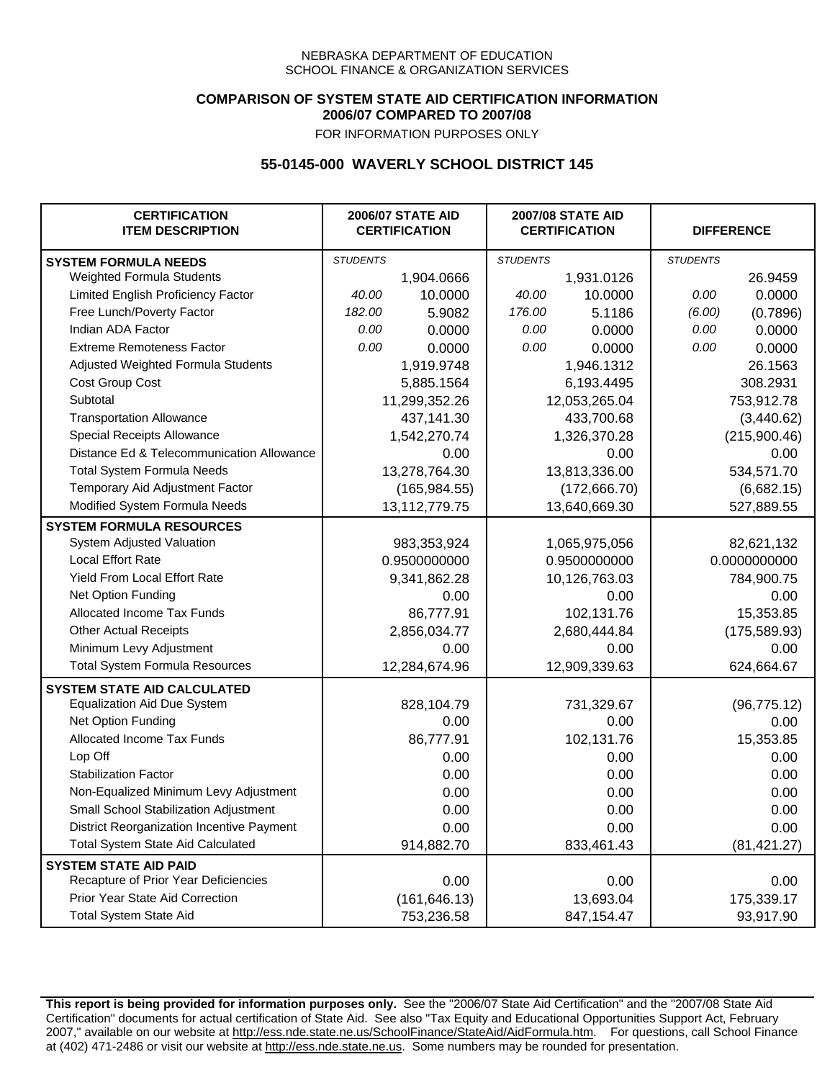### **COMPARISON OF SYSTEM STATE AID CERTIFICATION INFORMATION 2006/07 COMPARED TO 2007/08**

FOR INFORMATION PURPOSES ONLY

# **55-0145-000 WAVERLY SCHOOL DISTRICT 145**

| <b>CERTIFICATION</b><br><b>ITEM DESCRIPTION</b> |                 | <b>2006/07 STATE AID</b><br><b>CERTIFICATION</b> | <b>2007/08 STATE AID</b><br><b>CERTIFICATION</b> |               |                 | <b>DIFFERENCE</b> |
|-------------------------------------------------|-----------------|--------------------------------------------------|--------------------------------------------------|---------------|-----------------|-------------------|
| <b>SYSTEM FORMULA NEEDS</b>                     | <b>STUDENTS</b> |                                                  | <b>STUDENTS</b>                                  |               | <b>STUDENTS</b> |                   |
| Weighted Formula Students                       |                 | 1,904.0666                                       |                                                  | 1,931.0126    |                 | 26.9459           |
| Limited English Proficiency Factor              | 40.00           | 10.0000                                          | 40.00                                            | 10.0000       | 0.00            | 0.0000            |
| Free Lunch/Poverty Factor                       | 182.00          | 5.9082                                           | 176.00                                           | 5.1186        | (6.00)          | (0.7896)          |
| Indian ADA Factor                               | 0.00            | 0.0000                                           | 0.00                                             | 0.0000        | 0.00            | 0.0000            |
| <b>Extreme Remoteness Factor</b>                | 0.00            | 0.0000                                           | 0.00                                             | 0.0000        | 0.00            | 0.0000            |
| Adjusted Weighted Formula Students              |                 | 1,919.9748                                       |                                                  | 1,946.1312    |                 | 26.1563           |
| Cost Group Cost                                 |                 | 5,885.1564                                       |                                                  | 6,193.4495    |                 | 308.2931          |
| Subtotal                                        |                 | 11,299,352.26                                    |                                                  | 12,053,265.04 |                 | 753,912.78        |
| <b>Transportation Allowance</b>                 |                 | 437,141.30                                       |                                                  | 433,700.68    |                 | (3,440.62)        |
| Special Receipts Allowance                      |                 | 1,542,270.74                                     |                                                  | 1,326,370.28  |                 | (215,900.46)      |
| Distance Ed & Telecommunication Allowance       |                 | 0.00                                             |                                                  | 0.00          |                 | 0.00              |
| <b>Total System Formula Needs</b>               |                 | 13,278,764.30                                    |                                                  | 13,813,336.00 | 534,571.70      |                   |
| Temporary Aid Adjustment Factor                 |                 | (165, 984.55)                                    | (172, 666.70)                                    |               | (6,682.15)      |                   |
| Modified System Formula Needs                   |                 | 13,112,779.75                                    |                                                  | 13,640,669.30 |                 | 527,889.55        |
| <b>SYSTEM FORMULA RESOURCES</b>                 |                 |                                                  |                                                  |               |                 |                   |
| System Adjusted Valuation                       |                 | 983,353,924                                      |                                                  | 1,065,975,056 |                 | 82,621,132        |
| <b>Local Effort Rate</b>                        |                 | 0.9500000000                                     |                                                  | 0.9500000000  | 0.0000000000    |                   |
| Yield From Local Effort Rate                    |                 | 9,341,862.28                                     |                                                  | 10,126,763.03 |                 | 784,900.75        |
| Net Option Funding                              |                 | 0.00                                             | 0.00                                             |               | 0.00            |                   |
| Allocated Income Tax Funds                      |                 | 86,777.91                                        | 102,131.76                                       |               | 15,353.85       |                   |
| <b>Other Actual Receipts</b>                    |                 | 2,856,034.77                                     | 2,680,444.84                                     |               | (175, 589.93)   |                   |
| Minimum Levy Adjustment                         |                 | 0.00                                             |                                                  | 0.00          |                 | 0.00              |
| <b>Total System Formula Resources</b>           |                 | 12,284,674.96                                    |                                                  | 12,909,339.63 |                 | 624,664.67        |
| <b>SYSTEM STATE AID CALCULATED</b>              |                 |                                                  |                                                  |               |                 |                   |
| <b>Equalization Aid Due System</b>              |                 | 828,104.79                                       |                                                  | 731,329.67    |                 | (96, 775.12)      |
| Net Option Funding                              |                 | 0.00                                             |                                                  | 0.00          |                 | 0.00              |
| Allocated Income Tax Funds                      |                 | 86,777.91                                        |                                                  | 102,131.76    |                 | 15,353.85         |
| Lop Off                                         |                 | 0.00                                             |                                                  | 0.00          |                 | 0.00              |
| <b>Stabilization Factor</b>                     |                 | 0.00                                             |                                                  | 0.00          |                 | 0.00              |
| Non-Equalized Minimum Levy Adjustment           |                 | 0.00                                             |                                                  | 0.00          |                 | 0.00              |
| Small School Stabilization Adjustment           |                 | 0.00                                             |                                                  | 0.00          |                 | 0.00              |
| District Reorganization Incentive Payment       |                 | 0.00                                             |                                                  | 0.00          |                 | 0.00              |
| <b>Total System State Aid Calculated</b>        |                 | 914,882.70                                       |                                                  | 833,461.43    |                 | (81, 421.27)      |
| <b>SYSTEM STATE AID PAID</b>                    |                 |                                                  |                                                  |               |                 |                   |
| Recapture of Prior Year Deficiencies            |                 | 0.00                                             |                                                  | 0.00          |                 | 0.00              |
| Prior Year State Aid Correction                 |                 | (161, 646.13)                                    |                                                  | 13,693.04     |                 | 175,339.17        |
| <b>Total System State Aid</b>                   |                 | 753,236.58                                       |                                                  | 847, 154. 47  |                 | 93,917.90         |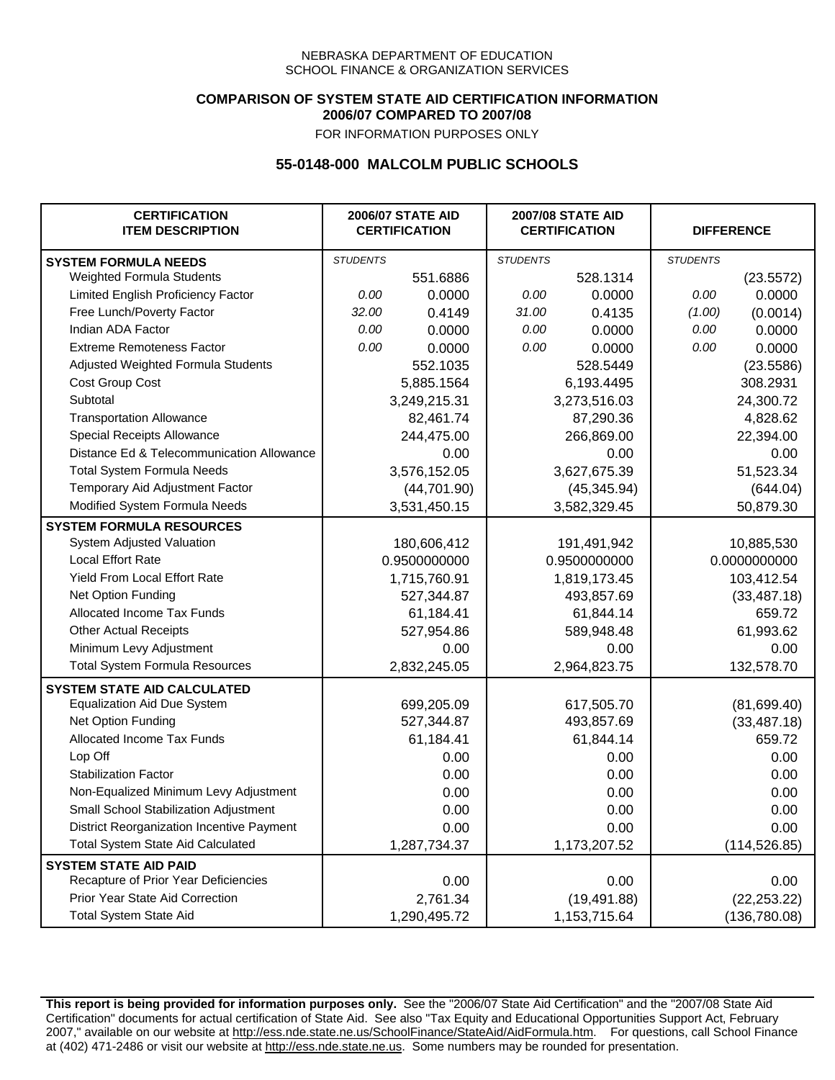### **COMPARISON OF SYSTEM STATE AID CERTIFICATION INFORMATION 2006/07 COMPARED TO 2007/08**

FOR INFORMATION PURPOSES ONLY

## **55-0148-000 MALCOLM PUBLIC SCHOOLS**

| <b>CERTIFICATION</b><br><b>ITEM DESCRIPTION</b> |                 | <b>2006/07 STATE AID</b><br><b>CERTIFICATION</b> | <b>2007/08 STATE AID</b><br><b>CERTIFICATION</b> |              | <b>DIFFERENCE</b> |               |
|-------------------------------------------------|-----------------|--------------------------------------------------|--------------------------------------------------|--------------|-------------------|---------------|
| <b>SYSTEM FORMULA NEEDS</b>                     | <b>STUDENTS</b> |                                                  | <b>STUDENTS</b>                                  |              | <b>STUDENTS</b>   |               |
| Weighted Formula Students                       |                 | 551.6886                                         |                                                  | 528.1314     |                   | (23.5572)     |
| Limited English Proficiency Factor              | 0.00            | 0.0000                                           | 0.00                                             | 0.0000       | 0.00              | 0.0000        |
| Free Lunch/Poverty Factor                       | 32.00           | 0.4149                                           | 31.00                                            | 0.4135       | (1.00)            | (0.0014)      |
| Indian ADA Factor                               | 0.00            | 0.0000                                           | 0.00                                             | 0.0000       | 0.00              | 0.0000        |
| <b>Extreme Remoteness Factor</b>                | 0.00            | 0.0000                                           | 0.00                                             | 0.0000       | 0.00              | 0.0000        |
| Adjusted Weighted Formula Students              |                 | 552.1035                                         |                                                  | 528.5449     |                   | (23.5586)     |
| Cost Group Cost                                 |                 | 5,885.1564                                       |                                                  | 6,193.4495   |                   | 308.2931      |
| Subtotal                                        |                 | 3,249,215.31                                     |                                                  | 3,273,516.03 |                   | 24,300.72     |
| <b>Transportation Allowance</b>                 |                 | 82,461.74                                        |                                                  | 87,290.36    |                   | 4,828.62      |
| Special Receipts Allowance                      |                 | 244,475.00                                       |                                                  | 266,869.00   |                   | 22,394.00     |
| Distance Ed & Telecommunication Allowance       |                 | 0.00                                             |                                                  | 0.00         |                   | 0.00          |
| <b>Total System Formula Needs</b>               |                 | 3,576,152.05                                     |                                                  | 3,627,675.39 |                   | 51,523.34     |
| Temporary Aid Adjustment Factor                 |                 | (44, 701.90)                                     |                                                  | (45, 345.94) |                   | (644.04)      |
| Modified System Formula Needs                   |                 | 3,531,450.15                                     |                                                  | 3,582,329.45 |                   | 50,879.30     |
| <b>SYSTEM FORMULA RESOURCES</b>                 |                 |                                                  |                                                  |              |                   |               |
| System Adjusted Valuation                       |                 | 180,606,412                                      |                                                  | 191,491,942  |                   | 10,885,530    |
| <b>Local Effort Rate</b>                        |                 | 0.9500000000                                     |                                                  | 0.9500000000 |                   | 0.0000000000  |
| Yield From Local Effort Rate                    |                 | 1,715,760.91                                     |                                                  | 1,819,173.45 |                   | 103,412.54    |
| Net Option Funding                              |                 | 527,344.87                                       |                                                  | 493,857.69   |                   | (33, 487.18)  |
| Allocated Income Tax Funds                      |                 | 61,184.41                                        |                                                  | 61,844.14    |                   | 659.72        |
| <b>Other Actual Receipts</b>                    |                 | 527,954.86                                       |                                                  | 589,948.48   | 61,993.62         |               |
| Minimum Levy Adjustment                         |                 | 0.00                                             |                                                  | 0.00         |                   | 0.00          |
| <b>Total System Formula Resources</b>           |                 | 2,832,245.05                                     |                                                  | 2,964,823.75 |                   | 132,578.70    |
| <b>SYSTEM STATE AID CALCULATED</b>              |                 |                                                  |                                                  |              |                   |               |
| <b>Equalization Aid Due System</b>              |                 | 699,205.09                                       |                                                  | 617,505.70   |                   | (81,699.40)   |
| Net Option Funding                              |                 | 527,344.87                                       |                                                  | 493,857.69   |                   | (33, 487.18)  |
| <b>Allocated Income Tax Funds</b>               |                 | 61,184.41                                        |                                                  | 61,844.14    |                   | 659.72        |
| Lop Off                                         |                 | 0.00                                             |                                                  | 0.00         |                   | 0.00          |
| <b>Stabilization Factor</b>                     |                 | 0.00                                             |                                                  | 0.00         |                   | 0.00          |
| Non-Equalized Minimum Levy Adjustment           |                 | 0.00                                             |                                                  | 0.00         |                   | 0.00          |
| Small School Stabilization Adjustment           |                 | 0.00                                             |                                                  | 0.00         |                   | 0.00          |
| District Reorganization Incentive Payment       |                 | 0.00                                             |                                                  | 0.00         |                   | 0.00          |
| Total System State Aid Calculated               |                 | 1,287,734.37                                     |                                                  | 1,173,207.52 |                   | (114, 526.85) |
| <b>SYSTEM STATE AID PAID</b>                    |                 |                                                  |                                                  |              |                   |               |
| Recapture of Prior Year Deficiencies            |                 | 0.00                                             |                                                  | 0.00         |                   | 0.00          |
| Prior Year State Aid Correction                 |                 | 2,761.34                                         |                                                  | (19, 491.88) |                   | (22, 253.22)  |
| <b>Total System State Aid</b>                   |                 | 1,290,495.72                                     |                                                  | 1,153,715.64 |                   | (136,780.08)  |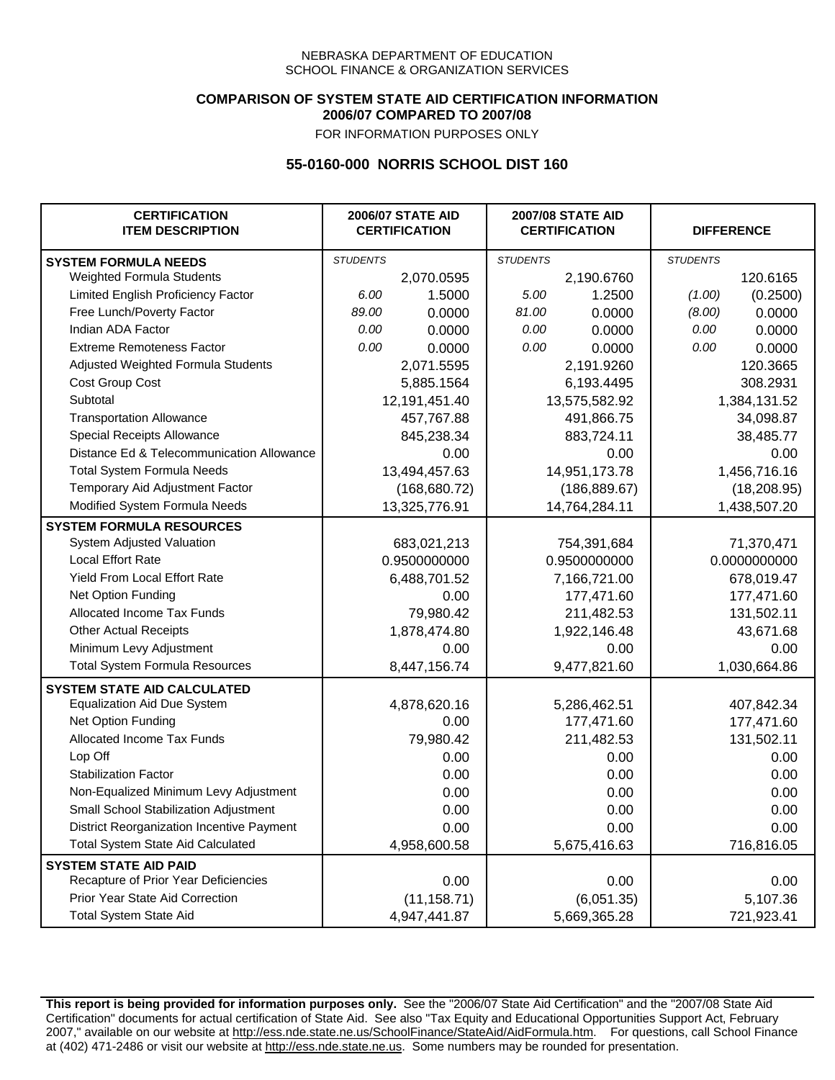### **COMPARISON OF SYSTEM STATE AID CERTIFICATION INFORMATION 2006/07 COMPARED TO 2007/08**

FOR INFORMATION PURPOSES ONLY

## **55-0160-000 NORRIS SCHOOL DIST 160**

| <b>CERTIFICATION</b><br><b>ITEM DESCRIPTION</b> |                 | <b>2006/07 STATE AID</b><br><b>CERTIFICATION</b> | <b>2007/08 STATE AID</b><br><b>CERTIFICATION</b> |               |                 | <b>DIFFERENCE</b> |
|-------------------------------------------------|-----------------|--------------------------------------------------|--------------------------------------------------|---------------|-----------------|-------------------|
| <b>SYSTEM FORMULA NEEDS</b>                     | <b>STUDENTS</b> |                                                  | <b>STUDENTS</b>                                  |               | <b>STUDENTS</b> |                   |
| Weighted Formula Students                       |                 | 2,070.0595                                       |                                                  | 2,190.6760    |                 | 120.6165          |
| Limited English Proficiency Factor              | 6.00            | 1.5000                                           | 5.00                                             | 1.2500        | (1.00)          | (0.2500)          |
| Free Lunch/Poverty Factor                       | 89.00           | 0.0000                                           | 81.00                                            | 0.0000        | (8.00)          | 0.0000            |
| Indian ADA Factor                               | 0.00            | 0.0000                                           | 0.00                                             | 0.0000        | 0.00            | 0.0000            |
| <b>Extreme Remoteness Factor</b>                | 0.00            | 0.0000                                           | 0.00                                             | 0.0000        | 0.00            | 0.0000            |
| Adjusted Weighted Formula Students              |                 | 2,071.5595                                       |                                                  | 2,191.9260    |                 | 120.3665          |
| Cost Group Cost                                 |                 | 5,885.1564                                       |                                                  | 6,193.4495    |                 | 308.2931          |
| Subtotal                                        |                 | 12,191,451.40                                    |                                                  | 13,575,582.92 |                 | 1,384,131.52      |
| <b>Transportation Allowance</b>                 |                 | 457,767.88                                       |                                                  | 491,866.75    |                 | 34,098.87         |
| Special Receipts Allowance                      |                 | 845,238.34                                       |                                                  | 883,724.11    |                 | 38,485.77         |
| Distance Ed & Telecommunication Allowance       |                 | 0.00                                             |                                                  | 0.00          |                 | 0.00              |
| <b>Total System Formula Needs</b>               |                 | 13,494,457.63                                    | 14,951,173.78                                    |               | 1,456,716.16    |                   |
| Temporary Aid Adjustment Factor                 |                 | (168, 680.72)                                    | (186, 889.67)                                    |               | (18, 208.95)    |                   |
| Modified System Formula Needs                   | 13,325,776.91   |                                                  | 14,764,284.11                                    |               | 1,438,507.20    |                   |
| <b>SYSTEM FORMULA RESOURCES</b>                 |                 |                                                  |                                                  |               |                 |                   |
| System Adjusted Valuation                       |                 | 683,021,213                                      |                                                  | 754,391,684   |                 | 71,370,471        |
| <b>Local Effort Rate</b>                        |                 | 0.9500000000                                     |                                                  | 0.9500000000  |                 | 0.0000000000      |
| <b>Yield From Local Effort Rate</b>             |                 | 6,488,701.52                                     |                                                  | 7,166,721.00  |                 | 678,019.47        |
| Net Option Funding                              |                 | 0.00                                             | 177,471.60                                       |               | 177,471.60      |                   |
| Allocated Income Tax Funds                      |                 | 79,980.42                                        | 211,482.53                                       |               | 131,502.11      |                   |
| <b>Other Actual Receipts</b>                    |                 | 1,878,474.80                                     | 1,922,146.48                                     |               | 43,671.68       |                   |
| Minimum Levy Adjustment                         |                 | 0.00                                             |                                                  | 0.00          |                 | 0.00              |
| <b>Total System Formula Resources</b>           |                 | 8,447,156.74                                     |                                                  | 9,477,821.60  |                 | 1,030,664.86      |
| <b>SYSTEM STATE AID CALCULATED</b>              |                 |                                                  |                                                  |               |                 |                   |
| <b>Equalization Aid Due System</b>              |                 | 4,878,620.16                                     |                                                  | 5,286,462.51  |                 | 407,842.34        |
| Net Option Funding                              |                 | 0.00                                             |                                                  | 177,471.60    |                 | 177,471.60        |
| Allocated Income Tax Funds                      |                 | 79,980.42                                        |                                                  | 211,482.53    |                 | 131,502.11        |
| Lop Off                                         |                 | 0.00                                             |                                                  | 0.00          |                 | 0.00              |
| <b>Stabilization Factor</b>                     |                 | 0.00                                             |                                                  | 0.00          |                 | 0.00              |
| Non-Equalized Minimum Levy Adjustment           |                 | 0.00                                             |                                                  | 0.00          |                 | 0.00              |
| <b>Small School Stabilization Adjustment</b>    |                 | 0.00                                             |                                                  | 0.00          |                 | 0.00              |
| District Reorganization Incentive Payment       |                 | 0.00                                             |                                                  | 0.00          |                 | 0.00              |
| <b>Total System State Aid Calculated</b>        |                 | 4,958,600.58                                     |                                                  | 5,675,416.63  |                 | 716,816.05        |
| <b>SYSTEM STATE AID PAID</b>                    |                 |                                                  |                                                  |               |                 |                   |
| Recapture of Prior Year Deficiencies            |                 | 0.00                                             |                                                  | 0.00          | 0.00            |                   |
| Prior Year State Aid Correction                 |                 | (11, 158.71)                                     |                                                  | (6,051.35)    |                 | 5,107.36          |
| <b>Total System State Aid</b>                   |                 | 4,947,441.87                                     | 5,669,365.28                                     |               | 721,923.41      |                   |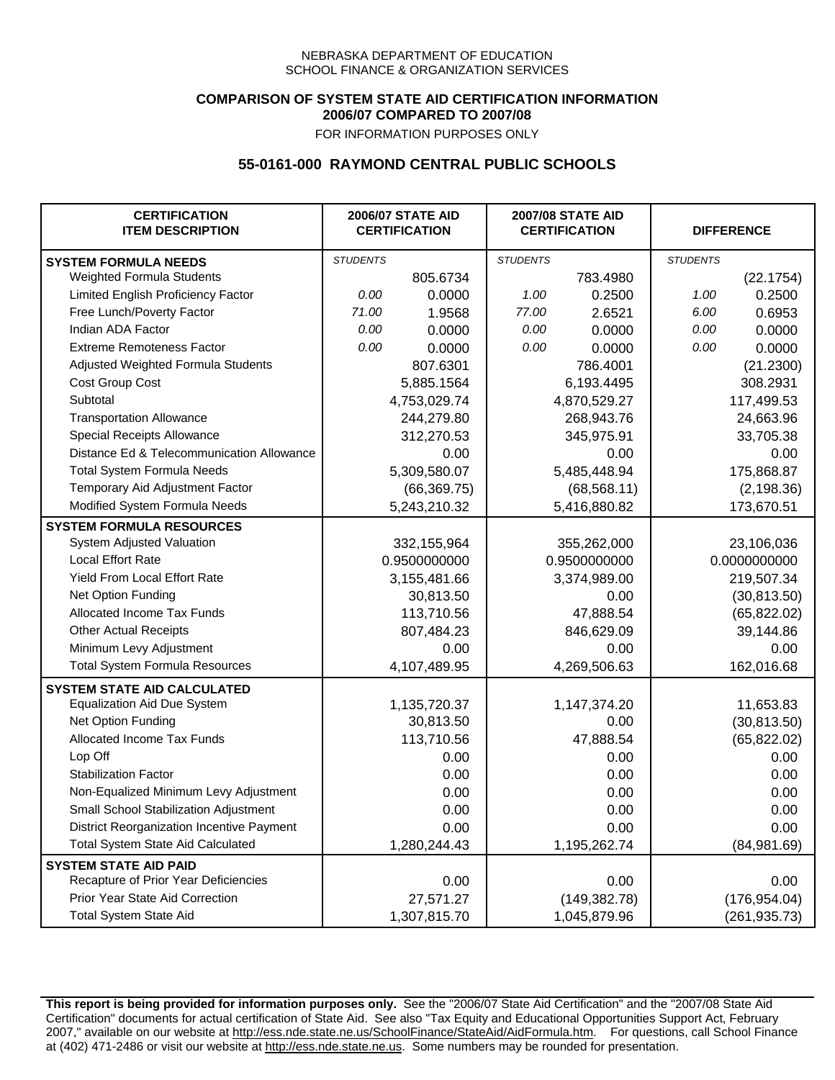### **COMPARISON OF SYSTEM STATE AID CERTIFICATION INFORMATION 2006/07 COMPARED TO 2007/08**

FOR INFORMATION PURPOSES ONLY

## **55-0161-000 RAYMOND CENTRAL PUBLIC SCHOOLS**

| <b>CERTIFICATION</b><br><b>ITEM DESCRIPTION</b> |                 | <b>2006/07 STATE AID</b><br><b>CERTIFICATION</b> | <b>2007/08 STATE AID</b><br><b>CERTIFICATION</b> |               |                 | <b>DIFFERENCE</b> |
|-------------------------------------------------|-----------------|--------------------------------------------------|--------------------------------------------------|---------------|-----------------|-------------------|
| <b>SYSTEM FORMULA NEEDS</b>                     | <b>STUDENTS</b> |                                                  | <b>STUDENTS</b>                                  |               | <b>STUDENTS</b> |                   |
| Weighted Formula Students                       |                 | 805.6734                                         |                                                  | 783.4980      |                 | (22.1754)         |
| Limited English Proficiency Factor              | 0.00            | 0.0000                                           | 1.00                                             | 0.2500        | 1.00            | 0.2500            |
| Free Lunch/Poverty Factor                       | 71.00           | 1.9568                                           | 77.00                                            | 2.6521        | 6.00            | 0.6953            |
| Indian ADA Factor                               | 0.00            | 0.0000                                           | 0.00                                             | 0.0000        | 0.00            | 0.0000            |
| <b>Extreme Remoteness Factor</b>                | 0.00            | 0.0000                                           | 0.00                                             | 0.0000        | 0.00            | 0.0000            |
| Adjusted Weighted Formula Students              |                 | 807.6301                                         |                                                  | 786.4001      |                 | (21.2300)         |
| Cost Group Cost                                 |                 | 5,885.1564                                       |                                                  | 6,193.4495    |                 | 308.2931          |
| Subtotal                                        |                 | 4,753,029.74                                     |                                                  | 4,870,529.27  |                 | 117,499.53        |
| <b>Transportation Allowance</b>                 |                 | 244,279.80                                       |                                                  | 268,943.76    |                 | 24,663.96         |
| Special Receipts Allowance                      |                 | 312,270.53                                       |                                                  | 345,975.91    |                 | 33,705.38         |
| Distance Ed & Telecommunication Allowance       |                 | 0.00                                             |                                                  | 0.00          |                 | 0.00              |
| <b>Total System Formula Needs</b>               |                 | 5,309,580.07                                     |                                                  | 5,485,448.94  |                 | 175,868.87        |
| Temporary Aid Adjustment Factor                 |                 | (66, 369.75)                                     |                                                  | (68, 568.11)  |                 | (2, 198.36)       |
| Modified System Formula Needs                   |                 | 5,243,210.32                                     |                                                  | 5,416,880.82  |                 | 173,670.51        |
| <b>SYSTEM FORMULA RESOURCES</b>                 |                 |                                                  |                                                  |               |                 |                   |
| System Adjusted Valuation                       |                 | 332,155,964                                      |                                                  | 355,262,000   |                 | 23,106,036        |
| <b>Local Effort Rate</b>                        |                 | 0.9500000000                                     |                                                  | 0.9500000000  |                 | 0.0000000000      |
| Yield From Local Effort Rate                    |                 | 3,155,481.66                                     |                                                  | 3,374,989.00  |                 | 219,507.34        |
| Net Option Funding                              |                 | 30,813.50                                        |                                                  | 0.00          |                 | (30, 813.50)      |
| Allocated Income Tax Funds                      |                 | 113,710.56                                       |                                                  | 47,888.54     |                 | (65, 822.02)      |
| <b>Other Actual Receipts</b>                    |                 | 807,484.23                                       | 846,629.09                                       |               | 39,144.86       |                   |
| Minimum Levy Adjustment                         |                 | 0.00                                             |                                                  | 0.00          |                 | 0.00              |
| <b>Total System Formula Resources</b>           |                 | 4,107,489.95                                     |                                                  | 4,269,506.63  |                 | 162,016.68        |
| <b>SYSTEM STATE AID CALCULATED</b>              |                 |                                                  |                                                  |               |                 |                   |
| <b>Equalization Aid Due System</b>              |                 | 1,135,720.37                                     |                                                  | 1,147,374.20  |                 | 11,653.83         |
| Net Option Funding                              |                 | 30,813.50                                        |                                                  | 0.00          |                 | (30, 813.50)      |
| Allocated Income Tax Funds                      |                 | 113,710.56                                       |                                                  | 47,888.54     |                 | (65, 822.02)      |
| Lop Off                                         |                 | 0.00                                             |                                                  | 0.00          |                 | 0.00              |
| <b>Stabilization Factor</b>                     |                 | 0.00                                             |                                                  | 0.00          |                 | 0.00              |
| Non-Equalized Minimum Levy Adjustment           |                 | 0.00                                             |                                                  | 0.00          |                 | 0.00              |
| Small School Stabilization Adjustment           |                 | 0.00                                             |                                                  | 0.00          |                 | 0.00              |
| District Reorganization Incentive Payment       |                 | 0.00                                             |                                                  | 0.00          |                 | 0.00              |
| <b>Total System State Aid Calculated</b>        |                 | 1,280,244.43                                     |                                                  | 1,195,262.74  |                 | (84,981.69)       |
| <b>SYSTEM STATE AID PAID</b>                    |                 |                                                  |                                                  |               |                 |                   |
| Recapture of Prior Year Deficiencies            |                 | 0.00                                             |                                                  | 0.00          |                 | 0.00              |
| Prior Year State Aid Correction                 |                 | 27,571.27                                        |                                                  | (149, 382.78) |                 | (176, 954.04)     |
| <b>Total System State Aid</b>                   |                 | 1,307,815.70                                     |                                                  | 1,045,879.96  |                 | (261, 935.73)     |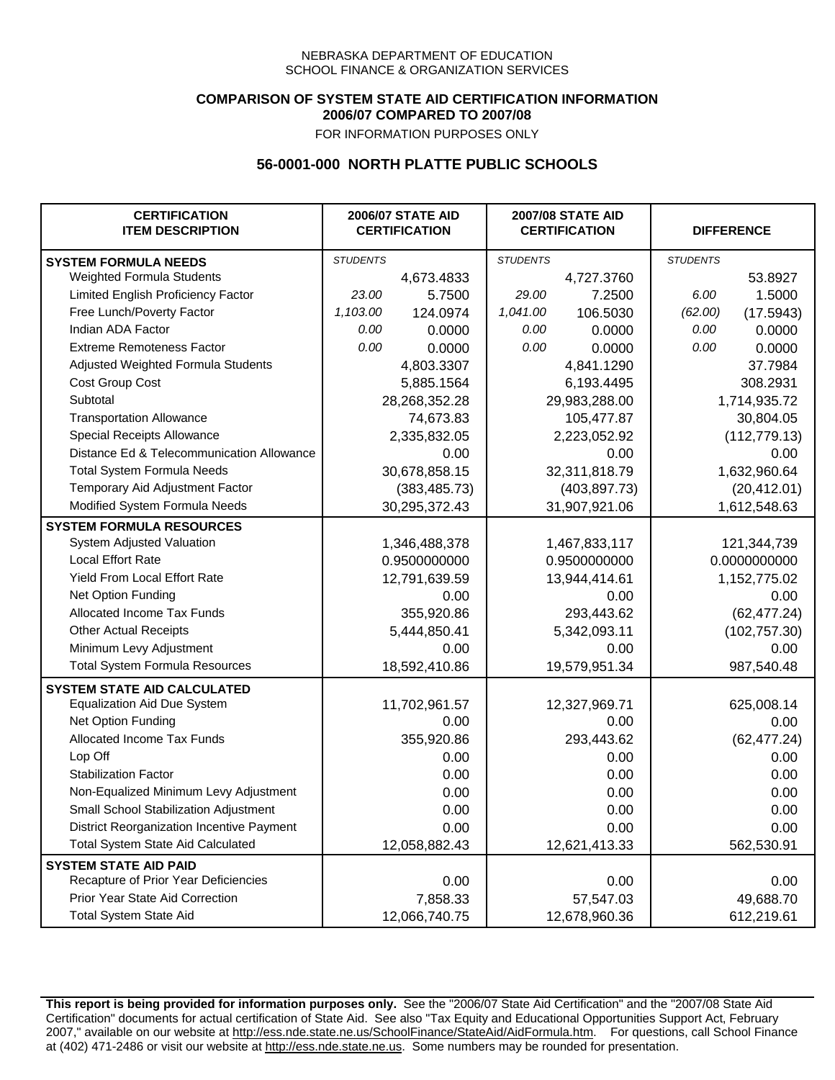### **COMPARISON OF SYSTEM STATE AID CERTIFICATION INFORMATION 2006/07 COMPARED TO 2007/08**

FOR INFORMATION PURPOSES ONLY

## **56-0001-000 NORTH PLATTE PUBLIC SCHOOLS**

| <b>CERTIFICATION</b><br><b>ITEM DESCRIPTION</b> | <b>2006/07 STATE AID</b><br><b>CERTIFICATION</b> |               | <b>2007/08 STATE AID</b><br><b>CERTIFICATION</b> |               | <b>DIFFERENCE</b> |               |
|-------------------------------------------------|--------------------------------------------------|---------------|--------------------------------------------------|---------------|-------------------|---------------|
| <b>SYSTEM FORMULA NEEDS</b>                     | <b>STUDENTS</b>                                  |               | <b>STUDENTS</b>                                  |               | <b>STUDENTS</b>   |               |
| Weighted Formula Students                       |                                                  | 4,673.4833    |                                                  | 4,727.3760    |                   | 53.8927       |
| Limited English Proficiency Factor              | 23.00                                            | 5.7500        | 29.00                                            | 7.2500        | 6.00              | 1.5000        |
| Free Lunch/Poverty Factor                       | 1,103.00                                         | 124.0974      | 1,041.00                                         | 106.5030      | (62.00)           | (17.5943)     |
| Indian ADA Factor                               | 0.00                                             | 0.0000        | 0.00                                             | 0.0000        | 0.00              | 0.0000        |
| <b>Extreme Remoteness Factor</b>                | 0.00                                             | 0.0000        | 0.00                                             | 0.0000        | 0.00              | 0.0000        |
| Adjusted Weighted Formula Students              |                                                  | 4,803.3307    |                                                  | 4,841.1290    |                   | 37.7984       |
| Cost Group Cost                                 |                                                  | 5,885.1564    |                                                  | 6,193.4495    |                   | 308.2931      |
| Subtotal                                        |                                                  | 28,268,352.28 |                                                  | 29,983,288.00 |                   | 1,714,935.72  |
| <b>Transportation Allowance</b>                 |                                                  | 74,673.83     |                                                  | 105,477.87    |                   | 30,804.05     |
| Special Receipts Allowance                      |                                                  | 2,335,832.05  |                                                  | 2,223,052.92  |                   | (112, 779.13) |
| Distance Ed & Telecommunication Allowance       |                                                  | 0.00          |                                                  | 0.00          |                   | 0.00          |
| <b>Total System Formula Needs</b>               |                                                  | 30,678,858.15 |                                                  | 32,311,818.79 | 1,632,960.64      |               |
| Temporary Aid Adjustment Factor                 |                                                  | (383, 485.73) | (403, 897.73)                                    |               | (20, 412.01)      |               |
| Modified System Formula Needs                   | 30,295,372.43                                    |               | 31,907,921.06                                    |               | 1,612,548.63      |               |
| <b>SYSTEM FORMULA RESOURCES</b>                 |                                                  |               |                                                  |               |                   |               |
| System Adjusted Valuation                       |                                                  | 1,346,488,378 |                                                  | 1,467,833,117 |                   | 121,344,739   |
| <b>Local Effort Rate</b>                        |                                                  | 0.9500000000  |                                                  | 0.9500000000  |                   | 0.0000000000  |
| Yield From Local Effort Rate                    |                                                  | 12,791,639.59 |                                                  | 13,944,414.61 |                   | 1,152,775.02  |
| Net Option Funding                              |                                                  | 0.00          |                                                  | 0.00          | 0.00              |               |
| Allocated Income Tax Funds                      |                                                  | 355,920.86    | 293,443.62                                       |               | (62, 477.24)      |               |
| <b>Other Actual Receipts</b>                    |                                                  | 5,444,850.41  | 5,342,093.11                                     |               | (102, 757.30)     |               |
| Minimum Levy Adjustment                         |                                                  | 0.00          |                                                  | 0.00          |                   | 0.00          |
| <b>Total System Formula Resources</b>           |                                                  | 18,592,410.86 |                                                  | 19,579,951.34 |                   | 987,540.48    |
| <b>SYSTEM STATE AID CALCULATED</b>              |                                                  |               |                                                  |               |                   |               |
| <b>Equalization Aid Due System</b>              |                                                  | 11,702,961.57 |                                                  | 12,327,969.71 |                   | 625,008.14    |
| Net Option Funding                              |                                                  | 0.00          |                                                  | 0.00          |                   | 0.00          |
| Allocated Income Tax Funds                      |                                                  | 355,920.86    |                                                  | 293,443.62    |                   | (62, 477.24)  |
| Lop Off                                         |                                                  | 0.00          |                                                  | 0.00          |                   | 0.00          |
| <b>Stabilization Factor</b>                     |                                                  | 0.00          |                                                  | 0.00          |                   | 0.00          |
| Non-Equalized Minimum Levy Adjustment           |                                                  | 0.00          |                                                  | 0.00          |                   | 0.00          |
| Small School Stabilization Adjustment           |                                                  | 0.00          |                                                  | 0.00          |                   | 0.00          |
| District Reorganization Incentive Payment       |                                                  | 0.00          |                                                  | 0.00          |                   | 0.00          |
| Total System State Aid Calculated               |                                                  | 12,058,882.43 |                                                  | 12,621,413.33 |                   | 562,530.91    |
| <b>SYSTEM STATE AID PAID</b>                    |                                                  |               |                                                  |               |                   |               |
| Recapture of Prior Year Deficiencies            |                                                  | 0.00          |                                                  | 0.00          |                   | 0.00          |
| Prior Year State Aid Correction                 |                                                  | 7,858.33      |                                                  | 57,547.03     | 49,688.70         |               |
| <b>Total System State Aid</b>                   |                                                  | 12,066,740.75 |                                                  | 12,678,960.36 |                   | 612,219.61    |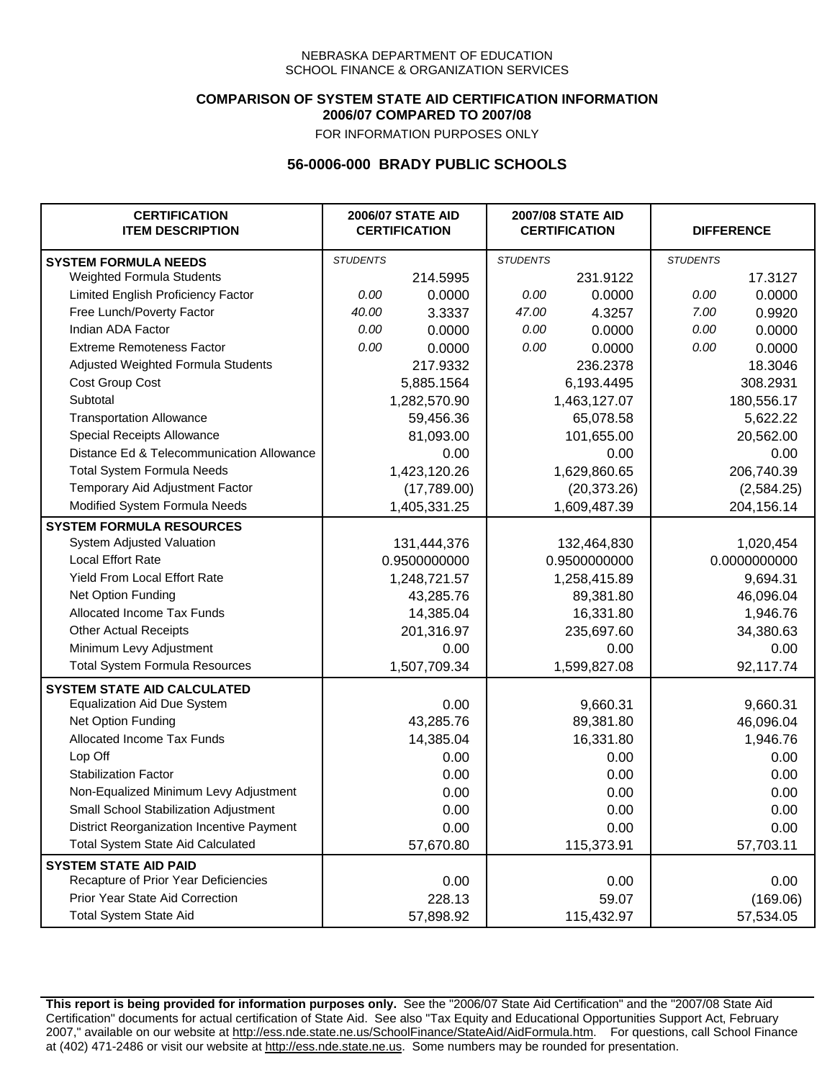### **COMPARISON OF SYSTEM STATE AID CERTIFICATION INFORMATION 2006/07 COMPARED TO 2007/08**

FOR INFORMATION PURPOSES ONLY

# **56-0006-000 BRADY PUBLIC SCHOOLS**

| <b>CERTIFICATION</b><br><b>ITEM DESCRIPTION</b> |                 | <b>2006/07 STATE AID</b><br><b>CERTIFICATION</b> | <b>2007/08 STATE AID</b><br><b>CERTIFICATION</b> |              | <b>DIFFERENCE</b> |              |
|-------------------------------------------------|-----------------|--------------------------------------------------|--------------------------------------------------|--------------|-------------------|--------------|
| <b>SYSTEM FORMULA NEEDS</b>                     | <b>STUDENTS</b> |                                                  | <b>STUDENTS</b>                                  |              | <b>STUDENTS</b>   |              |
| <b>Weighted Formula Students</b>                |                 | 214.5995                                         |                                                  | 231.9122     |                   | 17.3127      |
| Limited English Proficiency Factor              | 0.00            | 0.0000                                           | 0.00                                             | 0.0000       | 0.00              | 0.0000       |
| Free Lunch/Poverty Factor                       | 40.00           | 3.3337                                           | 47.00                                            | 4.3257       | 7.00              | 0.9920       |
| Indian ADA Factor                               | 0.00            | 0.0000                                           | 0.00                                             | 0.0000       | 0.00              | 0.0000       |
| <b>Extreme Remoteness Factor</b>                | 0.00            | 0.0000                                           | 0.00                                             | 0.0000       | 0.00              | 0.0000       |
| Adjusted Weighted Formula Students              |                 | 217.9332                                         |                                                  | 236.2378     |                   | 18.3046      |
| Cost Group Cost                                 |                 | 5,885.1564                                       |                                                  | 6,193.4495   |                   | 308.2931     |
| Subtotal                                        |                 | 1,282,570.90                                     |                                                  | 1,463,127.07 |                   | 180,556.17   |
| <b>Transportation Allowance</b>                 |                 | 59,456.36                                        |                                                  | 65,078.58    |                   | 5,622.22     |
| Special Receipts Allowance                      |                 | 81,093.00                                        |                                                  | 101,655.00   |                   | 20,562.00    |
| Distance Ed & Telecommunication Allowance       |                 | 0.00                                             |                                                  | 0.00         |                   | 0.00         |
| <b>Total System Formula Needs</b>               |                 | 1,423,120.26                                     |                                                  | 1,629,860.65 |                   | 206,740.39   |
| Temporary Aid Adjustment Factor                 |                 | (17,789.00)                                      |                                                  | (20, 373.26) |                   | (2,584.25)   |
| Modified System Formula Needs                   |                 | 1,405,331.25                                     |                                                  | 1,609,487.39 |                   | 204,156.14   |
| <b>SYSTEM FORMULA RESOURCES</b>                 |                 |                                                  |                                                  |              |                   |              |
| System Adjusted Valuation                       |                 | 131,444,376                                      |                                                  | 132,464,830  |                   | 1,020,454    |
| <b>Local Effort Rate</b>                        |                 | 0.9500000000                                     |                                                  | 0.9500000000 |                   | 0.0000000000 |
| Yield From Local Effort Rate                    |                 | 1,248,721.57                                     |                                                  | 1,258,415.89 |                   | 9,694.31     |
| Net Option Funding                              |                 | 43,285.76                                        |                                                  | 89,381.80    |                   | 46,096.04    |
| Allocated Income Tax Funds                      |                 | 14,385.04                                        |                                                  | 16,331.80    |                   | 1,946.76     |
| <b>Other Actual Receipts</b>                    |                 | 201,316.97                                       |                                                  | 235,697.60   | 34,380.63         |              |
| Minimum Levy Adjustment                         |                 | 0.00                                             |                                                  | 0.00         |                   | 0.00         |
| <b>Total System Formula Resources</b>           |                 | 1,507,709.34                                     |                                                  | 1,599,827.08 |                   | 92,117.74    |
| <b>SYSTEM STATE AID CALCULATED</b>              |                 |                                                  |                                                  |              |                   |              |
| <b>Equalization Aid Due System</b>              |                 | 0.00                                             |                                                  | 9,660.31     |                   | 9,660.31     |
| Net Option Funding                              |                 | 43,285.76                                        |                                                  | 89,381.80    |                   | 46,096.04    |
| Allocated Income Tax Funds                      |                 | 14,385.04                                        |                                                  | 16,331.80    |                   | 1,946.76     |
| Lop Off                                         |                 | 0.00                                             |                                                  | 0.00         |                   | 0.00         |
| <b>Stabilization Factor</b>                     |                 | 0.00                                             |                                                  | 0.00         |                   | 0.00         |
| Non-Equalized Minimum Levy Adjustment           |                 | 0.00                                             |                                                  | 0.00         |                   | 0.00         |
| Small School Stabilization Adjustment           |                 | 0.00                                             |                                                  | 0.00         |                   | 0.00         |
| District Reorganization Incentive Payment       |                 | 0.00                                             |                                                  | 0.00         |                   | 0.00         |
| <b>Total System State Aid Calculated</b>        |                 | 57,670.80                                        |                                                  | 115,373.91   |                   | 57,703.11    |
| <b>SYSTEM STATE AID PAID</b>                    |                 |                                                  |                                                  |              |                   |              |
| Recapture of Prior Year Deficiencies            |                 | 0.00                                             |                                                  | 0.00         |                   | 0.00         |
| Prior Year State Aid Correction                 |                 | 228.13                                           |                                                  | 59.07        |                   | (169.06)     |
| <b>Total System State Aid</b>                   |                 | 57,898.92                                        |                                                  | 115,432.97   |                   | 57,534.05    |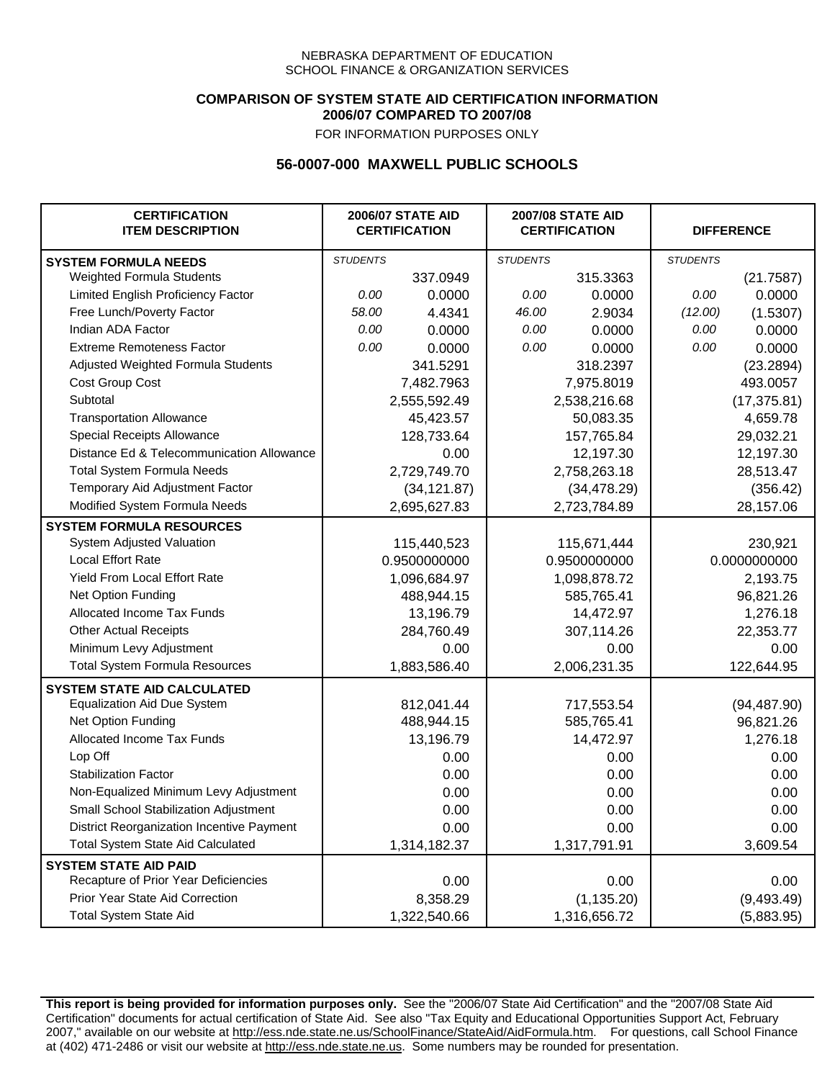### **COMPARISON OF SYSTEM STATE AID CERTIFICATION INFORMATION 2006/07 COMPARED TO 2007/08**

FOR INFORMATION PURPOSES ONLY

## **56-0007-000 MAXWELL PUBLIC SCHOOLS**

| <b>CERTIFICATION</b><br><b>ITEM DESCRIPTION</b> |                 | <b>2006/07 STATE AID</b><br><b>CERTIFICATION</b> | <b>2007/08 STATE AID</b><br><b>CERTIFICATION</b> |              |                 | <b>DIFFERENCE</b> |
|-------------------------------------------------|-----------------|--------------------------------------------------|--------------------------------------------------|--------------|-----------------|-------------------|
| <b>SYSTEM FORMULA NEEDS</b>                     | <b>STUDENTS</b> |                                                  | <b>STUDENTS</b>                                  |              | <b>STUDENTS</b> |                   |
| Weighted Formula Students                       |                 | 337.0949                                         |                                                  | 315.3363     |                 | (21.7587)         |
| Limited English Proficiency Factor              | 0.00            | 0.0000                                           | 0.00                                             | 0.0000       | 0.00            | 0.0000            |
| Free Lunch/Poverty Factor                       | 58.00           | 4.4341                                           | 46.00                                            | 2.9034       | (12.00)         | (1.5307)          |
| Indian ADA Factor                               | 0.00            | 0.0000                                           | 0.00                                             | 0.0000       | 0.00            | 0.0000            |
| <b>Extreme Remoteness Factor</b>                | 0.00            | 0.0000                                           | 0.00                                             | 0.0000       | 0.00            | 0.0000            |
| Adjusted Weighted Formula Students              |                 | 341.5291                                         |                                                  | 318.2397     |                 | (23.2894)         |
| Cost Group Cost                                 |                 | 7,482.7963                                       |                                                  | 7,975.8019   |                 | 493.0057          |
| Subtotal                                        |                 | 2,555,592.49                                     |                                                  | 2,538,216.68 |                 | (17, 375.81)      |
| <b>Transportation Allowance</b>                 |                 | 45,423.57                                        |                                                  | 50,083.35    |                 | 4,659.78          |
| Special Receipts Allowance                      |                 | 128,733.64                                       |                                                  | 157,765.84   |                 | 29,032.21         |
| Distance Ed & Telecommunication Allowance       |                 | 0.00                                             |                                                  | 12,197.30    |                 | 12,197.30         |
| <b>Total System Formula Needs</b>               |                 | 2,729,749.70                                     |                                                  | 2,758,263.18 | 28,513.47       |                   |
| Temporary Aid Adjustment Factor                 |                 | (34, 121.87)                                     | (34, 478.29)                                     |              | (356.42)        |                   |
| Modified System Formula Needs                   |                 | 2,695,627.83                                     |                                                  | 2,723,784.89 |                 | 28,157.06         |
| <b>SYSTEM FORMULA RESOURCES</b>                 |                 |                                                  |                                                  |              |                 |                   |
| System Adjusted Valuation                       |                 | 115,440,523                                      |                                                  | 115,671,444  |                 | 230,921           |
| <b>Local Effort Rate</b>                        |                 | 0.9500000000                                     |                                                  | 0.9500000000 |                 | 0.0000000000      |
| Yield From Local Effort Rate                    |                 | 1,096,684.97                                     |                                                  | 1,098,878.72 |                 | 2,193.75          |
| Net Option Funding                              |                 | 488,944.15                                       |                                                  | 585,765.41   |                 | 96,821.26         |
| Allocated Income Tax Funds                      |                 | 13,196.79                                        |                                                  | 14,472.97    |                 | 1,276.18          |
| <b>Other Actual Receipts</b>                    |                 | 284,760.49                                       | 307,114.26                                       |              | 22,353.77       |                   |
| Minimum Levy Adjustment                         |                 | 0.00                                             |                                                  | 0.00         |                 | 0.00              |
| <b>Total System Formula Resources</b>           |                 | 1,883,586.40                                     |                                                  | 2,006,231.35 |                 | 122,644.95        |
| <b>SYSTEM STATE AID CALCULATED</b>              |                 |                                                  |                                                  |              |                 |                   |
| <b>Equalization Aid Due System</b>              |                 | 812,041.44                                       |                                                  | 717,553.54   |                 | (94, 487.90)      |
| Net Option Funding                              |                 | 488,944.15                                       |                                                  | 585,765.41   |                 | 96,821.26         |
| Allocated Income Tax Funds                      |                 | 13,196.79                                        |                                                  | 14,472.97    |                 | 1,276.18          |
| Lop Off                                         |                 | 0.00                                             |                                                  | 0.00         |                 | 0.00              |
| <b>Stabilization Factor</b>                     |                 | 0.00                                             |                                                  | 0.00         |                 | 0.00              |
| Non-Equalized Minimum Levy Adjustment           |                 | 0.00                                             |                                                  | 0.00         |                 | 0.00              |
| Small School Stabilization Adjustment           |                 | 0.00                                             |                                                  | 0.00         |                 | 0.00              |
| District Reorganization Incentive Payment       |                 | 0.00                                             |                                                  | 0.00         |                 | 0.00              |
| <b>Total System State Aid Calculated</b>        |                 | 1,314,182.37                                     |                                                  | 1,317,791.91 |                 | 3,609.54          |
| <b>SYSTEM STATE AID PAID</b>                    |                 |                                                  |                                                  |              |                 |                   |
| Recapture of Prior Year Deficiencies            |                 | 0.00                                             |                                                  | 0.00         |                 | 0.00              |
| Prior Year State Aid Correction                 |                 | 8,358.29                                         |                                                  | (1, 135.20)  |                 | (9,493.49)        |
| <b>Total System State Aid</b>                   |                 | 1,322,540.66                                     |                                                  | 1,316,656.72 |                 | (5,883.95)        |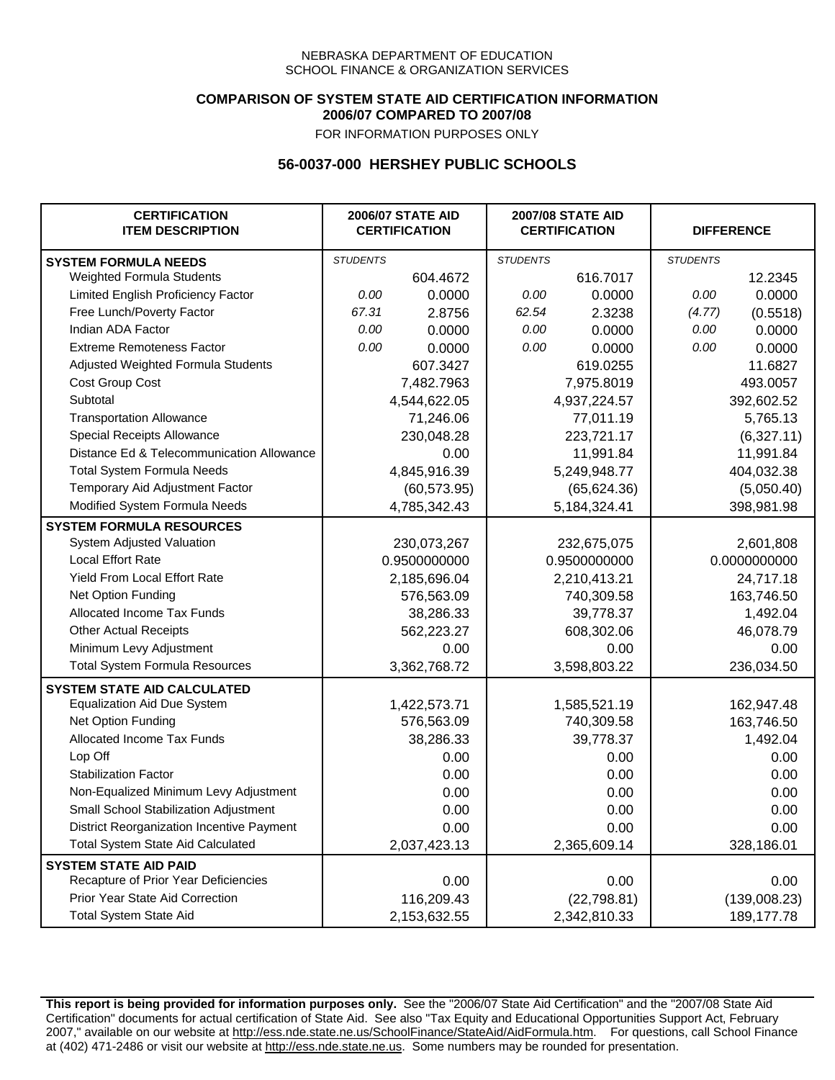### **COMPARISON OF SYSTEM STATE AID CERTIFICATION INFORMATION 2006/07 COMPARED TO 2007/08**

FOR INFORMATION PURPOSES ONLY

## **56-0037-000 HERSHEY PUBLIC SCHOOLS**

| <b>CERTIFICATION</b><br><b>ITEM DESCRIPTION</b> |                 | <b>2006/07 STATE AID</b><br><b>CERTIFICATION</b> |                 | <b>2007/08 STATE AID</b><br><b>CERTIFICATION</b> |                 | <b>DIFFERENCE</b> |
|-------------------------------------------------|-----------------|--------------------------------------------------|-----------------|--------------------------------------------------|-----------------|-------------------|
| <b>SYSTEM FORMULA NEEDS</b>                     | <b>STUDENTS</b> |                                                  | <b>STUDENTS</b> |                                                  | <b>STUDENTS</b> |                   |
| Weighted Formula Students                       |                 | 604.4672                                         |                 | 616.7017                                         |                 | 12.2345           |
| Limited English Proficiency Factor              | 0.00            | 0.0000                                           | 0.00            | 0.0000                                           | 0.00            | 0.0000            |
| Free Lunch/Poverty Factor                       | 67.31           | 2.8756                                           | 62.54           | 2.3238                                           | (4.77)          | (0.5518)          |
| Indian ADA Factor                               | 0.00            | 0.0000                                           | 0.00            | 0.0000                                           | 0.00            | 0.0000            |
| <b>Extreme Remoteness Factor</b>                | 0.00            | 0.0000                                           | 0.00            | 0.0000                                           | 0.00            | 0.0000            |
| Adjusted Weighted Formula Students              |                 | 607.3427                                         |                 | 619.0255                                         |                 | 11.6827           |
| Cost Group Cost                                 |                 | 7,482.7963                                       |                 | 7,975.8019                                       |                 | 493.0057          |
| Subtotal                                        |                 | 4,544,622.05                                     |                 | 4,937,224.57                                     |                 | 392,602.52        |
| <b>Transportation Allowance</b>                 |                 | 71,246.06                                        |                 | 77,011.19                                        |                 | 5,765.13          |
| Special Receipts Allowance                      |                 | 230,048.28                                       |                 | 223,721.17                                       |                 | (6,327.11)        |
| Distance Ed & Telecommunication Allowance       |                 | 0.00                                             |                 | 11,991.84                                        |                 | 11,991.84         |
| <b>Total System Formula Needs</b>               |                 | 4,845,916.39                                     |                 | 5,249,948.77                                     | 404,032.38      |                   |
| Temporary Aid Adjustment Factor                 |                 | (60, 573.95)                                     | (65, 624.36)    |                                                  | (5,050.40)      |                   |
| Modified System Formula Needs                   |                 | 4,785,342.43                                     |                 | 5,184,324.41                                     |                 | 398,981.98        |
| <b>SYSTEM FORMULA RESOURCES</b>                 |                 |                                                  |                 |                                                  |                 |                   |
| System Adjusted Valuation                       |                 | 230,073,267                                      |                 | 232,675,075                                      |                 | 2,601,808         |
| <b>Local Effort Rate</b>                        |                 | 0.9500000000                                     |                 | 0.9500000000                                     |                 | 0.0000000000      |
| Yield From Local Effort Rate                    |                 | 2,185,696.04                                     |                 | 2,210,413.21                                     |                 | 24,717.18         |
| Net Option Funding                              |                 | 576,563.09                                       |                 | 740,309.58                                       |                 | 163,746.50        |
| Allocated Income Tax Funds                      |                 | 38,286.33                                        |                 | 39,778.37                                        |                 | 1,492.04          |
| <b>Other Actual Receipts</b>                    |                 | 562,223.27                                       | 608,302.06      |                                                  | 46,078.79       |                   |
| Minimum Levy Adjustment                         |                 | 0.00                                             |                 | 0.00                                             |                 | 0.00              |
| <b>Total System Formula Resources</b>           |                 | 3,362,768.72                                     |                 | 3,598,803.22                                     |                 | 236,034.50        |
| <b>SYSTEM STATE AID CALCULATED</b>              |                 |                                                  |                 |                                                  |                 |                   |
| <b>Equalization Aid Due System</b>              |                 | 1,422,573.71                                     |                 | 1,585,521.19                                     |                 | 162,947.48        |
| Net Option Funding                              |                 | 576,563.09                                       |                 | 740,309.58                                       |                 | 163,746.50        |
| <b>Allocated Income Tax Funds</b>               |                 | 38,286.33                                        |                 | 39,778.37                                        |                 | 1,492.04          |
| Lop Off                                         |                 | 0.00                                             |                 | 0.00                                             |                 | 0.00              |
| <b>Stabilization Factor</b>                     |                 | 0.00                                             |                 | 0.00                                             |                 | 0.00              |
| Non-Equalized Minimum Levy Adjustment           |                 | 0.00                                             |                 | 0.00                                             |                 | 0.00              |
| Small School Stabilization Adjustment           |                 | 0.00                                             |                 | 0.00                                             |                 | 0.00              |
| District Reorganization Incentive Payment       |                 | 0.00                                             |                 | 0.00                                             |                 | 0.00              |
| Total System State Aid Calculated               |                 | 2,037,423.13                                     |                 | 2,365,609.14                                     |                 | 328,186.01        |
| <b>SYSTEM STATE AID PAID</b>                    |                 |                                                  |                 |                                                  |                 |                   |
| Recapture of Prior Year Deficiencies            |                 | 0.00                                             |                 | 0.00                                             |                 | 0.00              |
| Prior Year State Aid Correction                 |                 | 116,209.43                                       |                 | (22, 798.81)                                     |                 | (139,008.23)      |
| <b>Total System State Aid</b>                   |                 | 2,153,632.55                                     |                 | 2,342,810.33                                     |                 | 189, 177. 78      |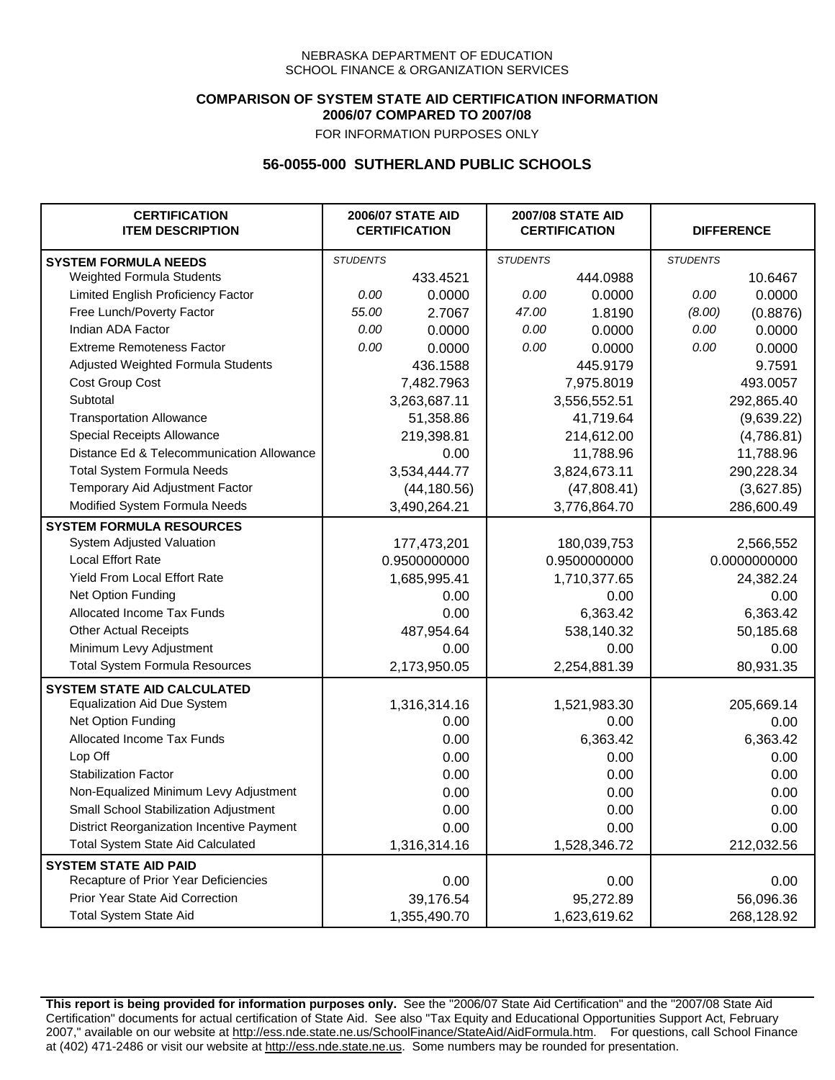### **COMPARISON OF SYSTEM STATE AID CERTIFICATION INFORMATION 2006/07 COMPARED TO 2007/08**

FOR INFORMATION PURPOSES ONLY

## **56-0055-000 SUTHERLAND PUBLIC SCHOOLS**

| <b>CERTIFICATION</b><br><b>ITEM DESCRIPTION</b> |                 | <b>2006/07 STATE AID</b><br><b>CERTIFICATION</b> | <b>2007/08 STATE AID</b><br><b>CERTIFICATION</b> |              | <b>DIFFERENCE</b> |              |
|-------------------------------------------------|-----------------|--------------------------------------------------|--------------------------------------------------|--------------|-------------------|--------------|
| <b>SYSTEM FORMULA NEEDS</b>                     | <b>STUDENTS</b> |                                                  | <b>STUDENTS</b>                                  |              | <b>STUDENTS</b>   |              |
| Weighted Formula Students                       |                 | 433.4521                                         |                                                  | 444.0988     |                   | 10.6467      |
| Limited English Proficiency Factor              | 0.00            | 0.0000                                           | 0.00                                             | 0.0000       | 0.00              | 0.0000       |
| Free Lunch/Poverty Factor                       | 55.00           | 2.7067                                           | 47.00                                            | 1.8190       | (8.00)            | (0.8876)     |
| Indian ADA Factor                               | 0.00            | 0.0000                                           | 0.00                                             | 0.0000       | 0.00              | 0.0000       |
| <b>Extreme Remoteness Factor</b>                | 0.00            | 0.0000                                           | 0.00                                             | 0.0000       | 0.00              | 0.0000       |
| Adjusted Weighted Formula Students              |                 | 436.1588                                         |                                                  | 445.9179     |                   | 9.7591       |
| Cost Group Cost                                 |                 | 7,482.7963                                       |                                                  | 7,975.8019   |                   | 493.0057     |
| Subtotal                                        |                 | 3,263,687.11                                     |                                                  | 3,556,552.51 |                   | 292,865.40   |
| <b>Transportation Allowance</b>                 |                 | 51,358.86                                        |                                                  | 41,719.64    |                   | (9,639.22)   |
| Special Receipts Allowance                      |                 | 219,398.81                                       |                                                  | 214,612.00   |                   | (4,786.81)   |
| Distance Ed & Telecommunication Allowance       |                 | 0.00                                             |                                                  | 11,788.96    |                   | 11,788.96    |
| <b>Total System Formula Needs</b>               |                 | 3,534,444.77                                     | 3,824,673.11                                     |              | 290,228.34        |              |
| Temporary Aid Adjustment Factor                 |                 | (44, 180.56)                                     | (47,808.41)                                      |              | (3,627.85)        |              |
| Modified System Formula Needs                   |                 | 3,490,264.21                                     |                                                  | 3,776,864.70 |                   | 286,600.49   |
| <b>SYSTEM FORMULA RESOURCES</b>                 |                 |                                                  |                                                  |              |                   |              |
| System Adjusted Valuation                       |                 | 177,473,201                                      |                                                  | 180,039,753  |                   | 2,566,552    |
| <b>Local Effort Rate</b>                        |                 | 0.9500000000                                     |                                                  | 0.9500000000 |                   | 0.0000000000 |
| <b>Yield From Local Effort Rate</b>             |                 | 1,685,995.41                                     | 1,710,377.65                                     |              | 24,382.24         |              |
| Net Option Funding                              |                 | 0.00                                             | 0.00                                             |              | 0.00              |              |
| Allocated Income Tax Funds                      |                 | 0.00                                             | 6,363.42                                         |              | 6,363.42          |              |
| <b>Other Actual Receipts</b>                    |                 | 487,954.64                                       | 538,140.32                                       |              | 50,185.68         |              |
| Minimum Levy Adjustment                         |                 | 0.00                                             |                                                  | 0.00         |                   | 0.00         |
| <b>Total System Formula Resources</b>           |                 | 2,173,950.05                                     |                                                  | 2,254,881.39 |                   | 80,931.35    |
| <b>SYSTEM STATE AID CALCULATED</b>              |                 |                                                  |                                                  |              |                   |              |
| <b>Equalization Aid Due System</b>              |                 | 1,316,314.16                                     |                                                  | 1,521,983.30 |                   | 205,669.14   |
| Net Option Funding                              |                 | 0.00                                             |                                                  | 0.00         |                   | 0.00         |
| Allocated Income Tax Funds                      |                 | 0.00                                             |                                                  | 6,363.42     |                   | 6,363.42     |
| Lop Off                                         |                 | 0.00                                             |                                                  | 0.00         |                   | 0.00         |
| <b>Stabilization Factor</b>                     |                 | 0.00                                             |                                                  | 0.00         |                   | 0.00         |
| Non-Equalized Minimum Levy Adjustment           |                 | 0.00                                             |                                                  | 0.00         |                   | 0.00         |
| Small School Stabilization Adjustment           |                 | 0.00                                             |                                                  | 0.00         |                   | 0.00         |
| District Reorganization Incentive Payment       |                 | 0.00                                             |                                                  | 0.00         |                   | 0.00         |
| Total System State Aid Calculated               |                 | 1,316,314.16                                     |                                                  | 1,528,346.72 |                   | 212,032.56   |
| <b>SYSTEM STATE AID PAID</b>                    |                 |                                                  |                                                  |              |                   |              |
| Recapture of Prior Year Deficiencies            |                 | 0.00                                             |                                                  | 0.00         |                   | 0.00         |
| Prior Year State Aid Correction                 |                 | 39,176.54                                        |                                                  | 95,272.89    |                   | 56,096.36    |
| <b>Total System State Aid</b>                   |                 | 1,355,490.70                                     |                                                  | 1,623,619.62 |                   | 268,128.92   |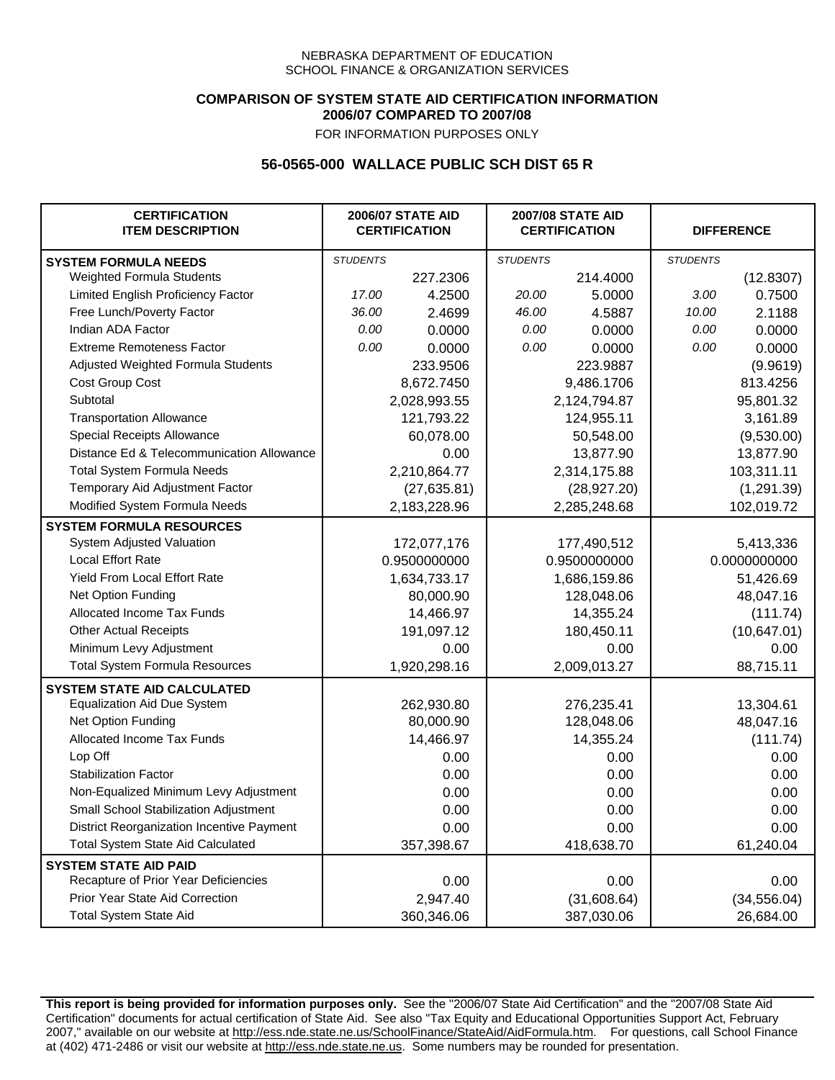### **COMPARISON OF SYSTEM STATE AID CERTIFICATION INFORMATION 2006/07 COMPARED TO 2007/08**

FOR INFORMATION PURPOSES ONLY

## **56-0565-000 WALLACE PUBLIC SCH DIST 65 R**

| <b>CERTIFICATION</b><br><b>ITEM DESCRIPTION</b> |                 | <b>2006/07 STATE AID</b><br><b>CERTIFICATION</b> | <b>2007/08 STATE AID</b><br><b>CERTIFICATION</b> |              |                 | <b>DIFFERENCE</b> |
|-------------------------------------------------|-----------------|--------------------------------------------------|--------------------------------------------------|--------------|-----------------|-------------------|
| <b>SYSTEM FORMULA NEEDS</b>                     | <b>STUDENTS</b> |                                                  | <b>STUDENTS</b>                                  |              | <b>STUDENTS</b> |                   |
| Weighted Formula Students                       |                 | 227.2306                                         |                                                  | 214.4000     |                 | (12.8307)         |
| Limited English Proficiency Factor              | 17.00           | 4.2500                                           | 20.00                                            | 5.0000       | 3.00            | 0.7500            |
| Free Lunch/Poverty Factor                       | 36.00           | 2.4699                                           | 46.00                                            | 4.5887       | 10.00           | 2.1188            |
| Indian ADA Factor                               | 0.00            | 0.0000                                           | 0.00                                             | 0.0000       | 0.00            | 0.0000            |
| <b>Extreme Remoteness Factor</b>                | 0.00            | 0.0000                                           | 0.00                                             | 0.0000       | 0.00            | 0.0000            |
| Adjusted Weighted Formula Students              |                 | 233.9506                                         |                                                  | 223.9887     |                 | (9.9619)          |
| Cost Group Cost                                 |                 | 8,672.7450                                       |                                                  | 9,486.1706   |                 | 813.4256          |
| Subtotal                                        |                 | 2,028,993.55                                     |                                                  | 2,124,794.87 |                 | 95,801.32         |
| <b>Transportation Allowance</b>                 |                 | 121,793.22                                       |                                                  | 124,955.11   |                 | 3,161.89          |
| Special Receipts Allowance                      |                 | 60,078.00                                        |                                                  | 50,548.00    |                 | (9,530.00)        |
| Distance Ed & Telecommunication Allowance       |                 | 0.00                                             |                                                  | 13,877.90    |                 | 13,877.90         |
| <b>Total System Formula Needs</b>               |                 | 2,210,864.77                                     |                                                  | 2,314,175.88 | 103,311.11      |                   |
| Temporary Aid Adjustment Factor                 |                 | (27, 635.81)                                     | (28, 927.20)                                     |              | (1, 291.39)     |                   |
| Modified System Formula Needs                   |                 | 2,183,228.96                                     |                                                  | 2,285,248.68 |                 | 102,019.72        |
| <b>SYSTEM FORMULA RESOURCES</b>                 |                 |                                                  |                                                  |              |                 |                   |
| System Adjusted Valuation                       |                 | 172,077,176                                      |                                                  | 177,490,512  |                 | 5,413,336         |
| <b>Local Effort Rate</b>                        |                 | 0.9500000000                                     |                                                  | 0.9500000000 |                 | 0.0000000000      |
| Yield From Local Effort Rate                    |                 | 1,634,733.17                                     | 1,686,159.86                                     |              | 51,426.69       |                   |
| Net Option Funding                              |                 | 80,000.90                                        | 128,048.06                                       |              | 48,047.16       |                   |
| Allocated Income Tax Funds                      |                 | 14,466.97                                        | 14,355.24                                        |              | (111.74)        |                   |
| <b>Other Actual Receipts</b>                    |                 | 191,097.12                                       | 180,450.11                                       |              | (10, 647.01)    |                   |
| Minimum Levy Adjustment                         |                 | 0.00                                             |                                                  | 0.00         |                 | 0.00              |
| <b>Total System Formula Resources</b>           |                 | 1,920,298.16                                     |                                                  | 2,009,013.27 |                 | 88,715.11         |
| <b>SYSTEM STATE AID CALCULATED</b>              |                 |                                                  |                                                  |              |                 |                   |
| <b>Equalization Aid Due System</b>              |                 | 262,930.80                                       |                                                  | 276,235.41   |                 | 13,304.61         |
| Net Option Funding                              |                 | 80,000.90                                        |                                                  | 128,048.06   |                 | 48,047.16         |
| Allocated Income Tax Funds                      |                 | 14,466.97                                        |                                                  | 14,355.24    |                 | (111.74)          |
| Lop Off                                         |                 | 0.00                                             |                                                  | 0.00         |                 | 0.00              |
| <b>Stabilization Factor</b>                     |                 | 0.00                                             |                                                  | 0.00         |                 | 0.00              |
| Non-Equalized Minimum Levy Adjustment           |                 | 0.00                                             |                                                  | 0.00         |                 | 0.00              |
| Small School Stabilization Adjustment           |                 | 0.00                                             |                                                  | 0.00         |                 | 0.00              |
| District Reorganization Incentive Payment       |                 | 0.00                                             |                                                  | 0.00         |                 | 0.00              |
| <b>Total System State Aid Calculated</b>        |                 | 357,398.67                                       |                                                  | 418,638.70   |                 | 61,240.04         |
| <b>SYSTEM STATE AID PAID</b>                    |                 |                                                  |                                                  |              |                 |                   |
| Recapture of Prior Year Deficiencies            |                 | 0.00                                             |                                                  | 0.00         |                 | 0.00              |
| Prior Year State Aid Correction                 |                 | 2,947.40                                         |                                                  | (31,608.64)  |                 | (34, 556.04)      |
| <b>Total System State Aid</b>                   |                 | 360,346.06                                       |                                                  | 387,030.06   |                 | 26,684.00         |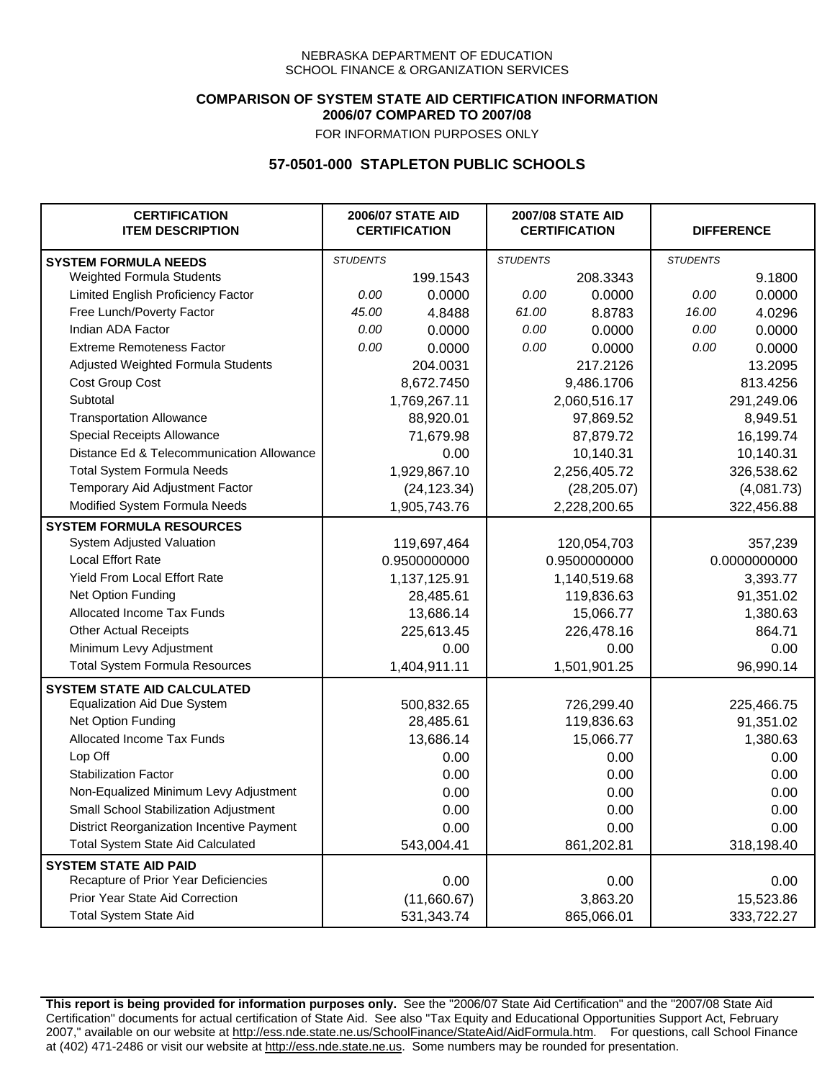### **COMPARISON OF SYSTEM STATE AID CERTIFICATION INFORMATION 2006/07 COMPARED TO 2007/08**

FOR INFORMATION PURPOSES ONLY

## **57-0501-000 STAPLETON PUBLIC SCHOOLS**

| <b>CERTIFICATION</b><br><b>ITEM DESCRIPTION</b> |                 | <b>2006/07 STATE AID</b><br><b>CERTIFICATION</b> | <b>2007/08 STATE AID</b><br><b>CERTIFICATION</b> |              | <b>DIFFERENCE</b> |              |
|-------------------------------------------------|-----------------|--------------------------------------------------|--------------------------------------------------|--------------|-------------------|--------------|
| <b>SYSTEM FORMULA NEEDS</b>                     | <b>STUDENTS</b> |                                                  | <b>STUDENTS</b>                                  |              | <b>STUDENTS</b>   |              |
| <b>Weighted Formula Students</b>                |                 | 199.1543                                         |                                                  | 208.3343     |                   | 9.1800       |
| Limited English Proficiency Factor              | 0.00            | 0.0000                                           | 0.00                                             | 0.0000       | 0.00              | 0.0000       |
| Free Lunch/Poverty Factor                       | 45.00           | 4.8488                                           | 61.00                                            | 8.8783       | 16.00             | 4.0296       |
| Indian ADA Factor                               | 0.00            | 0.0000                                           | 0.00                                             | 0.0000       | 0.00              | 0.0000       |
| <b>Extreme Remoteness Factor</b>                | 0.00            | 0.0000                                           | 0.00                                             | 0.0000       | 0.00              | 0.0000       |
| Adjusted Weighted Formula Students              |                 | 204.0031                                         |                                                  | 217.2126     |                   | 13.2095      |
| Cost Group Cost                                 |                 | 8,672.7450                                       |                                                  | 9,486.1706   |                   | 813.4256     |
| Subtotal                                        |                 | 1,769,267.11                                     |                                                  | 2,060,516.17 |                   | 291,249.06   |
| <b>Transportation Allowance</b>                 |                 | 88,920.01                                        |                                                  | 97,869.52    |                   | 8,949.51     |
| Special Receipts Allowance                      |                 | 71,679.98                                        |                                                  | 87,879.72    |                   | 16,199.74    |
| Distance Ed & Telecommunication Allowance       |                 | 0.00                                             |                                                  | 10,140.31    |                   | 10,140.31    |
| <b>Total System Formula Needs</b>               |                 | 1,929,867.10                                     | 2,256,405.72                                     |              | 326,538.62        |              |
| Temporary Aid Adjustment Factor                 |                 | (24, 123.34)                                     | (28, 205.07)                                     |              | (4,081.73)        |              |
| Modified System Formula Needs                   |                 | 1,905,743.76                                     |                                                  | 2,228,200.65 |                   | 322,456.88   |
| <b>SYSTEM FORMULA RESOURCES</b>                 |                 |                                                  |                                                  |              |                   |              |
| System Adjusted Valuation                       |                 | 119,697,464                                      |                                                  | 120,054,703  |                   | 357,239      |
| <b>Local Effort Rate</b>                        |                 | 0.9500000000                                     |                                                  | 0.9500000000 |                   | 0.0000000000 |
| <b>Yield From Local Effort Rate</b>             |                 | 1,137,125.91                                     | 1,140,519.68                                     |              | 3,393.77          |              |
| Net Option Funding                              |                 | 28,485.61                                        | 119,836.63                                       |              | 91,351.02         |              |
| Allocated Income Tax Funds                      |                 | 13,686.14                                        | 15,066.77                                        |              | 1,380.63          |              |
| <b>Other Actual Receipts</b>                    |                 | 225,613.45                                       |                                                  | 226,478.16   | 864.71            |              |
| Minimum Levy Adjustment                         |                 | 0.00                                             |                                                  | 0.00         |                   | 0.00         |
| <b>Total System Formula Resources</b>           |                 | 1,404,911.11                                     |                                                  | 1,501,901.25 |                   | 96,990.14    |
| <b>SYSTEM STATE AID CALCULATED</b>              |                 |                                                  |                                                  |              |                   |              |
| <b>Equalization Aid Due System</b>              |                 | 500,832.65                                       |                                                  | 726,299.40   |                   | 225,466.75   |
| Net Option Funding                              |                 | 28,485.61                                        |                                                  | 119,836.63   |                   | 91,351.02    |
| Allocated Income Tax Funds                      |                 | 13,686.14                                        |                                                  | 15,066.77    |                   | 1,380.63     |
| Lop Off                                         |                 | 0.00                                             |                                                  | 0.00         |                   | 0.00         |
| <b>Stabilization Factor</b>                     |                 | 0.00                                             |                                                  | 0.00         |                   | 0.00         |
| Non-Equalized Minimum Levy Adjustment           |                 | 0.00                                             |                                                  | 0.00         |                   | 0.00         |
| Small School Stabilization Adjustment           |                 | 0.00                                             |                                                  | 0.00         |                   | 0.00         |
| District Reorganization Incentive Payment       |                 | 0.00                                             |                                                  | 0.00         |                   | 0.00         |
| <b>Total System State Aid Calculated</b>        |                 | 543,004.41                                       |                                                  | 861,202.81   |                   | 318,198.40   |
| <b>SYSTEM STATE AID PAID</b>                    |                 |                                                  |                                                  |              |                   |              |
| Recapture of Prior Year Deficiencies            |                 | 0.00                                             |                                                  | 0.00         |                   | 0.00         |
| Prior Year State Aid Correction                 |                 | (11,660.67)                                      |                                                  | 3,863.20     |                   | 15,523.86    |
| <b>Total System State Aid</b>                   |                 | 531,343.74                                       |                                                  | 865,066.01   |                   | 333,722.27   |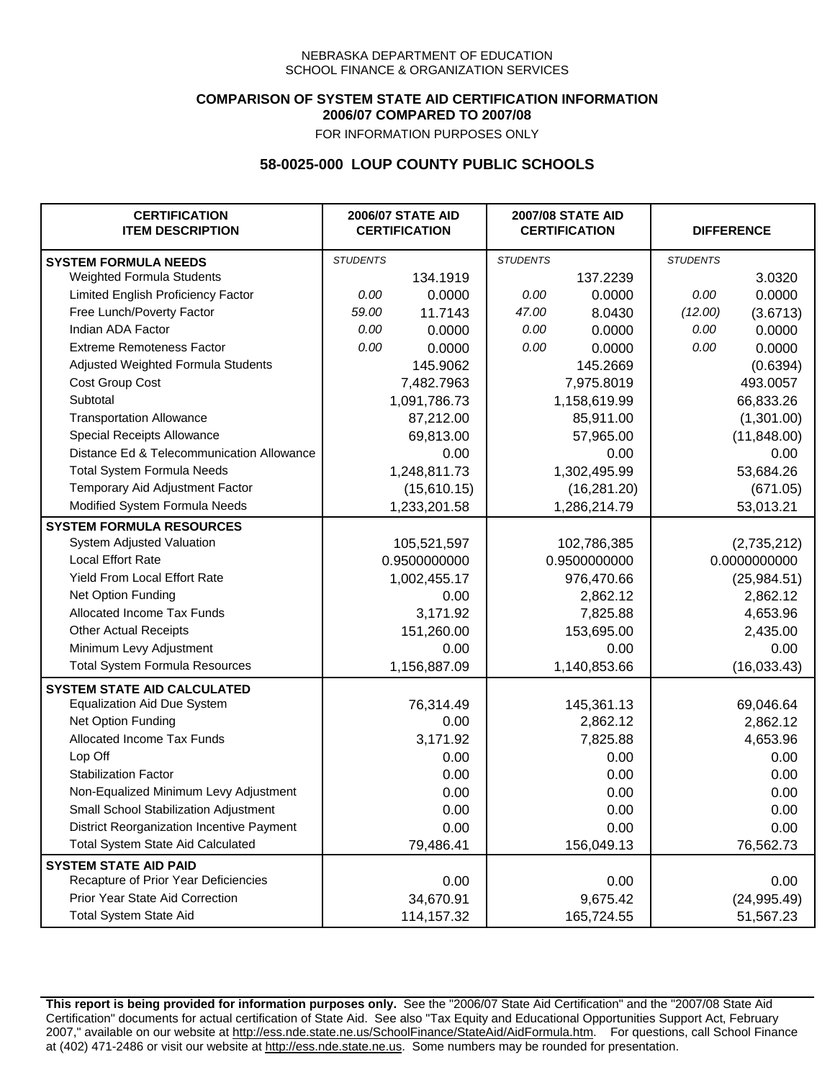### **COMPARISON OF SYSTEM STATE AID CERTIFICATION INFORMATION 2006/07 COMPARED TO 2007/08**

FOR INFORMATION PURPOSES ONLY

# **58-0025-000 LOUP COUNTY PUBLIC SCHOOLS**

| <b>CERTIFICATION</b><br><b>ITEM DESCRIPTION</b> |                 | <b>2006/07 STATE AID</b><br><b>CERTIFICATION</b> | <b>2007/08 STATE AID</b><br><b>CERTIFICATION</b> |              | <b>DIFFERENCE</b> |              |
|-------------------------------------------------|-----------------|--------------------------------------------------|--------------------------------------------------|--------------|-------------------|--------------|
| <b>SYSTEM FORMULA NEEDS</b>                     | <b>STUDENTS</b> |                                                  | <b>STUDENTS</b>                                  |              | <b>STUDENTS</b>   |              |
| Weighted Formula Students                       |                 | 134.1919                                         |                                                  | 137.2239     |                   | 3.0320       |
| Limited English Proficiency Factor              | 0.00            | 0.0000                                           | 0.00                                             | 0.0000       | 0.00              | 0.0000       |
| Free Lunch/Poverty Factor                       | 59.00           | 11.7143                                          | 47.00                                            | 8.0430       | (12.00)           | (3.6713)     |
| Indian ADA Factor                               | 0.00            | 0.0000                                           | 0.00                                             | 0.0000       | 0.00              | 0.0000       |
| <b>Extreme Remoteness Factor</b>                | 0.00            | 0.0000                                           | 0.00                                             | 0.0000       | 0.00              | 0.0000       |
| Adjusted Weighted Formula Students              |                 | 145.9062                                         |                                                  | 145.2669     |                   | (0.6394)     |
| Cost Group Cost                                 |                 | 7,482.7963                                       |                                                  | 7,975.8019   |                   | 493.0057     |
| Subtotal                                        |                 | 1,091,786.73                                     |                                                  | 1,158,619.99 |                   | 66,833.26    |
| <b>Transportation Allowance</b>                 |                 | 87,212.00                                        |                                                  | 85,911.00    |                   | (1,301.00)   |
| Special Receipts Allowance                      |                 | 69,813.00                                        |                                                  | 57,965.00    |                   | (11, 848.00) |
| Distance Ed & Telecommunication Allowance       |                 | 0.00                                             |                                                  | 0.00         |                   | 0.00         |
| <b>Total System Formula Needs</b>               |                 | 1,248,811.73                                     |                                                  | 1,302,495.99 |                   | 53,684.26    |
| Temporary Aid Adjustment Factor                 |                 | (15,610.15)                                      | (16, 281.20)                                     |              | (671.05)          |              |
| Modified System Formula Needs                   |                 | 1,233,201.58                                     |                                                  | 1,286,214.79 |                   | 53,013.21    |
| <b>SYSTEM FORMULA RESOURCES</b>                 |                 |                                                  |                                                  |              |                   |              |
| System Adjusted Valuation                       |                 | 105,521,597                                      |                                                  | 102,786,385  |                   | (2,735,212)  |
| <b>Local Effort Rate</b>                        |                 | 0.9500000000                                     |                                                  | 0.9500000000 |                   | 0.0000000000 |
| Yield From Local Effort Rate                    |                 | 1,002,455.17                                     | 976,470.66                                       |              | (25, 984.51)      |              |
| Net Option Funding                              |                 | 0.00                                             | 2,862.12                                         |              | 2,862.12          |              |
| Allocated Income Tax Funds                      |                 | 3,171.92                                         |                                                  | 7,825.88     |                   | 4,653.96     |
| <b>Other Actual Receipts</b>                    |                 | 151,260.00                                       | 153,695.00                                       |              | 2,435.00          |              |
| Minimum Levy Adjustment                         |                 | 0.00                                             |                                                  | 0.00         |                   | 0.00         |
| <b>Total System Formula Resources</b>           |                 | 1,156,887.09                                     |                                                  | 1,140,853.66 |                   | (16,033.43)  |
| <b>SYSTEM STATE AID CALCULATED</b>              |                 |                                                  |                                                  |              |                   |              |
| <b>Equalization Aid Due System</b>              |                 | 76,314.49                                        |                                                  | 145,361.13   |                   | 69,046.64    |
| Net Option Funding                              |                 | 0.00                                             |                                                  | 2,862.12     |                   | 2,862.12     |
| Allocated Income Tax Funds                      |                 | 3,171.92                                         |                                                  | 7,825.88     |                   | 4,653.96     |
| Lop Off                                         |                 | 0.00                                             |                                                  | 0.00         |                   | 0.00         |
| <b>Stabilization Factor</b>                     |                 | 0.00                                             |                                                  | 0.00         |                   | 0.00         |
| Non-Equalized Minimum Levy Adjustment           |                 | 0.00                                             |                                                  | 0.00         |                   | 0.00         |
| Small School Stabilization Adjustment           |                 | 0.00                                             |                                                  | 0.00         |                   | 0.00         |
| District Reorganization Incentive Payment       |                 | 0.00                                             |                                                  | 0.00         |                   | 0.00         |
| <b>Total System State Aid Calculated</b>        |                 | 79,486.41                                        |                                                  | 156,049.13   |                   | 76,562.73    |
| <b>SYSTEM STATE AID PAID</b>                    |                 |                                                  |                                                  |              |                   |              |
| Recapture of Prior Year Deficiencies            |                 | 0.00                                             |                                                  | 0.00         |                   | 0.00         |
| Prior Year State Aid Correction                 |                 | 34,670.91                                        |                                                  | 9,675.42     |                   | (24, 995.49) |
| <b>Total System State Aid</b>                   |                 | 114,157.32                                       |                                                  | 165,724.55   |                   | 51,567.23    |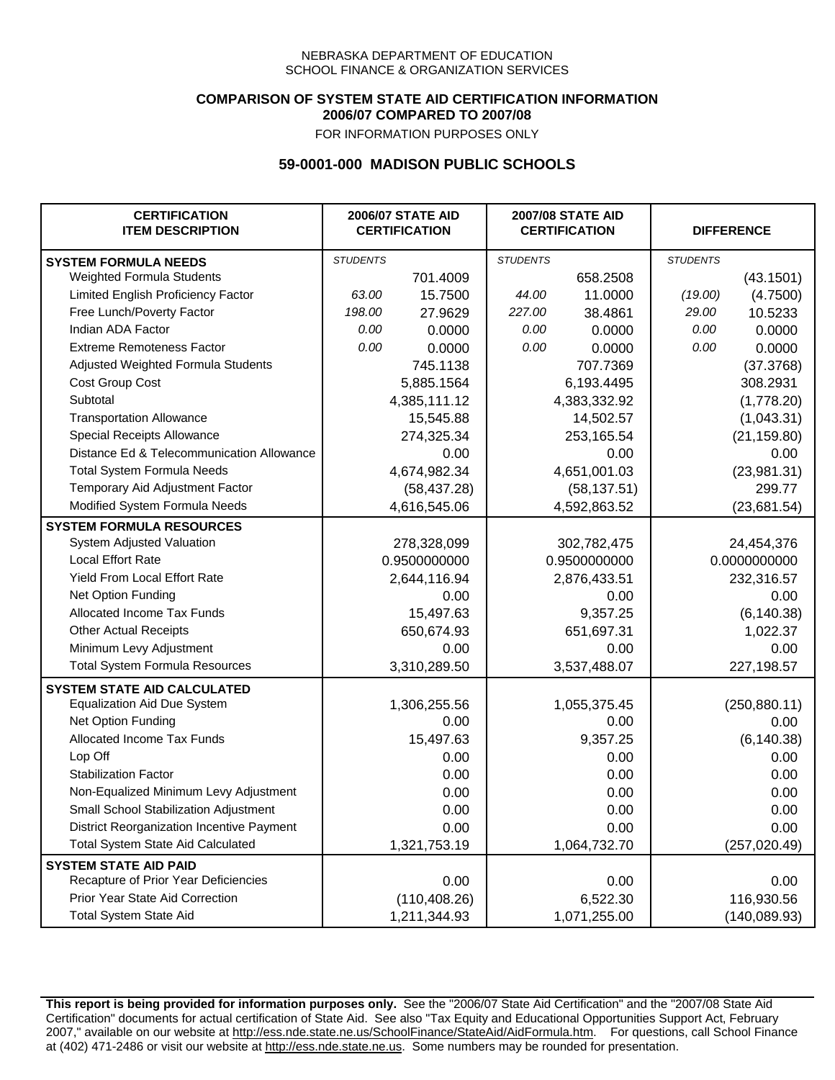### **COMPARISON OF SYSTEM STATE AID CERTIFICATION INFORMATION 2006/07 COMPARED TO 2007/08**

FOR INFORMATION PURPOSES ONLY

## **59-0001-000 MADISON PUBLIC SCHOOLS**

| <b>CERTIFICATION</b><br><b>ITEM DESCRIPTION</b> |                 | <b>2006/07 STATE AID</b><br><b>CERTIFICATION</b> | <b>2007/08 STATE AID</b><br><b>CERTIFICATION</b> |              | <b>DIFFERENCE</b> |               |
|-------------------------------------------------|-----------------|--------------------------------------------------|--------------------------------------------------|--------------|-------------------|---------------|
| <b>SYSTEM FORMULA NEEDS</b>                     | <b>STUDENTS</b> |                                                  | <b>STUDENTS</b>                                  |              | <b>STUDENTS</b>   |               |
| Weighted Formula Students                       |                 | 701.4009                                         |                                                  | 658.2508     |                   | (43.1501)     |
| Limited English Proficiency Factor              | 63.00           | 15.7500                                          | 44.00                                            | 11.0000      | (19.00)           | (4.7500)      |
| Free Lunch/Poverty Factor                       | 198.00          | 27.9629                                          | 227.00                                           | 38.4861      | 29.00             | 10.5233       |
| Indian ADA Factor                               | 0.00            | 0.0000                                           | 0.00                                             | 0.0000       | 0.00              | 0.0000        |
| <b>Extreme Remoteness Factor</b>                | 0.00            | 0.0000                                           | 0.00                                             | 0.0000       | 0.00              | 0.0000        |
| Adjusted Weighted Formula Students              |                 | 745.1138                                         |                                                  | 707.7369     |                   | (37.3768)     |
| Cost Group Cost                                 |                 | 5,885.1564                                       |                                                  | 6,193.4495   |                   | 308.2931      |
| Subtotal                                        |                 | 4,385,111.12                                     |                                                  | 4,383,332.92 |                   | (1,778.20)    |
| <b>Transportation Allowance</b>                 |                 | 15,545.88                                        |                                                  | 14,502.57    |                   | (1,043.31)    |
| Special Receipts Allowance                      |                 | 274,325.34                                       |                                                  | 253,165.54   |                   | (21, 159.80)  |
| Distance Ed & Telecommunication Allowance       |                 | 0.00                                             |                                                  | 0.00         |                   | 0.00          |
| <b>Total System Formula Needs</b>               |                 | 4,674,982.34                                     |                                                  | 4,651,001.03 |                   | (23,981.31)   |
| Temporary Aid Adjustment Factor                 |                 | (58, 437.28)                                     |                                                  | (58, 137.51) |                   | 299.77        |
| Modified System Formula Needs                   |                 | 4,616,545.06                                     |                                                  | 4,592,863.52 |                   | (23,681.54)   |
| <b>SYSTEM FORMULA RESOURCES</b>                 |                 |                                                  |                                                  |              |                   |               |
| System Adjusted Valuation                       |                 | 278,328,099                                      |                                                  | 302,782,475  |                   | 24,454,376    |
| <b>Local Effort Rate</b>                        |                 | 0.9500000000                                     |                                                  | 0.9500000000 |                   | 0.0000000000  |
| Yield From Local Effort Rate                    |                 | 2,644,116.94                                     |                                                  | 2,876,433.51 |                   | 232,316.57    |
| Net Option Funding                              |                 | 0.00                                             |                                                  | 0.00         |                   | 0.00          |
| Allocated Income Tax Funds                      |                 | 15,497.63                                        |                                                  | 9,357.25     |                   | (6, 140.38)   |
| <b>Other Actual Receipts</b>                    |                 | 650,674.93                                       |                                                  | 651,697.31   |                   | 1,022.37      |
| Minimum Levy Adjustment                         |                 | 0.00                                             |                                                  | 0.00         |                   | 0.00          |
| <b>Total System Formula Resources</b>           |                 | 3,310,289.50                                     |                                                  | 3,537,488.07 |                   | 227,198.57    |
| <b>SYSTEM STATE AID CALCULATED</b>              |                 |                                                  |                                                  |              |                   |               |
| <b>Equalization Aid Due System</b>              |                 | 1,306,255.56                                     |                                                  | 1,055,375.45 |                   | (250, 880.11) |
| Net Option Funding                              |                 | 0.00                                             |                                                  | 0.00         |                   | 0.00          |
| Allocated Income Tax Funds                      |                 | 15,497.63                                        |                                                  | 9,357.25     |                   | (6, 140.38)   |
| Lop Off                                         |                 | 0.00                                             |                                                  | 0.00         |                   | 0.00          |
| <b>Stabilization Factor</b>                     |                 | 0.00                                             |                                                  | 0.00         |                   | 0.00          |
| Non-Equalized Minimum Levy Adjustment           |                 | 0.00                                             |                                                  | 0.00         |                   | 0.00          |
| Small School Stabilization Adjustment           |                 | 0.00                                             |                                                  | 0.00         |                   | 0.00          |
| District Reorganization Incentive Payment       |                 | 0.00                                             |                                                  | 0.00         |                   | 0.00          |
| <b>Total System State Aid Calculated</b>        |                 | 1,321,753.19                                     |                                                  | 1,064,732.70 |                   | (257, 020.49) |
| <b>SYSTEM STATE AID PAID</b>                    |                 |                                                  |                                                  |              |                   |               |
| Recapture of Prior Year Deficiencies            |                 | 0.00                                             |                                                  | 0.00         |                   | 0.00          |
| Prior Year State Aid Correction                 |                 | (110, 408.26)                                    |                                                  | 6,522.30     |                   | 116,930.56    |
| <b>Total System State Aid</b>                   |                 | 1,211,344.93                                     |                                                  | 1,071,255.00 |                   | (140, 089.93) |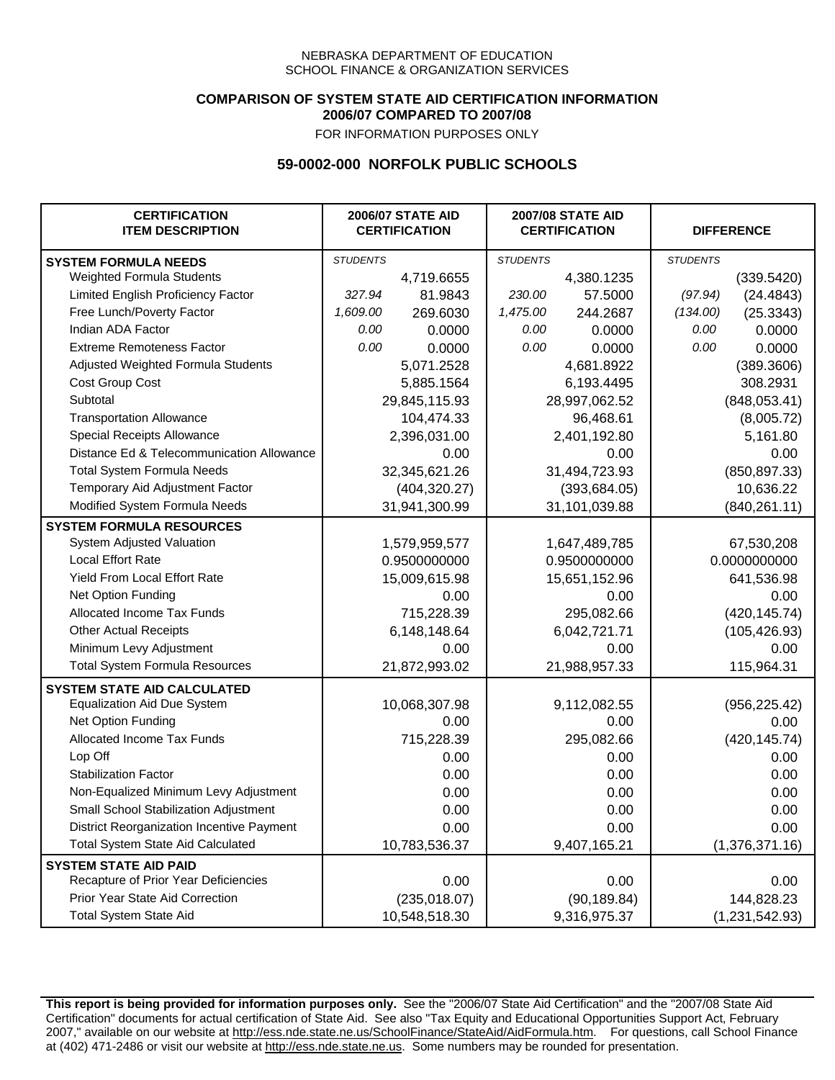### **COMPARISON OF SYSTEM STATE AID CERTIFICATION INFORMATION 2006/07 COMPARED TO 2007/08**

FOR INFORMATION PURPOSES ONLY

## **59-0002-000 NORFOLK PUBLIC SCHOOLS**

| <b>CERTIFICATION</b><br><b>ITEM DESCRIPTION</b> |                 | <b>2006/07 STATE AID</b><br><b>CERTIFICATION</b> | <b>2007/08 STATE AID</b><br><b>CERTIFICATION</b> |               |                 | <b>DIFFERENCE</b> |
|-------------------------------------------------|-----------------|--------------------------------------------------|--------------------------------------------------|---------------|-----------------|-------------------|
| <b>SYSTEM FORMULA NEEDS</b>                     | <b>STUDENTS</b> |                                                  | <b>STUDENTS</b>                                  |               | <b>STUDENTS</b> |                   |
| Weighted Formula Students                       |                 | 4,719.6655                                       |                                                  | 4,380.1235    |                 | (339.5420)        |
| Limited English Proficiency Factor              | 327.94          | 81.9843                                          | 230.00                                           | 57.5000       | (97.94)         | (24.4843)         |
| Free Lunch/Poverty Factor                       | 1,609.00        | 269.6030                                         | 1,475.00                                         | 244.2687      | (134.00)        | (25.3343)         |
| Indian ADA Factor                               | 0.00            | 0.0000                                           | 0.00                                             | 0.0000        | 0.00            | 0.0000            |
| <b>Extreme Remoteness Factor</b>                | 0.00            | 0.0000                                           | 0.00                                             | 0.0000        | 0.00            | 0.0000            |
| Adjusted Weighted Formula Students              |                 | 5,071.2528                                       |                                                  | 4,681.8922    |                 | (389.3606)        |
| Cost Group Cost                                 |                 | 5,885.1564                                       |                                                  | 6,193.4495    |                 | 308.2931          |
| Subtotal                                        |                 | 29,845,115.93                                    |                                                  | 28,997,062.52 |                 | (848,053.41)      |
| <b>Transportation Allowance</b>                 |                 | 104,474.33                                       |                                                  | 96,468.61     |                 | (8,005.72)        |
| Special Receipts Allowance                      |                 | 2,396,031.00                                     |                                                  | 2,401,192.80  |                 | 5,161.80          |
| Distance Ed & Telecommunication Allowance       |                 | 0.00                                             |                                                  | 0.00          |                 | 0.00              |
| <b>Total System Formula Needs</b>               |                 | 32,345,621.26                                    | 31,494,723.93                                    |               | (850, 897.33)   |                   |
| Temporary Aid Adjustment Factor                 |                 | (404, 320.27)                                    | (393, 684.05)                                    |               |                 | 10,636.22         |
| Modified System Formula Needs                   | 31,941,300.99   |                                                  | 31,101,039.88                                    |               | (840, 261.11)   |                   |
| <b>SYSTEM FORMULA RESOURCES</b>                 |                 |                                                  |                                                  |               |                 |                   |
| System Adjusted Valuation                       |                 | 1,579,959,577                                    |                                                  | 1,647,489,785 |                 | 67,530,208        |
| <b>Local Effort Rate</b>                        |                 | 0.9500000000                                     |                                                  | 0.9500000000  |                 | 0.0000000000      |
| <b>Yield From Local Effort Rate</b>             |                 | 15,009,615.98                                    | 15,651,152.96                                    |               |                 | 641,536.98        |
| Net Option Funding                              |                 | 0.00                                             | 0.00                                             |               | 0.00            |                   |
| Allocated Income Tax Funds                      |                 | 715,228.39                                       | 295,082.66                                       |               | (420, 145.74)   |                   |
| <b>Other Actual Receipts</b>                    |                 | 6,148,148.64                                     | 6,042,721.71                                     |               | (105, 426.93)   |                   |
| Minimum Levy Adjustment                         |                 | 0.00                                             | 0.00                                             |               |                 | 0.00              |
| <b>Total System Formula Resources</b>           |                 | 21,872,993.02                                    |                                                  | 21,988,957.33 |                 | 115,964.31        |
| <b>SYSTEM STATE AID CALCULATED</b>              |                 |                                                  |                                                  |               |                 |                   |
| <b>Equalization Aid Due System</b>              |                 | 10,068,307.98                                    |                                                  | 9,112,082.55  |                 | (956, 225.42)     |
| Net Option Funding                              |                 | 0.00                                             |                                                  | 0.00          |                 | 0.00              |
| Allocated Income Tax Funds                      |                 | 715,228.39                                       |                                                  | 295,082.66    |                 | (420, 145.74)     |
| Lop Off                                         |                 | 0.00                                             |                                                  | 0.00          |                 | 0.00              |
| <b>Stabilization Factor</b>                     |                 | 0.00                                             |                                                  | 0.00          |                 | 0.00              |
| Non-Equalized Minimum Levy Adjustment           |                 | 0.00                                             |                                                  | 0.00          |                 | 0.00              |
| Small School Stabilization Adjustment           |                 | 0.00                                             |                                                  | 0.00          |                 | 0.00              |
| District Reorganization Incentive Payment       |                 | 0.00                                             |                                                  | 0.00          |                 | 0.00              |
| <b>Total System State Aid Calculated</b>        |                 | 10,783,536.37                                    |                                                  | 9,407,165.21  |                 | (1,376,371.16)    |
| <b>SYSTEM STATE AID PAID</b>                    |                 |                                                  |                                                  |               |                 |                   |
| Recapture of Prior Year Deficiencies            |                 | 0.00                                             |                                                  | 0.00          |                 | 0.00              |
| Prior Year State Aid Correction                 |                 | (235, 018.07)                                    |                                                  | (90, 189.84)  |                 | 144,828.23        |
| <b>Total System State Aid</b>                   |                 | 10,548,518.30                                    |                                                  | 9,316,975.37  | (1,231,542.93)  |                   |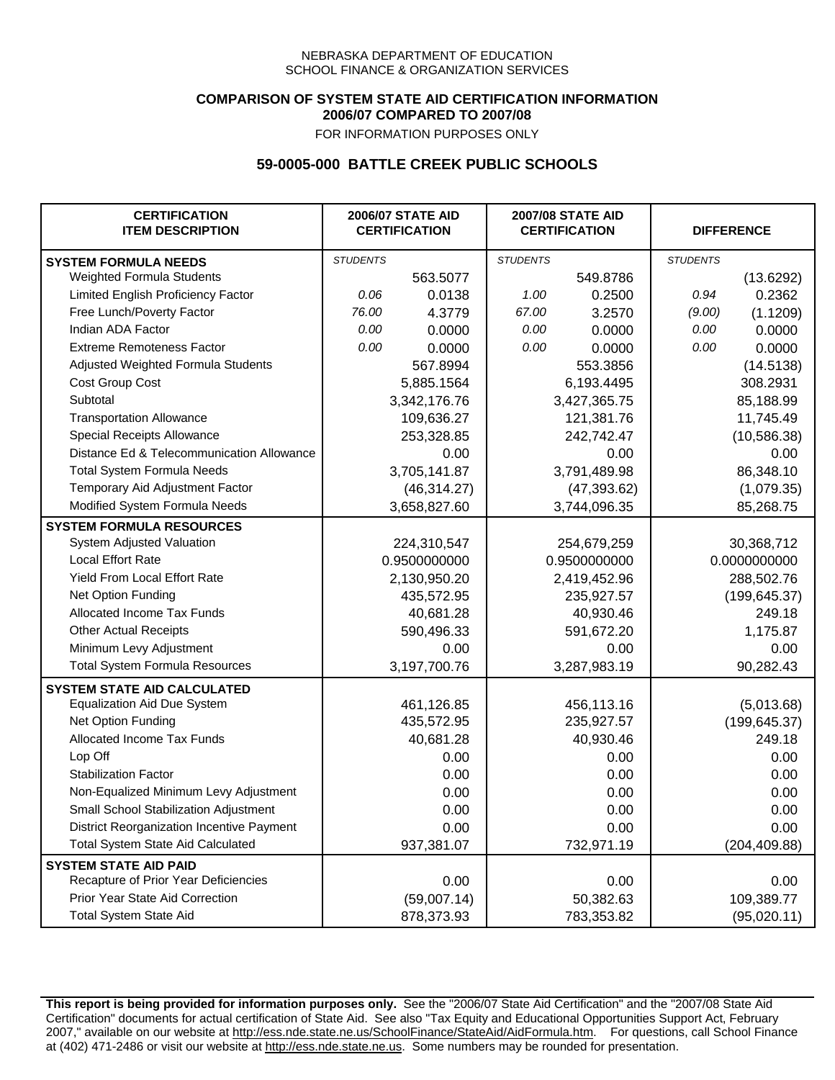### **COMPARISON OF SYSTEM STATE AID CERTIFICATION INFORMATION 2006/07 COMPARED TO 2007/08**

FOR INFORMATION PURPOSES ONLY

## **59-0005-000 BATTLE CREEK PUBLIC SCHOOLS**

| <b>CERTIFICATION</b><br><b>ITEM DESCRIPTION</b> |                 | <b>2006/07 STATE AID</b><br><b>CERTIFICATION</b> | <b>2007/08 STATE AID</b><br><b>CERTIFICATION</b> |              | <b>DIFFERENCE</b> |               |
|-------------------------------------------------|-----------------|--------------------------------------------------|--------------------------------------------------|--------------|-------------------|---------------|
| <b>SYSTEM FORMULA NEEDS</b>                     | <b>STUDENTS</b> |                                                  | <b>STUDENTS</b>                                  |              | <b>STUDENTS</b>   |               |
| Weighted Formula Students                       |                 | 563.5077                                         |                                                  | 549.8786     |                   | (13.6292)     |
| Limited English Proficiency Factor              | 0.06            | 0.0138                                           | 1.00                                             | 0.2500       | 0.94              | 0.2362        |
| Free Lunch/Poverty Factor                       | 76.00           | 4.3779                                           | 67.00                                            | 3.2570       | (9.00)            | (1.1209)      |
| Indian ADA Factor                               | 0.00            | 0.0000                                           | 0.00                                             | 0.0000       | 0.00              | 0.0000        |
| <b>Extreme Remoteness Factor</b>                | 0.00            | 0.0000                                           | 0.00                                             | 0.0000       | 0.00              | 0.0000        |
| Adjusted Weighted Formula Students              |                 | 567.8994                                         |                                                  | 553.3856     |                   | (14.5138)     |
| Cost Group Cost                                 |                 | 5,885.1564                                       |                                                  | 6,193.4495   |                   | 308.2931      |
| Subtotal                                        |                 | 3,342,176.76                                     |                                                  | 3,427,365.75 |                   | 85,188.99     |
| <b>Transportation Allowance</b>                 |                 | 109,636.27                                       |                                                  | 121,381.76   |                   | 11,745.49     |
| Special Receipts Allowance                      |                 | 253,328.85                                       |                                                  | 242,742.47   |                   | (10, 586.38)  |
| Distance Ed & Telecommunication Allowance       |                 | 0.00                                             |                                                  | 0.00         |                   | 0.00          |
| <b>Total System Formula Needs</b>               |                 | 3,705,141.87                                     |                                                  | 3,791,489.98 |                   | 86,348.10     |
| Temporary Aid Adjustment Factor                 |                 | (46, 314.27)                                     |                                                  | (47, 393.62) |                   | (1,079.35)    |
| Modified System Formula Needs                   |                 | 3,658,827.60                                     |                                                  | 3,744,096.35 |                   | 85,268.75     |
| <b>SYSTEM FORMULA RESOURCES</b>                 |                 |                                                  |                                                  |              |                   |               |
| System Adjusted Valuation                       |                 | 224,310,547                                      |                                                  | 254,679,259  |                   | 30,368,712    |
| <b>Local Effort Rate</b>                        |                 | 0.9500000000                                     |                                                  | 0.9500000000 |                   | 0.0000000000  |
| Yield From Local Effort Rate                    |                 | 2,130,950.20                                     |                                                  | 2,419,452.96 |                   | 288,502.76    |
| Net Option Funding                              |                 | 435,572.95                                       |                                                  | 235,927.57   |                   | (199, 645.37) |
| Allocated Income Tax Funds                      |                 | 40,681.28                                        |                                                  | 40,930.46    |                   | 249.18        |
| <b>Other Actual Receipts</b>                    |                 | 590,496.33                                       | 591,672.20                                       |              | 1,175.87          |               |
| Minimum Levy Adjustment                         |                 | 0.00                                             | 0.00                                             |              |                   | 0.00          |
| <b>Total System Formula Resources</b>           |                 | 3,197,700.76                                     |                                                  | 3,287,983.19 |                   | 90,282.43     |
| <b>SYSTEM STATE AID CALCULATED</b>              |                 |                                                  |                                                  |              |                   |               |
| <b>Equalization Aid Due System</b>              |                 | 461,126.85                                       |                                                  | 456,113.16   |                   | (5,013.68)    |
| Net Option Funding                              |                 | 435,572.95                                       |                                                  | 235,927.57   |                   | (199, 645.37) |
| Allocated Income Tax Funds                      |                 | 40,681.28                                        |                                                  | 40,930.46    |                   | 249.18        |
| Lop Off                                         |                 | 0.00                                             |                                                  | 0.00         |                   | 0.00          |
| <b>Stabilization Factor</b>                     |                 | 0.00                                             |                                                  | 0.00         |                   | 0.00          |
| Non-Equalized Minimum Levy Adjustment           |                 | 0.00                                             |                                                  | 0.00         |                   | 0.00          |
| Small School Stabilization Adjustment           |                 | 0.00                                             |                                                  | 0.00         |                   | 0.00          |
| District Reorganization Incentive Payment       |                 | 0.00                                             |                                                  | 0.00         |                   | 0.00          |
| <b>Total System State Aid Calculated</b>        |                 | 937,381.07                                       |                                                  | 732,971.19   |                   | (204, 409.88) |
| <b>SYSTEM STATE AID PAID</b>                    |                 |                                                  |                                                  |              |                   |               |
| Recapture of Prior Year Deficiencies            |                 | 0.00                                             |                                                  | 0.00         |                   | 0.00          |
| Prior Year State Aid Correction                 |                 | (59,007.14)                                      |                                                  | 50,382.63    |                   | 109,389.77    |
| <b>Total System State Aid</b>                   |                 | 878,373.93                                       |                                                  | 783,353.82   |                   | (95,020.11)   |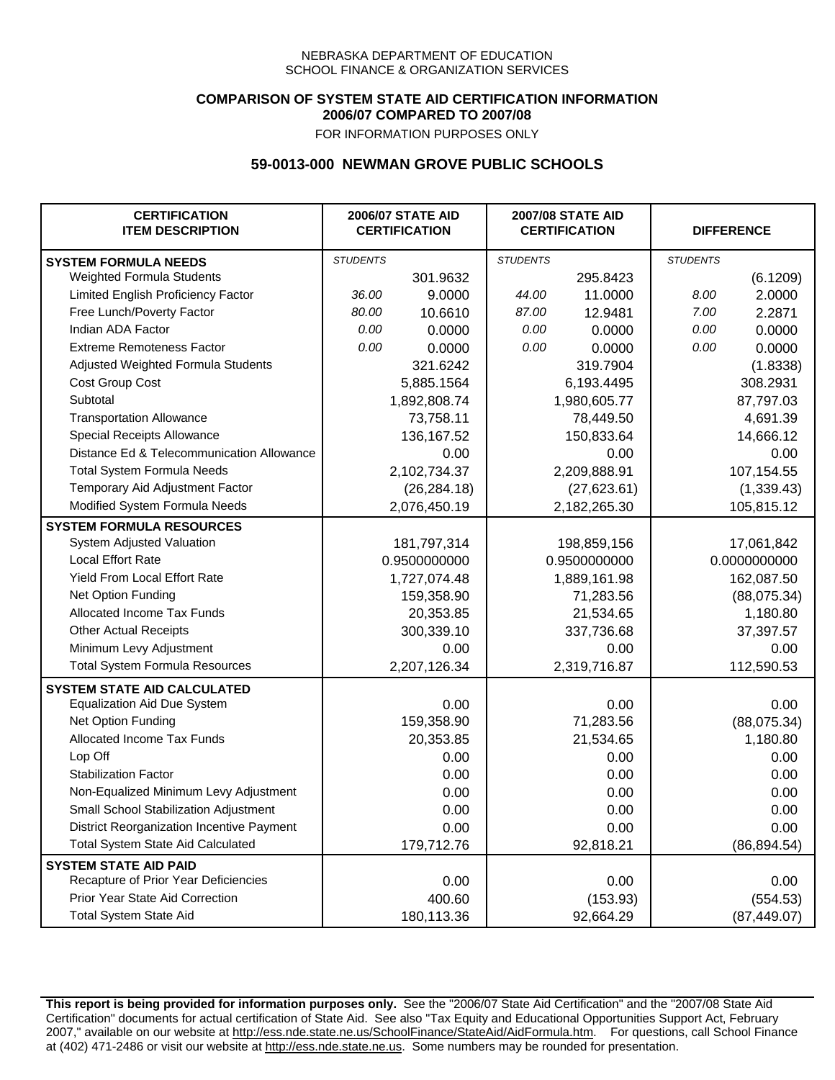### **COMPARISON OF SYSTEM STATE AID CERTIFICATION INFORMATION 2006/07 COMPARED TO 2007/08**

FOR INFORMATION PURPOSES ONLY

## **59-0013-000 NEWMAN GROVE PUBLIC SCHOOLS**

| <b>CERTIFICATION</b><br><b>ITEM DESCRIPTION</b> |                 | <b>2006/07 STATE AID</b><br><b>CERTIFICATION</b> | <b>2007/08 STATE AID</b><br><b>CERTIFICATION</b> |              | <b>DIFFERENCE</b> |              |
|-------------------------------------------------|-----------------|--------------------------------------------------|--------------------------------------------------|--------------|-------------------|--------------|
| <b>SYSTEM FORMULA NEEDS</b>                     | <b>STUDENTS</b> |                                                  | <b>STUDENTS</b>                                  |              | <b>STUDENTS</b>   |              |
| Weighted Formula Students                       |                 | 301.9632                                         |                                                  | 295.8423     |                   | (6.1209)     |
| Limited English Proficiency Factor              | 36.00           | 9.0000                                           | 44.00                                            | 11.0000      | 8.00              | 2.0000       |
| Free Lunch/Poverty Factor                       | 80.00           | 10.6610                                          | 87.00                                            | 12.9481      | 7.00              | 2.2871       |
| Indian ADA Factor                               | 0.00            | 0.0000                                           | 0.00                                             | 0.0000       | 0.00              | 0.0000       |
| <b>Extreme Remoteness Factor</b>                | 0.00            | 0.0000                                           | 0.00                                             | 0.0000       | 0.00              | 0.0000       |
| Adjusted Weighted Formula Students              |                 | 321.6242                                         |                                                  | 319.7904     |                   | (1.8338)     |
| Cost Group Cost                                 |                 | 5,885.1564                                       |                                                  | 6,193.4495   |                   | 308.2931     |
| Subtotal                                        |                 | 1,892,808.74                                     |                                                  | 1,980,605.77 |                   | 87,797.03    |
| <b>Transportation Allowance</b>                 |                 | 73,758.11                                        |                                                  | 78,449.50    |                   | 4,691.39     |
| Special Receipts Allowance                      |                 | 136, 167.52                                      |                                                  | 150,833.64   |                   | 14,666.12    |
| Distance Ed & Telecommunication Allowance       |                 | 0.00                                             |                                                  | 0.00         |                   | 0.00         |
| <b>Total System Formula Needs</b>               |                 | 2,102,734.37                                     |                                                  | 2,209,888.91 |                   | 107,154.55   |
| Temporary Aid Adjustment Factor                 |                 | (26, 284.18)                                     |                                                  | (27, 623.61) | (1,339.43)        |              |
| Modified System Formula Needs                   |                 | 2,076,450.19                                     |                                                  | 2,182,265.30 |                   | 105,815.12   |
| <b>SYSTEM FORMULA RESOURCES</b>                 |                 |                                                  |                                                  |              |                   |              |
| System Adjusted Valuation                       |                 | 181,797,314                                      |                                                  | 198,859,156  |                   | 17,061,842   |
| <b>Local Effort Rate</b>                        |                 | 0.9500000000                                     |                                                  | 0.9500000000 |                   | 0.0000000000 |
| <b>Yield From Local Effort Rate</b>             |                 | 1,727,074.48                                     |                                                  | 1,889,161.98 |                   | 162,087.50   |
| Net Option Funding                              |                 | 159,358.90                                       |                                                  | 71,283.56    |                   | (88,075.34)  |
| Allocated Income Tax Funds                      |                 | 20,353.85                                        | 21,534.65                                        |              | 1,180.80          |              |
| <b>Other Actual Receipts</b>                    |                 | 300,339.10                                       | 337,736.68                                       |              | 37,397.57         |              |
| Minimum Levy Adjustment                         |                 | 0.00                                             |                                                  | 0.00         |                   | 0.00         |
| <b>Total System Formula Resources</b>           |                 | 2,207,126.34                                     |                                                  | 2,319,716.87 |                   | 112,590.53   |
| <b>SYSTEM STATE AID CALCULATED</b>              |                 |                                                  |                                                  |              |                   |              |
| <b>Equalization Aid Due System</b>              |                 | 0.00                                             |                                                  | 0.00         |                   | 0.00         |
| Net Option Funding                              |                 | 159,358.90                                       |                                                  | 71,283.56    |                   | (88,075.34)  |
| Allocated Income Tax Funds                      |                 | 20,353.85                                        |                                                  | 21,534.65    |                   | 1,180.80     |
| Lop Off                                         |                 | 0.00                                             |                                                  | 0.00         |                   | 0.00         |
| <b>Stabilization Factor</b>                     |                 | 0.00                                             |                                                  | 0.00         |                   | 0.00         |
| Non-Equalized Minimum Levy Adjustment           |                 | 0.00                                             |                                                  | 0.00         |                   | 0.00         |
| Small School Stabilization Adjustment           |                 | 0.00                                             |                                                  | 0.00         |                   | 0.00         |
| District Reorganization Incentive Payment       |                 | 0.00                                             |                                                  | 0.00         |                   | 0.00         |
| <b>Total System State Aid Calculated</b>        |                 | 179,712.76                                       |                                                  | 92,818.21    |                   | (86, 894.54) |
| <b>SYSTEM STATE AID PAID</b>                    |                 |                                                  |                                                  |              |                   |              |
| Recapture of Prior Year Deficiencies            |                 | 0.00                                             |                                                  | 0.00         |                   | 0.00         |
| Prior Year State Aid Correction                 |                 | 400.60                                           |                                                  | (153.93)     |                   | (554.53)     |
| <b>Total System State Aid</b>                   |                 | 180,113.36                                       |                                                  | 92,664.29    |                   | (87, 449.07) |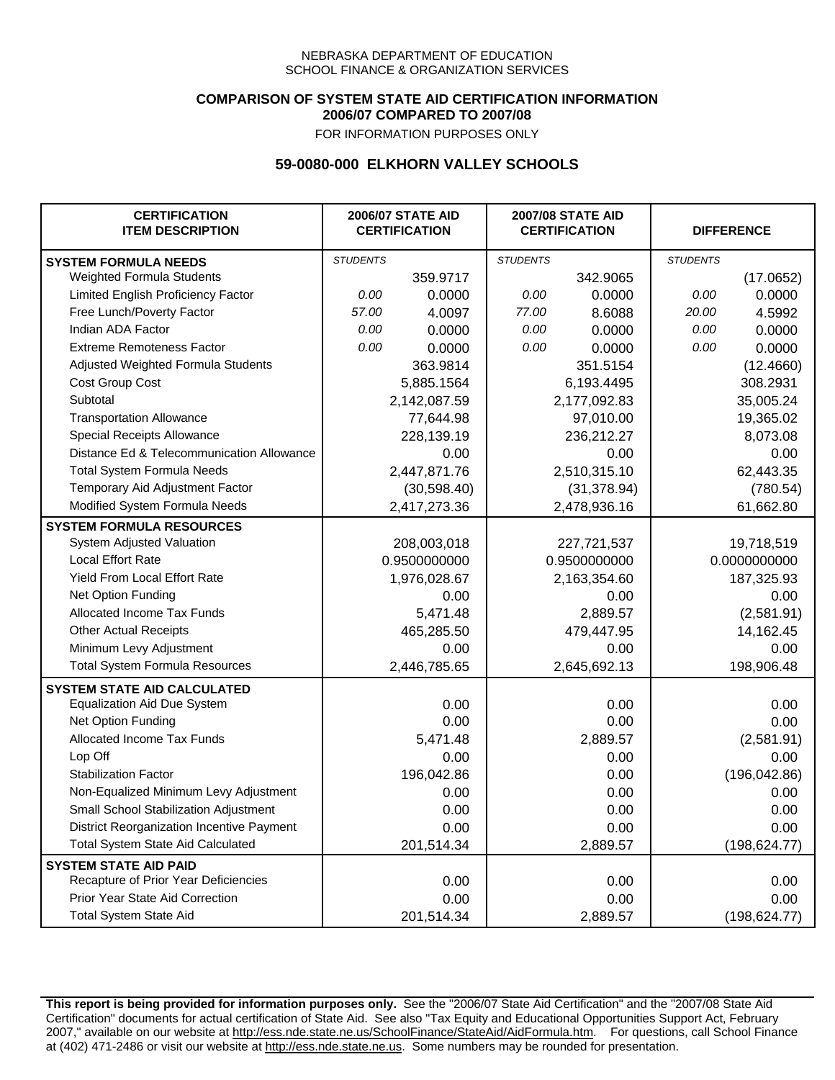### **COMPARISON OF SYSTEM STATE AID CERTIFICATION INFORMATION 2006/07 COMPARED TO 2007/08**

FOR INFORMATION PURPOSES ONLY

## **59-0080-000 ELKHORN VALLEY SCHOOLS**

| <b>CERTIFICATION</b><br><b>ITEM DESCRIPTION</b>  |                 | <b>2006/07 STATE AID</b><br><b>CERTIFICATION</b> | <b>2007/08 STATE AID</b><br><b>CERTIFICATION</b> |              | <b>DIFFERENCE</b> |               |
|--------------------------------------------------|-----------------|--------------------------------------------------|--------------------------------------------------|--------------|-------------------|---------------|
| <b>SYSTEM FORMULA NEEDS</b>                      | <b>STUDENTS</b> |                                                  | <b>STUDENTS</b>                                  |              | <b>STUDENTS</b>   |               |
| Weighted Formula Students                        |                 | 359.9717                                         |                                                  | 342.9065     |                   | (17.0652)     |
| Limited English Proficiency Factor               | 0.00            | 0.0000                                           | 0.00                                             | 0.0000       | 0.00              | 0.0000        |
| Free Lunch/Poverty Factor                        | 57.00           | 4.0097                                           | 77.00                                            | 8.6088       | 20.00             | 4.5992        |
| Indian ADA Factor                                | 0.00            | 0.0000                                           | 0.00                                             | 0.0000       | 0.00              | 0.0000        |
| <b>Extreme Remoteness Factor</b>                 | 0.00            | 0.0000                                           | 0.00                                             | 0.0000       | 0.00              | 0.0000        |
| Adjusted Weighted Formula Students               |                 | 363.9814                                         |                                                  | 351.5154     |                   | (12.4660)     |
| Cost Group Cost                                  |                 | 5,885.1564                                       |                                                  | 6,193.4495   |                   | 308.2931      |
| Subtotal                                         |                 | 2,142,087.59                                     |                                                  | 2,177,092.83 |                   | 35,005.24     |
| <b>Transportation Allowance</b>                  |                 | 77,644.98                                        |                                                  | 97,010.00    |                   | 19,365.02     |
| Special Receipts Allowance                       |                 | 228,139.19                                       |                                                  | 236,212.27   |                   | 8,073.08      |
| Distance Ed & Telecommunication Allowance        |                 | 0.00                                             |                                                  | 0.00         |                   | 0.00          |
| <b>Total System Formula Needs</b>                |                 | 2,447,871.76                                     |                                                  | 2,510,315.10 |                   | 62,443.35     |
| Temporary Aid Adjustment Factor                  |                 | (30, 598.40)                                     |                                                  | (31, 378.94) |                   | (780.54)      |
| Modified System Formula Needs                    |                 | 2,417,273.36                                     |                                                  | 2,478,936.16 |                   | 61,662.80     |
| <b>SYSTEM FORMULA RESOURCES</b>                  |                 |                                                  |                                                  |              |                   |               |
| System Adjusted Valuation                        |                 | 208,003,018                                      |                                                  | 227,721,537  |                   | 19,718,519    |
| <b>Local Effort Rate</b>                         |                 | 0.9500000000                                     |                                                  | 0.9500000000 |                   | 0.0000000000  |
| Yield From Local Effort Rate                     |                 | 1,976,028.67                                     |                                                  | 2,163,354.60 |                   | 187,325.93    |
| Net Option Funding                               |                 | 0.00                                             |                                                  | 0.00         |                   | 0.00          |
| Allocated Income Tax Funds                       |                 | 5,471.48                                         | 2,889.57                                         |              | (2,581.91)        |               |
| <b>Other Actual Receipts</b>                     |                 | 465,285.50                                       |                                                  | 479,447.95   | 14,162.45         |               |
| Minimum Levy Adjustment                          |                 | 0.00                                             |                                                  | 0.00         |                   | 0.00          |
| <b>Total System Formula Resources</b>            |                 | 2,446,785.65                                     |                                                  | 2,645,692.13 |                   | 198,906.48    |
| <b>SYSTEM STATE AID CALCULATED</b>               |                 |                                                  |                                                  |              |                   |               |
| <b>Equalization Aid Due System</b>               |                 | 0.00                                             |                                                  | 0.00         |                   | 0.00          |
| Net Option Funding                               |                 | 0.00                                             |                                                  | 0.00         |                   | 0.00          |
| Allocated Income Tax Funds                       |                 | 5,471.48                                         |                                                  | 2,889.57     |                   | (2,581.91)    |
| Lop Off                                          |                 | 0.00                                             |                                                  | 0.00         |                   | 0.00          |
| <b>Stabilization Factor</b>                      |                 | 196,042.86                                       |                                                  | 0.00         |                   | (196, 042.86) |
| Non-Equalized Minimum Levy Adjustment            |                 | 0.00                                             |                                                  | 0.00         |                   | 0.00          |
| Small School Stabilization Adjustment            |                 | 0.00                                             |                                                  | 0.00         |                   | 0.00          |
| <b>District Reorganization Incentive Payment</b> |                 | 0.00                                             |                                                  | 0.00         |                   | 0.00          |
| <b>Total System State Aid Calculated</b>         |                 | 201,514.34                                       |                                                  | 2,889.57     |                   | (198, 624.77) |
| <b>SYSTEM STATE AID PAID</b>                     |                 |                                                  |                                                  |              |                   |               |
| Recapture of Prior Year Deficiencies             |                 | 0.00                                             |                                                  | 0.00         |                   | 0.00          |
| Prior Year State Aid Correction                  |                 | 0.00                                             |                                                  | 0.00         |                   | 0.00          |
| <b>Total System State Aid</b>                    |                 | 201,514.34                                       |                                                  | 2,889.57     |                   | (198, 624.77) |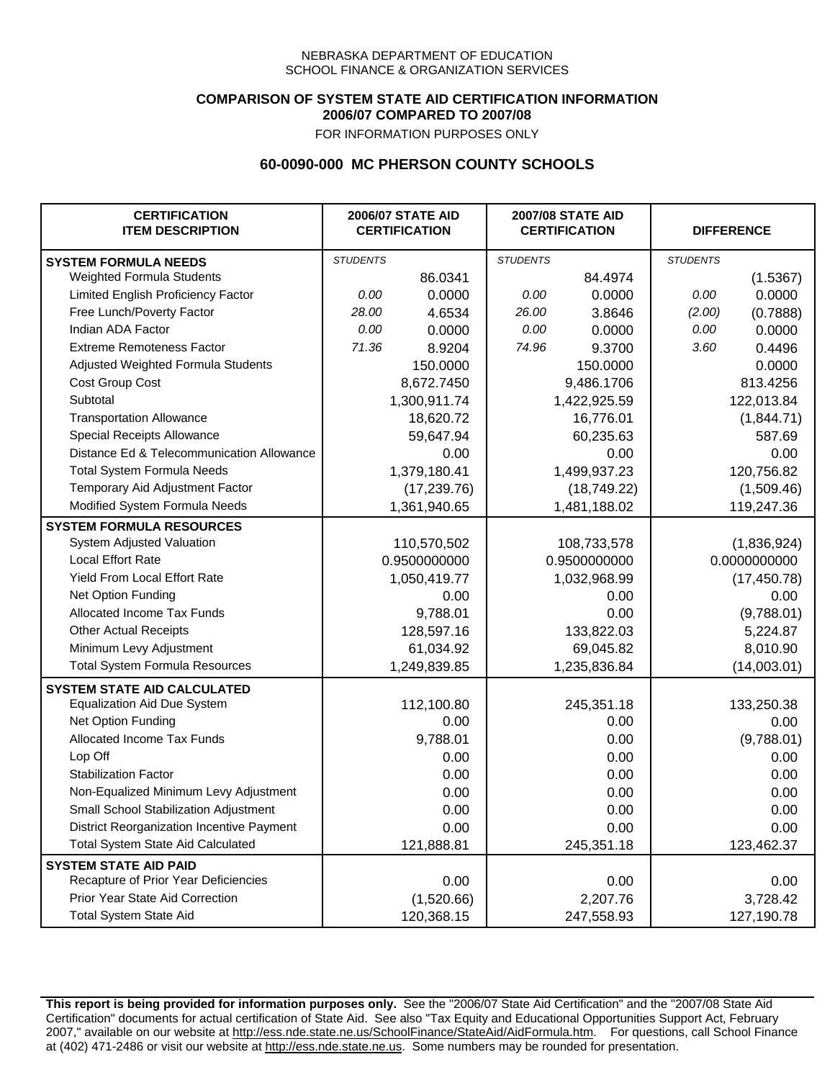### **COMPARISON OF SYSTEM STATE AID CERTIFICATION INFORMATION 2006/07 COMPARED TO 2007/08**

FOR INFORMATION PURPOSES ONLY

## **60-0090-000 MC PHERSON COUNTY SCHOOLS**

| <b>CERTIFICATION</b><br><b>ITEM DESCRIPTION</b> |                 | <b>2006/07 STATE AID</b><br><b>CERTIFICATION</b> | <b>2007/08 STATE AID</b><br><b>CERTIFICATION</b> |              | <b>DIFFERENCE</b> |              |  |
|-------------------------------------------------|-----------------|--------------------------------------------------|--------------------------------------------------|--------------|-------------------|--------------|--|
| <b>SYSTEM FORMULA NEEDS</b>                     | <b>STUDENTS</b> |                                                  | <b>STUDENTS</b>                                  |              | <b>STUDENTS</b>   |              |  |
| Weighted Formula Students                       |                 | 86.0341                                          |                                                  | 84.4974      |                   | (1.5367)     |  |
| Limited English Proficiency Factor              | 0.00            | 0.0000                                           | 0.00                                             | 0.0000       | 0.00              | 0.0000       |  |
| Free Lunch/Poverty Factor                       | 28.00           | 4.6534                                           | 26.00                                            | 3.8646       | (2.00)            | (0.7888)     |  |
| Indian ADA Factor                               | 0.00            | 0.0000                                           | 0.00                                             | 0.0000       | 0.00              | 0.0000       |  |
| <b>Extreme Remoteness Factor</b>                | 71.36           | 8.9204                                           | 74.96                                            | 9.3700       | 3.60              | 0.4496       |  |
| Adjusted Weighted Formula Students              |                 | 150.0000                                         |                                                  | 150.0000     |                   | 0.0000       |  |
| Cost Group Cost                                 |                 | 8,672.7450                                       |                                                  | 9,486.1706   |                   | 813.4256     |  |
| Subtotal                                        |                 | 1,300,911.74                                     |                                                  | 1,422,925.59 |                   | 122,013.84   |  |
| <b>Transportation Allowance</b>                 |                 | 18,620.72                                        |                                                  | 16,776.01    |                   | (1,844.71)   |  |
| Special Receipts Allowance                      |                 | 59,647.94                                        |                                                  | 60,235.63    |                   | 587.69       |  |
| Distance Ed & Telecommunication Allowance       |                 | 0.00                                             |                                                  | 0.00         |                   | 0.00         |  |
| <b>Total System Formula Needs</b>               |                 | 1,379,180.41                                     |                                                  | 1,499,937.23 |                   | 120,756.82   |  |
| Temporary Aid Adjustment Factor                 |                 | (17, 239.76)                                     |                                                  | (18, 749.22) |                   | (1,509.46)   |  |
| Modified System Formula Needs                   |                 | 1,361,940.65                                     |                                                  | 1,481,188.02 |                   | 119,247.36   |  |
| <b>SYSTEM FORMULA RESOURCES</b>                 |                 |                                                  |                                                  |              |                   |              |  |
| System Adjusted Valuation                       |                 | 110,570,502                                      |                                                  | 108,733,578  |                   | (1,836,924)  |  |
| <b>Local Effort Rate</b>                        |                 | 0.9500000000                                     | 0.9500000000                                     |              | 0.0000000000      |              |  |
| Yield From Local Effort Rate                    |                 | 1,050,419.77                                     | 1,032,968.99                                     |              |                   | (17, 450.78) |  |
| Net Option Funding                              |                 | 0.00                                             | 0.00                                             |              | 0.00              |              |  |
| Allocated Income Tax Funds                      |                 | 9,788.01                                         | 0.00                                             |              | (9,788.01)        |              |  |
| <b>Other Actual Receipts</b>                    |                 | 128,597.16                                       | 133,822.03                                       |              | 5,224.87          |              |  |
| Minimum Levy Adjustment                         |                 | 61,034.92                                        | 69,045.82                                        |              |                   | 8,010.90     |  |
| <b>Total System Formula Resources</b>           |                 | 1,249,839.85                                     |                                                  | 1,235,836.84 |                   | (14,003.01)  |  |
| <b>SYSTEM STATE AID CALCULATED</b>              |                 |                                                  |                                                  |              |                   |              |  |
| <b>Equalization Aid Due System</b>              |                 | 112,100.80                                       |                                                  | 245,351.18   |                   | 133,250.38   |  |
| Net Option Funding                              |                 | 0.00                                             |                                                  | 0.00         |                   | 0.00         |  |
| Allocated Income Tax Funds                      |                 | 9,788.01                                         |                                                  | 0.00         |                   | (9,788.01)   |  |
| Lop Off                                         |                 | 0.00                                             |                                                  | 0.00         |                   | 0.00         |  |
| <b>Stabilization Factor</b>                     |                 | 0.00                                             |                                                  | 0.00         |                   | 0.00         |  |
| Non-Equalized Minimum Levy Adjustment           |                 | 0.00                                             |                                                  | 0.00         |                   | 0.00         |  |
| Small School Stabilization Adjustment           |                 | 0.00                                             |                                                  | 0.00         |                   | 0.00         |  |
| District Reorganization Incentive Payment       |                 | 0.00                                             |                                                  | 0.00         |                   | 0.00         |  |
| <b>Total System State Aid Calculated</b>        |                 | 121,888.81                                       |                                                  | 245,351.18   |                   | 123,462.37   |  |
| <b>SYSTEM STATE AID PAID</b>                    |                 |                                                  |                                                  |              |                   |              |  |
| Recapture of Prior Year Deficiencies            |                 | 0.00                                             |                                                  | 0.00         |                   | 0.00         |  |
| Prior Year State Aid Correction                 |                 | (1,520.66)                                       |                                                  | 2,207.76     |                   | 3,728.42     |  |
| <b>Total System State Aid</b>                   |                 | 120,368.15                                       |                                                  | 247,558.93   |                   | 127,190.78   |  |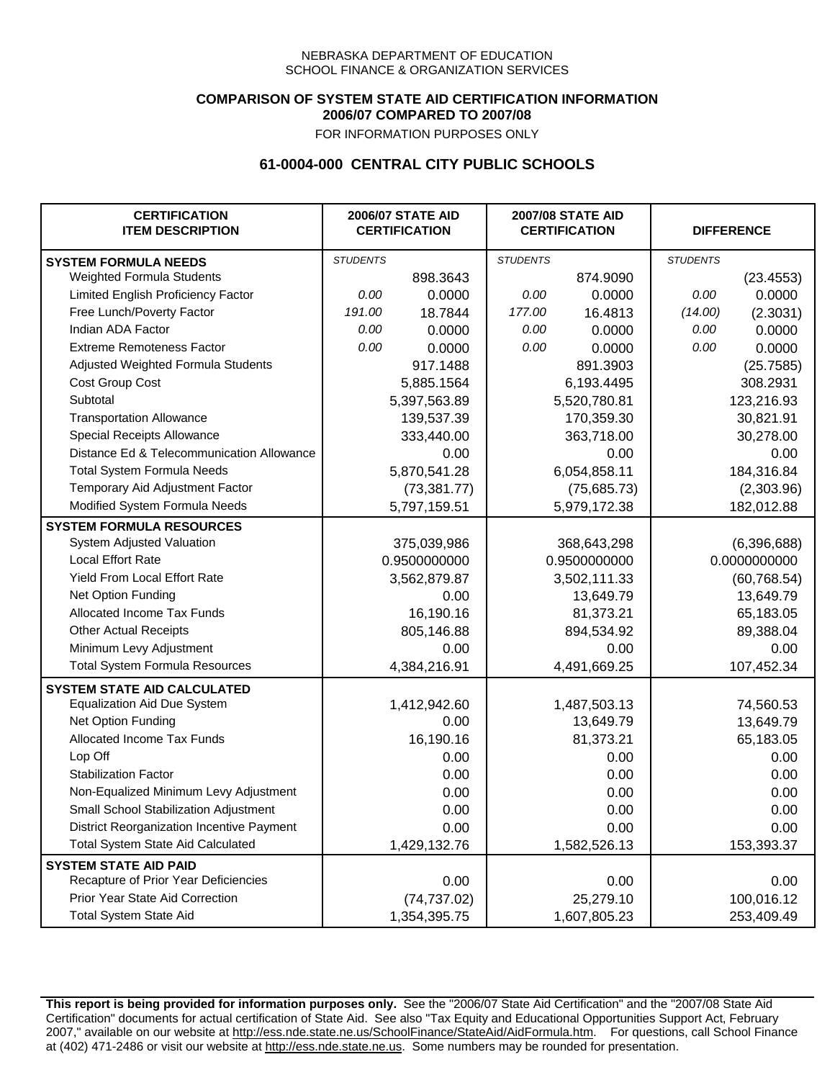### **COMPARISON OF SYSTEM STATE AID CERTIFICATION INFORMATION 2006/07 COMPARED TO 2007/08**

FOR INFORMATION PURPOSES ONLY

## **61-0004-000 CENTRAL CITY PUBLIC SCHOOLS**

| <b>CERTIFICATION</b><br><b>ITEM DESCRIPTION</b> |                 | <b>2006/07 STATE AID</b><br><b>CERTIFICATION</b> | <b>2007/08 STATE AID</b><br><b>CERTIFICATION</b> |              | <b>DIFFERENCE</b> |              |
|-------------------------------------------------|-----------------|--------------------------------------------------|--------------------------------------------------|--------------|-------------------|--------------|
| <b>SYSTEM FORMULA NEEDS</b>                     | <b>STUDENTS</b> |                                                  | <b>STUDENTS</b>                                  |              | <b>STUDENTS</b>   |              |
| Weighted Formula Students                       |                 | 898.3643                                         |                                                  | 874.9090     |                   | (23.4553)    |
| Limited English Proficiency Factor              | 0.00            | 0.0000                                           | 0.00                                             | 0.0000       | 0.00              | 0.0000       |
| Free Lunch/Poverty Factor                       | 191.00          | 18.7844                                          | 177.00                                           | 16.4813      | (14.00)           | (2.3031)     |
| Indian ADA Factor                               | 0.00            | 0.0000                                           | 0.00                                             | 0.0000       | 0.00              | 0.0000       |
| <b>Extreme Remoteness Factor</b>                | 0.00            | 0.0000                                           | 0.00                                             | 0.0000       | 0.00              | 0.0000       |
| Adjusted Weighted Formula Students              |                 | 917.1488                                         |                                                  | 891.3903     |                   | (25.7585)    |
| Cost Group Cost                                 |                 | 5,885.1564                                       |                                                  | 6,193.4495   |                   | 308.2931     |
| Subtotal                                        |                 | 5,397,563.89                                     |                                                  | 5,520,780.81 |                   | 123,216.93   |
| <b>Transportation Allowance</b>                 |                 | 139,537.39                                       |                                                  | 170,359.30   |                   | 30,821.91    |
| Special Receipts Allowance                      |                 | 333,440.00                                       |                                                  | 363,718.00   |                   | 30,278.00    |
| Distance Ed & Telecommunication Allowance       |                 | 0.00                                             |                                                  | 0.00         |                   | 0.00         |
| <b>Total System Formula Needs</b>               |                 | 5,870,541.28                                     |                                                  | 6,054,858.11 |                   | 184,316.84   |
| Temporary Aid Adjustment Factor                 |                 | (73, 381.77)                                     |                                                  | (75,685.73)  | (2,303.96)        |              |
| Modified System Formula Needs                   |                 | 5,797,159.51                                     |                                                  | 5,979,172.38 |                   | 182,012.88   |
| <b>SYSTEM FORMULA RESOURCES</b>                 |                 |                                                  |                                                  |              |                   |              |
| System Adjusted Valuation                       |                 | 375,039,986                                      |                                                  | 368,643,298  |                   | (6,396,688)  |
| <b>Local Effort Rate</b>                        |                 | 0.9500000000                                     |                                                  | 0.9500000000 |                   | 0.0000000000 |
| Yield From Local Effort Rate                    |                 | 3,562,879.87                                     |                                                  | 3,502,111.33 |                   | (60, 768.54) |
| Net Option Funding                              |                 | 0.00                                             |                                                  | 13,649.79    |                   | 13,649.79    |
| Allocated Income Tax Funds                      |                 | 16,190.16                                        |                                                  | 81,373.21    |                   | 65,183.05    |
| <b>Other Actual Receipts</b>                    |                 | 805,146.88                                       | 894,534.92                                       |              | 89,388.04         |              |
| Minimum Levy Adjustment                         |                 | 0.00                                             |                                                  | 0.00         |                   | 0.00         |
| <b>Total System Formula Resources</b>           |                 | 4,384,216.91                                     |                                                  | 4,491,669.25 |                   | 107,452.34   |
| <b>SYSTEM STATE AID CALCULATED</b>              |                 |                                                  |                                                  |              |                   |              |
| <b>Equalization Aid Due System</b>              |                 | 1,412,942.60                                     |                                                  | 1,487,503.13 |                   | 74,560.53    |
| Net Option Funding                              |                 | 0.00                                             |                                                  | 13,649.79    |                   | 13,649.79    |
| Allocated Income Tax Funds                      |                 | 16,190.16                                        |                                                  | 81,373.21    |                   | 65,183.05    |
| Lop Off                                         |                 | 0.00                                             |                                                  | 0.00         |                   | 0.00         |
| <b>Stabilization Factor</b>                     |                 | 0.00                                             |                                                  | 0.00         |                   | 0.00         |
| Non-Equalized Minimum Levy Adjustment           |                 | 0.00                                             |                                                  | 0.00         |                   | 0.00         |
| Small School Stabilization Adjustment           |                 | 0.00                                             |                                                  | 0.00         |                   | 0.00         |
| District Reorganization Incentive Payment       |                 | 0.00                                             |                                                  | 0.00         |                   | 0.00         |
| <b>Total System State Aid Calculated</b>        |                 | 1,429,132.76                                     |                                                  | 1,582,526.13 |                   | 153,393.37   |
| <b>SYSTEM STATE AID PAID</b>                    |                 |                                                  |                                                  |              |                   |              |
| Recapture of Prior Year Deficiencies            |                 | 0.00                                             |                                                  | 0.00         |                   | 0.00         |
| Prior Year State Aid Correction                 |                 | (74, 737.02)                                     |                                                  | 25,279.10    |                   | 100,016.12   |
| <b>Total System State Aid</b>                   |                 | 1,354,395.75                                     |                                                  | 1,607,805.23 |                   | 253,409.49   |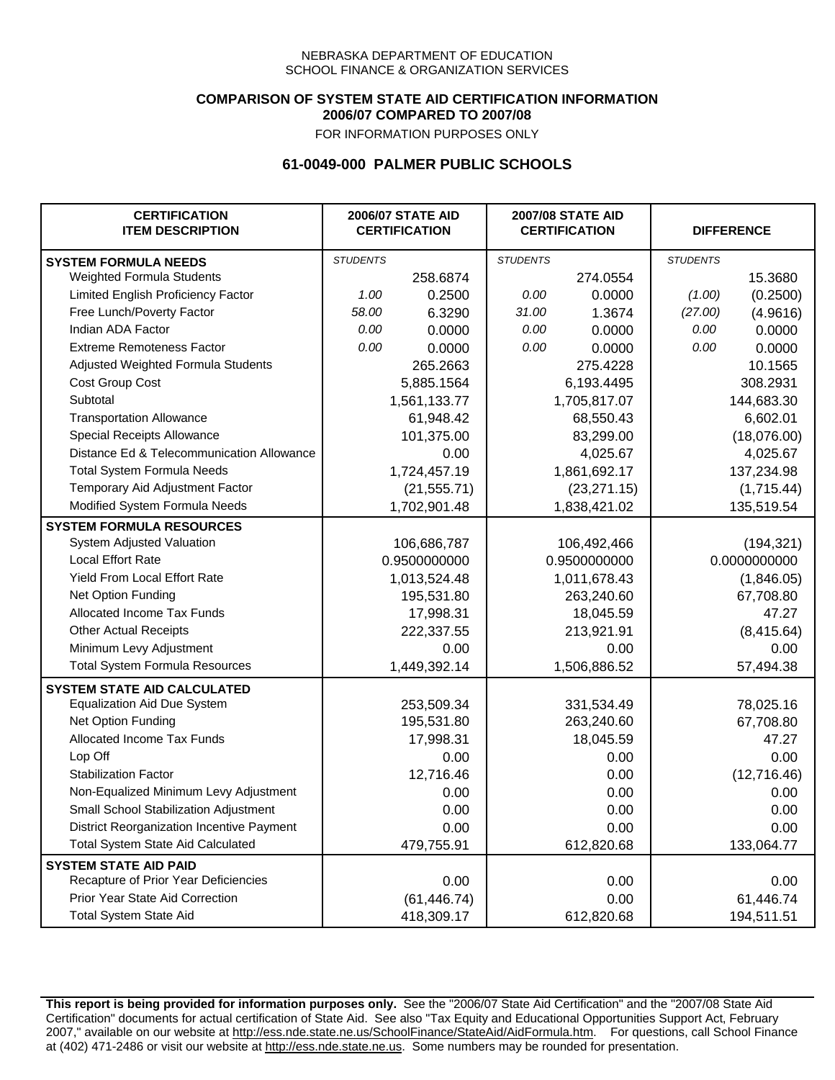### **COMPARISON OF SYSTEM STATE AID CERTIFICATION INFORMATION 2006/07 COMPARED TO 2007/08**

FOR INFORMATION PURPOSES ONLY

## **61-0049-000 PALMER PUBLIC SCHOOLS**

| <b>CERTIFICATION</b><br><b>ITEM DESCRIPTION</b> |                 | <b>2006/07 STATE AID</b><br><b>CERTIFICATION</b> | <b>2007/08 STATE AID</b><br><b>CERTIFICATION</b> |              |                 | <b>DIFFERENCE</b> |
|-------------------------------------------------|-----------------|--------------------------------------------------|--------------------------------------------------|--------------|-----------------|-------------------|
| <b>SYSTEM FORMULA NEEDS</b>                     | <b>STUDENTS</b> |                                                  | <b>STUDENTS</b>                                  |              | <b>STUDENTS</b> |                   |
| Weighted Formula Students                       |                 | 258.6874                                         |                                                  | 274.0554     |                 | 15.3680           |
| Limited English Proficiency Factor              | 1.00            | 0.2500                                           | 0.00                                             | 0.0000       | (1.00)          | (0.2500)          |
| Free Lunch/Poverty Factor                       | 58.00           | 6.3290                                           | 31.00                                            | 1.3674       | (27.00)         | (4.9616)          |
| Indian ADA Factor                               | 0.00            | 0.0000                                           | 0.00                                             | 0.0000       | 0.00            | 0.0000            |
| <b>Extreme Remoteness Factor</b>                | 0.00            | 0.0000                                           | 0.00                                             | 0.0000       | 0.00            | 0.0000            |
| Adjusted Weighted Formula Students              |                 | 265.2663                                         |                                                  | 275.4228     |                 | 10.1565           |
| Cost Group Cost                                 |                 | 5,885.1564                                       |                                                  | 6,193.4495   |                 | 308.2931          |
| Subtotal                                        |                 | 1,561,133.77                                     |                                                  | 1,705,817.07 |                 | 144,683.30        |
| <b>Transportation Allowance</b>                 |                 | 61,948.42                                        |                                                  | 68,550.43    |                 | 6,602.01          |
| Special Receipts Allowance                      |                 | 101,375.00                                       |                                                  | 83,299.00    |                 | (18,076.00)       |
| Distance Ed & Telecommunication Allowance       |                 | 0.00                                             |                                                  | 4,025.67     |                 | 4,025.67          |
| <b>Total System Formula Needs</b>               |                 | 1,724,457.19                                     |                                                  | 1,861,692.17 |                 | 137,234.98        |
| Temporary Aid Adjustment Factor                 |                 | (21, 555.71)                                     |                                                  | (23, 271.15) |                 | (1,715.44)        |
| Modified System Formula Needs                   |                 | 1,702,901.48                                     |                                                  | 1,838,421.02 |                 | 135,519.54        |
| <b>SYSTEM FORMULA RESOURCES</b>                 |                 |                                                  |                                                  |              |                 |                   |
| System Adjusted Valuation                       |                 | 106,686,787                                      |                                                  | 106,492,466  |                 | (194, 321)        |
| <b>Local Effort Rate</b>                        |                 | 0.9500000000                                     |                                                  | 0.9500000000 |                 | 0.0000000000      |
| <b>Yield From Local Effort Rate</b>             |                 | 1,013,524.48                                     |                                                  | 1,011,678.43 |                 | (1,846.05)        |
| Net Option Funding                              |                 | 195,531.80                                       |                                                  | 263,240.60   |                 | 67,708.80         |
| Allocated Income Tax Funds                      |                 | 17,998.31                                        |                                                  | 18,045.59    |                 | 47.27             |
| <b>Other Actual Receipts</b>                    |                 | 222,337.55                                       |                                                  | 213,921.91   | (8, 415.64)     |                   |
| Minimum Levy Adjustment                         |                 | 0.00                                             | 0.00                                             |              |                 | 0.00              |
| <b>Total System Formula Resources</b>           |                 | 1,449,392.14                                     |                                                  | 1,506,886.52 |                 | 57,494.38         |
| <b>SYSTEM STATE AID CALCULATED</b>              |                 |                                                  |                                                  |              |                 |                   |
| <b>Equalization Aid Due System</b>              |                 | 253,509.34                                       |                                                  | 331,534.49   |                 | 78,025.16         |
| Net Option Funding                              |                 | 195,531.80                                       |                                                  | 263,240.60   |                 | 67,708.80         |
| Allocated Income Tax Funds                      |                 | 17,998.31                                        |                                                  | 18,045.59    |                 | 47.27             |
| Lop Off                                         |                 | 0.00                                             |                                                  | 0.00         |                 | 0.00              |
| <b>Stabilization Factor</b>                     |                 | 12,716.46                                        |                                                  | 0.00         |                 | (12,716.46)       |
| Non-Equalized Minimum Levy Adjustment           |                 | 0.00                                             |                                                  | 0.00         |                 | 0.00              |
| Small School Stabilization Adjustment           |                 | 0.00                                             |                                                  | 0.00         |                 | 0.00              |
| District Reorganization Incentive Payment       |                 | 0.00                                             |                                                  | 0.00         |                 | 0.00              |
| <b>Total System State Aid Calculated</b>        |                 | 479,755.91                                       |                                                  | 612,820.68   |                 | 133,064.77        |
| <b>SYSTEM STATE AID PAID</b>                    |                 |                                                  |                                                  |              |                 |                   |
| Recapture of Prior Year Deficiencies            |                 | 0.00                                             |                                                  | 0.00         |                 | 0.00              |
| Prior Year State Aid Correction                 |                 | (61, 446.74)                                     |                                                  | 0.00         |                 | 61,446.74         |
| <b>Total System State Aid</b>                   |                 | 418,309.17                                       |                                                  | 612,820.68   |                 | 194,511.51        |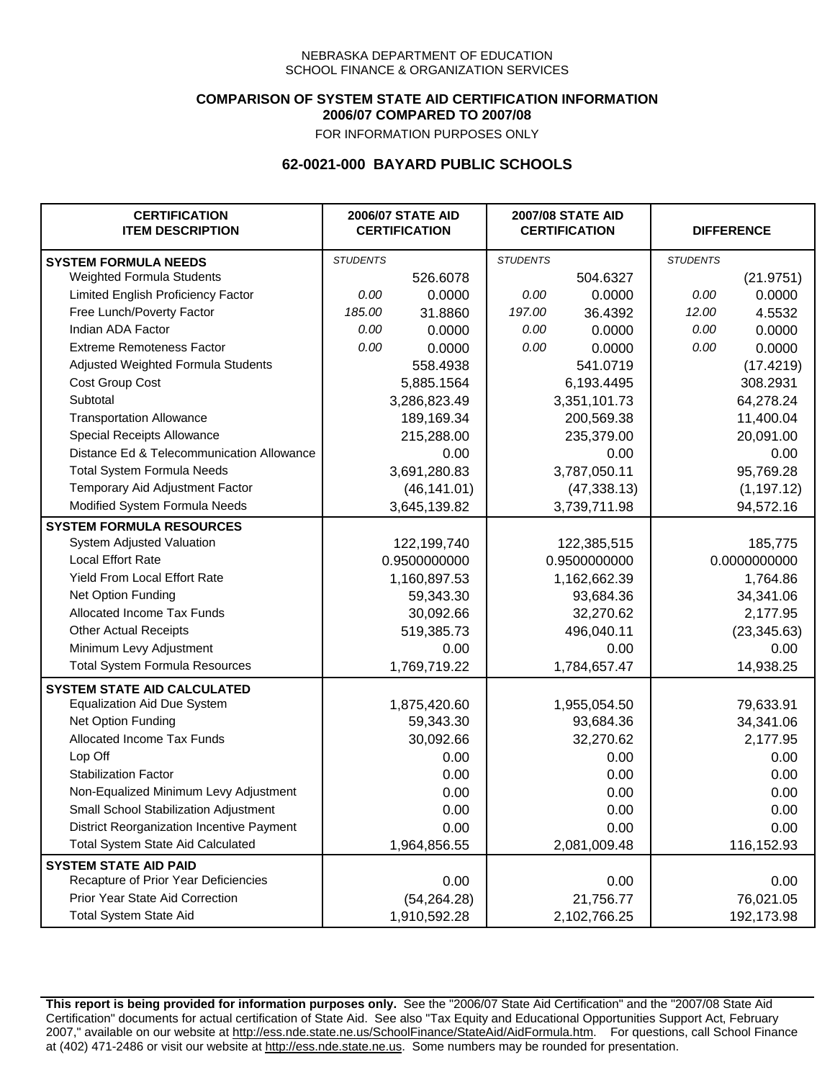### **COMPARISON OF SYSTEM STATE AID CERTIFICATION INFORMATION 2006/07 COMPARED TO 2007/08**

FOR INFORMATION PURPOSES ONLY

## **62-0021-000 BAYARD PUBLIC SCHOOLS**

| <b>CERTIFICATION</b><br><b>ITEM DESCRIPTION</b> |                 | <b>2006/07 STATE AID</b><br><b>CERTIFICATION</b> | <b>2007/08 STATE AID</b><br><b>CERTIFICATION</b> |              |                 | <b>DIFFERENCE</b> |
|-------------------------------------------------|-----------------|--------------------------------------------------|--------------------------------------------------|--------------|-----------------|-------------------|
| <b>SYSTEM FORMULA NEEDS</b>                     | <b>STUDENTS</b> |                                                  | <b>STUDENTS</b>                                  |              | <b>STUDENTS</b> |                   |
| Weighted Formula Students                       |                 | 526.6078                                         |                                                  | 504.6327     |                 | (21.9751)         |
| Limited English Proficiency Factor              | 0.00            | 0.0000                                           | 0.00                                             | 0.0000       | 0.00            | 0.0000            |
| Free Lunch/Poverty Factor                       | 185.00          | 31.8860                                          | 197.00                                           | 36.4392      | 12.00           | 4.5532            |
| Indian ADA Factor                               | 0.00            | 0.0000                                           | 0.00                                             | 0.0000       | 0.00            | 0.0000            |
| <b>Extreme Remoteness Factor</b>                | 0.00            | 0.0000                                           | 0.00                                             | 0.0000       | 0.00            | 0.0000            |
| Adjusted Weighted Formula Students              |                 | 558.4938                                         |                                                  | 541.0719     |                 | (17.4219)         |
| Cost Group Cost                                 |                 | 5,885.1564                                       |                                                  | 6,193.4495   |                 | 308.2931          |
| Subtotal                                        |                 | 3,286,823.49                                     |                                                  | 3,351,101.73 |                 | 64,278.24         |
| <b>Transportation Allowance</b>                 |                 | 189,169.34                                       |                                                  | 200,569.38   |                 | 11,400.04         |
| Special Receipts Allowance                      |                 | 215,288.00                                       |                                                  | 235,379.00   |                 | 20,091.00         |
| Distance Ed & Telecommunication Allowance       |                 | 0.00                                             |                                                  | 0.00         |                 | 0.00              |
| <b>Total System Formula Needs</b>               |                 | 3,691,280.83                                     |                                                  | 3,787,050.11 |                 | 95,769.28         |
| Temporary Aid Adjustment Factor                 |                 | (46, 141.01)                                     |                                                  | (47, 338.13) |                 | (1, 197.12)       |
| Modified System Formula Needs                   |                 | 3,645,139.82                                     |                                                  | 3,739,711.98 |                 | 94,572.16         |
| <b>SYSTEM FORMULA RESOURCES</b>                 |                 |                                                  |                                                  |              |                 |                   |
| System Adjusted Valuation                       |                 | 122,199,740                                      |                                                  | 122,385,515  |                 | 185,775           |
| <b>Local Effort Rate</b>                        |                 | 0.9500000000                                     |                                                  | 0.9500000000 |                 | 0.0000000000      |
| Yield From Local Effort Rate                    |                 | 1,160,897.53                                     |                                                  | 1,162,662.39 |                 | 1,764.86          |
| Net Option Funding                              |                 | 59,343.30                                        |                                                  | 93,684.36    |                 | 34,341.06         |
| Allocated Income Tax Funds                      |                 | 30,092.66                                        |                                                  | 32,270.62    |                 | 2,177.95          |
| <b>Other Actual Receipts</b>                    |                 | 519,385.73                                       |                                                  | 496,040.11   |                 | (23, 345.63)      |
| Minimum Levy Adjustment                         |                 | 0.00                                             |                                                  | 0.00         |                 | 0.00              |
| <b>Total System Formula Resources</b>           |                 | 1,769,719.22                                     |                                                  | 1,784,657.47 |                 | 14,938.25         |
| <b>SYSTEM STATE AID CALCULATED</b>              |                 |                                                  |                                                  |              |                 |                   |
| <b>Equalization Aid Due System</b>              |                 | 1,875,420.60                                     |                                                  | 1,955,054.50 |                 | 79,633.91         |
| Net Option Funding                              |                 | 59,343.30                                        |                                                  | 93,684.36    |                 | 34,341.06         |
| Allocated Income Tax Funds                      |                 | 30,092.66                                        |                                                  | 32,270.62    |                 | 2,177.95          |
| Lop Off                                         |                 | 0.00                                             |                                                  | 0.00         |                 | 0.00              |
| <b>Stabilization Factor</b>                     |                 | 0.00                                             |                                                  | 0.00         |                 | 0.00              |
| Non-Equalized Minimum Levy Adjustment           |                 | 0.00                                             |                                                  | 0.00         |                 | 0.00              |
| Small School Stabilization Adjustment           |                 | 0.00                                             |                                                  | 0.00         |                 | 0.00              |
| District Reorganization Incentive Payment       |                 | 0.00                                             |                                                  | 0.00         |                 | 0.00              |
| <b>Total System State Aid Calculated</b>        |                 | 1,964,856.55                                     |                                                  | 2,081,009.48 |                 | 116,152.93        |
| <b>SYSTEM STATE AID PAID</b>                    |                 |                                                  |                                                  |              |                 |                   |
| Recapture of Prior Year Deficiencies            |                 | 0.00                                             |                                                  | 0.00         |                 | 0.00              |
| Prior Year State Aid Correction                 |                 | (54, 264.28)                                     |                                                  | 21,756.77    |                 | 76,021.05         |
| <b>Total System State Aid</b>                   |                 | 1,910,592.28                                     |                                                  | 2,102,766.25 |                 | 192,173.98        |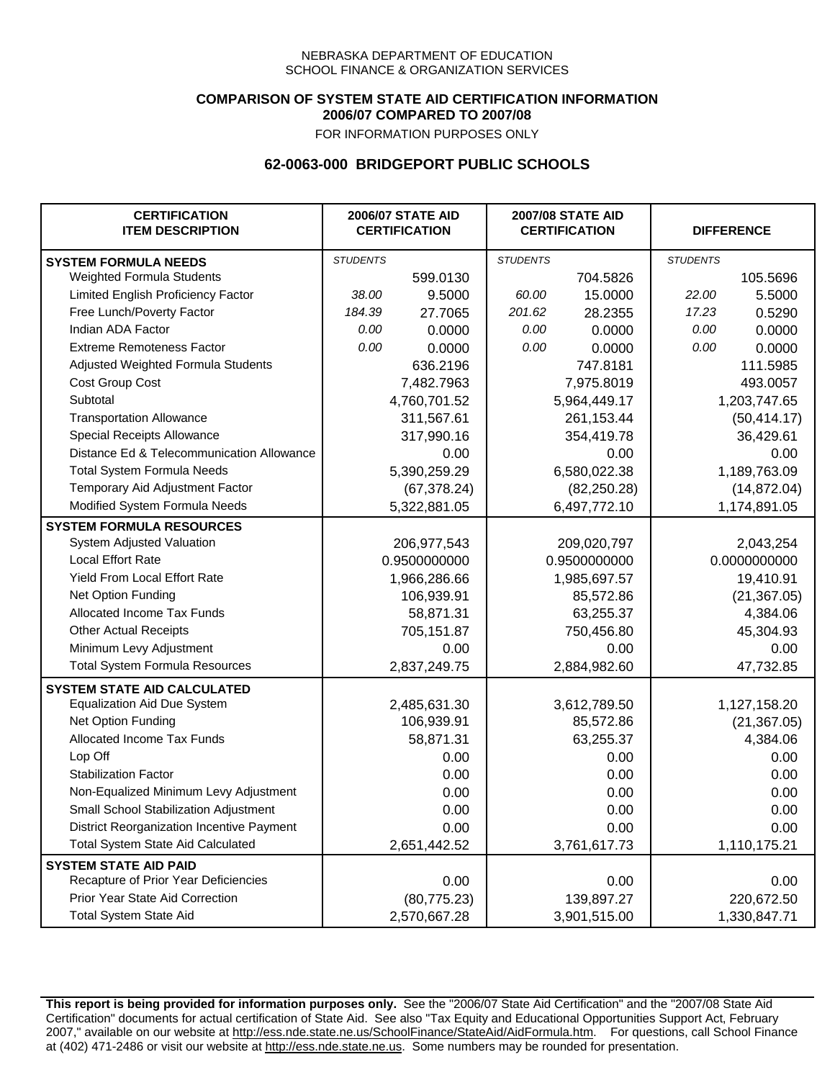### **COMPARISON OF SYSTEM STATE AID CERTIFICATION INFORMATION 2006/07 COMPARED TO 2007/08**

FOR INFORMATION PURPOSES ONLY

## **62-0063-000 BRIDGEPORT PUBLIC SCHOOLS**

| <b>CERTIFICATION</b><br><b>ITEM DESCRIPTION</b> |                 | <b>2006/07 STATE AID</b><br><b>CERTIFICATION</b> | <b>2007/08 STATE AID</b><br><b>CERTIFICATION</b> |              | <b>DIFFERENCE</b> |              |
|-------------------------------------------------|-----------------|--------------------------------------------------|--------------------------------------------------|--------------|-------------------|--------------|
| <b>SYSTEM FORMULA NEEDS</b>                     | <b>STUDENTS</b> |                                                  | <b>STUDENTS</b>                                  |              | <b>STUDENTS</b>   |              |
| Weighted Formula Students                       |                 | 599.0130                                         |                                                  | 704.5826     |                   | 105.5696     |
| Limited English Proficiency Factor              | 38.00           | 9.5000                                           | 60.00                                            | 15.0000      | 22.00             | 5.5000       |
| Free Lunch/Poverty Factor                       | 184.39          | 27.7065                                          | 201.62                                           | 28.2355      | 17.23             | 0.5290       |
| Indian ADA Factor                               | 0.00            | 0.0000                                           | 0.00                                             | 0.0000       | 0.00              | 0.0000       |
| <b>Extreme Remoteness Factor</b>                | 0.00            | 0.0000                                           | 0.00                                             | 0.0000       | 0.00              | 0.0000       |
| Adjusted Weighted Formula Students              |                 | 636.2196                                         |                                                  | 747.8181     |                   | 111.5985     |
| Cost Group Cost                                 |                 | 7,482.7963                                       |                                                  | 7,975.8019   |                   | 493.0057     |
| Subtotal                                        |                 | 4,760,701.52                                     |                                                  | 5,964,449.17 |                   | 1,203,747.65 |
| <b>Transportation Allowance</b>                 |                 | 311,567.61                                       |                                                  | 261,153.44   |                   | (50, 414.17) |
| Special Receipts Allowance                      |                 | 317,990.16                                       |                                                  | 354,419.78   |                   | 36,429.61    |
| Distance Ed & Telecommunication Allowance       |                 | 0.00                                             |                                                  | 0.00         |                   | 0.00         |
| <b>Total System Formula Needs</b>               |                 | 5,390,259.29                                     |                                                  | 6,580,022.38 |                   | 1,189,763.09 |
| Temporary Aid Adjustment Factor                 |                 | (67, 378.24)                                     |                                                  | (82, 250.28) |                   | (14, 872.04) |
| Modified System Formula Needs                   |                 | 5,322,881.05                                     |                                                  | 6,497,772.10 |                   | 1,174,891.05 |
| <b>SYSTEM FORMULA RESOURCES</b>                 |                 |                                                  |                                                  |              |                   |              |
| System Adjusted Valuation                       |                 | 206, 977, 543                                    |                                                  | 209,020,797  |                   | 2,043,254    |
| <b>Local Effort Rate</b>                        |                 | 0.9500000000                                     |                                                  | 0.9500000000 |                   | 0.0000000000 |
| Yield From Local Effort Rate                    |                 | 1,966,286.66                                     |                                                  | 1,985,697.57 |                   | 19,410.91    |
| Net Option Funding                              |                 | 106,939.91                                       |                                                  | 85,572.86    |                   | (21, 367.05) |
| Allocated Income Tax Funds                      |                 | 58,871.31                                        |                                                  | 63,255.37    |                   | 4,384.06     |
| <b>Other Actual Receipts</b>                    |                 | 705,151.87                                       |                                                  | 750,456.80   |                   | 45,304.93    |
| Minimum Levy Adjustment                         |                 | 0.00                                             |                                                  | 0.00         |                   | 0.00         |
| <b>Total System Formula Resources</b>           |                 | 2,837,249.75                                     |                                                  | 2,884,982.60 |                   | 47,732.85    |
| <b>SYSTEM STATE AID CALCULATED</b>              |                 |                                                  |                                                  |              |                   |              |
| <b>Equalization Aid Due System</b>              |                 | 2,485,631.30                                     |                                                  | 3,612,789.50 |                   | 1,127,158.20 |
| Net Option Funding                              |                 | 106,939.91                                       |                                                  | 85,572.86    |                   | (21, 367.05) |
| <b>Allocated Income Tax Funds</b>               |                 | 58,871.31                                        |                                                  | 63,255.37    |                   | 4,384.06     |
| Lop Off                                         |                 | 0.00                                             |                                                  | 0.00         |                   | 0.00         |
| <b>Stabilization Factor</b>                     |                 | 0.00                                             |                                                  | 0.00         |                   | 0.00         |
| Non-Equalized Minimum Levy Adjustment           |                 | 0.00                                             |                                                  | 0.00         |                   | 0.00         |
| Small School Stabilization Adjustment           |                 | 0.00                                             |                                                  | 0.00         |                   | 0.00         |
| District Reorganization Incentive Payment       |                 | 0.00                                             |                                                  | 0.00         |                   | 0.00         |
| <b>Total System State Aid Calculated</b>        |                 | 2,651,442.52                                     |                                                  | 3,761,617.73 |                   | 1,110,175.21 |
| <b>SYSTEM STATE AID PAID</b>                    |                 |                                                  |                                                  |              |                   |              |
| Recapture of Prior Year Deficiencies            |                 | 0.00                                             |                                                  | 0.00         |                   | 0.00         |
| Prior Year State Aid Correction                 |                 | (80, 775.23)                                     |                                                  | 139,897.27   |                   | 220,672.50   |
| <b>Total System State Aid</b>                   |                 | 2,570,667.28                                     |                                                  | 3,901,515.00 |                   | 1,330,847.71 |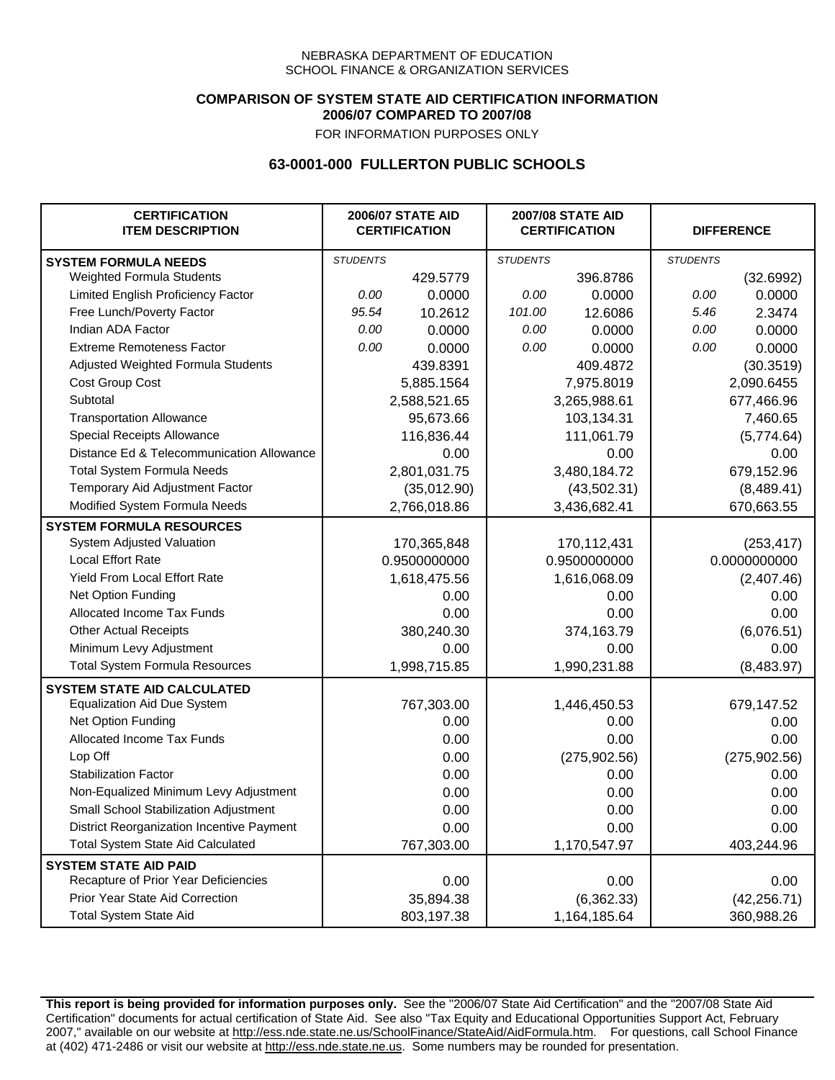### **COMPARISON OF SYSTEM STATE AID CERTIFICATION INFORMATION 2006/07 COMPARED TO 2007/08**

FOR INFORMATION PURPOSES ONLY

## **63-0001-000 FULLERTON PUBLIC SCHOOLS**

| <b>CERTIFICATION</b><br><b>ITEM DESCRIPTION</b> |                 | <b>2006/07 STATE AID</b><br><b>CERTIFICATION</b> |                 | <b>2007/08 STATE AID</b><br><b>CERTIFICATION</b> |                 | <b>DIFFERENCE</b> |
|-------------------------------------------------|-----------------|--------------------------------------------------|-----------------|--------------------------------------------------|-----------------|-------------------|
| <b>SYSTEM FORMULA NEEDS</b>                     | <b>STUDENTS</b> |                                                  | <b>STUDENTS</b> |                                                  | <b>STUDENTS</b> |                   |
| Weighted Formula Students                       |                 | 429.5779                                         |                 | 396.8786                                         |                 | (32.6992)         |
| Limited English Proficiency Factor              | 0.00            | 0.0000                                           | 0.00            | 0.0000                                           | 0.00            | 0.0000            |
| Free Lunch/Poverty Factor                       | 95.54           | 10.2612                                          | 101.00          | 12.6086                                          | 5.46            | 2.3474            |
| Indian ADA Factor                               | 0.00            | 0.0000                                           | 0.00            | 0.0000                                           | 0.00            | 0.0000            |
| <b>Extreme Remoteness Factor</b>                | 0.00            | 0.0000                                           | 0.00            | 0.0000                                           | 0.00            | 0.0000            |
| Adjusted Weighted Formula Students              |                 | 439.8391                                         |                 | 409.4872                                         |                 | (30.3519)         |
| Cost Group Cost                                 |                 | 5,885.1564                                       |                 | 7,975.8019                                       |                 | 2,090.6455        |
| Subtotal                                        |                 | 2,588,521.65                                     |                 | 3,265,988.61                                     |                 | 677,466.96        |
| <b>Transportation Allowance</b>                 |                 | 95,673.66                                        |                 | 103,134.31                                       |                 | 7,460.65          |
| Special Receipts Allowance                      |                 | 116,836.44                                       |                 | 111,061.79                                       |                 | (5,774.64)        |
| Distance Ed & Telecommunication Allowance       |                 | 0.00                                             |                 | 0.00                                             |                 | 0.00              |
| <b>Total System Formula Needs</b>               |                 | 2,801,031.75                                     |                 | 3,480,184.72                                     |                 | 679,152.96        |
| Temporary Aid Adjustment Factor                 |                 | (35,012.90)                                      | (43,502.31)     |                                                  | (8,489.41)      |                   |
| Modified System Formula Needs                   |                 | 2,766,018.86                                     |                 | 3,436,682.41                                     |                 | 670,663.55        |
| <b>SYSTEM FORMULA RESOURCES</b>                 |                 |                                                  |                 |                                                  |                 |                   |
| System Adjusted Valuation                       |                 | 170,365,848                                      |                 | 170,112,431                                      |                 | (253, 417)        |
| <b>Local Effort Rate</b>                        |                 | 0.9500000000                                     |                 | 0.9500000000                                     |                 | 0.0000000000      |
| Yield From Local Effort Rate                    |                 | 1,618,475.56                                     |                 | 1,616,068.09                                     |                 | (2,407.46)        |
| Net Option Funding                              |                 | 0.00                                             |                 | 0.00                                             |                 | 0.00              |
| Allocated Income Tax Funds                      |                 | 0.00                                             |                 | 0.00                                             |                 | 0.00              |
| <b>Other Actual Receipts</b>                    |                 | 380,240.30                                       | 374,163.79      |                                                  | (6,076.51)      |                   |
| Minimum Levy Adjustment                         |                 | 0.00                                             |                 | 0.00                                             |                 | 0.00              |
| <b>Total System Formula Resources</b>           |                 | 1,998,715.85                                     |                 | 1,990,231.88                                     |                 | (8,483.97)        |
| <b>SYSTEM STATE AID CALCULATED</b>              |                 |                                                  |                 |                                                  |                 |                   |
| <b>Equalization Aid Due System</b>              |                 | 767,303.00                                       |                 | 1,446,450.53                                     |                 | 679,147.52        |
| Net Option Funding                              |                 | 0.00                                             |                 | 0.00                                             |                 | 0.00              |
| Allocated Income Tax Funds                      |                 | 0.00                                             |                 | 0.00                                             |                 | 0.00              |
| Lop Off                                         |                 | 0.00                                             |                 | (275, 902.56)                                    |                 | (275, 902.56)     |
| <b>Stabilization Factor</b>                     |                 | 0.00                                             |                 | 0.00                                             |                 | 0.00              |
| Non-Equalized Minimum Levy Adjustment           |                 | 0.00                                             |                 | 0.00                                             |                 | 0.00              |
| Small School Stabilization Adjustment           |                 | 0.00                                             |                 | 0.00                                             |                 | 0.00              |
| District Reorganization Incentive Payment       |                 | 0.00                                             |                 | 0.00                                             |                 | 0.00              |
| <b>Total System State Aid Calculated</b>        |                 | 767,303.00                                       |                 | 1,170,547.97                                     |                 | 403,244.96        |
| <b>SYSTEM STATE AID PAID</b>                    |                 |                                                  |                 |                                                  |                 |                   |
| Recapture of Prior Year Deficiencies            |                 | 0.00                                             |                 | 0.00                                             |                 | 0.00              |
| Prior Year State Aid Correction                 |                 | 35,894.38                                        |                 | (6,362.33)                                       |                 | (42, 256.71)      |
| <b>Total System State Aid</b>                   |                 | 803,197.38                                       |                 | 1,164,185.64                                     |                 | 360,988.26        |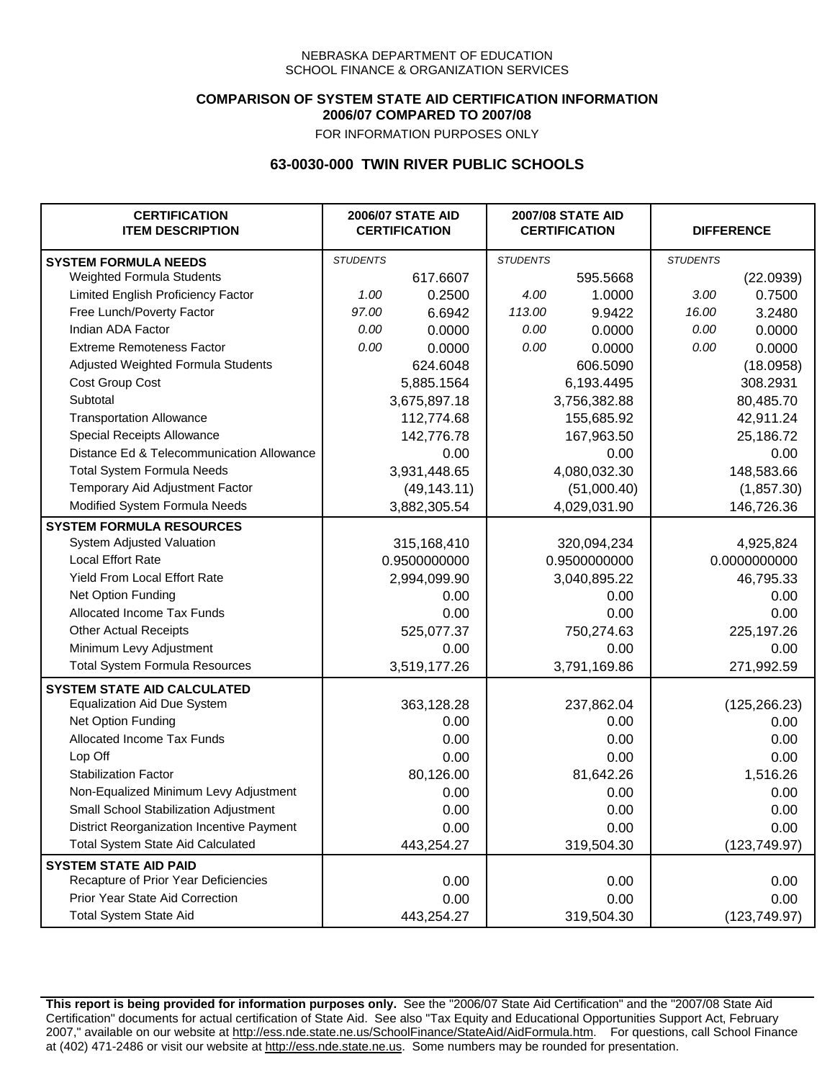### **COMPARISON OF SYSTEM STATE AID CERTIFICATION INFORMATION 2006/07 COMPARED TO 2007/08**

FOR INFORMATION PURPOSES ONLY

## **63-0030-000 TWIN RIVER PUBLIC SCHOOLS**

| <b>CERTIFICATION</b><br><b>ITEM DESCRIPTION</b> |                 | <b>2006/07 STATE AID</b><br><b>CERTIFICATION</b> | <b>2007/08 STATE AID</b><br><b>CERTIFICATION</b> |              |                 | <b>DIFFERENCE</b> |
|-------------------------------------------------|-----------------|--------------------------------------------------|--------------------------------------------------|--------------|-----------------|-------------------|
| <b>SYSTEM FORMULA NEEDS</b>                     | <b>STUDENTS</b> |                                                  | <b>STUDENTS</b>                                  |              | <b>STUDENTS</b> |                   |
| Weighted Formula Students                       |                 | 617.6607                                         |                                                  | 595.5668     |                 | (22.0939)         |
| Limited English Proficiency Factor              | 1.00            | 0.2500                                           | 4.00                                             | 1.0000       | 3.00            | 0.7500            |
| Free Lunch/Poverty Factor                       | 97.00           | 6.6942                                           | 113.00                                           | 9.9422       | 16.00           | 3.2480            |
| Indian ADA Factor                               | 0.00            | 0.0000                                           | 0.00                                             | 0.0000       | 0.00            | 0.0000            |
| <b>Extreme Remoteness Factor</b>                | 0.00            | 0.0000                                           | 0.00                                             | 0.0000       | 0.00            | 0.0000            |
| Adjusted Weighted Formula Students              |                 | 624.6048                                         |                                                  | 606.5090     |                 | (18.0958)         |
| Cost Group Cost                                 |                 | 5,885.1564                                       |                                                  | 6,193.4495   |                 | 308.2931          |
| Subtotal                                        |                 | 3,675,897.18                                     |                                                  | 3,756,382.88 |                 | 80,485.70         |
| <b>Transportation Allowance</b>                 |                 | 112,774.68                                       |                                                  | 155,685.92   |                 | 42,911.24         |
| Special Receipts Allowance                      |                 | 142,776.78                                       |                                                  | 167,963.50   |                 | 25,186.72         |
| Distance Ed & Telecommunication Allowance       |                 | 0.00                                             |                                                  | 0.00         |                 | 0.00              |
| <b>Total System Formula Needs</b>               |                 | 3,931,448.65                                     |                                                  | 4,080,032.30 |                 | 148,583.66        |
| Temporary Aid Adjustment Factor                 |                 | (49, 143.11)                                     | (51,000.40)                                      |              | (1,857.30)      |                   |
| Modified System Formula Needs                   |                 | 3,882,305.54                                     |                                                  | 4,029,031.90 |                 | 146,726.36        |
| <b>SYSTEM FORMULA RESOURCES</b>                 |                 |                                                  |                                                  |              |                 |                   |
| System Adjusted Valuation                       |                 | 315,168,410                                      |                                                  | 320,094,234  |                 | 4,925,824         |
| <b>Local Effort Rate</b>                        |                 | 0.9500000000                                     |                                                  | 0.9500000000 |                 | 0.0000000000      |
| <b>Yield From Local Effort Rate</b>             |                 | 2,994,099.90                                     |                                                  | 3,040,895.22 |                 | 46,795.33         |
| Net Option Funding                              |                 | 0.00                                             |                                                  | 0.00         | 0.00            |                   |
| Allocated Income Tax Funds                      |                 | 0.00                                             | 0.00                                             |              | 0.00            |                   |
| <b>Other Actual Receipts</b>                    |                 | 525,077.37                                       |                                                  | 750,274.63   | 225,197.26      |                   |
| Minimum Levy Adjustment                         |                 | 0.00                                             |                                                  | 0.00         |                 | 0.00              |
| <b>Total System Formula Resources</b>           |                 | 3,519,177.26                                     |                                                  | 3,791,169.86 |                 | 271,992.59        |
| <b>SYSTEM STATE AID CALCULATED</b>              |                 |                                                  |                                                  |              |                 |                   |
| <b>Equalization Aid Due System</b>              |                 | 363,128.28                                       |                                                  | 237,862.04   |                 | (125, 266.23)     |
| Net Option Funding                              |                 | 0.00                                             |                                                  | 0.00         |                 | 0.00              |
| Allocated Income Tax Funds                      |                 | 0.00                                             |                                                  | 0.00         |                 | 0.00              |
| Lop Off                                         |                 | 0.00                                             |                                                  | 0.00         |                 | 0.00              |
| <b>Stabilization Factor</b>                     |                 | 80,126.00                                        |                                                  | 81,642.26    |                 | 1,516.26          |
| Non-Equalized Minimum Levy Adjustment           |                 | 0.00                                             |                                                  | 0.00         |                 | 0.00              |
| Small School Stabilization Adjustment           |                 | 0.00                                             |                                                  | 0.00         |                 | 0.00              |
| District Reorganization Incentive Payment       |                 | 0.00                                             |                                                  | 0.00         |                 | 0.00              |
| <b>Total System State Aid Calculated</b>        |                 | 443,254.27                                       |                                                  | 319,504.30   |                 | (123, 749.97)     |
| <b>SYSTEM STATE AID PAID</b>                    |                 |                                                  |                                                  |              |                 |                   |
| Recapture of Prior Year Deficiencies            |                 | 0.00                                             |                                                  | 0.00         |                 | 0.00              |
| Prior Year State Aid Correction                 |                 | 0.00                                             |                                                  | 0.00         |                 | 0.00              |
| <b>Total System State Aid</b>                   |                 | 443,254.27                                       |                                                  | 319,504.30   |                 | (123, 749.97)     |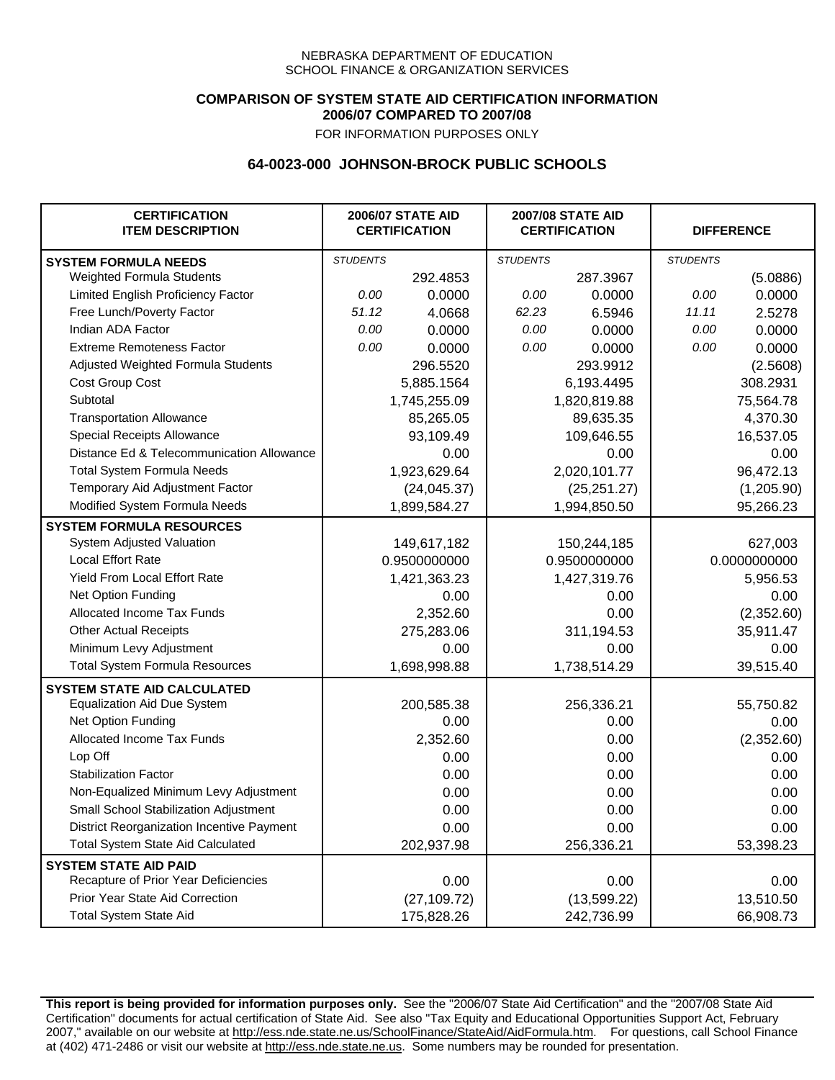### **COMPARISON OF SYSTEM STATE AID CERTIFICATION INFORMATION 2006/07 COMPARED TO 2007/08**

FOR INFORMATION PURPOSES ONLY

## **64-0023-000 JOHNSON-BROCK PUBLIC SCHOOLS**

| <b>CERTIFICATION</b><br><b>ITEM DESCRIPTION</b> |                 | <b>2006/07 STATE AID</b><br><b>CERTIFICATION</b> | <b>2007/08 STATE AID</b><br><b>CERTIFICATION</b> |              |                 | <b>DIFFERENCE</b> |
|-------------------------------------------------|-----------------|--------------------------------------------------|--------------------------------------------------|--------------|-----------------|-------------------|
| <b>SYSTEM FORMULA NEEDS</b>                     | <b>STUDENTS</b> |                                                  | <b>STUDENTS</b>                                  |              | <b>STUDENTS</b> |                   |
| <b>Weighted Formula Students</b>                |                 | 292.4853                                         |                                                  | 287.3967     |                 | (5.0886)          |
| Limited English Proficiency Factor              | 0.00            | 0.0000                                           | 0.00                                             | 0.0000       | 0.00            | 0.0000            |
| Free Lunch/Poverty Factor                       | 51.12           | 4.0668                                           | 62.23                                            | 6.5946       | 11.11           | 2.5278            |
| Indian ADA Factor                               | 0.00            | 0.0000                                           | 0.00                                             | 0.0000       | 0.00            | 0.0000            |
| <b>Extreme Remoteness Factor</b>                | 0.00            | 0.0000                                           | 0.00                                             | 0.0000       | 0.00            | 0.0000            |
| Adjusted Weighted Formula Students              |                 | 296.5520                                         |                                                  | 293.9912     |                 | (2.5608)          |
| Cost Group Cost                                 |                 | 5,885.1564                                       |                                                  | 6,193.4495   |                 | 308.2931          |
| Subtotal                                        |                 | 1,745,255.09                                     |                                                  | 1,820,819.88 |                 | 75,564.78         |
| <b>Transportation Allowance</b>                 |                 | 85,265.05                                        |                                                  | 89,635.35    |                 | 4,370.30          |
| Special Receipts Allowance                      |                 | 93,109.49                                        |                                                  | 109,646.55   |                 | 16,537.05         |
| Distance Ed & Telecommunication Allowance       |                 | 0.00                                             |                                                  | 0.00         |                 | 0.00              |
| <b>Total System Formula Needs</b>               |                 | 1,923,629.64                                     |                                                  | 2,020,101.77 |                 | 96,472.13         |
| Temporary Aid Adjustment Factor                 |                 | (24, 045.37)                                     | (25, 251.27)                                     |              | (1,205.90)      |                   |
| Modified System Formula Needs                   |                 | 1,899,584.27                                     |                                                  | 1,994,850.50 |                 | 95,266.23         |
| <b>SYSTEM FORMULA RESOURCES</b>                 |                 |                                                  |                                                  |              |                 |                   |
| System Adjusted Valuation                       |                 | 149,617,182                                      |                                                  | 150,244,185  |                 | 627,003           |
| <b>Local Effort Rate</b>                        |                 | 0.9500000000                                     |                                                  | 0.9500000000 |                 | 0.0000000000      |
| Yield From Local Effort Rate                    |                 | 1,421,363.23                                     |                                                  | 1,427,319.76 |                 | 5,956.53          |
| Net Option Funding                              |                 | 0.00                                             |                                                  | 0.00         |                 | 0.00              |
| Allocated Income Tax Funds                      |                 | 2,352.60                                         |                                                  | 0.00         |                 | (2,352.60)        |
| <b>Other Actual Receipts</b>                    |                 | 275,283.06                                       |                                                  | 311,194.53   | 35,911.47       |                   |
| Minimum Levy Adjustment                         |                 | 0.00                                             |                                                  | 0.00         |                 | 0.00              |
| <b>Total System Formula Resources</b>           |                 | 1,698,998.88                                     |                                                  | 1,738,514.29 |                 | 39,515.40         |
| <b>SYSTEM STATE AID CALCULATED</b>              |                 |                                                  |                                                  |              |                 |                   |
| <b>Equalization Aid Due System</b>              |                 | 200,585.38                                       |                                                  | 256,336.21   |                 | 55,750.82         |
| Net Option Funding                              |                 | 0.00                                             |                                                  | 0.00         |                 | 0.00              |
| Allocated Income Tax Funds                      |                 | 2,352.60                                         |                                                  | 0.00         |                 | (2,352.60)        |
| Lop Off                                         |                 | 0.00                                             |                                                  | 0.00         |                 | 0.00              |
| <b>Stabilization Factor</b>                     |                 | 0.00                                             |                                                  | 0.00         |                 | 0.00              |
| Non-Equalized Minimum Levy Adjustment           |                 | 0.00                                             |                                                  | 0.00         |                 | 0.00              |
| Small School Stabilization Adjustment           |                 | 0.00                                             |                                                  | 0.00         |                 | 0.00              |
| District Reorganization Incentive Payment       |                 | 0.00                                             |                                                  | 0.00         |                 | 0.00              |
| <b>Total System State Aid Calculated</b>        |                 | 202,937.98                                       |                                                  | 256,336.21   |                 | 53,398.23         |
| <b>SYSTEM STATE AID PAID</b>                    |                 |                                                  |                                                  |              |                 |                   |
| Recapture of Prior Year Deficiencies            |                 | 0.00                                             |                                                  | 0.00         |                 | 0.00              |
| Prior Year State Aid Correction                 |                 | (27, 109.72)                                     |                                                  | (13,599.22)  |                 | 13,510.50         |
| <b>Total System State Aid</b>                   |                 | 175,828.26                                       |                                                  | 242,736.99   |                 | 66,908.73         |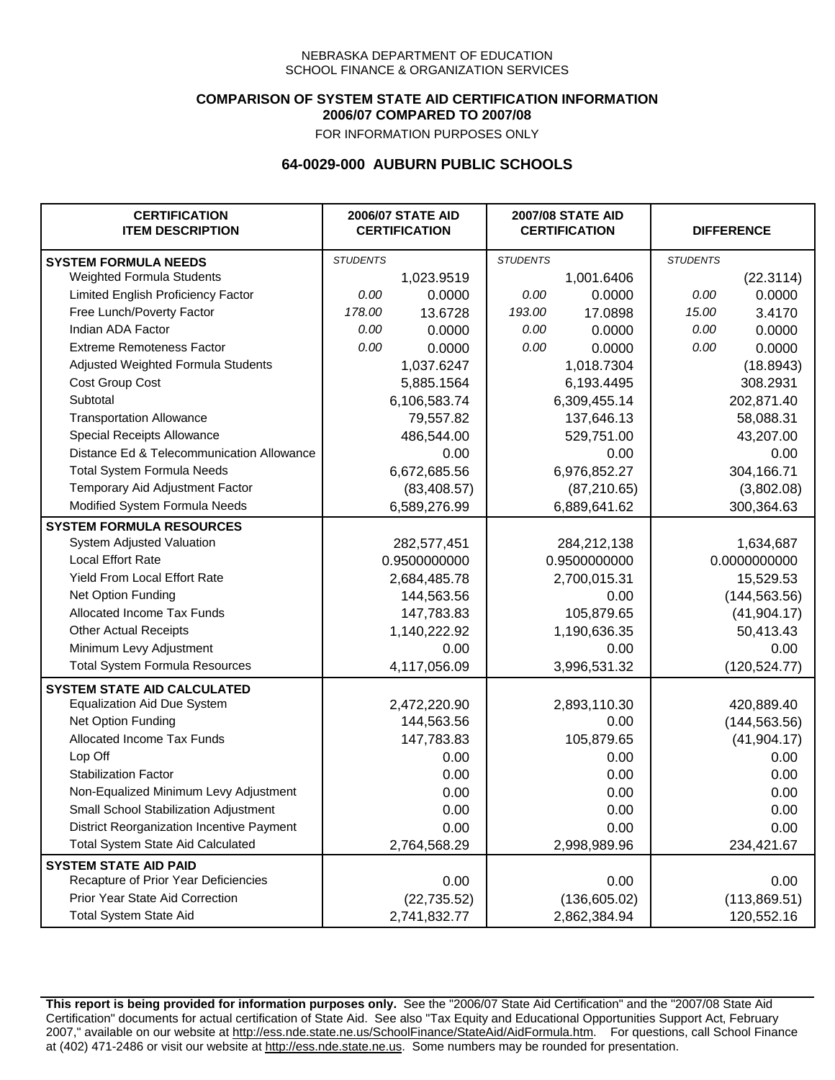### **COMPARISON OF SYSTEM STATE AID CERTIFICATION INFORMATION 2006/07 COMPARED TO 2007/08**

FOR INFORMATION PURPOSES ONLY

## **64-0029-000 AUBURN PUBLIC SCHOOLS**

| <b>CERTIFICATION</b><br><b>ITEM DESCRIPTION</b> |                 | <b>2006/07 STATE AID</b><br><b>CERTIFICATION</b> | <b>2007/08 STATE AID</b><br><b>CERTIFICATION</b> |               | <b>DIFFERENCE</b> |               |
|-------------------------------------------------|-----------------|--------------------------------------------------|--------------------------------------------------|---------------|-------------------|---------------|
| <b>SYSTEM FORMULA NEEDS</b>                     | <b>STUDENTS</b> |                                                  | <b>STUDENTS</b>                                  |               | <b>STUDENTS</b>   |               |
| Weighted Formula Students                       |                 | 1,023.9519                                       |                                                  | 1,001.6406    |                   | (22.3114)     |
| Limited English Proficiency Factor              | 0.00            | 0.0000                                           | 0.00                                             | 0.0000        | 0.00              | 0.0000        |
| Free Lunch/Poverty Factor                       | 178.00          | 13.6728                                          | 193.00                                           | 17.0898       | 15.00             | 3.4170        |
| Indian ADA Factor                               | 0.00            | 0.0000                                           | 0.00                                             | 0.0000        | 0.00              | 0.0000        |
| <b>Extreme Remoteness Factor</b>                | 0.00            | 0.0000                                           | 0.00                                             | 0.0000        | 0.00              | 0.0000        |
| Adjusted Weighted Formula Students              |                 | 1,037.6247                                       |                                                  | 1,018.7304    |                   | (18.8943)     |
| <b>Cost Group Cost</b>                          |                 | 5,885.1564                                       |                                                  | 6,193.4495    |                   | 308.2931      |
| Subtotal                                        |                 | 6,106,583.74                                     |                                                  | 6,309,455.14  |                   | 202,871.40    |
| <b>Transportation Allowance</b>                 |                 | 79,557.82                                        |                                                  | 137,646.13    |                   | 58,088.31     |
| Special Receipts Allowance                      |                 | 486,544.00                                       |                                                  | 529,751.00    |                   | 43,207.00     |
| Distance Ed & Telecommunication Allowance       |                 | 0.00                                             |                                                  | 0.00          |                   | 0.00          |
| <b>Total System Formula Needs</b>               |                 | 6,672,685.56                                     |                                                  | 6,976,852.27  | 304,166.71        |               |
| Temporary Aid Adjustment Factor                 |                 | (83, 408.57)                                     | (87, 210.65)                                     |               | (3,802.08)        |               |
| Modified System Formula Needs                   |                 | 6,589,276.99                                     |                                                  | 6,889,641.62  |                   | 300,364.63    |
| <b>SYSTEM FORMULA RESOURCES</b>                 |                 |                                                  |                                                  |               |                   |               |
| System Adjusted Valuation                       |                 | 282,577,451                                      |                                                  | 284,212,138   |                   | 1,634,687     |
| <b>Local Effort Rate</b>                        |                 | 0.9500000000                                     |                                                  | 0.9500000000  |                   | 0.0000000000  |
| Yield From Local Effort Rate                    |                 | 2,684,485.78                                     |                                                  | 2,700,015.31  |                   | 15,529.53     |
| Net Option Funding                              |                 | 144,563.56                                       |                                                  | 0.00          |                   | (144, 563.56) |
| Allocated Income Tax Funds                      |                 | 147,783.83                                       | 105,879.65                                       |               | (41, 904.17)      |               |
| <b>Other Actual Receipts</b>                    |                 | 1,140,222.92                                     |                                                  | 1,190,636.35  | 50,413.43         |               |
| Minimum Levy Adjustment                         |                 | 0.00                                             |                                                  | 0.00          |                   | 0.00          |
| <b>Total System Formula Resources</b>           |                 | 4,117,056.09                                     |                                                  | 3,996,531.32  |                   | (120, 524.77) |
| <b>SYSTEM STATE AID CALCULATED</b>              |                 |                                                  |                                                  |               |                   |               |
| <b>Equalization Aid Due System</b>              |                 | 2,472,220.90                                     |                                                  | 2,893,110.30  |                   | 420,889.40    |
| Net Option Funding                              |                 | 144,563.56                                       |                                                  | 0.00          |                   | (144, 563.56) |
| Allocated Income Tax Funds                      |                 | 147,783.83                                       |                                                  | 105,879.65    |                   | (41, 904.17)  |
| Lop Off                                         |                 | 0.00                                             |                                                  | 0.00          |                   | 0.00          |
| <b>Stabilization Factor</b>                     |                 | 0.00                                             |                                                  | 0.00          |                   | 0.00          |
| Non-Equalized Minimum Levy Adjustment           |                 | 0.00                                             |                                                  | 0.00          |                   | 0.00          |
| Small School Stabilization Adjustment           |                 | 0.00                                             |                                                  | 0.00          |                   | 0.00          |
| District Reorganization Incentive Payment       |                 | 0.00                                             |                                                  | 0.00          |                   | 0.00          |
| <b>Total System State Aid Calculated</b>        |                 | 2,764,568.29                                     |                                                  | 2,998,989.96  |                   | 234,421.67    |
| <b>SYSTEM STATE AID PAID</b>                    |                 |                                                  |                                                  |               |                   |               |
| Recapture of Prior Year Deficiencies            |                 | 0.00                                             |                                                  | 0.00          |                   | 0.00          |
| Prior Year State Aid Correction                 |                 | (22, 735.52)                                     |                                                  | (136, 605.02) |                   | (113,869.51)  |
| <b>Total System State Aid</b>                   |                 | 2,741,832.77                                     |                                                  | 2,862,384.94  |                   | 120,552.16    |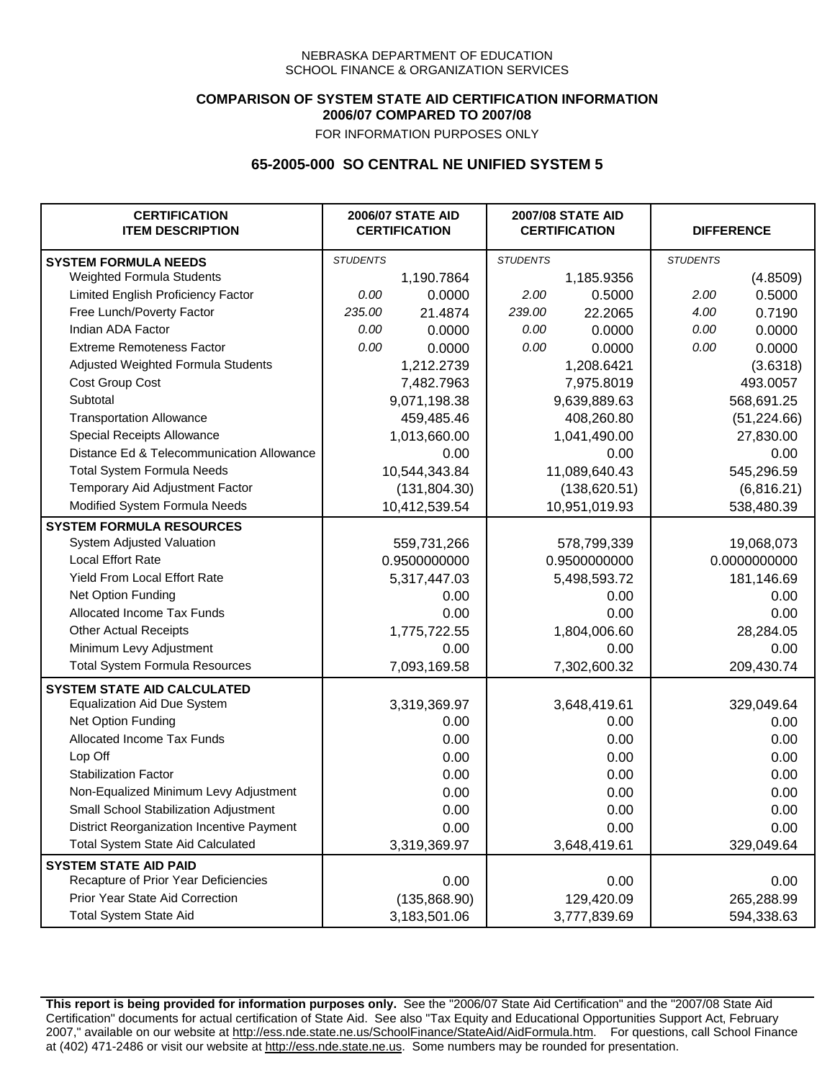### **COMPARISON OF SYSTEM STATE AID CERTIFICATION INFORMATION 2006/07 COMPARED TO 2007/08**

FOR INFORMATION PURPOSES ONLY

## **65-2005-000 SO CENTRAL NE UNIFIED SYSTEM 5**

| <b>CERTIFICATION</b><br><b>ITEM DESCRIPTION</b> |                 | <b>2006/07 STATE AID</b><br><b>CERTIFICATION</b> | <b>2007/08 STATE AID</b><br><b>CERTIFICATION</b> |               | <b>DIFFERENCE</b> |              |
|-------------------------------------------------|-----------------|--------------------------------------------------|--------------------------------------------------|---------------|-------------------|--------------|
| <b>SYSTEM FORMULA NEEDS</b>                     | <b>STUDENTS</b> |                                                  | <b>STUDENTS</b>                                  |               | <b>STUDENTS</b>   |              |
| <b>Weighted Formula Students</b>                |                 | 1,190.7864                                       |                                                  | 1,185.9356    |                   | (4.8509)     |
| Limited English Proficiency Factor              | 0.00            | 0.0000                                           | 2.00                                             | 0.5000        | 2.00              | 0.5000       |
| Free Lunch/Poverty Factor                       | 235.00          | 21.4874                                          | 239.00                                           | 22.2065       | 4.00              | 0.7190       |
| Indian ADA Factor                               | 0.00            | 0.0000                                           | 0.00                                             | 0.0000        | 0.00              | 0.0000       |
| <b>Extreme Remoteness Factor</b>                | 0.00            | 0.0000                                           | 0.00                                             | 0.0000        | 0.00              | 0.0000       |
| Adjusted Weighted Formula Students              |                 | 1,212.2739                                       |                                                  | 1,208.6421    |                   | (3.6318)     |
| Cost Group Cost                                 |                 | 7,482.7963                                       |                                                  | 7,975.8019    |                   | 493.0057     |
| Subtotal                                        |                 | 9,071,198.38                                     |                                                  | 9,639,889.63  |                   | 568,691.25   |
| <b>Transportation Allowance</b>                 |                 | 459,485.46                                       |                                                  | 408,260.80    |                   | (51, 224.66) |
| Special Receipts Allowance                      |                 | 1,013,660.00                                     |                                                  | 1,041,490.00  |                   | 27,830.00    |
| Distance Ed & Telecommunication Allowance       |                 | 0.00                                             |                                                  | 0.00          |                   | 0.00         |
| <b>Total System Formula Needs</b>               |                 | 10,544,343.84                                    |                                                  | 11,089,640.43 |                   | 545,296.59   |
| Temporary Aid Adjustment Factor                 |                 | (131, 804.30)                                    | (138, 620.51)                                    |               | (6,816.21)        |              |
| Modified System Formula Needs                   | 10,412,539.54   |                                                  | 10,951,019.93                                    |               | 538,480.39        |              |
| <b>SYSTEM FORMULA RESOURCES</b>                 |                 |                                                  |                                                  |               |                   |              |
| System Adjusted Valuation                       |                 | 559,731,266                                      |                                                  | 578,799,339   |                   | 19,068,073   |
| <b>Local Effort Rate</b>                        |                 | 0.9500000000                                     |                                                  | 0.9500000000  | 0.0000000000      |              |
| Yield From Local Effort Rate                    |                 | 5,317,447.03                                     |                                                  | 5,498,593.72  |                   | 181,146.69   |
| Net Option Funding                              |                 | 0.00                                             | 0.00                                             |               | 0.00              |              |
| Allocated Income Tax Funds                      |                 | 0.00                                             | 0.00                                             |               | 0.00              |              |
| <b>Other Actual Receipts</b>                    |                 | 1,775,722.55                                     | 1,804,006.60                                     |               | 28,284.05         |              |
| Minimum Levy Adjustment                         |                 | 0.00                                             | 0.00                                             |               |                   | 0.00         |
| <b>Total System Formula Resources</b>           |                 | 7,093,169.58                                     |                                                  | 7,302,600.32  |                   | 209,430.74   |
| <b>SYSTEM STATE AID CALCULATED</b>              |                 |                                                  |                                                  |               |                   |              |
| <b>Equalization Aid Due System</b>              |                 | 3,319,369.97                                     |                                                  | 3,648,419.61  |                   | 329,049.64   |
| Net Option Funding                              |                 | 0.00                                             |                                                  | 0.00          |                   | 0.00         |
| Allocated Income Tax Funds                      |                 | 0.00                                             |                                                  | 0.00          |                   | 0.00         |
| Lop Off                                         |                 | 0.00                                             |                                                  | 0.00          |                   | 0.00         |
| <b>Stabilization Factor</b>                     |                 | 0.00                                             |                                                  | 0.00          |                   | 0.00         |
| Non-Equalized Minimum Levy Adjustment           |                 | 0.00                                             |                                                  | 0.00          |                   | 0.00         |
| Small School Stabilization Adjustment           |                 | 0.00                                             |                                                  | 0.00          |                   | 0.00         |
| District Reorganization Incentive Payment       |                 | 0.00                                             |                                                  | 0.00          |                   | 0.00         |
| <b>Total System State Aid Calculated</b>        |                 | 3,319,369.97                                     |                                                  | 3,648,419.61  |                   | 329,049.64   |
| <b>SYSTEM STATE AID PAID</b>                    |                 |                                                  |                                                  |               |                   |              |
| Recapture of Prior Year Deficiencies            |                 | 0.00                                             |                                                  | 0.00          |                   | 0.00         |
| Prior Year State Aid Correction                 |                 | (135,868.90)                                     |                                                  | 129,420.09    | 265,288.99        |              |
| <b>Total System State Aid</b>                   |                 | 3,183,501.06                                     |                                                  | 3,777,839.69  | 594,338.63        |              |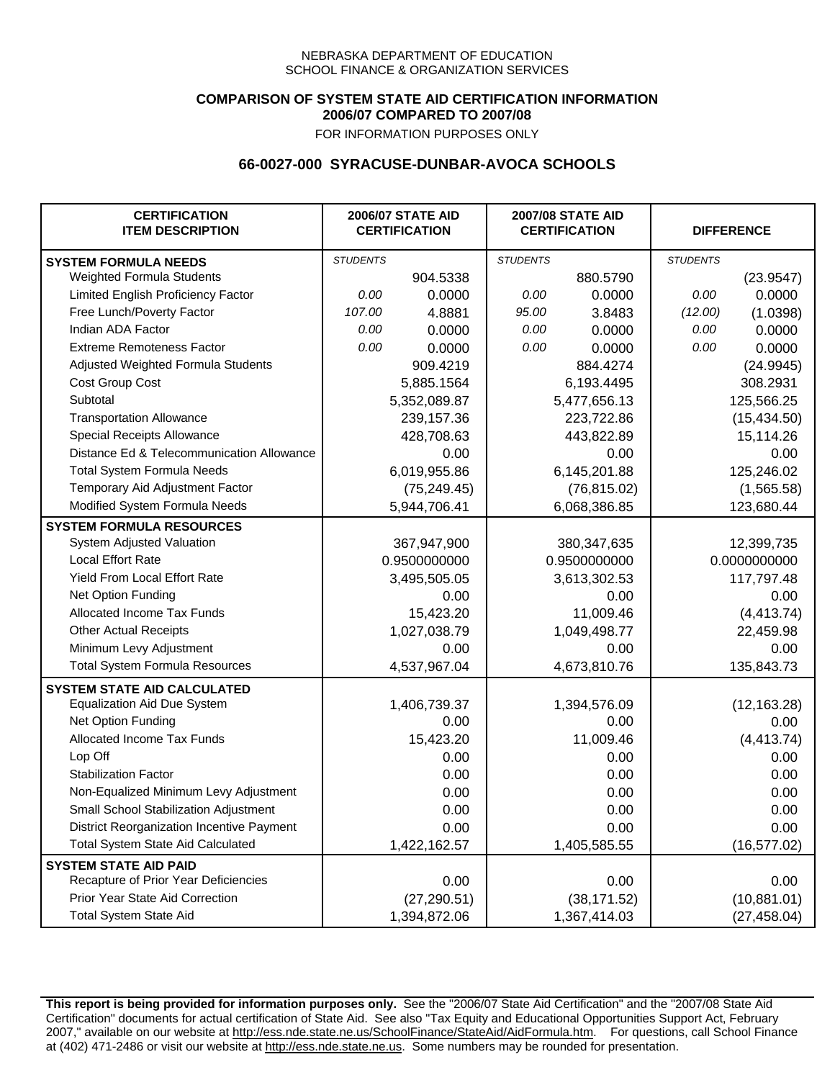### **COMPARISON OF SYSTEM STATE AID CERTIFICATION INFORMATION 2006/07 COMPARED TO 2007/08**

FOR INFORMATION PURPOSES ONLY

## **66-0027-000 SYRACUSE-DUNBAR-AVOCA SCHOOLS**

| <b>CERTIFICATION</b><br><b>ITEM DESCRIPTION</b> |                 | <b>2006/07 STATE AID</b><br><b>CERTIFICATION</b> | <b>2007/08 STATE AID</b><br><b>CERTIFICATION</b> |               | <b>DIFFERENCE</b> |              |
|-------------------------------------------------|-----------------|--------------------------------------------------|--------------------------------------------------|---------------|-------------------|--------------|
| <b>SYSTEM FORMULA NEEDS</b>                     | <b>STUDENTS</b> |                                                  | <b>STUDENTS</b>                                  |               | <b>STUDENTS</b>   |              |
| Weighted Formula Students                       |                 | 904.5338                                         |                                                  | 880.5790      |                   | (23.9547)    |
| Limited English Proficiency Factor              | 0.00            | 0.0000                                           | 0.00                                             | 0.0000        | 0.00              | 0.0000       |
| Free Lunch/Poverty Factor                       | 107.00          | 4.8881                                           | 95.00                                            | 3.8483        | (12.00)           | (1.0398)     |
| Indian ADA Factor                               | 0.00            | 0.0000                                           | 0.00                                             | 0.0000        | 0.00              | 0.0000       |
| <b>Extreme Remoteness Factor</b>                | 0.00            | 0.0000                                           | 0.00                                             | 0.0000        | 0.00              | 0.0000       |
| Adjusted Weighted Formula Students              |                 | 909.4219                                         |                                                  | 884.4274      |                   | (24.9945)    |
| Cost Group Cost                                 |                 | 5,885.1564                                       |                                                  | 6,193.4495    |                   | 308.2931     |
| Subtotal                                        |                 | 5,352,089.87                                     |                                                  | 5,477,656.13  |                   | 125,566.25   |
| <b>Transportation Allowance</b>                 |                 | 239,157.36                                       |                                                  | 223,722.86    |                   | (15, 434.50) |
| Special Receipts Allowance                      |                 | 428,708.63                                       |                                                  | 443,822.89    |                   | 15,114.26    |
| Distance Ed & Telecommunication Allowance       |                 | 0.00                                             |                                                  | 0.00          |                   | 0.00         |
| <b>Total System Formula Needs</b>               |                 | 6,019,955.86                                     |                                                  | 6,145,201.88  |                   | 125,246.02   |
| Temporary Aid Adjustment Factor                 |                 | (75, 249.45)                                     |                                                  | (76, 815.02)  |                   | (1,565.58)   |
| Modified System Formula Needs                   |                 | 5,944,706.41                                     |                                                  | 6,068,386.85  |                   | 123,680.44   |
| <b>SYSTEM FORMULA RESOURCES</b>                 |                 |                                                  |                                                  |               |                   |              |
| System Adjusted Valuation                       |                 | 367,947,900                                      |                                                  | 380, 347, 635 |                   | 12,399,735   |
| <b>Local Effort Rate</b>                        |                 | 0.9500000000                                     |                                                  | 0.9500000000  |                   | 0.0000000000 |
| Yield From Local Effort Rate                    |                 | 3,495,505.05                                     |                                                  | 3,613,302.53  |                   | 117,797.48   |
| Net Option Funding                              |                 | 0.00                                             |                                                  | 0.00          |                   | 0.00         |
| Allocated Income Tax Funds                      |                 | 15,423.20                                        |                                                  | 11,009.46     |                   | (4, 413.74)  |
| <b>Other Actual Receipts</b>                    |                 | 1,027,038.79                                     |                                                  | 1,049,498.77  |                   | 22,459.98    |
| Minimum Levy Adjustment                         |                 | 0.00                                             |                                                  | 0.00          |                   | 0.00         |
| <b>Total System Formula Resources</b>           |                 | 4,537,967.04                                     |                                                  | 4,673,810.76  |                   | 135,843.73   |
| <b>SYSTEM STATE AID CALCULATED</b>              |                 |                                                  |                                                  |               |                   |              |
| <b>Equalization Aid Due System</b>              |                 | 1,406,739.37                                     |                                                  | 1,394,576.09  |                   | (12, 163.28) |
| Net Option Funding                              |                 | 0.00                                             |                                                  | 0.00          |                   | 0.00         |
| Allocated Income Tax Funds                      |                 | 15,423.20                                        |                                                  | 11,009.46     |                   | (4, 413.74)  |
| Lop Off                                         |                 | 0.00                                             |                                                  | 0.00          |                   | 0.00         |
| <b>Stabilization Factor</b>                     |                 | 0.00                                             |                                                  | 0.00          |                   | 0.00         |
| Non-Equalized Minimum Levy Adjustment           |                 | 0.00                                             |                                                  | 0.00          |                   | 0.00         |
| Small School Stabilization Adjustment           |                 | 0.00                                             |                                                  | 0.00          |                   | 0.00         |
| District Reorganization Incentive Payment       |                 | 0.00                                             |                                                  | 0.00          |                   | 0.00         |
| <b>Total System State Aid Calculated</b>        |                 | 1,422,162.57                                     |                                                  | 1,405,585.55  |                   | (16, 577.02) |
| <b>SYSTEM STATE AID PAID</b>                    |                 |                                                  |                                                  |               |                   |              |
| Recapture of Prior Year Deficiencies            |                 | 0.00                                             |                                                  | 0.00          |                   | 0.00         |
| Prior Year State Aid Correction                 |                 | (27, 290.51)                                     |                                                  | (38, 171.52)  |                   | (10,881.01)  |
| <b>Total System State Aid</b>                   |                 | 1,394,872.06                                     |                                                  | 1,367,414.03  |                   | (27, 458.04) |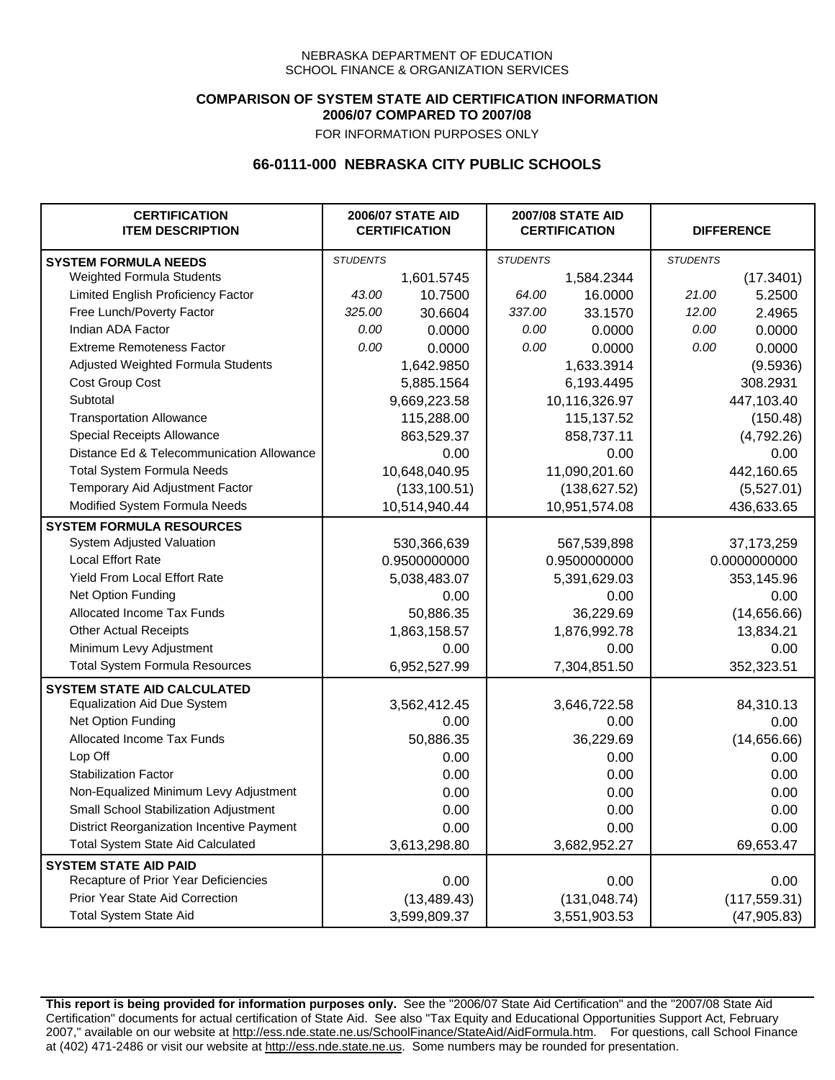### **COMPARISON OF SYSTEM STATE AID CERTIFICATION INFORMATION 2006/07 COMPARED TO 2007/08**

FOR INFORMATION PURPOSES ONLY

## **66-0111-000 NEBRASKA CITY PUBLIC SCHOOLS**

| <b>CERTIFICATION</b><br><b>ITEM DESCRIPTION</b> |                 | <b>2006/07 STATE AID</b><br><b>CERTIFICATION</b> |                 | <b>2007/08 STATE AID</b><br><b>CERTIFICATION</b> |                 | <b>DIFFERENCE</b> |
|-------------------------------------------------|-----------------|--------------------------------------------------|-----------------|--------------------------------------------------|-----------------|-------------------|
| <b>SYSTEM FORMULA NEEDS</b>                     | <b>STUDENTS</b> |                                                  | <b>STUDENTS</b> |                                                  | <b>STUDENTS</b> |                   |
| Weighted Formula Students                       |                 | 1,601.5745                                       |                 | 1,584.2344                                       |                 | (17.3401)         |
| Limited English Proficiency Factor              | 43.00           | 10.7500                                          | 64.00           | 16.0000                                          | 21.00           | 5.2500            |
| Free Lunch/Poverty Factor                       | 325.00          | 30.6604                                          | 337.00          | 33.1570                                          | 12.00           | 2.4965            |
| Indian ADA Factor                               | 0.00            | 0.0000                                           | 0.00            | 0.0000                                           | 0.00            | 0.0000            |
| <b>Extreme Remoteness Factor</b>                | 0.00            | 0.0000                                           | 0.00            | 0.0000                                           | 0.00            | 0.0000            |
| Adjusted Weighted Formula Students              |                 | 1,642.9850                                       |                 | 1,633.3914                                       |                 | (9.5936)          |
| Cost Group Cost                                 |                 | 5,885.1564                                       |                 | 6,193.4495                                       |                 | 308.2931          |
| Subtotal                                        |                 | 9,669,223.58                                     |                 | 10,116,326.97                                    |                 | 447,103.40        |
| <b>Transportation Allowance</b>                 |                 | 115,288.00                                       |                 | 115,137.52                                       |                 | (150.48)          |
| Special Receipts Allowance                      |                 | 863,529.37                                       |                 | 858,737.11                                       |                 | (4,792.26)        |
| Distance Ed & Telecommunication Allowance       |                 | 0.00                                             |                 | 0.00                                             |                 | 0.00              |
| <b>Total System Formula Needs</b>               |                 | 10,648,040.95                                    |                 | 11,090,201.60                                    |                 | 442,160.65        |
| Temporary Aid Adjustment Factor                 |                 | (133, 100.51)                                    | (138, 627.52)   |                                                  | (5,527.01)      |                   |
| Modified System Formula Needs                   | 10,514,940.44   |                                                  | 10,951,574.08   |                                                  | 436,633.65      |                   |
| <b>SYSTEM FORMULA RESOURCES</b>                 |                 |                                                  |                 |                                                  |                 |                   |
| System Adjusted Valuation                       |                 | 530,366,639                                      |                 | 567,539,898                                      |                 | 37, 173, 259      |
| Local Effort Rate                               |                 | 0.9500000000                                     |                 | 0.9500000000                                     | 0.0000000000    |                   |
| Yield From Local Effort Rate                    |                 | 5,038,483.07                                     |                 | 5,391,629.03                                     |                 | 353,145.96        |
| Net Option Funding                              |                 | 0.00                                             | 0.00            |                                                  |                 | 0.00              |
| Allocated Income Tax Funds                      |                 | 50,886.35                                        | 36,229.69       |                                                  | (14,656.66)     |                   |
| <b>Other Actual Receipts</b>                    |                 | 1,863,158.57                                     | 1,876,992.78    |                                                  | 13,834.21       |                   |
| Minimum Levy Adjustment                         |                 | 0.00                                             |                 | 0.00                                             |                 | 0.00              |
| <b>Total System Formula Resources</b>           |                 | 6,952,527.99                                     |                 | 7,304,851.50                                     |                 | 352,323.51        |
| <b>SYSTEM STATE AID CALCULATED</b>              |                 |                                                  |                 |                                                  |                 |                   |
| <b>Equalization Aid Due System</b>              |                 | 3,562,412.45                                     |                 | 3,646,722.58                                     |                 | 84,310.13         |
| Net Option Funding                              |                 | 0.00                                             |                 | 0.00                                             |                 | 0.00              |
| Allocated Income Tax Funds                      |                 | 50,886.35                                        |                 | 36,229.69                                        |                 | (14,656.66)       |
| Lop Off                                         |                 | 0.00                                             |                 | 0.00                                             |                 | 0.00              |
| <b>Stabilization Factor</b>                     |                 | 0.00                                             |                 | 0.00                                             |                 | 0.00              |
| Non-Equalized Minimum Levy Adjustment           |                 | 0.00                                             |                 | 0.00                                             |                 | 0.00              |
| Small School Stabilization Adjustment           |                 | 0.00                                             |                 | 0.00                                             |                 | 0.00              |
| District Reorganization Incentive Payment       |                 | 0.00                                             |                 | 0.00                                             |                 | 0.00              |
| <b>Total System State Aid Calculated</b>        |                 | 3,613,298.80                                     |                 | 3,682,952.27                                     |                 | 69,653.47         |
| <b>SYSTEM STATE AID PAID</b>                    |                 |                                                  |                 |                                                  |                 |                   |
| Recapture of Prior Year Deficiencies            |                 | 0.00                                             |                 | 0.00                                             |                 | 0.00              |
| Prior Year State Aid Correction                 |                 | (13, 489.43)                                     |                 | (131, 048.74)                                    | (117, 559.31)   |                   |
| <b>Total System State Aid</b>                   |                 | 3,599,809.37                                     |                 | 3,551,903.53                                     | (47, 905.83)    |                   |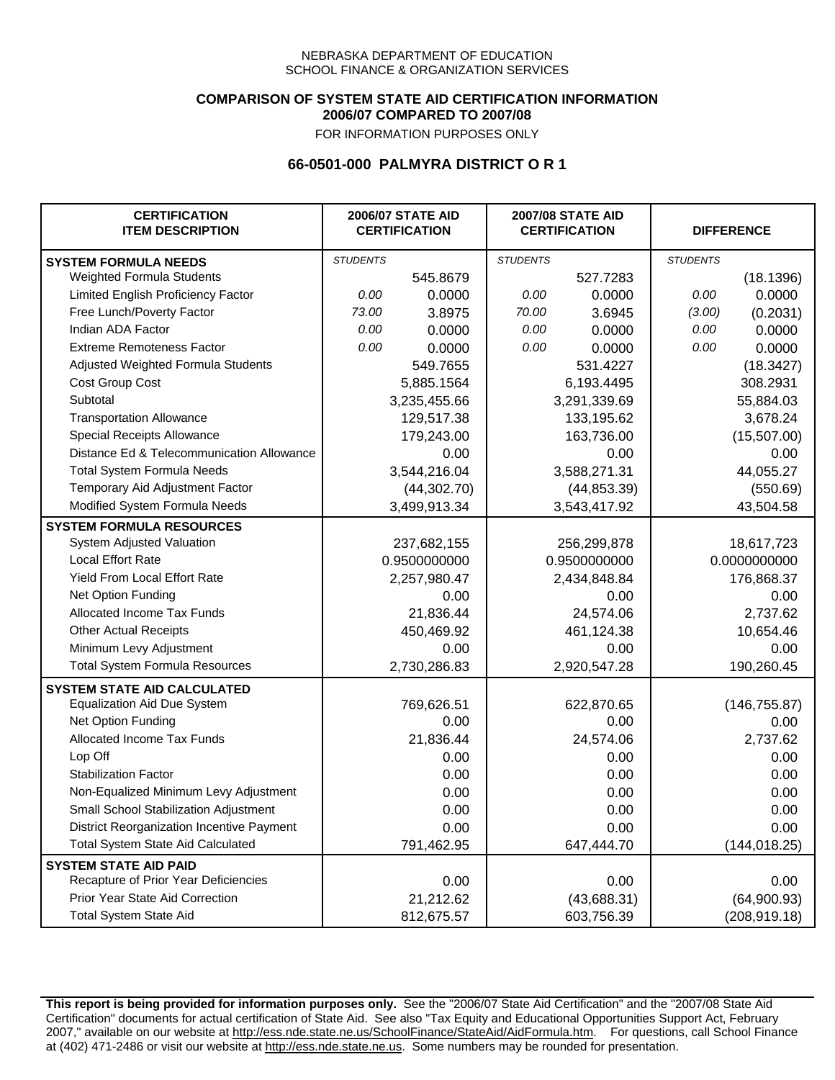### **COMPARISON OF SYSTEM STATE AID CERTIFICATION INFORMATION 2006/07 COMPARED TO 2007/08**

FOR INFORMATION PURPOSES ONLY

## **66-0501-000 PALMYRA DISTRICT O R 1**

| <b>CERTIFICATION</b><br><b>ITEM DESCRIPTION</b> |                 | <b>2006/07 STATE AID</b><br><b>CERTIFICATION</b> |                 | <b>2007/08 STATE AID</b><br><b>CERTIFICATION</b> |                 | <b>DIFFERENCE</b> |  |
|-------------------------------------------------|-----------------|--------------------------------------------------|-----------------|--------------------------------------------------|-----------------|-------------------|--|
| <b>SYSTEM FORMULA NEEDS</b>                     | <b>STUDENTS</b> |                                                  | <b>STUDENTS</b> |                                                  | <b>STUDENTS</b> |                   |  |
| Weighted Formula Students                       |                 | 545.8679                                         |                 | 527.7283                                         |                 | (18.1396)         |  |
| Limited English Proficiency Factor              | 0.00            | 0.0000                                           | 0.00            | 0.0000                                           | 0.00            | 0.0000            |  |
| Free Lunch/Poverty Factor                       | 73.00           | 3.8975                                           | 70.00           | 3.6945                                           | (3.00)          | (0.2031)          |  |
| Indian ADA Factor                               | 0.00            | 0.0000                                           | 0.00            | 0.0000                                           | 0.00            | 0.0000            |  |
| <b>Extreme Remoteness Factor</b>                | 0.00            | 0.0000                                           | 0.00            | 0.0000                                           | 0.00            | 0.0000            |  |
| Adjusted Weighted Formula Students              |                 | 549.7655                                         |                 | 531.4227                                         |                 | (18.3427)         |  |
| Cost Group Cost                                 |                 | 5,885.1564                                       |                 | 6,193.4495                                       |                 | 308.2931          |  |
| Subtotal                                        |                 | 3,235,455.66                                     |                 | 3,291,339.69                                     |                 | 55,884.03         |  |
| <b>Transportation Allowance</b>                 |                 | 129,517.38                                       |                 | 133,195.62                                       |                 | 3,678.24          |  |
| Special Receipts Allowance                      |                 | 179,243.00                                       |                 | 163,736.00                                       |                 | (15,507.00)       |  |
| Distance Ed & Telecommunication Allowance       |                 | 0.00                                             |                 | 0.00                                             |                 | 0.00              |  |
| <b>Total System Formula Needs</b>               |                 | 3,544,216.04                                     |                 | 3,588,271.31                                     |                 | 44,055.27         |  |
| Temporary Aid Adjustment Factor                 |                 | (44, 302.70)                                     |                 | (44, 853.39)                                     |                 | (550.69)          |  |
| Modified System Formula Needs                   |                 | 3,499,913.34                                     |                 | 3,543,417.92                                     |                 | 43,504.58         |  |
| <b>SYSTEM FORMULA RESOURCES</b>                 |                 |                                                  |                 |                                                  |                 |                   |  |
| System Adjusted Valuation                       |                 | 237,682,155                                      |                 | 256,299,878                                      |                 | 18,617,723        |  |
| <b>Local Effort Rate</b>                        |                 | 0.9500000000                                     |                 | 0.9500000000                                     |                 | 0.0000000000      |  |
| <b>Yield From Local Effort Rate</b>             |                 | 2,257,980.47                                     | 2,434,848.84    |                                                  | 176,868.37      |                   |  |
| Net Option Funding                              |                 | 0.00                                             | 0.00            |                                                  | 0.00            |                   |  |
| Allocated Income Tax Funds                      |                 | 21,836.44                                        | 24,574.06       |                                                  | 2,737.62        |                   |  |
| <b>Other Actual Receipts</b>                    |                 | 450,469.92                                       | 461,124.38      |                                                  | 10,654.46       |                   |  |
| Minimum Levy Adjustment                         |                 | 0.00                                             |                 | 0.00                                             |                 | 0.00              |  |
| <b>Total System Formula Resources</b>           |                 | 2,730,286.83                                     |                 | 2,920,547.28                                     |                 | 190,260.45        |  |
| <b>SYSTEM STATE AID CALCULATED</b>              |                 |                                                  |                 |                                                  |                 |                   |  |
| <b>Equalization Aid Due System</b>              |                 | 769,626.51                                       |                 | 622,870.65                                       |                 | (146, 755.87)     |  |
| Net Option Funding                              |                 | 0.00                                             |                 | 0.00                                             |                 | 0.00              |  |
| Allocated Income Tax Funds                      |                 | 21,836.44                                        |                 | 24,574.06                                        |                 | 2,737.62          |  |
| Lop Off                                         |                 | 0.00                                             |                 | 0.00                                             |                 | 0.00              |  |
| <b>Stabilization Factor</b>                     |                 | 0.00                                             |                 | 0.00                                             |                 | 0.00              |  |
| Non-Equalized Minimum Levy Adjustment           |                 | 0.00                                             |                 | 0.00                                             |                 | 0.00              |  |
| Small School Stabilization Adjustment           |                 | 0.00                                             |                 | 0.00                                             |                 | 0.00              |  |
| District Reorganization Incentive Payment       |                 | 0.00                                             |                 | 0.00                                             |                 | 0.00              |  |
| <b>Total System State Aid Calculated</b>        |                 | 791,462.95                                       |                 | 647,444.70                                       |                 | (144, 018.25)     |  |
| <b>SYSTEM STATE AID PAID</b>                    |                 |                                                  |                 |                                                  |                 |                   |  |
| Recapture of Prior Year Deficiencies            |                 | 0.00                                             |                 | 0.00                                             |                 | 0.00              |  |
| Prior Year State Aid Correction                 |                 | 21,212.62                                        |                 | (43,688.31)                                      |                 | (64,900.93)       |  |
| <b>Total System State Aid</b>                   |                 | 812,675.57                                       |                 | 603,756.39                                       |                 | (208, 919.18)     |  |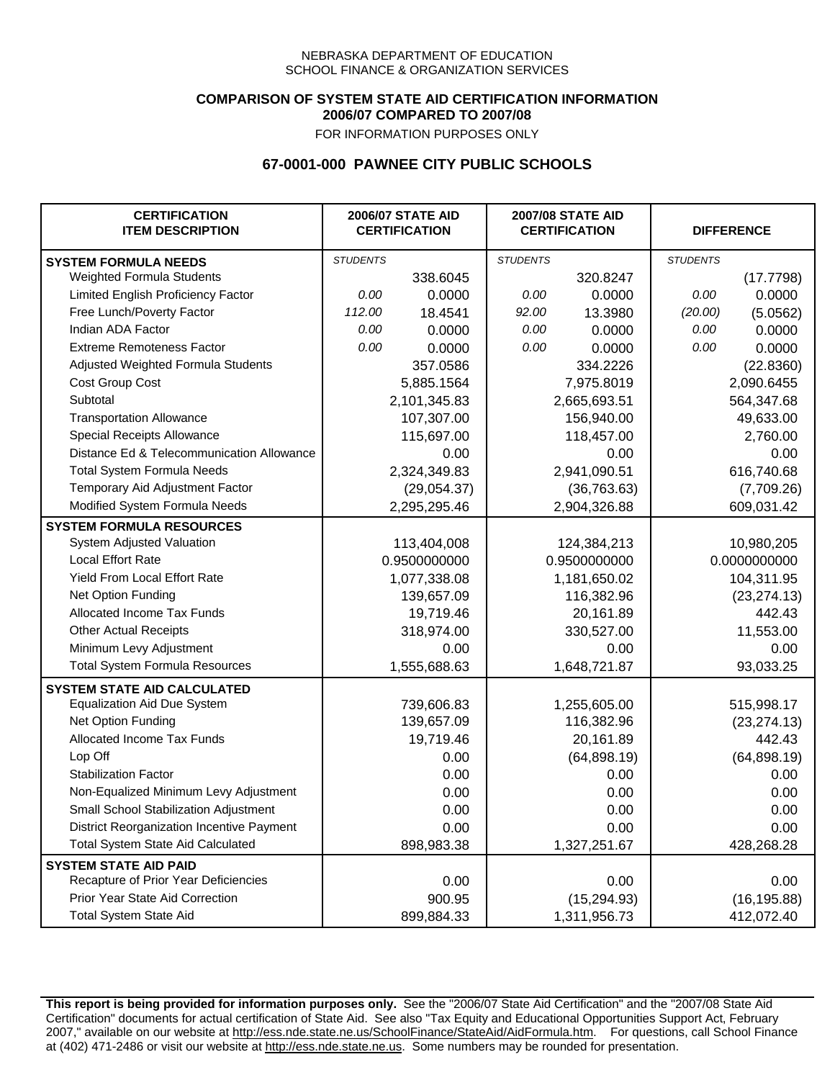### **COMPARISON OF SYSTEM STATE AID CERTIFICATION INFORMATION 2006/07 COMPARED TO 2007/08**

FOR INFORMATION PURPOSES ONLY

# **67-0001-000 PAWNEE CITY PUBLIC SCHOOLS**

| <b>CERTIFICATION</b><br><b>ITEM DESCRIPTION</b> |                 | <b>2006/07 STATE AID</b><br><b>CERTIFICATION</b> | <b>2007/08 STATE AID</b><br><b>CERTIFICATION</b> |              | <b>DIFFERENCE</b> |              |  |
|-------------------------------------------------|-----------------|--------------------------------------------------|--------------------------------------------------|--------------|-------------------|--------------|--|
| <b>SYSTEM FORMULA NEEDS</b>                     | <b>STUDENTS</b> |                                                  | <b>STUDENTS</b>                                  |              | <b>STUDENTS</b>   |              |  |
| Weighted Formula Students                       |                 | 338.6045                                         |                                                  | 320.8247     |                   | (17.7798)    |  |
| Limited English Proficiency Factor              | 0.00            | 0.0000                                           | 0.00                                             | 0.0000       | 0.00              | 0.0000       |  |
| Free Lunch/Poverty Factor                       | 112.00          | 18.4541                                          | 92.00                                            | 13.3980      | (20.00)           | (5.0562)     |  |
| Indian ADA Factor                               | 0.00            | 0.0000                                           | 0.00                                             | 0.0000       | 0.00              | 0.0000       |  |
| <b>Extreme Remoteness Factor</b>                | 0.00            | 0.0000                                           | 0.00                                             | 0.0000       | 0.00              | 0.0000       |  |
| Adjusted Weighted Formula Students              |                 | 357.0586                                         |                                                  | 334.2226     |                   | (22.8360)    |  |
| Cost Group Cost                                 |                 | 5,885.1564                                       |                                                  | 7,975.8019   |                   | 2,090.6455   |  |
| Subtotal                                        |                 | 2,101,345.83                                     |                                                  | 2,665,693.51 |                   | 564,347.68   |  |
| <b>Transportation Allowance</b>                 |                 | 107,307.00                                       |                                                  | 156,940.00   |                   | 49,633.00    |  |
| Special Receipts Allowance                      |                 | 115,697.00                                       |                                                  | 118,457.00   |                   | 2,760.00     |  |
| Distance Ed & Telecommunication Allowance       |                 | 0.00                                             |                                                  | 0.00         |                   | 0.00         |  |
| <b>Total System Formula Needs</b>               |                 | 2,324,349.83                                     |                                                  | 2,941,090.51 |                   | 616,740.68   |  |
| Temporary Aid Adjustment Factor                 |                 | (29,054.37)                                      |                                                  | (36, 763.63) |                   | (7,709.26)   |  |
| Modified System Formula Needs                   |                 | 2,295,295.46                                     |                                                  | 2,904,326.88 |                   | 609,031.42   |  |
| <b>SYSTEM FORMULA RESOURCES</b>                 |                 |                                                  |                                                  |              |                   |              |  |
| System Adjusted Valuation                       |                 | 113,404,008                                      |                                                  | 124,384,213  |                   | 10,980,205   |  |
| <b>Local Effort Rate</b>                        |                 | 0.9500000000                                     |                                                  | 0.9500000000 |                   | 0.0000000000 |  |
| Yield From Local Effort Rate                    |                 | 1,077,338.08                                     |                                                  | 1,181,650.02 |                   | 104,311.95   |  |
| Net Option Funding                              |                 | 139,657.09                                       |                                                  | 116,382.96   |                   | (23, 274.13) |  |
| Allocated Income Tax Funds                      |                 | 19,719.46                                        |                                                  | 20,161.89    |                   | 442.43       |  |
| <b>Other Actual Receipts</b>                    |                 | 318,974.00                                       |                                                  | 330,527.00   | 11,553.00         |              |  |
| Minimum Levy Adjustment                         |                 | 0.00                                             |                                                  | 0.00         |                   | 0.00         |  |
| <b>Total System Formula Resources</b>           |                 | 1,555,688.63                                     |                                                  | 1,648,721.87 |                   | 93,033.25    |  |
| <b>SYSTEM STATE AID CALCULATED</b>              |                 |                                                  |                                                  |              |                   |              |  |
| <b>Equalization Aid Due System</b>              |                 | 739,606.83                                       |                                                  | 1,255,605.00 |                   | 515,998.17   |  |
| Net Option Funding                              |                 | 139,657.09                                       |                                                  | 116,382.96   |                   | (23, 274.13) |  |
| <b>Allocated Income Tax Funds</b>               |                 | 19,719.46                                        |                                                  | 20,161.89    |                   | 442.43       |  |
| Lop Off                                         |                 | 0.00                                             |                                                  | (64, 898.19) |                   | (64, 898.19) |  |
| <b>Stabilization Factor</b>                     |                 | 0.00                                             |                                                  | 0.00         |                   | 0.00         |  |
| Non-Equalized Minimum Levy Adjustment           |                 | 0.00                                             |                                                  | 0.00         |                   | 0.00         |  |
| Small School Stabilization Adjustment           |                 | 0.00                                             |                                                  | 0.00         |                   | 0.00         |  |
| District Reorganization Incentive Payment       |                 | 0.00                                             |                                                  | 0.00         |                   | 0.00         |  |
| <b>Total System State Aid Calculated</b>        |                 | 898,983.38                                       |                                                  | 1,327,251.67 |                   | 428,268.28   |  |
| <b>SYSTEM STATE AID PAID</b>                    |                 |                                                  |                                                  |              |                   |              |  |
| Recapture of Prior Year Deficiencies            |                 | 0.00                                             |                                                  | 0.00         |                   | 0.00         |  |
| Prior Year State Aid Correction                 |                 | 900.95                                           |                                                  | (15, 294.93) |                   | (16, 195.88) |  |
| <b>Total System State Aid</b>                   |                 | 899,884.33                                       |                                                  | 1,311,956.73 |                   | 412,072.40   |  |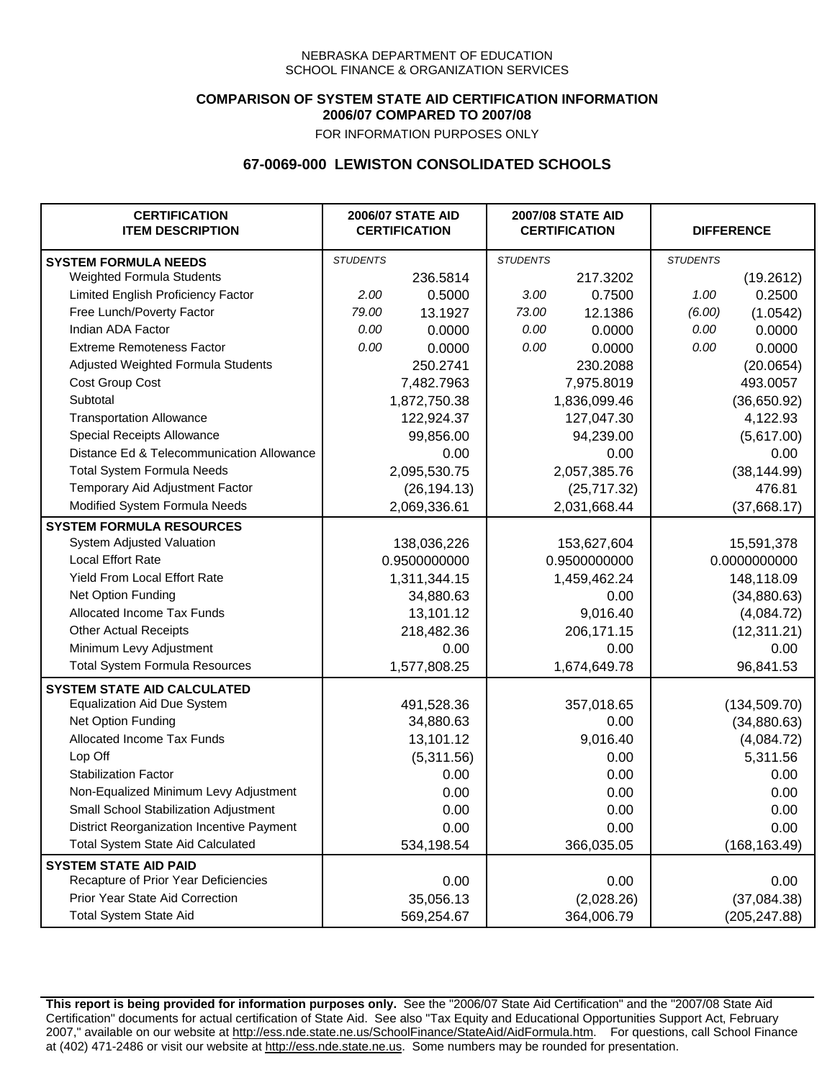### **COMPARISON OF SYSTEM STATE AID CERTIFICATION INFORMATION 2006/07 COMPARED TO 2007/08**

FOR INFORMATION PURPOSES ONLY

## **67-0069-000 LEWISTON CONSOLIDATED SCHOOLS**

| <b>CERTIFICATION</b><br><b>ITEM DESCRIPTION</b> |                 | <b>2006/07 STATE AID</b><br><b>CERTIFICATION</b> | <b>2007/08 STATE AID</b><br><b>CERTIFICATION</b> |              | <b>DIFFERENCE</b> |               |
|-------------------------------------------------|-----------------|--------------------------------------------------|--------------------------------------------------|--------------|-------------------|---------------|
| <b>SYSTEM FORMULA NEEDS</b>                     | <b>STUDENTS</b> |                                                  | <b>STUDENTS</b>                                  |              | <b>STUDENTS</b>   |               |
| Weighted Formula Students                       |                 | 236.5814                                         |                                                  | 217.3202     |                   | (19.2612)     |
| Limited English Proficiency Factor              | 2.00            | 0.5000                                           | 3.00                                             | 0.7500       | 1.00              | 0.2500        |
| Free Lunch/Poverty Factor                       | 79.00           | 13.1927                                          | 73.00                                            | 12.1386      | (6.00)            | (1.0542)      |
| Indian ADA Factor                               | 0.00            | 0.0000                                           | 0.00                                             | 0.0000       | 0.00              | 0.0000        |
| <b>Extreme Remoteness Factor</b>                | 0.00            | 0.0000                                           | 0.00                                             | 0.0000       | 0.00              | 0.0000        |
| Adjusted Weighted Formula Students              |                 | 250.2741                                         |                                                  | 230.2088     |                   | (20.0654)     |
| Cost Group Cost                                 |                 | 7,482.7963                                       |                                                  | 7,975.8019   |                   | 493.0057      |
| Subtotal                                        |                 | 1,872,750.38                                     |                                                  | 1,836,099.46 |                   | (36,650.92)   |
| <b>Transportation Allowance</b>                 |                 | 122,924.37                                       |                                                  | 127,047.30   |                   | 4,122.93      |
| Special Receipts Allowance                      |                 | 99,856.00                                        |                                                  | 94,239.00    |                   | (5,617.00)    |
| Distance Ed & Telecommunication Allowance       |                 | 0.00                                             |                                                  | 0.00         |                   | 0.00          |
| <b>Total System Formula Needs</b>               |                 | 2,095,530.75                                     |                                                  | 2,057,385.76 |                   | (38, 144.99)  |
| Temporary Aid Adjustment Factor                 |                 | (26, 194.13)                                     |                                                  | (25,717.32)  | 476.81            |               |
| Modified System Formula Needs                   |                 | 2,069,336.61                                     |                                                  | 2,031,668.44 |                   | (37,668.17)   |
| <b>SYSTEM FORMULA RESOURCES</b>                 |                 |                                                  |                                                  |              |                   |               |
| System Adjusted Valuation                       |                 | 138,036,226                                      |                                                  | 153,627,604  |                   | 15,591,378    |
| <b>Local Effort Rate</b>                        |                 | 0.9500000000                                     |                                                  | 0.9500000000 | 0.0000000000      |               |
| Yield From Local Effort Rate                    |                 | 1,311,344.15                                     | 1,459,462.24                                     |              | 148,118.09        |               |
| Net Option Funding                              |                 | 34,880.63                                        | 0.00                                             |              | (34,880.63)       |               |
| Allocated Income Tax Funds                      |                 | 13,101.12                                        | 9,016.40                                         |              | (4,084.72)        |               |
| <b>Other Actual Receipts</b>                    |                 | 218,482.36                                       | 206,171.15                                       |              | (12, 311.21)      |               |
| Minimum Levy Adjustment                         |                 | 0.00                                             | 0.00                                             |              |                   | 0.00          |
| <b>Total System Formula Resources</b>           |                 | 1,577,808.25                                     |                                                  | 1,674,649.78 |                   | 96,841.53     |
| <b>SYSTEM STATE AID CALCULATED</b>              |                 |                                                  |                                                  |              |                   |               |
| <b>Equalization Aid Due System</b>              |                 | 491,528.36                                       |                                                  | 357,018.65   |                   | (134, 509.70) |
| Net Option Funding                              |                 | 34,880.63                                        |                                                  | 0.00         |                   | (34,880.63)   |
| Allocated Income Tax Funds                      |                 | 13,101.12                                        |                                                  | 9,016.40     |                   | (4,084.72)    |
| Lop Off                                         |                 | (5,311.56)                                       |                                                  | 0.00         |                   | 5,311.56      |
| <b>Stabilization Factor</b>                     |                 | 0.00                                             |                                                  | 0.00         |                   | 0.00          |
| Non-Equalized Minimum Levy Adjustment           |                 | 0.00                                             |                                                  | 0.00         |                   | 0.00          |
| Small School Stabilization Adjustment           |                 | 0.00                                             |                                                  | 0.00         |                   | 0.00          |
| District Reorganization Incentive Payment       |                 | 0.00                                             |                                                  | 0.00         |                   | 0.00          |
| <b>Total System State Aid Calculated</b>        |                 | 534,198.54                                       |                                                  | 366,035.05   |                   | (168, 163.49) |
| <b>SYSTEM STATE AID PAID</b>                    |                 |                                                  |                                                  |              |                   |               |
| Recapture of Prior Year Deficiencies            |                 | 0.00                                             |                                                  | 0.00         |                   | 0.00          |
| Prior Year State Aid Correction                 |                 | 35,056.13                                        |                                                  | (2,028.26)   |                   | (37,084.38)   |
| <b>Total System State Aid</b>                   |                 | 569,254.67                                       |                                                  | 364,006.79   |                   | (205, 247.88) |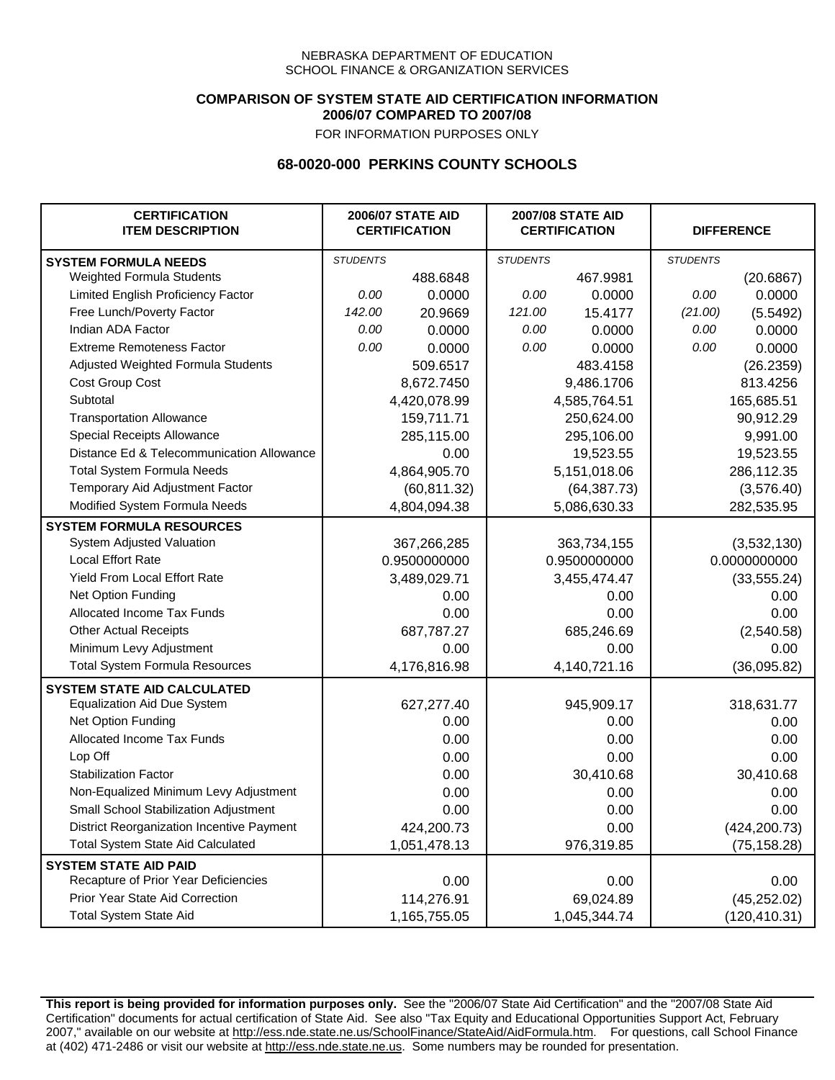### **COMPARISON OF SYSTEM STATE AID CERTIFICATION INFORMATION 2006/07 COMPARED TO 2007/08**

FOR INFORMATION PURPOSES ONLY

## **68-0020-000 PERKINS COUNTY SCHOOLS**

| <b>CERTIFICATION</b><br><b>ITEM DESCRIPTION</b> |                 | <b>2006/07 STATE AID</b><br><b>CERTIFICATION</b> | <b>2007/08 STATE AID</b><br><b>CERTIFICATION</b> |              | <b>DIFFERENCE</b> |               |
|-------------------------------------------------|-----------------|--------------------------------------------------|--------------------------------------------------|--------------|-------------------|---------------|
| <b>SYSTEM FORMULA NEEDS</b>                     | <b>STUDENTS</b> |                                                  | <b>STUDENTS</b>                                  |              | <b>STUDENTS</b>   |               |
| <b>Weighted Formula Students</b>                |                 | 488.6848                                         |                                                  | 467.9981     |                   | (20.6867)     |
| Limited English Proficiency Factor              | 0.00            | 0.0000                                           | 0.00                                             | 0.0000       | 0.00              | 0.0000        |
| Free Lunch/Poverty Factor                       | 142.00          | 20.9669                                          | 121.00                                           | 15.4177      | (21.00)           | (5.5492)      |
| Indian ADA Factor                               | 0.00            | 0.0000                                           | 0.00                                             | 0.0000       | 0.00              | 0.0000        |
| <b>Extreme Remoteness Factor</b>                | 0.00            | 0.0000                                           | 0.00                                             | 0.0000       | 0.00              | 0.0000        |
| Adjusted Weighted Formula Students              |                 | 509.6517                                         |                                                  | 483.4158     |                   | (26.2359)     |
| Cost Group Cost                                 |                 | 8,672.7450                                       |                                                  | 9,486.1706   |                   | 813.4256      |
| Subtotal                                        |                 | 4,420,078.99                                     |                                                  | 4,585,764.51 |                   | 165,685.51    |
| <b>Transportation Allowance</b>                 |                 | 159,711.71                                       |                                                  | 250,624.00   |                   | 90,912.29     |
| Special Receipts Allowance                      |                 | 285,115.00                                       |                                                  | 295,106.00   |                   | 9,991.00      |
| Distance Ed & Telecommunication Allowance       |                 | 0.00                                             |                                                  | 19,523.55    |                   | 19,523.55     |
| <b>Total System Formula Needs</b>               |                 | 4,864,905.70                                     |                                                  | 5,151,018.06 |                   | 286,112.35    |
| Temporary Aid Adjustment Factor                 |                 | (60, 811.32)                                     |                                                  | (64, 387.73) | (3,576.40)        |               |
| Modified System Formula Needs                   |                 | 4,804,094.38                                     |                                                  | 5,086,630.33 |                   | 282,535.95    |
| <b>SYSTEM FORMULA RESOURCES</b>                 |                 |                                                  |                                                  |              |                   |               |
| System Adjusted Valuation                       |                 | 367,266,285                                      |                                                  | 363,734,155  |                   | (3,532,130)   |
| <b>Local Effort Rate</b>                        |                 | 0.9500000000                                     |                                                  | 0.9500000000 |                   | 0.0000000000  |
| Yield From Local Effort Rate                    |                 | 3,489,029.71                                     | 3,455,474.47                                     |              |                   | (33, 555.24)  |
| Net Option Funding                              |                 | 0.00                                             | 0.00                                             |              |                   | 0.00          |
| Allocated Income Tax Funds                      |                 | 0.00                                             | 0.00                                             |              | 0.00              |               |
| <b>Other Actual Receipts</b>                    |                 | 687,787.27                                       | 685,246.69                                       |              | (2,540.58)        |               |
| Minimum Levy Adjustment                         |                 | 0.00                                             |                                                  | 0.00         |                   | 0.00          |
| <b>Total System Formula Resources</b>           |                 | 4,176,816.98                                     |                                                  | 4,140,721.16 |                   | (36,095.82)   |
| <b>SYSTEM STATE AID CALCULATED</b>              |                 |                                                  |                                                  |              |                   |               |
| <b>Equalization Aid Due System</b>              |                 | 627,277.40                                       |                                                  | 945,909.17   |                   | 318,631.77    |
| Net Option Funding                              |                 | 0.00                                             |                                                  | 0.00         |                   | 0.00          |
| Allocated Income Tax Funds                      |                 | 0.00                                             |                                                  | 0.00         |                   | 0.00          |
| Lop Off                                         |                 | 0.00                                             |                                                  | 0.00         |                   | 0.00          |
| <b>Stabilization Factor</b>                     |                 | 0.00                                             |                                                  | 30,410.68    |                   | 30,410.68     |
| Non-Equalized Minimum Levy Adjustment           |                 | 0.00                                             |                                                  | 0.00         |                   | 0.00          |
| Small School Stabilization Adjustment           |                 | 0.00                                             |                                                  | 0.00         |                   | 0.00          |
| District Reorganization Incentive Payment       |                 | 424,200.73                                       |                                                  | 0.00         |                   | (424, 200.73) |
| <b>Total System State Aid Calculated</b>        |                 | 1,051,478.13                                     |                                                  | 976,319.85   |                   | (75, 158.28)  |
| <b>SYSTEM STATE AID PAID</b>                    |                 |                                                  |                                                  |              |                   |               |
| Recapture of Prior Year Deficiencies            |                 | 0.00                                             |                                                  | 0.00         |                   | 0.00          |
| Prior Year State Aid Correction                 |                 | 114,276.91                                       |                                                  | 69,024.89    |                   | (45, 252.02)  |
| <b>Total System State Aid</b>                   |                 | 1,165,755.05                                     |                                                  | 1,045,344.74 |                   | (120, 410.31) |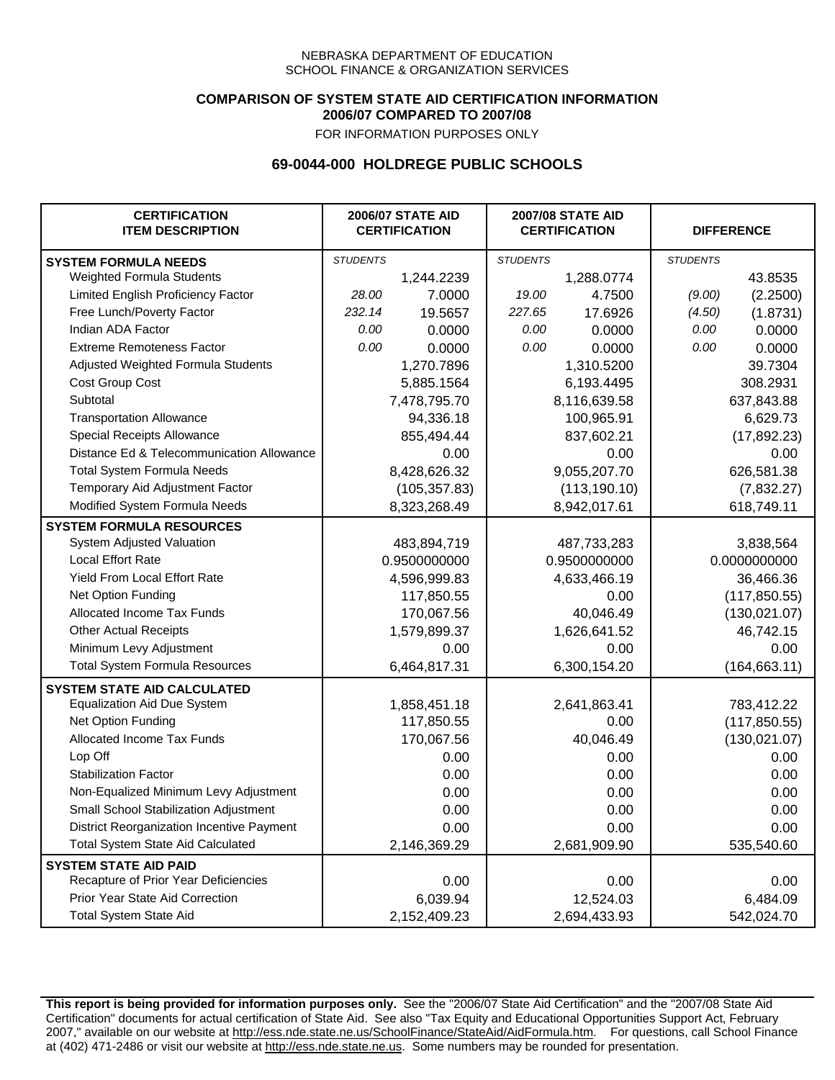### **COMPARISON OF SYSTEM STATE AID CERTIFICATION INFORMATION 2006/07 COMPARED TO 2007/08**

FOR INFORMATION PURPOSES ONLY

## **69-0044-000 HOLDREGE PUBLIC SCHOOLS**

| <b>CERTIFICATION</b><br><b>ITEM DESCRIPTION</b> |                 | <b>2006/07 STATE AID</b><br><b>CERTIFICATION</b> | <b>2007/08 STATE AID</b><br><b>CERTIFICATION</b> |               |                 | <b>DIFFERENCE</b> |
|-------------------------------------------------|-----------------|--------------------------------------------------|--------------------------------------------------|---------------|-----------------|-------------------|
| <b>SYSTEM FORMULA NEEDS</b>                     | <b>STUDENTS</b> |                                                  | <b>STUDENTS</b>                                  |               | <b>STUDENTS</b> |                   |
| Weighted Formula Students                       |                 | 1,244.2239                                       |                                                  | 1,288.0774    |                 | 43.8535           |
| Limited English Proficiency Factor              | 28.00           | 7.0000                                           | 19.00                                            | 4.7500        | (9.00)          | (2.2500)          |
| Free Lunch/Poverty Factor                       | 232.14          | 19.5657                                          | 227.65                                           | 17.6926       | (4.50)          | (1.8731)          |
| Indian ADA Factor                               | 0.00            | 0.0000                                           | 0.00                                             | 0.0000        | 0.00            | 0.0000            |
| <b>Extreme Remoteness Factor</b>                | 0.00            | 0.0000                                           | 0.00                                             | 0.0000        | 0.00            | 0.0000            |
| Adjusted Weighted Formula Students              |                 | 1,270.7896                                       |                                                  | 1,310.5200    |                 | 39.7304           |
| Cost Group Cost                                 |                 | 5,885.1564                                       |                                                  | 6,193.4495    |                 | 308.2931          |
| Subtotal                                        |                 | 7,478,795.70                                     |                                                  | 8,116,639.58  |                 | 637,843.88        |
| <b>Transportation Allowance</b>                 |                 | 94,336.18                                        |                                                  | 100,965.91    |                 | 6,629.73          |
| Special Receipts Allowance                      |                 | 855,494.44                                       |                                                  | 837,602.21    |                 | (17, 892.23)      |
| Distance Ed & Telecommunication Allowance       |                 | 0.00                                             |                                                  | 0.00          |                 | 0.00              |
| <b>Total System Formula Needs</b>               |                 | 8,428,626.32                                     |                                                  | 9,055,207.70  |                 | 626,581.38        |
| Temporary Aid Adjustment Factor                 |                 | (105, 357.83)                                    |                                                  | (113, 190.10) | (7,832.27)      |                   |
| Modified System Formula Needs                   |                 | 8,323,268.49                                     |                                                  | 8,942,017.61  |                 | 618,749.11        |
| <b>SYSTEM FORMULA RESOURCES</b>                 |                 |                                                  |                                                  |               |                 |                   |
| System Adjusted Valuation                       |                 | 483,894,719                                      |                                                  | 487,733,283   |                 | 3,838,564         |
| <b>Local Effort Rate</b>                        |                 | 0.9500000000                                     |                                                  | 0.9500000000  |                 | 0.0000000000      |
| Yield From Local Effort Rate                    |                 | 4,596,999.83                                     |                                                  | 4,633,466.19  |                 | 36,466.36         |
| Net Option Funding                              |                 | 117,850.55                                       | 0.00                                             |               | (117, 850.55)   |                   |
| Allocated Income Tax Funds                      |                 | 170,067.56                                       | 40,046.49                                        |               | (130, 021.07)   |                   |
| <b>Other Actual Receipts</b>                    |                 | 1,579,899.37                                     | 1,626,641.52                                     |               | 46,742.15       |                   |
| Minimum Levy Adjustment                         |                 | 0.00                                             |                                                  | 0.00          |                 | 0.00              |
| <b>Total System Formula Resources</b>           |                 | 6,464,817.31                                     |                                                  | 6,300,154.20  |                 | (164, 663.11)     |
| <b>SYSTEM STATE AID CALCULATED</b>              |                 |                                                  |                                                  |               |                 |                   |
| <b>Equalization Aid Due System</b>              |                 | 1,858,451.18                                     |                                                  | 2,641,863.41  |                 | 783,412.22        |
| Net Option Funding                              |                 | 117,850.55                                       |                                                  | 0.00          |                 | (117, 850.55)     |
| <b>Allocated Income Tax Funds</b>               |                 | 170,067.56                                       |                                                  | 40,046.49     |                 | (130, 021.07)     |
| Lop Off                                         |                 | 0.00                                             |                                                  | 0.00          |                 | 0.00              |
| <b>Stabilization Factor</b>                     |                 | 0.00                                             |                                                  | 0.00          |                 | 0.00              |
| Non-Equalized Minimum Levy Adjustment           |                 | 0.00                                             |                                                  | 0.00          |                 | 0.00              |
| Small School Stabilization Adjustment           |                 | 0.00                                             |                                                  | 0.00          |                 | 0.00              |
| District Reorganization Incentive Payment       |                 | 0.00                                             |                                                  | 0.00          |                 | 0.00              |
| <b>Total System State Aid Calculated</b>        |                 | 2,146,369.29                                     |                                                  | 2,681,909.90  |                 | 535,540.60        |
| <b>SYSTEM STATE AID PAID</b>                    |                 |                                                  |                                                  |               |                 |                   |
| Recapture of Prior Year Deficiencies            |                 | 0.00                                             |                                                  | 0.00          |                 | 0.00              |
| Prior Year State Aid Correction                 |                 | 6,039.94                                         |                                                  | 12,524.03     |                 | 6,484.09          |
| <b>Total System State Aid</b>                   |                 | 2,152,409.23                                     |                                                  | 2,694,433.93  |                 | 542,024.70        |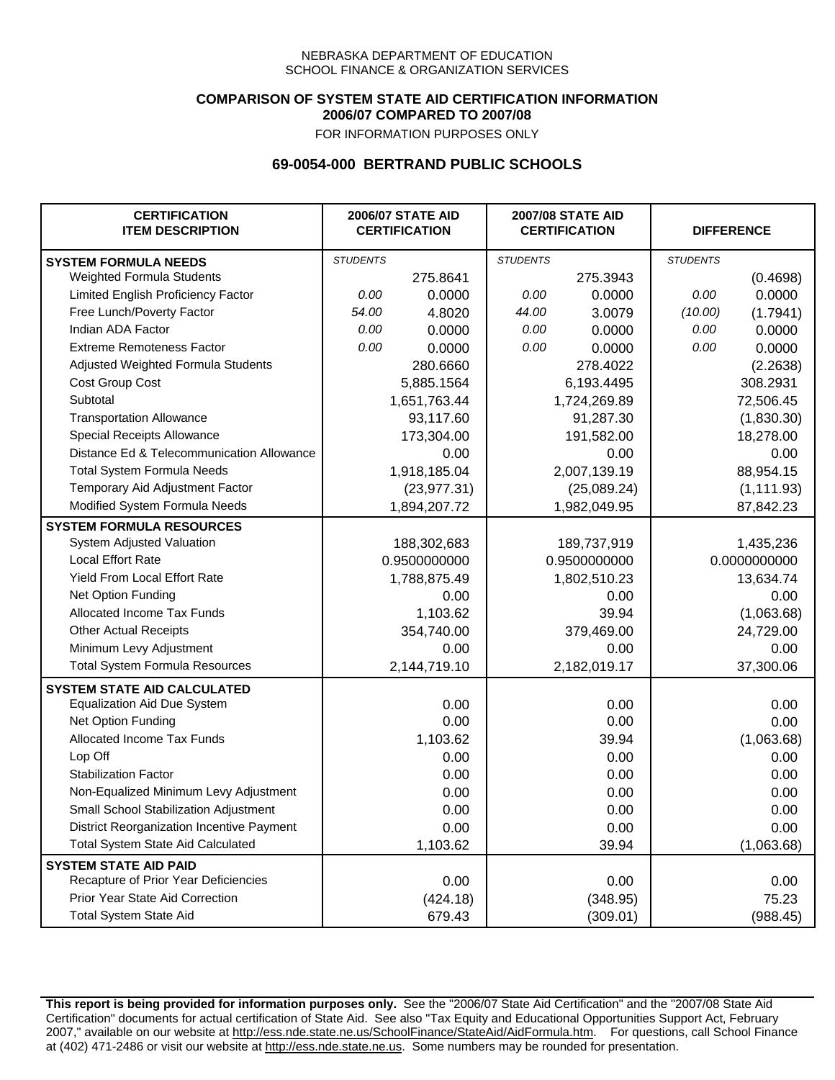### **COMPARISON OF SYSTEM STATE AID CERTIFICATION INFORMATION 2006/07 COMPARED TO 2007/08**

FOR INFORMATION PURPOSES ONLY

## **69-0054-000 BERTRAND PUBLIC SCHOOLS**

| <b>CERTIFICATION</b><br><b>ITEM DESCRIPTION</b> |                 | <b>2006/07 STATE AID</b><br><b>CERTIFICATION</b> | <b>2007/08 STATE AID</b><br><b>CERTIFICATION</b> |              |                 | <b>DIFFERENCE</b> |
|-------------------------------------------------|-----------------|--------------------------------------------------|--------------------------------------------------|--------------|-----------------|-------------------|
| <b>SYSTEM FORMULA NEEDS</b>                     | <b>STUDENTS</b> |                                                  | <b>STUDENTS</b>                                  |              | <b>STUDENTS</b> |                   |
| Weighted Formula Students                       |                 | 275.8641                                         |                                                  | 275.3943     |                 | (0.4698)          |
| Limited English Proficiency Factor              | 0.00            | 0.0000                                           | 0.00                                             | 0.0000       | 0.00            | 0.0000            |
| Free Lunch/Poverty Factor                       | 54.00           | 4.8020                                           | 44.00                                            | 3.0079       | (10.00)         | (1.7941)          |
| Indian ADA Factor                               | 0.00            | 0.0000                                           | 0.00                                             | 0.0000       | 0.00            | 0.0000            |
| <b>Extreme Remoteness Factor</b>                | 0.00            | 0.0000                                           | 0.00                                             | 0.0000       | 0.00            | 0.0000            |
| Adjusted Weighted Formula Students              |                 | 280.6660                                         |                                                  | 278.4022     |                 | (2.2638)          |
| Cost Group Cost                                 |                 | 5,885.1564                                       |                                                  | 6,193.4495   |                 | 308.2931          |
| Subtotal                                        |                 | 1,651,763.44                                     |                                                  | 1,724,269.89 |                 | 72,506.45         |
| <b>Transportation Allowance</b>                 |                 | 93,117.60                                        |                                                  | 91,287.30    |                 | (1,830.30)        |
| Special Receipts Allowance                      |                 | 173,304.00                                       |                                                  | 191,582.00   |                 | 18,278.00         |
| Distance Ed & Telecommunication Allowance       |                 | 0.00                                             |                                                  | 0.00         |                 | 0.00              |
| <b>Total System Formula Needs</b>               |                 | 1,918,185.04                                     |                                                  | 2,007,139.19 |                 | 88,954.15         |
| Temporary Aid Adjustment Factor                 |                 | (23, 977.31)                                     |                                                  | (25,089.24)  |                 | (1, 111.93)       |
| Modified System Formula Needs                   |                 | 1,894,207.72                                     |                                                  | 1,982,049.95 |                 | 87,842.23         |
| <b>SYSTEM FORMULA RESOURCES</b>                 |                 |                                                  |                                                  |              |                 |                   |
| System Adjusted Valuation                       |                 | 188,302,683                                      |                                                  | 189,737,919  |                 | 1,435,236         |
| <b>Local Effort Rate</b>                        |                 | 0.9500000000                                     |                                                  | 0.9500000000 |                 | 0.0000000000      |
| Yield From Local Effort Rate                    |                 | 1,788,875.49                                     |                                                  | 1,802,510.23 |                 | 13,634.74         |
| Net Option Funding                              |                 | 0.00                                             |                                                  | 0.00         |                 | 0.00              |
| Allocated Income Tax Funds                      |                 | 1,103.62                                         |                                                  | 39.94        |                 | (1,063.68)        |
| <b>Other Actual Receipts</b>                    |                 | 354,740.00                                       |                                                  | 379,469.00   |                 | 24,729.00         |
| Minimum Levy Adjustment                         |                 | 0.00                                             |                                                  | 0.00         |                 | 0.00              |
| <b>Total System Formula Resources</b>           |                 | 2,144,719.10                                     |                                                  | 2,182,019.17 |                 | 37,300.06         |
| <b>SYSTEM STATE AID CALCULATED</b>              |                 |                                                  |                                                  |              |                 |                   |
| <b>Equalization Aid Due System</b>              |                 | 0.00                                             |                                                  | 0.00         |                 | 0.00              |
| Net Option Funding                              |                 | 0.00                                             |                                                  | 0.00         |                 | 0.00              |
| Allocated Income Tax Funds                      |                 | 1,103.62                                         |                                                  | 39.94        |                 | (1,063.68)        |
| Lop Off                                         |                 | 0.00                                             |                                                  | 0.00         |                 | 0.00              |
| <b>Stabilization Factor</b>                     |                 | 0.00                                             |                                                  | 0.00         |                 | 0.00              |
| Non-Equalized Minimum Levy Adjustment           |                 | 0.00                                             |                                                  | 0.00         |                 | 0.00              |
| Small School Stabilization Adjustment           |                 | 0.00                                             |                                                  | 0.00         |                 | 0.00              |
| District Reorganization Incentive Payment       |                 | 0.00                                             |                                                  | 0.00         |                 | 0.00              |
| <b>Total System State Aid Calculated</b>        |                 | 1,103.62                                         |                                                  | 39.94        |                 | (1,063.68)        |
| <b>SYSTEM STATE AID PAID</b>                    |                 |                                                  |                                                  |              |                 |                   |
| Recapture of Prior Year Deficiencies            |                 | 0.00                                             |                                                  | 0.00         |                 | 0.00              |
| Prior Year State Aid Correction                 |                 | (424.18)                                         |                                                  | (348.95)     |                 | 75.23             |
| <b>Total System State Aid</b>                   |                 | 679.43                                           |                                                  | (309.01)     |                 | (988.45)          |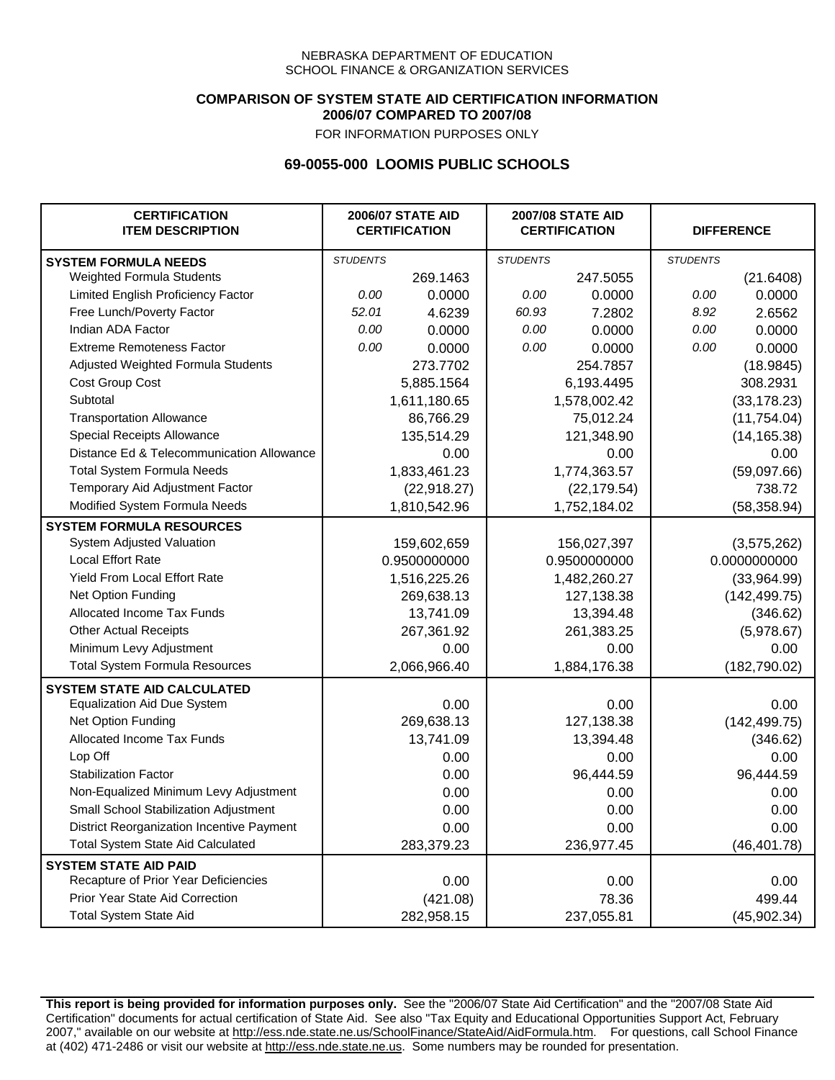### **COMPARISON OF SYSTEM STATE AID CERTIFICATION INFORMATION 2006/07 COMPARED TO 2007/08**

FOR INFORMATION PURPOSES ONLY

## **69-0055-000 LOOMIS PUBLIC SCHOOLS**

| <b>CERTIFICATION</b><br><b>ITEM DESCRIPTION</b> |                 | <b>2006/07 STATE AID</b><br><b>CERTIFICATION</b> | <b>2007/08 STATE AID</b><br><b>CERTIFICATION</b> |              | <b>DIFFERENCE</b> |               |
|-------------------------------------------------|-----------------|--------------------------------------------------|--------------------------------------------------|--------------|-------------------|---------------|
| <b>SYSTEM FORMULA NEEDS</b>                     | <b>STUDENTS</b> |                                                  | <b>STUDENTS</b>                                  |              | <b>STUDENTS</b>   |               |
| Weighted Formula Students                       |                 | 269.1463                                         |                                                  | 247.5055     |                   | (21.6408)     |
| Limited English Proficiency Factor              | 0.00            | 0.0000                                           | 0.00                                             | 0.0000       | 0.00              | 0.0000        |
| Free Lunch/Poverty Factor                       | 52.01           | 4.6239                                           | 60.93                                            | 7.2802       | 8.92              | 2.6562        |
| Indian ADA Factor                               | 0.00            | 0.0000                                           | 0.00                                             | 0.0000       | 0.00              | 0.0000        |
| <b>Extreme Remoteness Factor</b>                | 0.00            | 0.0000                                           | 0.00                                             | 0.0000       | 0.00              | 0.0000        |
| Adjusted Weighted Formula Students              |                 | 273.7702                                         |                                                  | 254.7857     |                   | (18.9845)     |
| Cost Group Cost                                 |                 | 5,885.1564                                       |                                                  | 6,193.4495   |                   | 308.2931      |
| Subtotal                                        |                 | 1,611,180.65                                     |                                                  | 1,578,002.42 |                   | (33, 178.23)  |
| <b>Transportation Allowance</b>                 |                 | 86,766.29                                        |                                                  | 75,012.24    |                   | (11,754.04)   |
| Special Receipts Allowance                      |                 | 135,514.29                                       |                                                  | 121,348.90   |                   | (14, 165.38)  |
| Distance Ed & Telecommunication Allowance       |                 | 0.00                                             |                                                  | 0.00         |                   | 0.00          |
| <b>Total System Formula Needs</b>               |                 | 1,833,461.23                                     |                                                  | 1,774,363.57 |                   | (59,097.66)   |
| Temporary Aid Adjustment Factor                 |                 | (22, 918.27)                                     | (22, 179.54)                                     |              | 738.72            |               |
| Modified System Formula Needs                   |                 | 1,810,542.96                                     |                                                  | 1,752,184.02 |                   | (58, 358.94)  |
| <b>SYSTEM FORMULA RESOURCES</b>                 |                 |                                                  |                                                  |              |                   |               |
| System Adjusted Valuation                       |                 | 159,602,659                                      |                                                  | 156,027,397  |                   | (3,575,262)   |
| <b>Local Effort Rate</b>                        |                 | 0.9500000000                                     |                                                  | 0.9500000000 | 0.0000000000      |               |
| <b>Yield From Local Effort Rate</b>             |                 | 1,516,225.26                                     | 1,482,260.27                                     |              | (33,964.99)       |               |
| Net Option Funding                              |                 | 269,638.13                                       | 127,138.38                                       |              | (142, 499.75)     |               |
| Allocated Income Tax Funds                      |                 | 13,741.09                                        | 13,394.48                                        |              | (346.62)          |               |
| <b>Other Actual Receipts</b>                    |                 | 267,361.92                                       | 261,383.25                                       |              | (5,978.67)        |               |
| Minimum Levy Adjustment                         |                 | 0.00                                             |                                                  | 0.00         |                   | 0.00          |
| <b>Total System Formula Resources</b>           |                 | 2,066,966.40                                     |                                                  | 1,884,176.38 |                   | (182, 790.02) |
| <b>SYSTEM STATE AID CALCULATED</b>              |                 |                                                  |                                                  |              |                   |               |
| <b>Equalization Aid Due System</b>              |                 | 0.00                                             |                                                  | 0.00         |                   | 0.00          |
| Net Option Funding                              |                 | 269,638.13                                       |                                                  | 127,138.38   |                   | (142, 499.75) |
| Allocated Income Tax Funds                      |                 | 13,741.09                                        |                                                  | 13,394.48    |                   | (346.62)      |
| Lop Off                                         |                 | 0.00                                             |                                                  | 0.00         |                   | 0.00          |
| <b>Stabilization Factor</b>                     |                 | 0.00                                             |                                                  | 96,444.59    |                   | 96,444.59     |
| Non-Equalized Minimum Levy Adjustment           |                 | 0.00                                             |                                                  | 0.00         |                   | 0.00          |
| <b>Small School Stabilization Adjustment</b>    |                 | 0.00                                             |                                                  | 0.00         |                   | 0.00          |
| District Reorganization Incentive Payment       |                 | 0.00                                             |                                                  | 0.00         |                   | 0.00          |
| <b>Total System State Aid Calculated</b>        |                 | 283,379.23                                       |                                                  | 236,977.45   |                   | (46, 401.78)  |
| <b>SYSTEM STATE AID PAID</b>                    |                 |                                                  |                                                  |              |                   |               |
| Recapture of Prior Year Deficiencies            |                 | 0.00                                             |                                                  | 0.00         |                   | 0.00          |
| Prior Year State Aid Correction                 |                 | (421.08)                                         |                                                  | 78.36        |                   | 499.44        |
| <b>Total System State Aid</b>                   |                 | 282,958.15                                       |                                                  | 237,055.81   |                   | (45, 902.34)  |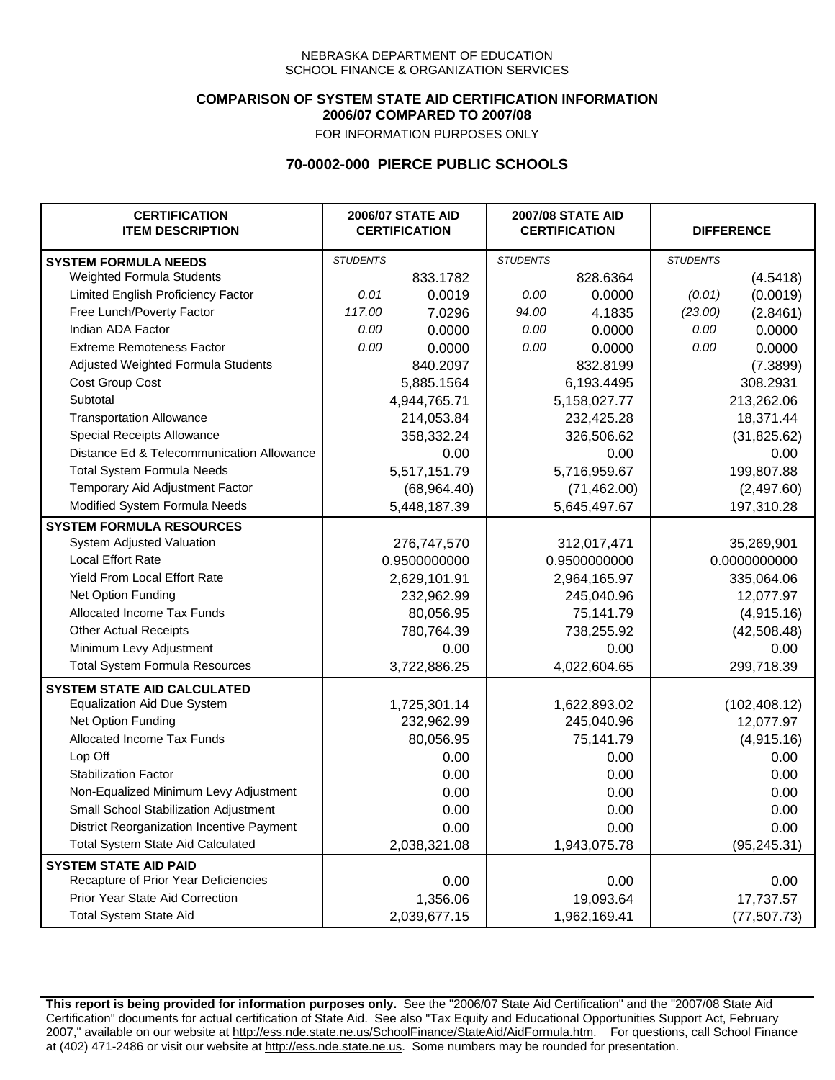### **COMPARISON OF SYSTEM STATE AID CERTIFICATION INFORMATION 2006/07 COMPARED TO 2007/08**

FOR INFORMATION PURPOSES ONLY

# **70-0002-000 PIERCE PUBLIC SCHOOLS**

| <b>CERTIFICATION</b><br><b>ITEM DESCRIPTION</b> | <b>2006/07 STATE AID</b><br><b>CERTIFICATION</b> |              | <b>2007/08 STATE AID</b><br><b>CERTIFICATION</b> |              | <b>DIFFERENCE</b> |               |
|-------------------------------------------------|--------------------------------------------------|--------------|--------------------------------------------------|--------------|-------------------|---------------|
| <b>SYSTEM FORMULA NEEDS</b>                     | <b>STUDENTS</b>                                  |              | <b>STUDENTS</b>                                  |              | <b>STUDENTS</b>   |               |
| <b>Weighted Formula Students</b>                |                                                  | 833.1782     |                                                  | 828.6364     |                   | (4.5418)      |
| Limited English Proficiency Factor              | 0.01                                             | 0.0019       | 0.00                                             | 0.0000       | (0.01)            | (0.0019)      |
| Free Lunch/Poverty Factor                       | 117.00                                           | 7.0296       | 94.00                                            | 4.1835       | (23.00)           | (2.8461)      |
| Indian ADA Factor                               | 0.00                                             | 0.0000       | 0.00                                             | 0.0000       | 0.00              | 0.0000        |
| <b>Extreme Remoteness Factor</b>                | 0.00                                             | 0.0000       | 0.00                                             | 0.0000       | 0.00              | 0.0000        |
| Adjusted Weighted Formula Students              |                                                  | 840.2097     |                                                  | 832.8199     |                   | (7.3899)      |
| Cost Group Cost                                 |                                                  | 5,885.1564   |                                                  | 6,193.4495   |                   | 308.2931      |
| Subtotal                                        |                                                  | 4,944,765.71 | 5,158,027.77                                     |              |                   | 213,262.06    |
| <b>Transportation Allowance</b>                 |                                                  | 214,053.84   | 232,425.28                                       |              |                   | 18,371.44     |
| Special Receipts Allowance                      |                                                  | 358,332.24   |                                                  | 326,506.62   |                   | (31, 825.62)  |
| Distance Ed & Telecommunication Allowance       |                                                  | 0.00         |                                                  | 0.00         |                   | 0.00          |
| <b>Total System Formula Needs</b>               |                                                  | 5,517,151.79 | 5,716,959.67                                     |              | 199,807.88        |               |
| Temporary Aid Adjustment Factor                 |                                                  | (68, 964.40) | (71, 462.00)                                     |              | (2,497.60)        |               |
| Modified System Formula Needs                   |                                                  | 5,448,187.39 |                                                  | 5,645,497.67 |                   | 197,310.28    |
| <b>SYSTEM FORMULA RESOURCES</b>                 |                                                  |              |                                                  |              |                   |               |
| System Adjusted Valuation                       |                                                  | 276,747,570  |                                                  | 312,017,471  |                   | 35,269,901    |
| <b>Local Effort Rate</b>                        | 0.9500000000                                     |              | 0.9500000000                                     |              | 0.0000000000      |               |
| <b>Yield From Local Effort Rate</b>             | 2,629,101.91                                     |              | 2,964,165.97                                     |              | 335,064.06        |               |
| Net Option Funding                              |                                                  | 232,962.99   | 245,040.96                                       |              | 12,077.97         |               |
| Allocated Income Tax Funds                      |                                                  | 80,056.95    | 75,141.79                                        |              |                   | (4,915.16)    |
| <b>Other Actual Receipts</b>                    |                                                  | 780,764.39   | 738,255.92                                       |              |                   | (42,508.48)   |
| Minimum Levy Adjustment                         | 0.00                                             |              | 0.00                                             |              | 0.00              |               |
| <b>Total System Formula Resources</b>           |                                                  | 3,722,886.25 | 4,022,604.65                                     |              | 299,718.39        |               |
| <b>SYSTEM STATE AID CALCULATED</b>              |                                                  |              |                                                  |              |                   |               |
| <b>Equalization Aid Due System</b>              |                                                  | 1,725,301.14 |                                                  | 1,622,893.02 |                   | (102, 408.12) |
| Net Option Funding                              |                                                  | 232,962.99   |                                                  | 245,040.96   |                   | 12,077.97     |
| Allocated Income Tax Funds                      |                                                  | 80,056.95    |                                                  | 75,141.79    |                   | (4,915.16)    |
| Lop Off                                         |                                                  | 0.00         |                                                  | 0.00         |                   | 0.00          |
| <b>Stabilization Factor</b>                     |                                                  | 0.00         |                                                  | 0.00         |                   | 0.00          |
| Non-Equalized Minimum Levy Adjustment           | 0.00                                             |              | 0.00                                             |              |                   | 0.00          |
| Small School Stabilization Adjustment           | 0.00                                             |              | 0.00                                             |              |                   | 0.00          |
| District Reorganization Incentive Payment       | 0.00                                             |              | 0.00                                             |              |                   | 0.00          |
| <b>Total System State Aid Calculated</b>        | 2,038,321.08                                     |              | 1,943,075.78                                     |              |                   | (95, 245.31)  |
| <b>SYSTEM STATE AID PAID</b>                    |                                                  |              |                                                  |              |                   |               |
| Recapture of Prior Year Deficiencies            |                                                  | 0.00         |                                                  | 0.00         |                   | 0.00          |
| Prior Year State Aid Correction                 |                                                  | 1,356.06     |                                                  | 19,093.64    |                   | 17,737.57     |
| <b>Total System State Aid</b>                   |                                                  | 2,039,677.15 | 1,962,169.41                                     |              |                   | (77, 507.73)  |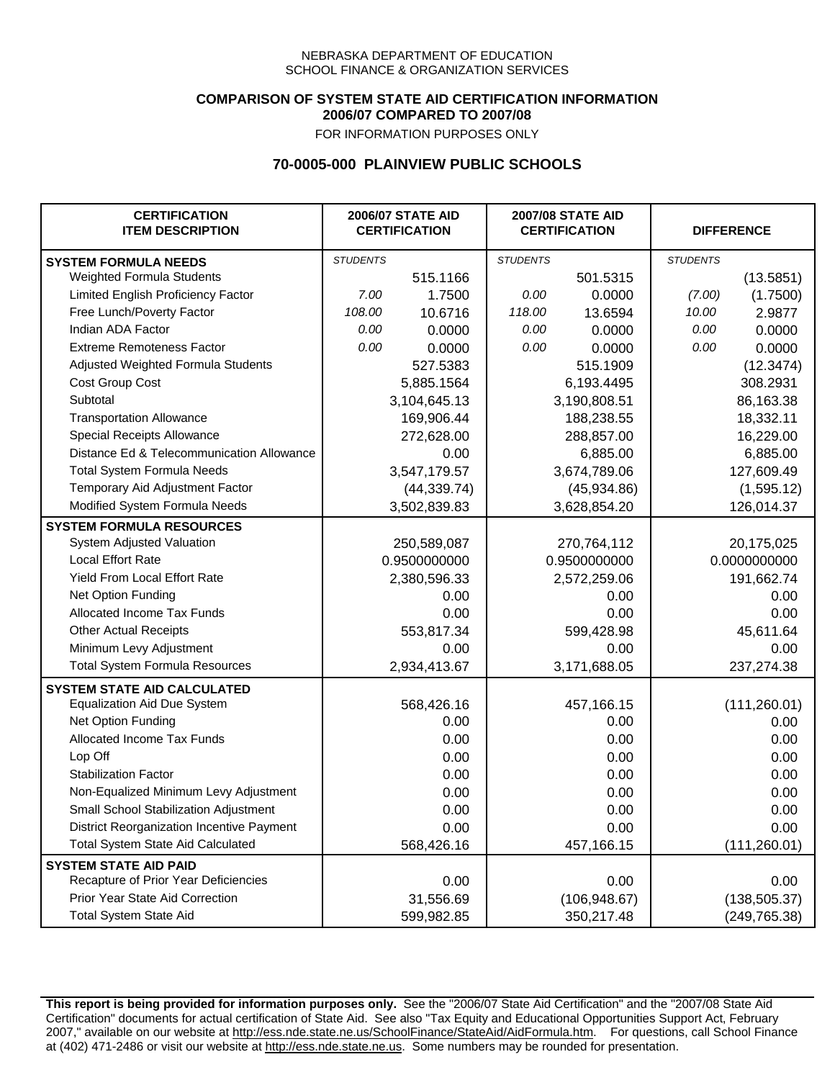### **COMPARISON OF SYSTEM STATE AID CERTIFICATION INFORMATION 2006/07 COMPARED TO 2007/08**

FOR INFORMATION PURPOSES ONLY

## **70-0005-000 PLAINVIEW PUBLIC SCHOOLS**

| <b>CERTIFICATION</b><br><b>ITEM DESCRIPTION</b> | <b>2006/07 STATE AID</b><br><b>CERTIFICATION</b> |              | <b>2007/08 STATE AID</b><br><b>CERTIFICATION</b> |               | <b>DIFFERENCE</b> |               |
|-------------------------------------------------|--------------------------------------------------|--------------|--------------------------------------------------|---------------|-------------------|---------------|
| <b>SYSTEM FORMULA NEEDS</b>                     | <b>STUDENTS</b>                                  |              | <b>STUDENTS</b>                                  |               | <b>STUDENTS</b>   |               |
| <b>Weighted Formula Students</b>                |                                                  | 515.1166     |                                                  | 501.5315      |                   | (13.5851)     |
| Limited English Proficiency Factor              | 7.00                                             | 1.7500       | 0.00                                             | 0.0000        | (7.00)            | (1.7500)      |
| Free Lunch/Poverty Factor                       | 108.00                                           | 10.6716      | 118.00                                           | 13.6594       | 10.00             | 2.9877        |
| Indian ADA Factor                               | 0.00                                             | 0.0000       | 0.00                                             | 0.0000        | 0.00              | 0.0000        |
| <b>Extreme Remoteness Factor</b>                | 0.00                                             | 0.0000       | 0.00                                             | 0.0000        | 0.00              | 0.0000        |
| Adjusted Weighted Formula Students              |                                                  | 527.5383     |                                                  | 515.1909      |                   | (12.3474)     |
| Cost Group Cost                                 |                                                  | 5,885.1564   | 6,193.4495                                       |               | 308.2931          |               |
| Subtotal                                        |                                                  | 3,104,645.13 | 3,190,808.51                                     |               |                   | 86,163.38     |
| <b>Transportation Allowance</b>                 |                                                  | 169,906.44   |                                                  | 188,238.55    |                   | 18,332.11     |
| Special Receipts Allowance                      |                                                  | 272,628.00   |                                                  | 288,857.00    |                   | 16,229.00     |
| Distance Ed & Telecommunication Allowance       |                                                  | 0.00         |                                                  | 6,885.00      |                   | 6,885.00      |
| <b>Total System Formula Needs</b>               |                                                  | 3,547,179.57 |                                                  | 3,674,789.06  | 127,609.49        |               |
| Temporary Aid Adjustment Factor                 |                                                  | (44, 339.74) | (45,934.86)                                      |               | (1,595.12)        |               |
| Modified System Formula Needs                   | 3,502,839.83                                     |              | 3,628,854.20                                     |               | 126,014.37        |               |
| <b>SYSTEM FORMULA RESOURCES</b>                 |                                                  |              |                                                  |               |                   |               |
| System Adjusted Valuation                       | 250,589,087                                      |              | 270,764,112                                      |               | 20,175,025        |               |
| <b>Local Effort Rate</b>                        | 0.9500000000                                     |              | 0.9500000000                                     |               | 0.0000000000      |               |
| <b>Yield From Local Effort Rate</b>             | 2,380,596.33                                     |              | 2,572,259.06                                     |               | 191,662.74        |               |
| Net Option Funding                              | 0.00                                             |              | 0.00                                             |               | 0.00              |               |
| Allocated Income Tax Funds                      |                                                  | 0.00         | 0.00                                             |               |                   | 0.00          |
| <b>Other Actual Receipts</b>                    |                                                  | 553,817.34   | 599,428.98                                       |               |                   | 45,611.64     |
| Minimum Levy Adjustment                         |                                                  | 0.00         | 0.00                                             |               | 0.00              |               |
| <b>Total System Formula Resources</b>           |                                                  | 2,934,413.67 | 3,171,688.05                                     |               | 237,274.38        |               |
| <b>SYSTEM STATE AID CALCULATED</b>              |                                                  |              |                                                  |               |                   |               |
| <b>Equalization Aid Due System</b>              |                                                  | 568,426.16   |                                                  | 457,166.15    |                   | (111, 260.01) |
| Net Option Funding                              |                                                  | 0.00         |                                                  | 0.00          |                   | 0.00          |
| Allocated Income Tax Funds                      |                                                  | 0.00         |                                                  | 0.00          |                   | 0.00          |
| Lop Off                                         |                                                  | 0.00         |                                                  | 0.00          |                   | 0.00          |
| <b>Stabilization Factor</b>                     |                                                  | 0.00         |                                                  | 0.00          |                   | 0.00          |
| Non-Equalized Minimum Levy Adjustment           | 0.00                                             |              | 0.00                                             |               |                   | 0.00          |
| Small School Stabilization Adjustment           | 0.00                                             |              | 0.00                                             |               |                   | 0.00          |
| District Reorganization Incentive Payment       | 0.00                                             |              | 0.00                                             |               |                   | 0.00          |
| <b>Total System State Aid Calculated</b>        | 568,426.16                                       |              | 457,166.15                                       |               |                   | (111, 260.01) |
| <b>SYSTEM STATE AID PAID</b>                    |                                                  |              |                                                  |               |                   |               |
| Recapture of Prior Year Deficiencies            |                                                  | 0.00         |                                                  | 0.00          |                   | 0.00          |
| Prior Year State Aid Correction                 |                                                  | 31,556.69    |                                                  | (106, 948.67) |                   | (138, 505.37) |
| <b>Total System State Aid</b>                   |                                                  | 599,982.85   | 350,217.48                                       |               |                   | (249, 765.38) |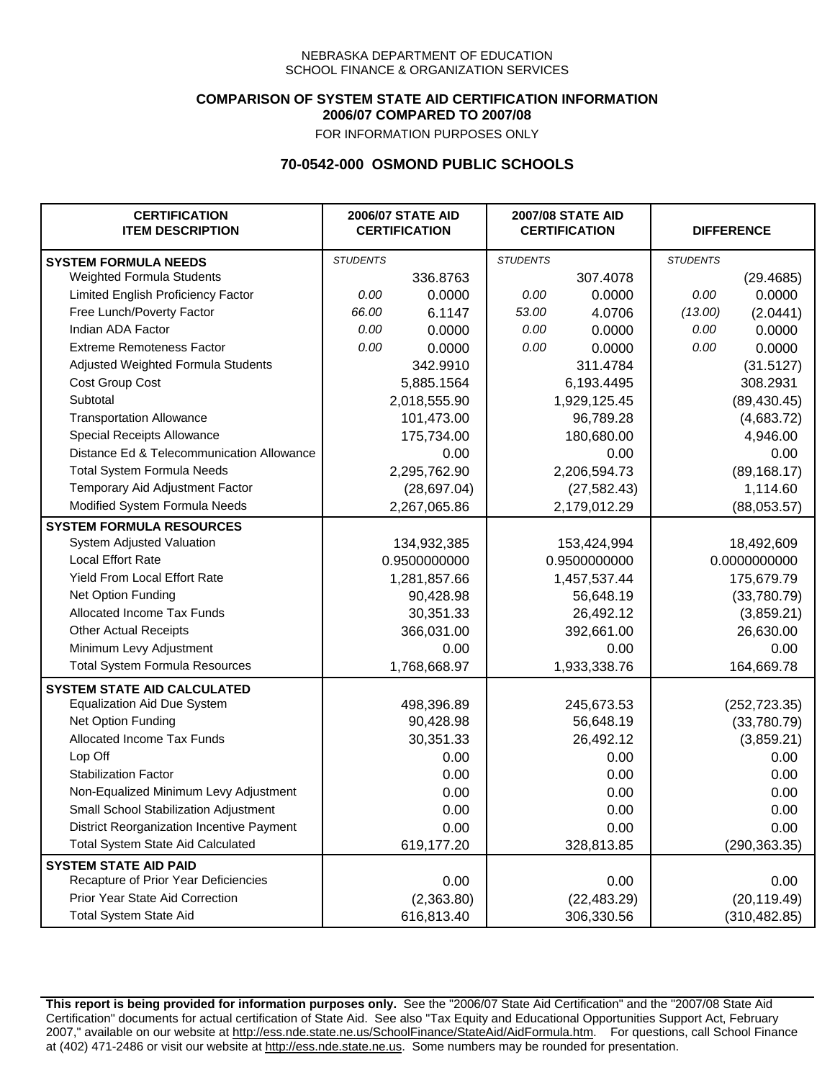### **COMPARISON OF SYSTEM STATE AID CERTIFICATION INFORMATION 2006/07 COMPARED TO 2007/08**

FOR INFORMATION PURPOSES ONLY

## **70-0542-000 OSMOND PUBLIC SCHOOLS**

| <b>CERTIFICATION</b><br><b>ITEM DESCRIPTION</b> | <b>2006/07 STATE AID</b><br><b>CERTIFICATION</b> |              | <b>2007/08 STATE AID</b><br><b>CERTIFICATION</b> |              | <b>DIFFERENCE</b> |               |
|-------------------------------------------------|--------------------------------------------------|--------------|--------------------------------------------------|--------------|-------------------|---------------|
| <b>SYSTEM FORMULA NEEDS</b>                     | <b>STUDENTS</b>                                  |              | <b>STUDENTS</b>                                  |              | <b>STUDENTS</b>   |               |
| Weighted Formula Students                       |                                                  | 336.8763     |                                                  | 307.4078     |                   | (29.4685)     |
| Limited English Proficiency Factor              | 0.00                                             | 0.0000       | 0.00                                             | 0.0000       | 0.00              | 0.0000        |
| Free Lunch/Poverty Factor                       | 66.00                                            | 6.1147       | 53.00                                            | 4.0706       | (13.00)           | (2.0441)      |
| Indian ADA Factor                               | 0.00                                             | 0.0000       | 0.00                                             | 0.0000       | 0.00              | 0.0000        |
| <b>Extreme Remoteness Factor</b>                | 0.00                                             | 0.0000       | 0.00                                             | 0.0000       | 0.00              | 0.0000        |
| Adjusted Weighted Formula Students              |                                                  | 342.9910     |                                                  | 311.4784     |                   | (31.5127)     |
| Cost Group Cost                                 |                                                  | 5,885.1564   |                                                  | 6,193.4495   |                   | 308.2931      |
| Subtotal                                        |                                                  | 2,018,555.90 | 1,929,125.45                                     |              |                   | (89, 430.45)  |
| <b>Transportation Allowance</b>                 |                                                  | 101,473.00   |                                                  | 96,789.28    |                   | (4,683.72)    |
| Special Receipts Allowance                      |                                                  | 175,734.00   |                                                  | 180,680.00   |                   | 4,946.00      |
| Distance Ed & Telecommunication Allowance       |                                                  | 0.00         |                                                  | 0.00         |                   | 0.00          |
| <b>Total System Formula Needs</b>               |                                                  | 2,295,762.90 |                                                  | 2,206,594.73 | (89, 168.17)      |               |
| Temporary Aid Adjustment Factor                 |                                                  | (28, 697.04) |                                                  | (27, 582.43) | 1,114.60          |               |
| Modified System Formula Needs                   |                                                  | 2,267,065.86 |                                                  | 2,179,012.29 |                   | (88,053.57)   |
| <b>SYSTEM FORMULA RESOURCES</b>                 |                                                  |              |                                                  |              |                   |               |
| System Adjusted Valuation                       |                                                  | 134,932,385  |                                                  | 153,424,994  |                   | 18,492,609    |
| <b>Local Effort Rate</b>                        | 0.9500000000                                     |              | 0.9500000000                                     |              | 0.0000000000      |               |
| Yield From Local Effort Rate                    | 1,281,857.66                                     |              | 1,457,537.44                                     |              | 175,679.79        |               |
| Net Option Funding                              |                                                  | 90,428.98    | 56,648.19                                        |              |                   | (33,780.79)   |
| Allocated Income Tax Funds                      |                                                  | 30,351.33    | 26,492.12                                        |              |                   | (3,859.21)    |
| <b>Other Actual Receipts</b>                    |                                                  | 366,031.00   | 392,661.00                                       |              |                   | 26,630.00     |
| Minimum Levy Adjustment                         |                                                  | 0.00         | 0.00                                             |              | 0.00              |               |
| <b>Total System Formula Resources</b>           |                                                  | 1,768,668.97 | 1,933,338.76                                     |              | 164,669.78        |               |
| <b>SYSTEM STATE AID CALCULATED</b>              |                                                  |              |                                                  |              |                   |               |
| <b>Equalization Aid Due System</b>              |                                                  | 498,396.89   |                                                  | 245,673.53   |                   | (252, 723.35) |
| Net Option Funding                              |                                                  | 90,428.98    |                                                  | 56,648.19    |                   | (33,780.79)   |
| Allocated Income Tax Funds                      |                                                  | 30,351.33    |                                                  | 26,492.12    |                   | (3,859.21)    |
| Lop Off                                         |                                                  | 0.00         |                                                  | 0.00         |                   | 0.00          |
| <b>Stabilization Factor</b>                     |                                                  | 0.00         |                                                  | 0.00         |                   | 0.00          |
| Non-Equalized Minimum Levy Adjustment           |                                                  | 0.00         |                                                  | 0.00         |                   | 0.00          |
| Small School Stabilization Adjustment           |                                                  | 0.00<br>0.00 |                                                  |              | 0.00              |               |
| District Reorganization Incentive Payment       |                                                  | 0.00         | 0.00                                             |              | 0.00              |               |
| <b>Total System State Aid Calculated</b>        |                                                  | 619,177.20   |                                                  | 328,813.85   |                   | (290, 363.35) |
| <b>SYSTEM STATE AID PAID</b>                    |                                                  |              |                                                  |              |                   |               |
| Recapture of Prior Year Deficiencies            |                                                  | 0.00         |                                                  | 0.00         |                   | 0.00          |
| Prior Year State Aid Correction                 |                                                  | (2,363.80)   |                                                  | (22, 483.29) |                   | (20, 119.49)  |
| <b>Total System State Aid</b>                   |                                                  | 616,813.40   |                                                  | 306,330.56   |                   | (310, 482.85) |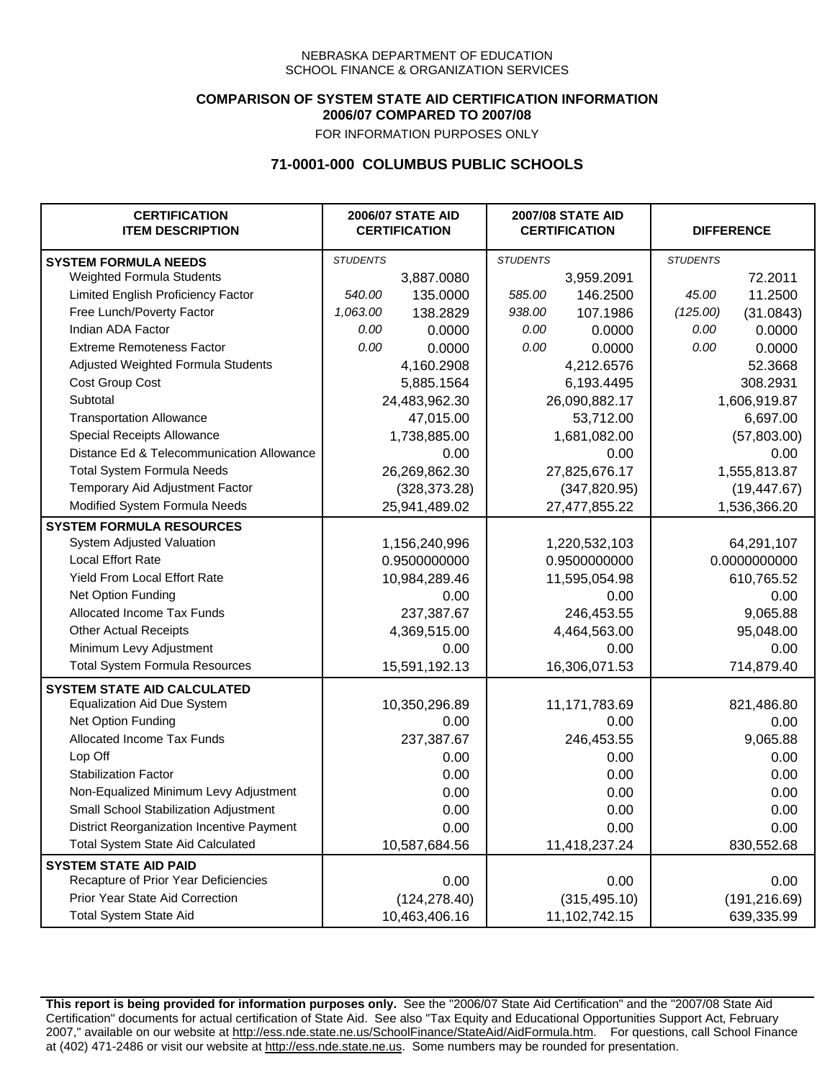### **COMPARISON OF SYSTEM STATE AID CERTIFICATION INFORMATION 2006/07 COMPARED TO 2007/08**

FOR INFORMATION PURPOSES ONLY

## **71-0001-000 COLUMBUS PUBLIC SCHOOLS**

| <b>CERTIFICATION</b><br><b>ITEM DESCRIPTION</b> | <b>2006/07 STATE AID</b><br><b>CERTIFICATION</b> |               | <b>2007/08 STATE AID</b><br><b>CERTIFICATION</b> |               | <b>DIFFERENCE</b> |               |
|-------------------------------------------------|--------------------------------------------------|---------------|--------------------------------------------------|---------------|-------------------|---------------|
| <b>SYSTEM FORMULA NEEDS</b>                     | <b>STUDENTS</b>                                  |               | <b>STUDENTS</b>                                  |               | <b>STUDENTS</b>   |               |
| Weighted Formula Students                       |                                                  | 3,887.0080    |                                                  | 3,959.2091    |                   | 72.2011       |
| Limited English Proficiency Factor              | 540.00                                           | 135.0000      | 585.00                                           | 146.2500      | 45.00             | 11.2500       |
| Free Lunch/Poverty Factor                       | 1,063.00                                         | 138.2829      | 938.00                                           | 107.1986      | (125.00)          | (31.0843)     |
| Indian ADA Factor                               | 0.00                                             | 0.0000        | 0.00                                             | 0.0000        | 0.00              | 0.0000        |
| <b>Extreme Remoteness Factor</b>                | 0.00                                             | 0.0000        | 0.00                                             | 0.0000        | 0.00              | 0.0000        |
| Adjusted Weighted Formula Students              |                                                  | 4,160.2908    |                                                  | 4,212.6576    |                   | 52.3668       |
| Cost Group Cost                                 |                                                  | 5,885.1564    | 6,193.4495                                       |               | 308.2931          |               |
| Subtotal                                        |                                                  | 24,483,962.30 | 26,090,882.17                                    |               |                   | 1,606,919.87  |
| <b>Transportation Allowance</b>                 |                                                  | 47,015.00     | 53,712.00                                        |               |                   | 6,697.00      |
| Special Receipts Allowance                      |                                                  | 1,738,885.00  |                                                  | 1,681,082.00  |                   | (57,803.00)   |
| Distance Ed & Telecommunication Allowance       |                                                  | 0.00          |                                                  | 0.00          |                   | 0.00          |
| <b>Total System Formula Needs</b>               |                                                  | 26,269,862.30 | 27,825,676.17                                    |               | 1,555,813.87      |               |
| Temporary Aid Adjustment Factor                 |                                                  | (328, 373.28) |                                                  | (347, 820.95) | (19, 447.67)      |               |
| Modified System Formula Needs                   | 25,941,489.02                                    |               | 27,477,855.22                                    |               | 1,536,366.20      |               |
| <b>SYSTEM FORMULA RESOURCES</b>                 |                                                  |               |                                                  |               |                   |               |
| <b>System Adjusted Valuation</b>                | 1,156,240,996                                    |               | 1,220,532,103                                    |               | 64,291,107        |               |
| <b>Local Effort Rate</b>                        | 0.9500000000                                     |               | 0.9500000000                                     |               | 0.0000000000      |               |
| Yield From Local Effort Rate                    | 10,984,289.46                                    |               | 11,595,054.98                                    |               | 610,765.52        |               |
| Net Option Funding                              | 0.00                                             |               |                                                  | 0.00          | 0.00              |               |
| Allocated Income Tax Funds                      |                                                  | 237,387.67    |                                                  | 246,453.55    |                   | 9,065.88      |
| <b>Other Actual Receipts</b>                    |                                                  | 4,369,515.00  | 4,464,563.00                                     |               |                   | 95,048.00     |
| Minimum Levy Adjustment                         |                                                  | 0.00          | 0.00                                             |               |                   | 0.00          |
| <b>Total System Formula Resources</b>           |                                                  | 15,591,192.13 | 16,306,071.53                                    |               | 714,879.40        |               |
| <b>SYSTEM STATE AID CALCULATED</b>              |                                                  |               |                                                  |               |                   |               |
| <b>Equalization Aid Due System</b>              |                                                  | 10,350,296.89 | 11,171,783.69                                    |               | 821,486.80        |               |
| Net Option Funding                              |                                                  | 0.00          | 0.00                                             |               |                   | 0.00          |
| Allocated Income Tax Funds                      |                                                  | 237,387.67    |                                                  | 246,453.55    |                   | 9,065.88      |
| Lop Off                                         |                                                  | 0.00          | 0.00                                             |               |                   | 0.00          |
| <b>Stabilization Factor</b>                     |                                                  | 0.00          | 0.00                                             |               |                   | 0.00          |
| Non-Equalized Minimum Levy Adjustment           | 0.00                                             |               | 0.00                                             |               |                   | 0.00          |
| Small School Stabilization Adjustment           | 0.00                                             |               | 0.00                                             |               |                   | 0.00          |
| District Reorganization Incentive Payment       | 0.00                                             |               | 0.00                                             |               |                   | 0.00          |
| <b>Total System State Aid Calculated</b>        | 10,587,684.56                                    |               | 11,418,237.24                                    |               |                   | 830,552.68    |
| <b>SYSTEM STATE AID PAID</b>                    |                                                  |               |                                                  |               |                   |               |
| Recapture of Prior Year Deficiencies            | 0.00                                             |               | 0.00                                             |               |                   | 0.00          |
| Prior Year State Aid Correction                 |                                                  | (124, 278.40) | (315, 495.10)                                    |               |                   | (191, 216.69) |
| <b>Total System State Aid</b>                   |                                                  | 10,463,406.16 | 11,102,742.15                                    |               |                   | 639,335.99    |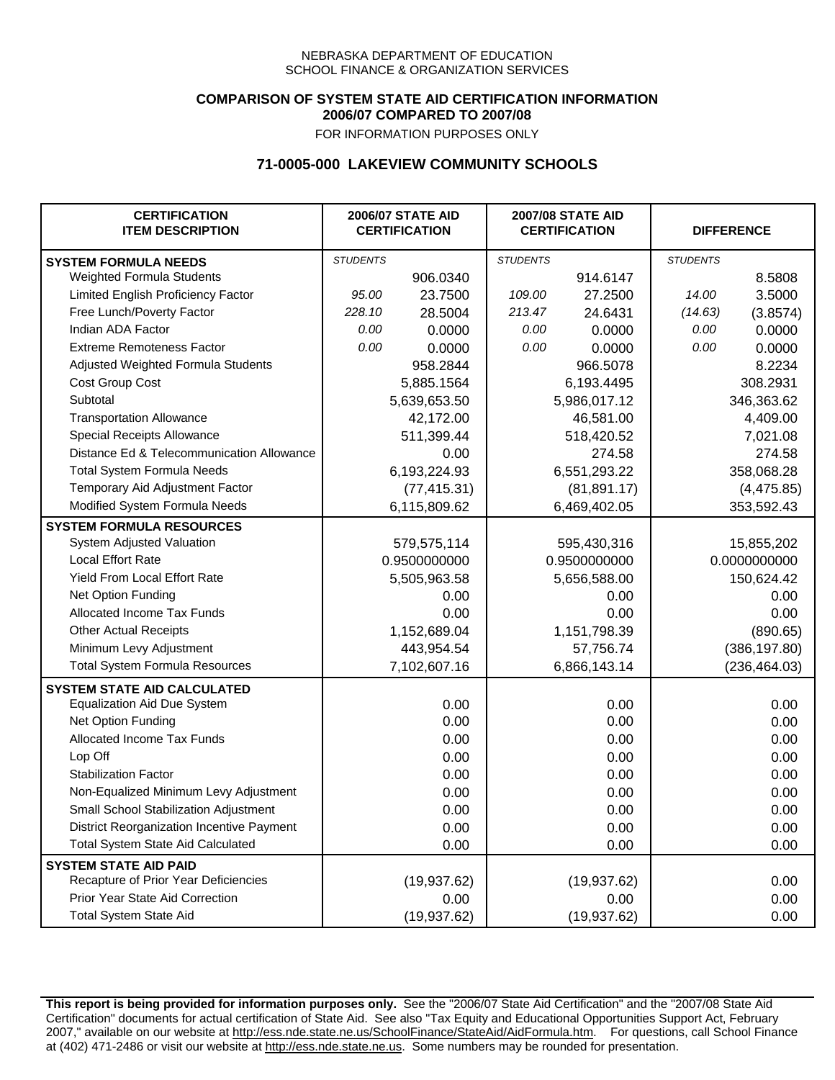### **COMPARISON OF SYSTEM STATE AID CERTIFICATION INFORMATION 2006/07 COMPARED TO 2007/08**

FOR INFORMATION PURPOSES ONLY

## **71-0005-000 LAKEVIEW COMMUNITY SCHOOLS**

| <b>CERTIFICATION</b><br><b>ITEM DESCRIPTION</b> | <b>2006/07 STATE AID</b><br><b>CERTIFICATION</b> |              | <b>2007/08 STATE AID</b><br><b>CERTIFICATION</b> |              | <b>DIFFERENCE</b> |               |  |
|-------------------------------------------------|--------------------------------------------------|--------------|--------------------------------------------------|--------------|-------------------|---------------|--|
| <b>SYSTEM FORMULA NEEDS</b>                     | <b>STUDENTS</b>                                  |              | <b>STUDENTS</b>                                  |              | <b>STUDENTS</b>   |               |  |
| Weighted Formula Students                       |                                                  | 906.0340     |                                                  | 914.6147     |                   | 8.5808        |  |
| Limited English Proficiency Factor              | 95.00                                            | 23.7500      | 109.00                                           | 27.2500      | 14.00             | 3.5000        |  |
| Free Lunch/Poverty Factor                       | 228.10                                           | 28.5004      | 213.47                                           | 24.6431      | (14.63)           | (3.8574)      |  |
| Indian ADA Factor                               | 0.00                                             | 0.0000       | 0.00                                             | 0.0000       | 0.00              | 0.0000        |  |
| <b>Extreme Remoteness Factor</b>                | 0.00                                             | 0.0000       | 0.00                                             | 0.0000       | 0.00              | 0.0000        |  |
| Adjusted Weighted Formula Students              |                                                  | 958.2844     |                                                  | 966.5078     |                   | 8.2234        |  |
| Cost Group Cost                                 |                                                  | 5,885.1564   |                                                  | 6,193.4495   |                   | 308.2931      |  |
| Subtotal                                        |                                                  | 5,639,653.50 | 5,986,017.12                                     |              |                   | 346,363.62    |  |
| <b>Transportation Allowance</b>                 |                                                  | 42,172.00    | 46,581.00                                        |              |                   | 4,409.00      |  |
| Special Receipts Allowance                      |                                                  | 511,399.44   |                                                  | 518,420.52   |                   | 7,021.08      |  |
| Distance Ed & Telecommunication Allowance       |                                                  | 0.00         |                                                  | 274.58       |                   | 274.58        |  |
| <b>Total System Formula Needs</b>               |                                                  | 6,193,224.93 | 6,551,293.22                                     |              | 358,068.28        |               |  |
| Temporary Aid Adjustment Factor                 |                                                  | (77, 415.31) |                                                  | (81, 891.17) |                   | (4,475.85)    |  |
| Modified System Formula Needs                   |                                                  | 6,115,809.62 |                                                  | 6,469,402.05 |                   | 353,592.43    |  |
| <b>SYSTEM FORMULA RESOURCES</b>                 |                                                  |              |                                                  |              |                   |               |  |
| System Adjusted Valuation                       |                                                  | 579,575,114  |                                                  | 595,430,316  |                   | 15,855,202    |  |
| <b>Local Effort Rate</b>                        | 0.9500000000                                     |              |                                                  | 0.9500000000 | 0.0000000000      |               |  |
| Yield From Local Effort Rate                    |                                                  | 5,505,963.58 |                                                  | 5,656,588.00 |                   | 150,624.42    |  |
| Net Option Funding                              |                                                  | 0.00         |                                                  | 0.00         |                   | 0.00          |  |
| Allocated Income Tax Funds                      |                                                  | 0.00         |                                                  | 0.00         |                   | 0.00          |  |
| <b>Other Actual Receipts</b>                    |                                                  | 1,152,689.04 | 1,151,798.39                                     |              |                   | (890.65)      |  |
| Minimum Levy Adjustment                         | 443,954.54                                       |              | 57,756.74                                        |              |                   | (386, 197.80) |  |
| <b>Total System Formula Resources</b>           |                                                  | 7,102,607.16 | 6,866,143.14                                     |              | (236, 464.03)     |               |  |
| <b>SYSTEM STATE AID CALCULATED</b>              |                                                  |              |                                                  |              |                   |               |  |
| <b>Equalization Aid Due System</b>              |                                                  | 0.00         |                                                  | 0.00         |                   | 0.00          |  |
| Net Option Funding                              |                                                  | 0.00         |                                                  | 0.00         |                   | 0.00          |  |
| Allocated Income Tax Funds                      |                                                  | 0.00         |                                                  | 0.00         |                   | 0.00          |  |
| Lop Off                                         |                                                  | 0.00         |                                                  | 0.00         |                   | 0.00          |  |
| <b>Stabilization Factor</b>                     |                                                  | 0.00         |                                                  | 0.00         |                   | 0.00          |  |
| Non-Equalized Minimum Levy Adjustment           |                                                  | 0.00         |                                                  | 0.00         |                   | 0.00          |  |
| Small School Stabilization Adjustment           | 0.00                                             |              | 0.00                                             |              |                   | 0.00          |  |
| District Reorganization Incentive Payment       | 0.00                                             |              | 0.00                                             |              | 0.00              |               |  |
| <b>Total System State Aid Calculated</b>        | 0.00                                             |              | 0.00                                             |              | 0.00              |               |  |
| <b>SYSTEM STATE AID PAID</b>                    |                                                  |              |                                                  |              |                   |               |  |
| Recapture of Prior Year Deficiencies            |                                                  | (19, 937.62) |                                                  | (19, 937.62) |                   | 0.00          |  |
| Prior Year State Aid Correction                 |                                                  | 0.00         | 0.00                                             |              |                   | 0.00          |  |
| <b>Total System State Aid</b>                   |                                                  | (19, 937.62) | (19, 937.62)                                     |              |                   | 0.00          |  |